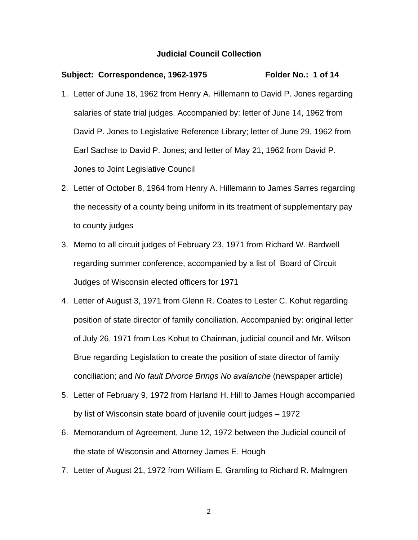#### Subject: Correspondence, 1962-1975 Folder No.: 1 of 14

- 1. Letter of June 18, 1962 from Henry A. Hillemann to David P. Jones regarding salaries of state trial judges. Accompanied by: letter of June 14, 1962 from David P. Jones to Legislative Reference Library; letter of June 29, 1962 from Earl Sachse to David P. Jones; and letter of May 21, 1962 from David P. Jones to Joint Legislative Council
- 2. Letter of October 8, 1964 from Henry A. Hillemann to James Sarres regarding the necessity of a county being uniform in its treatment of supplementary pay to county judges
- 3. Memo to all circuit judges of February 23, 1971 from Richard W. Bardwell regarding summer conference, accompanied by a list of Board of Circuit Judges of Wisconsin elected officers for 1971
- 4. Letter of August 3, 1971 from Glenn R. Coates to Lester C. Kohut regarding position of state director of family conciliation. Accompanied by: original letter of July 26, 1971 from Les Kohut to Chairman, judicial council and Mr. Wilson Brue regarding Legislation to create the position of state director of family conciliation; and *No fault Divorce Brings No avalanche* (newspaper article)
- 5. Letter of February 9, 1972 from Harland H. Hill to James Hough accompanied by list of Wisconsin state board of juvenile court judges – 1972
- 6. Memorandum of Agreement, June 12, 1972 between the Judicial council of the state of Wisconsin and Attorney James E. Hough
- 7. Letter of August 21, 1972 from William E. Gramling to Richard R. Malmgren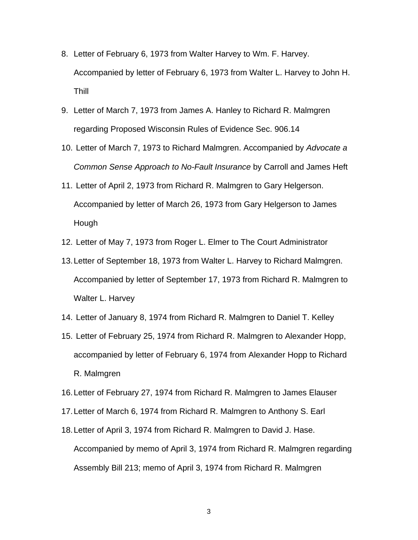- 8. Letter of February 6, 1973 from Walter Harvey to Wm. F. Harvey. Accompanied by letter of February 6, 1973 from Walter L. Harvey to John H. Thill
- 9. Letter of March 7, 1973 from James A. Hanley to Richard R. Malmgren regarding Proposed Wisconsin Rules of Evidence Sec. 906.14
- 10. Letter of March 7, 1973 to Richard Malmgren. Accompanied by *Advocate a Common Sense Approach to No-Fault Insurance* by Carroll and James Heft
- 11. Letter of April 2, 1973 from Richard R. Malmgren to Gary Helgerson. Accompanied by letter of March 26, 1973 from Gary Helgerson to James Hough
- 12. Letter of May 7, 1973 from Roger L. Elmer to The Court Administrator
- 13. Letter of September 18, 1973 from Walter L. Harvey to Richard Malmgren. Accompanied by letter of September 17, 1973 from Richard R. Malmgren to Walter L. Harvey
- 14. Letter of January 8, 1974 from Richard R. Malmgren to Daniel T. Kelley
- 15. Letter of February 25, 1974 from Richard R. Malmgren to Alexander Hopp, accompanied by letter of February 6, 1974 from Alexander Hopp to Richard R. Malmgren
- 16. Letter of February 27, 1974 from Richard R. Malmgren to James Elauser
- 17. Letter of March 6, 1974 from Richard R. Malmgren to Anthony S. Earl
- 18. Letter of April 3, 1974 from Richard R. Malmgren to David J. Hase. Accompanied by memo of April 3, 1974 from Richard R. Malmgren regarding Assembly Bill 213; memo of April 3, 1974 from Richard R. Malmgren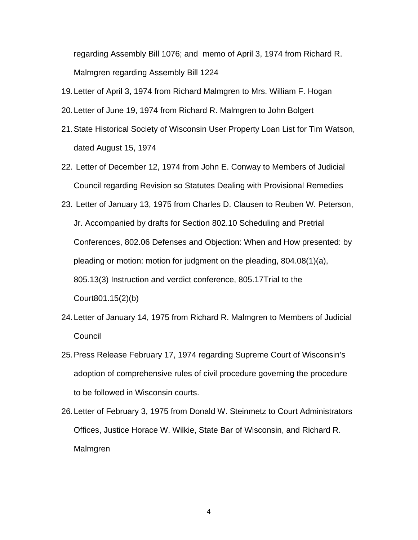regarding Assembly Bill 1076; and memo of April 3, 1974 from Richard R. Malmgren regarding Assembly Bill 1224

- 19. Letter of April 3, 1974 from Richard Malmgren to Mrs. William F. Hogan
- 20. Letter of June 19, 1974 from Richard R. Malmgren to John Bolgert
- 21. State Historical Society of Wisconsin User Property Loan List for Tim Watson, dated August 15, 1974
- 22. Letter of December 12, 1974 from John E. Conway to Members of Judicial Council regarding Revision so Statutes Dealing with Provisional Remedies
- 23. Letter of January 13, 1975 from Charles D. Clausen to Reuben W. Peterson, Jr. Accompanied by drafts for Section 802.10 Scheduling and Pretrial Conferences, 802.06 Defenses and Objection: When and How presented: by pleading or motion: motion for judgment on the pleading, 804.08(1)(a), 805.13(3) Instruction and verdict conference, 805.17Trial to the Court801.15(2)(b)
- 24. Letter of January 14, 1975 from Richard R. Malmgren to Members of Judicial **Council**
- 25. Press Release February 17, 1974 regarding Supreme Court of Wisconsin's adoption of comprehensive rules of civil procedure governing the procedure to be followed in Wisconsin courts.
- 26. Letter of February 3, 1975 from Donald W. Steinmetz to Court Administrators Offices, Justice Horace W. Wilkie, State Bar of Wisconsin, and Richard R. Malmgren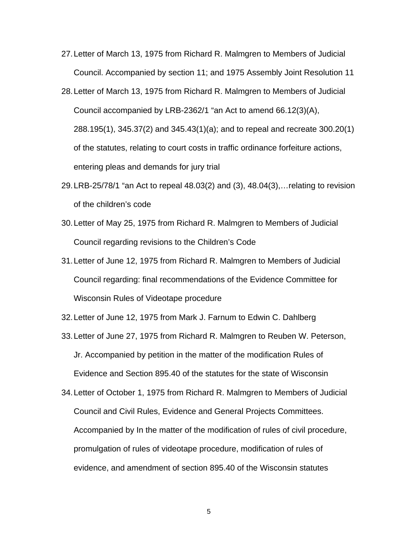- 27. Letter of March 13, 1975 from Richard R. Malmgren to Members of Judicial Council. Accompanied by section 11; and 1975 Assembly Joint Resolution 11
- 28. Letter of March 13, 1975 from Richard R. Malmgren to Members of Judicial Council accompanied by LRB-2362/1 "an Act to amend 66.12(3)(A), 288.195(1), 345.37(2) and 345.43(1)(a); and to repeal and recreate 300.20(1) of the statutes, relating to court costs in traffic ordinance forfeiture actions, entering pleas and demands for jury trial
- 29. LRB-25/78/1 "an Act to repeal 48.03(2) and (3), 48.04(3),…relating to revision of the children's code
- 30. Letter of May 25, 1975 from Richard R. Malmgren to Members of Judicial Council regarding revisions to the Children's Code
- 31. Letter of June 12, 1975 from Richard R. Malmgren to Members of Judicial Council regarding: final recommendations of the Evidence Committee for Wisconsin Rules of Videotape procedure
- 32. Letter of June 12, 1975 from Mark J. Farnum to Edwin C. Dahlberg
- 33. Letter of June 27, 1975 from Richard R. Malmgren to Reuben W. Peterson, Jr. Accompanied by petition in the matter of the modification Rules of Evidence and Section 895.40 of the statutes for the state of Wisconsin
- 34. Letter of October 1, 1975 from Richard R. Malmgren to Members of Judicial Council and Civil Rules, Evidence and General Projects Committees. Accompanied by In the matter of the modification of rules of civil procedure, promulgation of rules of videotape procedure, modification of rules of evidence, and amendment of section 895.40 of the Wisconsin statutes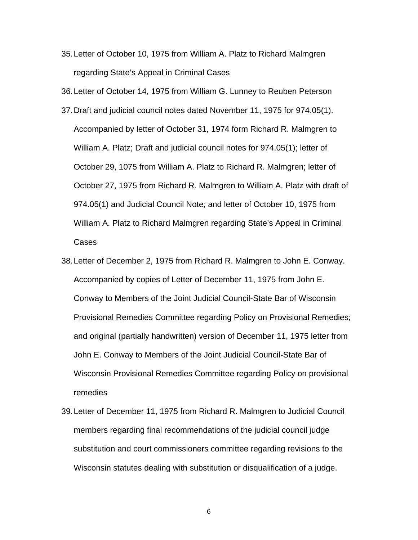35. Letter of October 10, 1975 from William A. Platz to Richard Malmgren regarding State's Appeal in Criminal Cases

36. Letter of October 14, 1975 from William G. Lunney to Reuben Peterson

- 37. Draft and judicial council notes dated November 11, 1975 for 974.05(1). Accompanied by letter of October 31, 1974 form Richard R. Malmgren to William A. Platz; Draft and judicial council notes for 974.05(1); letter of October 29, 1075 from William A. Platz to Richard R. Malmgren; letter of October 27, 1975 from Richard R. Malmgren to William A. Platz with draft of 974.05(1) and Judicial Council Note; and letter of October 10, 1975 from William A. Platz to Richard Malmgren regarding State's Appeal in Criminal Cases
- 38. Letter of December 2, 1975 from Richard R. Malmgren to John E. Conway. Accompanied by copies of Letter of December 11, 1975 from John E. Conway to Members of the Joint Judicial Council-State Bar of Wisconsin Provisional Remedies Committee regarding Policy on Provisional Remedies; and original (partially handwritten) version of December 11, 1975 letter from John E. Conway to Members of the Joint Judicial Council-State Bar of Wisconsin Provisional Remedies Committee regarding Policy on provisional remedies
- 39. Letter of December 11, 1975 from Richard R. Malmgren to Judicial Council members regarding final recommendations of the judicial council judge substitution and court commissioners committee regarding revisions to the Wisconsin statutes dealing with substitution or disqualification of a judge.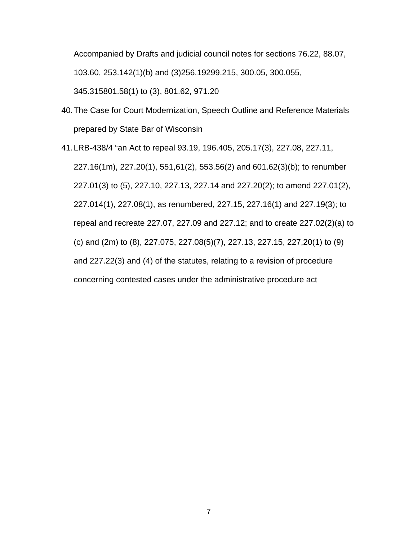Accompanied by Drafts and judicial council notes for sections 76.22, 88.07, 103.60, 253.142(1)(b) and (3)256.19299.215, 300.05, 300.055, 345.315801.58(1) to (3), 801.62, 971.20

40. The Case for Court Modernization, Speech Outline and Reference Materials prepared by State Bar of Wisconsin

41. LRB-438/4 "an Act to repeal 93.19, 196.405, 205.17(3), 227.08, 227.11, 227.16(1m), 227.20(1), 551,61(2), 553.56(2) and 601.62(3)(b); to renumber 227.01(3) to (5), 227.10, 227.13, 227.14 and 227.20(2); to amend 227.01(2), 227.014(1), 227.08(1), as renumbered, 227.15, 227.16(1) and 227.19(3); to repeal and recreate 227.07, 227.09 and 227.12; and to create 227.02(2)(a) to (c) and (2m) to (8), 227.075, 227.08(5)(7), 227.13, 227.15, 227,20(1) to (9) and 227.22(3) and (4) of the statutes, relating to a revision of procedure concerning contested cases under the administrative procedure act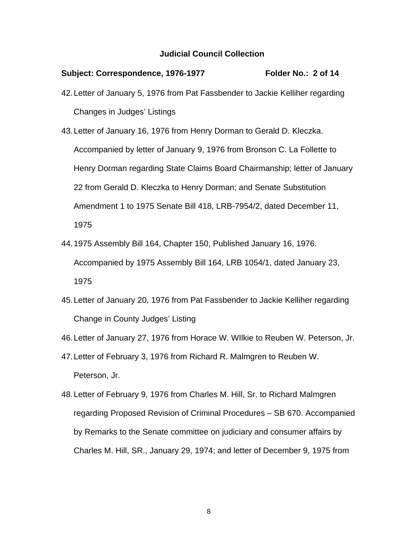## Subject: Correspondence, 1976-1977 Folder No.: 2 of 14

- 42. Letter of January 5, 1976 from Pat Fassbender to Jackie Kelliher regarding Changes in Judges' Listings
- 43. Letter of January 16, 1976 from Henry Dorman to Gerald D. Kleczka. Accompanied by letter of January 9, 1976 from Bronson C. La Follette to Henry Dorman regarding State Claims Board Chairmanship; letter of January 22 from Gerald D. Kleczka to Henry Dorman; and Senate Substitution Amendment 1 to 1975 Senate Bill 418, LRB-7954/2, dated December 11, 1975
- 44. 1975 Assembly Bill 164, Chapter 150, Published January 16, 1976. Accompanied by 1975 Assembly Bill 164, LRB 1054/1, dated January 23, 1975
- 45. Letter of January 20, 1976 from Pat Fassbender to Jackie Kelliher regarding Change in County Judges' Listing
- 46. Letter of January 27, 1976 from Horace W. WIlkie to Reuben W. Peterson, Jr.
- 47. Letter of February 3, 1976 from Richard R. Malmgren to Reuben W. Peterson, Jr.
- 48. Letter of February 9, 1976 from Charles M. Hill, Sr. to Richard Malmgren regarding Proposed Revision of Criminal Procedures – SB 670. Accompanied by Remarks to the Senate committee on judiciary and consumer affairs by Charles M. Hill, SR., January 29, 1974; and letter of December 9, 1975 from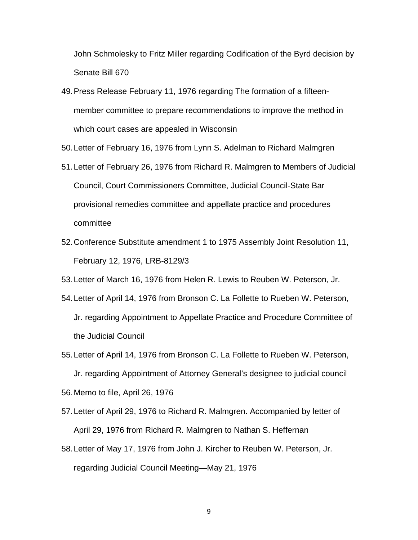John Schmolesky to Fritz Miller regarding Codification of the Byrd decision by Senate Bill 670

49. Press Release February 11, 1976 regarding The formation of a fifteenmember committee to prepare recommendations to improve the method in which court cases are appealed in Wisconsin

50. Letter of February 16, 1976 from Lynn S. Adelman to Richard Malmgren

- 51. Letter of February 26, 1976 from Richard R. Malmgren to Members of Judicial Council, Court Commissioners Committee, Judicial Council-State Bar provisional remedies committee and appellate practice and procedures committee
- 52. Conference Substitute amendment 1 to 1975 Assembly Joint Resolution 11, February 12, 1976, LRB-8129/3
- 53. Letter of March 16, 1976 from Helen R. Lewis to Reuben W. Peterson, Jr.
- 54. Letter of April 14, 1976 from Bronson C. La Follette to Rueben W. Peterson, Jr. regarding Appointment to Appellate Practice and Procedure Committee of the Judicial Council
- 55. Letter of April 14, 1976 from Bronson C. La Follette to Rueben W. Peterson, Jr. regarding Appointment of Attorney General's designee to judicial council 56. Memo to file, April 26, 1976
- 57. Letter of April 29, 1976 to Richard R. Malmgren. Accompanied by letter of April 29, 1976 from Richard R. Malmgren to Nathan S. Heffernan
- 58. Letter of May 17, 1976 from John J. Kircher to Reuben W. Peterson, Jr. regarding Judicial Council Meeting—May 21, 1976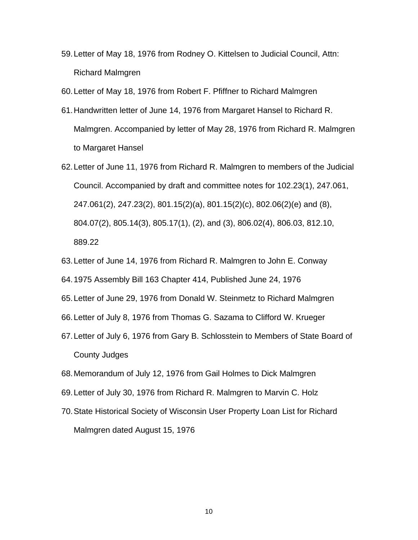- 59. Letter of May 18, 1976 from Rodney O. Kittelsen to Judicial Council, Attn: Richard Malmgren
- 60. Letter of May 18, 1976 from Robert F. Pfiffner to Richard Malmgren
- 61. Handwritten letter of June 14, 1976 from Margaret Hansel to Richard R. Malmgren. Accompanied by letter of May 28, 1976 from Richard R. Malmgren to Margaret Hansel
- 62. Letter of June 11, 1976 from Richard R. Malmgren to members of the Judicial Council. Accompanied by draft and committee notes for 102.23(1), 247.061, 247.061(2), 247.23(2), 801.15(2)(a), 801.15(2)(c), 802.06(2)(e) and (8), 804.07(2), 805.14(3), 805.17(1), (2), and (3), 806.02(4), 806.03, 812.10, 889.22
- 63. Letter of June 14, 1976 from Richard R. Malmgren to John E. Conway
- 64. 1975 Assembly Bill 163 Chapter 414, Published June 24, 1976
- 65. Letter of June 29, 1976 from Donald W. Steinmetz to Richard Malmgren
- 66. Letter of July 8, 1976 from Thomas G. Sazama to Clifford W. Krueger
- 67. Letter of July 6, 1976 from Gary B. Schlosstein to Members of State Board of County Judges
- 68. Memorandum of July 12, 1976 from Gail Holmes to Dick Malmgren
- 69. Letter of July 30, 1976 from Richard R. Malmgren to Marvin C. Holz
- 70. State Historical Society of Wisconsin User Property Loan List for Richard Malmgren dated August 15, 1976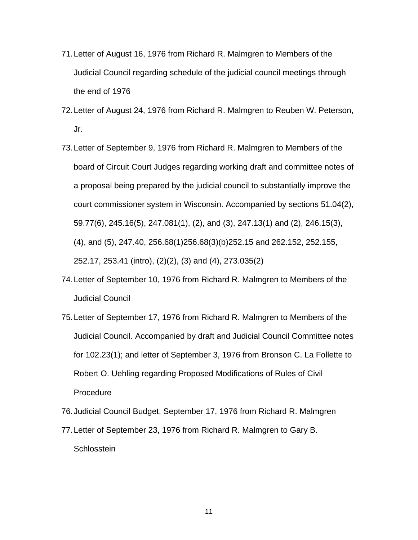- 71. Letter of August 16, 1976 from Richard R. Malmgren to Members of the Judicial Council regarding schedule of the judicial council meetings through the end of 1976
- 72. Letter of August 24, 1976 from Richard R. Malmgren to Reuben W. Peterson, Jr.
- 73. Letter of September 9, 1976 from Richard R. Malmgren to Members of the board of Circuit Court Judges regarding working draft and committee notes of a proposal being prepared by the judicial council to substantially improve the court commissioner system in Wisconsin. Accompanied by sections 51.04(2), 59.77(6), 245.16(5), 247.081(1), (2), and (3), 247.13(1) and (2), 246.15(3), (4), and (5), 247.40, 256.68(1)256.68(3)(b)252.15 and 262.152, 252.155, 252.17, 253.41 (intro), (2)(2), (3) and (4), 273.035(2)
- 74. Letter of September 10, 1976 from Richard R. Malmgren to Members of the Judicial Council
- 75. Letter of September 17, 1976 from Richard R. Malmgren to Members of the Judicial Council. Accompanied by draft and Judicial Council Committee notes for 102.23(1); and letter of September 3, 1976 from Bronson C. La Follette to Robert O. Uehling regarding Proposed Modifications of Rules of Civil Procedure
- 76. Judicial Council Budget, September 17, 1976 from Richard R. Malmgren
- 77. Letter of September 23, 1976 from Richard R. Malmgren to Gary B. **Schlosstein**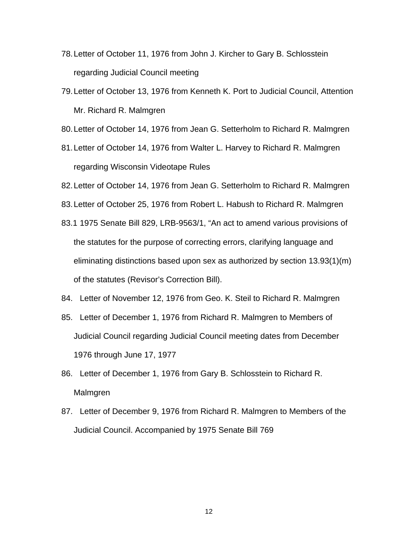- 78. Letter of October 11, 1976 from John J. Kircher to Gary B. Schlosstein regarding Judicial Council meeting
- 79. Letter of October 13, 1976 from Kenneth K. Port to Judicial Council, Attention Mr. Richard R. Malmgren
- 80. Letter of October 14, 1976 from Jean G. Setterholm to Richard R. Malmgren
- 81. Letter of October 14, 1976 from Walter L. Harvey to Richard R. Malmgren regarding Wisconsin Videotape Rules
- 82. Letter of October 14, 1976 from Jean G. Setterholm to Richard R. Malmgren
- 83. Letter of October 25, 1976 from Robert L. Habush to Richard R. Malmgren
- 83.1 1975 Senate Bill 829, LRB-9563/1, "An act to amend various provisions of the statutes for the purpose of correcting errors, clarifying language and eliminating distinctions based upon sex as authorized by section 13.93(1)(m) of the statutes (Revisor's Correction Bill).
- 84. Letter of November 12, 1976 from Geo. K. Steil to Richard R. Malmgren
- 85. Letter of December 1, 1976 from Richard R. Malmgren to Members of Judicial Council regarding Judicial Council meeting dates from December 1976 through June 17, 1977
- 86. Letter of December 1, 1976 from Gary B. Schlosstein to Richard R. Malmgren
- 87. Letter of December 9, 1976 from Richard R. Malmgren to Members of the Judicial Council. Accompanied by 1975 Senate Bill 769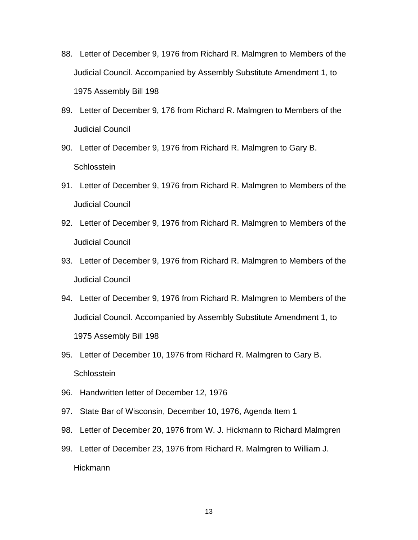- 88. Letter of December 9, 1976 from Richard R. Malmgren to Members of the Judicial Council. Accompanied by Assembly Substitute Amendment 1, to 1975 Assembly Bill 198
- 89. Letter of December 9, 176 from Richard R. Malmgren to Members of the Judicial Council
- 90. Letter of December 9, 1976 from Richard R. Malmgren to Gary B. **Schlosstein**
- 91. Letter of December 9, 1976 from Richard R. Malmgren to Members of the Judicial Council
- 92. Letter of December 9, 1976 from Richard R. Malmgren to Members of the Judicial Council
- 93. Letter of December 9, 1976 from Richard R. Malmgren to Members of the Judicial Council
- 94. Letter of December 9, 1976 from Richard R. Malmgren to Members of the Judicial Council. Accompanied by Assembly Substitute Amendment 1, to 1975 Assembly Bill 198
- 95. Letter of December 10, 1976 from Richard R. Malmgren to Gary B. **Schlosstein**
- 96. Handwritten letter of December 12, 1976
- 97. State Bar of Wisconsin, December 10, 1976, Agenda Item 1
- 98. Letter of December 20, 1976 from W. J. Hickmann to Richard Malmgren
- 99. Letter of December 23, 1976 from Richard R. Malmgren to William J. Hickmann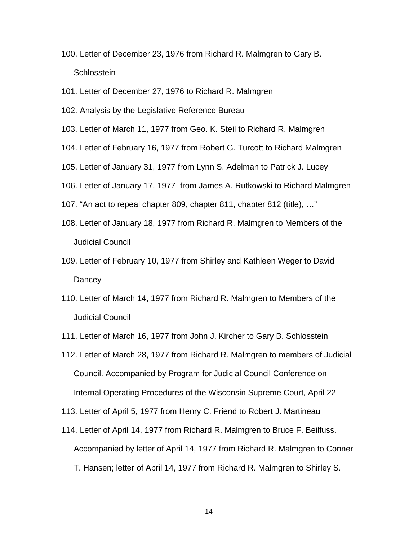- 100. Letter of December 23, 1976 from Richard R. Malmgren to Gary B. **Schlosstein**
- 101. Letter of December 27, 1976 to Richard R. Malmgren
- 102. Analysis by the Legislative Reference Bureau
- 103. Letter of March 11, 1977 from Geo. K. Steil to Richard R. Malmgren
- 104. Letter of February 16, 1977 from Robert G. Turcott to Richard Malmgren
- 105. Letter of January 31, 1977 from Lynn S. Adelman to Patrick J. Lucey
- 106. Letter of January 17, 1977 from James A. Rutkowski to Richard Malmgren
- 107. "An act to repeal chapter 809, chapter 811, chapter 812 (title), …"
- 108. Letter of January 18, 1977 from Richard R. Malmgren to Members of the Judicial Council
- 109. Letter of February 10, 1977 from Shirley and Kathleen Weger to David **Dancey**
- 110. Letter of March 14, 1977 from Richard R. Malmgren to Members of the Judicial Council
- 111. Letter of March 16, 1977 from John J. Kircher to Gary B. Schlosstein
- 112. Letter of March 28, 1977 from Richard R. Malmgren to members of Judicial Council. Accompanied by Program for Judicial Council Conference on Internal Operating Procedures of the Wisconsin Supreme Court, April 22
- 113. Letter of April 5, 1977 from Henry C. Friend to Robert J. Martineau
- 114. Letter of April 14, 1977 from Richard R. Malmgren to Bruce F. Beilfuss. Accompanied by letter of April 14, 1977 from Richard R. Malmgren to Conner T. Hansen; letter of April 14, 1977 from Richard R. Malmgren to Shirley S.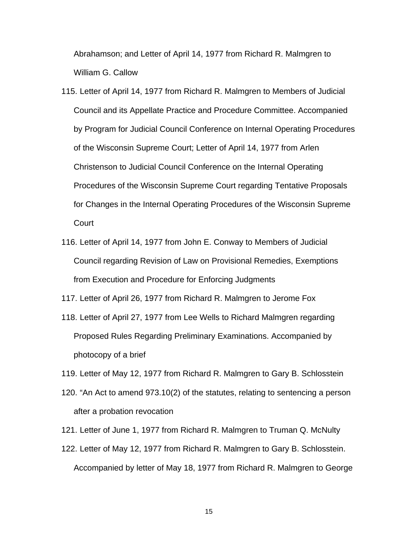Abrahamson; and Letter of April 14, 1977 from Richard R. Malmgren to William G. Callow

- 115. Letter of April 14, 1977 from Richard R. Malmgren to Members of Judicial Council and its Appellate Practice and Procedure Committee. Accompanied by Program for Judicial Council Conference on Internal Operating Procedures of the Wisconsin Supreme Court; Letter of April 14, 1977 from Arlen Christenson to Judicial Council Conference on the Internal Operating Procedures of the Wisconsin Supreme Court regarding Tentative Proposals for Changes in the Internal Operating Procedures of the Wisconsin Supreme Court
- 116. Letter of April 14, 1977 from John E. Conway to Members of Judicial Council regarding Revision of Law on Provisional Remedies, Exemptions from Execution and Procedure for Enforcing Judgments

117. Letter of April 26, 1977 from Richard R. Malmgren to Jerome Fox

- 118. Letter of April 27, 1977 from Lee Wells to Richard Malmgren regarding Proposed Rules Regarding Preliminary Examinations. Accompanied by photocopy of a brief
- 119. Letter of May 12, 1977 from Richard R. Malmgren to Gary B. Schlosstein
- 120. "An Act to amend 973.10(2) of the statutes, relating to sentencing a person after a probation revocation
- 121. Letter of June 1, 1977 from Richard R. Malmgren to Truman Q. McNulty
- 122. Letter of May 12, 1977 from Richard R. Malmgren to Gary B. Schlosstein. Accompanied by letter of May 18, 1977 from Richard R. Malmgren to George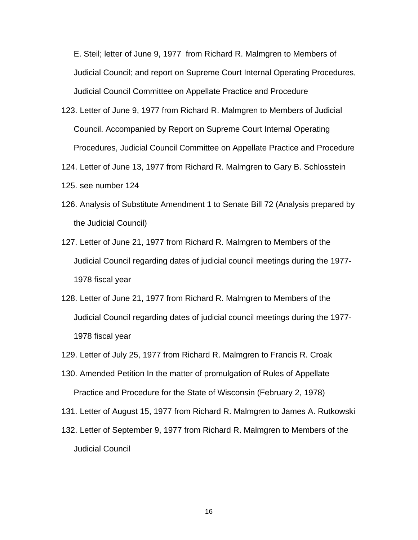E. Steil; letter of June 9, 1977 from Richard R. Malmgren to Members of Judicial Council; and report on Supreme Court Internal Operating Procedures, Judicial Council Committee on Appellate Practice and Procedure

- 123. Letter of June 9, 1977 from Richard R. Malmgren to Members of Judicial Council. Accompanied by Report on Supreme Court Internal Operating Procedures, Judicial Council Committee on Appellate Practice and Procedure
- 124. Letter of June 13, 1977 from Richard R. Malmgren to Gary B. Schlosstein
- 125. see number 124
- 126. Analysis of Substitute Amendment 1 to Senate Bill 72 (Analysis prepared by the Judicial Council)
- 127. Letter of June 21, 1977 from Richard R. Malmgren to Members of the Judicial Council regarding dates of judicial council meetings during the 1977- 1978 fiscal year
- 128. Letter of June 21, 1977 from Richard R. Malmgren to Members of the Judicial Council regarding dates of judicial council meetings during the 1977- 1978 fiscal year
- 129. Letter of July 25, 1977 from Richard R. Malmgren to Francis R. Croak
- 130. Amended Petition In the matter of promulgation of Rules of Appellate Practice and Procedure for the State of Wisconsin (February 2, 1978)
- 131. Letter of August 15, 1977 from Richard R. Malmgren to James A. Rutkowski
- 132. Letter of September 9, 1977 from Richard R. Malmgren to Members of the Judicial Council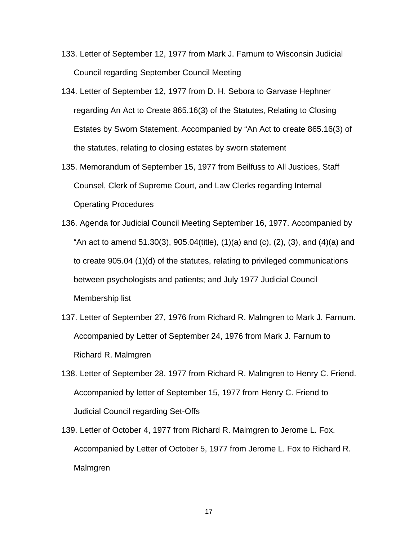- 133. Letter of September 12, 1977 from Mark J. Farnum to Wisconsin Judicial Council regarding September Council Meeting
- 134. Letter of September 12, 1977 from D. H. Sebora to Garvase Hephner regarding An Act to Create 865.16(3) of the Statutes, Relating to Closing Estates by Sworn Statement. Accompanied by "An Act to create 865.16(3) of the statutes, relating to closing estates by sworn statement
- 135. Memorandum of September 15, 1977 from Beilfuss to All Justices, Staff Counsel, Clerk of Supreme Court, and Law Clerks regarding Internal Operating Procedures
- 136. Agenda for Judicial Council Meeting September 16, 1977. Accompanied by "An act to amend 51.30(3), 905.04(title), (1)(a) and (c), (2), (3), and (4)(a) and to create 905.04 (1)(d) of the statutes, relating to privileged communications between psychologists and patients; and July 1977 Judicial Council Membership list
- 137. Letter of September 27, 1976 from Richard R. Malmgren to Mark J. Farnum. Accompanied by Letter of September 24, 1976 from Mark J. Farnum to Richard R. Malmgren
- 138. Letter of September 28, 1977 from Richard R. Malmgren to Henry C. Friend. Accompanied by letter of September 15, 1977 from Henry C. Friend to Judicial Council regarding Set-Offs
- 139. Letter of October 4, 1977 from Richard R. Malmgren to Jerome L. Fox. Accompanied by Letter of October 5, 1977 from Jerome L. Fox to Richard R. Malmgren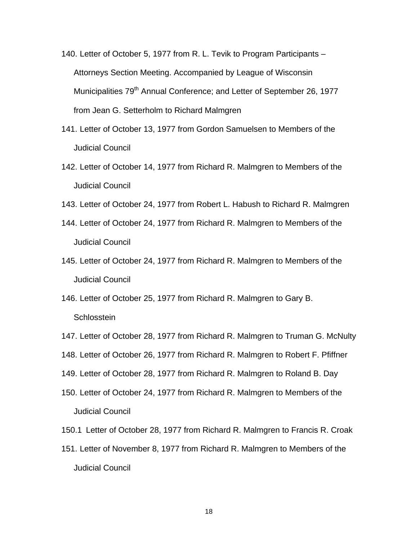- 140. Letter of October 5, 1977 from R. L. Tevik to Program Participants Attorneys Section Meeting. Accompanied by League of Wisconsin Municipalities 79<sup>th</sup> Annual Conference; and Letter of September 26, 1977 from Jean G. Setterholm to Richard Malmgren
- 141. Letter of October 13, 1977 from Gordon Samuelsen to Members of the Judicial Council
- 142. Letter of October 14, 1977 from Richard R. Malmgren to Members of the Judicial Council
- 143. Letter of October 24, 1977 from Robert L. Habush to Richard R. Malmgren
- 144. Letter of October 24, 1977 from Richard R. Malmgren to Members of the Judicial Council
- 145. Letter of October 24, 1977 from Richard R. Malmgren to Members of the Judicial Council
- 146. Letter of October 25, 1977 from Richard R. Malmgren to Gary B. **Schlosstein**
- 147. Letter of October 28, 1977 from Richard R. Malmgren to Truman G. McNulty
- 148. Letter of October 26, 1977 from Richard R. Malmgren to Robert F. Pfiffner
- 149. Letter of October 28, 1977 from Richard R. Malmgren to Roland B. Day
- 150. Letter of October 24, 1977 from Richard R. Malmgren to Members of the Judicial Council
- 150.1 Letter of October 28, 1977 from Richard R. Malmgren to Francis R. Croak
- 151. Letter of November 8, 1977 from Richard R. Malmgren to Members of the Judicial Council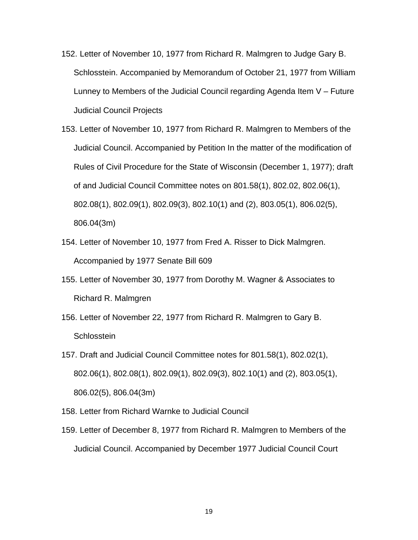- 152. Letter of November 10, 1977 from Richard R. Malmgren to Judge Gary B. Schlosstein. Accompanied by Memorandum of October 21, 1977 from William Lunney to Members of the Judicial Council regarding Agenda Item V – Future Judicial Council Projects
- 153. Letter of November 10, 1977 from Richard R. Malmgren to Members of the Judicial Council. Accompanied by Petition In the matter of the modification of Rules of Civil Procedure for the State of Wisconsin (December 1, 1977); draft of and Judicial Council Committee notes on 801.58(1), 802.02, 802.06(1), 802.08(1), 802.09(1), 802.09(3), 802.10(1) and (2), 803.05(1), 806.02(5), 806.04(3m)
- 154. Letter of November 10, 1977 from Fred A. Risser to Dick Malmgren. Accompanied by 1977 Senate Bill 609
- 155. Letter of November 30, 1977 from Dorothy M. Wagner & Associates to Richard R. Malmgren
- 156. Letter of November 22, 1977 from Richard R. Malmgren to Gary B. **Schlosstein**
- 157. Draft and Judicial Council Committee notes for 801.58(1), 802.02(1), 802.06(1), 802.08(1), 802.09(1), 802.09(3), 802.10(1) and (2), 803.05(1), 806.02(5), 806.04(3m)
- 158. Letter from Richard Warnke to Judicial Council
- 159. Letter of December 8, 1977 from Richard R. Malmgren to Members of the Judicial Council. Accompanied by December 1977 Judicial Council Court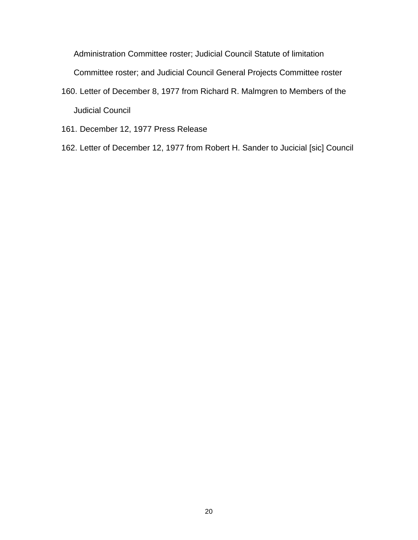Administration Committee roster; Judicial Council Statute of limitation

Committee roster; and Judicial Council General Projects Committee roster

- 160. Letter of December 8, 1977 from Richard R. Malmgren to Members of the Judicial Council
- 161. December 12, 1977 Press Release
- 162. Letter of December 12, 1977 from Robert H. Sander to Jucicial [sic] Council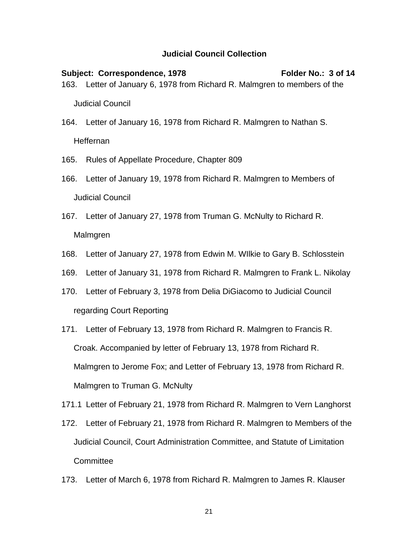Subject: Correspondence, 1978 **Folder No.: 3 of 14** 163. Letter of January 6, 1978 from Richard R. Malmgren to members of the Judicial Council

- 164. Letter of January 16, 1978 from Richard R. Malmgren to Nathan S. Heffernan
- 165. Rules of Appellate Procedure, Chapter 809
- 166. Letter of January 19, 1978 from Richard R. Malmgren to Members of Judicial Council
- 167. Letter of January 27, 1978 from Truman G. McNulty to Richard R. Malmgren
- 168. Letter of January 27, 1978 from Edwin M. WIlkie to Gary B. Schlosstein
- 169. Letter of January 31, 1978 from Richard R. Malmgren to Frank L. Nikolay
- 170. Letter of February 3, 1978 from Delia DiGiacomo to Judicial Council regarding Court Reporting
- 171. Letter of February 13, 1978 from Richard R. Malmgren to Francis R. Croak. Accompanied by letter of February 13, 1978 from Richard R. Malmgren to Jerome Fox; and Letter of February 13, 1978 from Richard R. Malmgren to Truman G. McNulty
- 171.1 Letter of February 21, 1978 from Richard R. Malmgren to Vern Langhorst
- 172. Letter of February 21, 1978 from Richard R. Malmgren to Members of the Judicial Council, Court Administration Committee, and Statute of Limitation **Committee**
- 173. Letter of March 6, 1978 from Richard R. Malmgren to James R. Klauser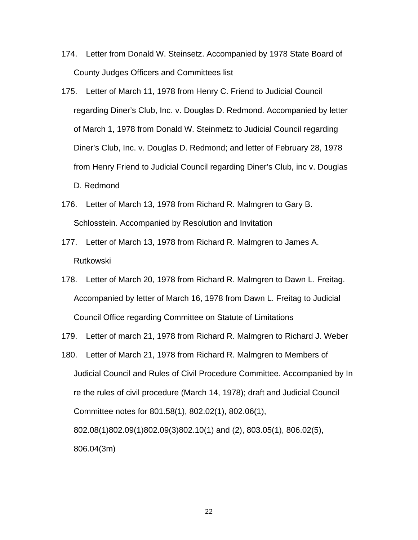- 174. Letter from Donald W. Steinsetz. Accompanied by 1978 State Board of County Judges Officers and Committees list
- 175. Letter of March 11, 1978 from Henry C. Friend to Judicial Council regarding Diner's Club, Inc. v. Douglas D. Redmond. Accompanied by letter of March 1, 1978 from Donald W. Steinmetz to Judicial Council regarding Diner's Club, Inc. v. Douglas D. Redmond; and letter of February 28, 1978 from Henry Friend to Judicial Council regarding Diner's Club, inc v. Douglas D. Redmond
- 176. Letter of March 13, 1978 from Richard R. Malmgren to Gary B. Schlosstein. Accompanied by Resolution and Invitation
- 177. Letter of March 13, 1978 from Richard R. Malmgren to James A. Rutkowski
- 178. Letter of March 20, 1978 from Richard R. Malmgren to Dawn L. Freitag. Accompanied by letter of March 16, 1978 from Dawn L. Freitag to Judicial Council Office regarding Committee on Statute of Limitations
- 179. Letter of march 21, 1978 from Richard R. Malmgren to Richard J. Weber
- 180. Letter of March 21, 1978 from Richard R. Malmgren to Members of Judicial Council and Rules of Civil Procedure Committee. Accompanied by In re the rules of civil procedure (March 14, 1978); draft and Judicial Council Committee notes for 801.58(1), 802.02(1), 802.06(1), 802.08(1)802.09(1)802.09(3)802.10(1) and (2), 803.05(1), 806.02(5), 806.04(3m)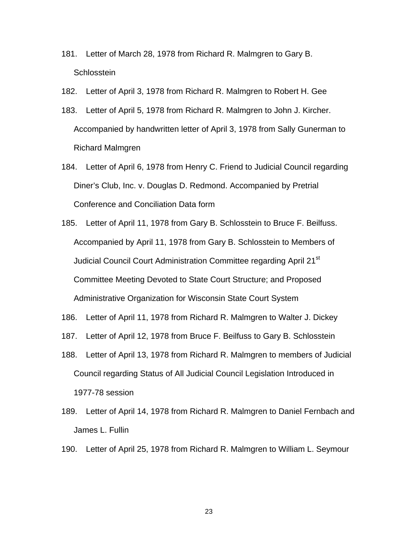- 181. Letter of March 28, 1978 from Richard R. Malmgren to Gary B. **Schlosstein**
- 182. Letter of April 3, 1978 from Richard R. Malmgren to Robert H. Gee
- 183. Letter of April 5, 1978 from Richard R. Malmgren to John J. Kircher. Accompanied by handwritten letter of April 3, 1978 from Sally Gunerman to Richard Malmgren
- 184. Letter of April 6, 1978 from Henry C. Friend to Judicial Council regarding Diner's Club, Inc. v. Douglas D. Redmond. Accompanied by Pretrial Conference and Conciliation Data form
- 185. Letter of April 11, 1978 from Gary B. Schlosstein to Bruce F. Beilfuss. Accompanied by April 11, 1978 from Gary B. Schlosstein to Members of Judicial Council Court Administration Committee regarding April 21<sup>st</sup> Committee Meeting Devoted to State Court Structure; and Proposed Administrative Organization for Wisconsin State Court System
- 186. Letter of April 11, 1978 from Richard R. Malmgren to Walter J. Dickey
- 187. Letter of April 12, 1978 from Bruce F. Beilfuss to Gary B. Schlosstein
- 188. Letter of April 13, 1978 from Richard R. Malmgren to members of Judicial Council regarding Status of All Judicial Council Legislation Introduced in 1977-78 session
- 189. Letter of April 14, 1978 from Richard R. Malmgren to Daniel Fernbach and James L. Fullin
- 190. Letter of April 25, 1978 from Richard R. Malmgren to William L. Seymour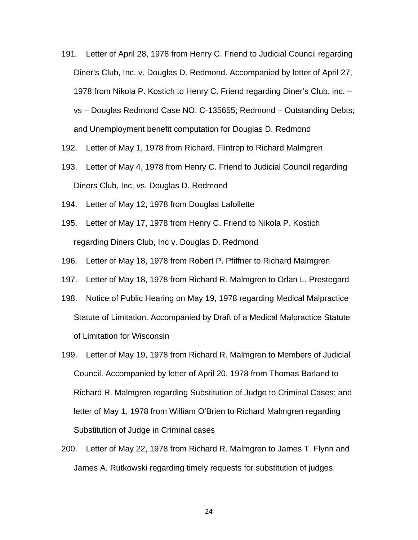- 191. Letter of April 28, 1978 from Henry C. Friend to Judicial Council regarding Diner's Club, Inc. v. Douglas D. Redmond. Accompanied by letter of April 27, 1978 from Nikola P. Kostich to Henry C. Friend regarding Diner's Club, inc. – vs – Douglas Redmond Case NO. C-135655; Redmond – Outstanding Debts; and Unemployment benefit computation for Douglas D. Redmond
- 192. Letter of May 1, 1978 from Richard. Flintrop to Richard Malmgren
- 193. Letter of May 4, 1978 from Henry C. Friend to Judicial Council regarding Diners Club, Inc. vs. Douglas D. Redmond
- 194. Letter of May 12, 1978 from Douglas Lafollette
- 195. Letter of May 17, 1978 from Henry C. Friend to Nikola P. Kostich regarding Diners Club, Inc v. Douglas D. Redmond
- 196. Letter of May 18, 1978 from Robert P. Pfiffner to Richard Malmgren
- 197. Letter of May 18, 1978 from Richard R. Malmgren to Orlan L. Prestegard
- 198. Notice of Public Hearing on May 19, 1978 regarding Medical Malpractice Statute of Limitation. Accompanied by Draft of a Medical Malpractice Statute of Limitation for Wisconsin
- 199. Letter of May 19, 1978 from Richard R. Malmgren to Members of Judicial Council. Accompanied by letter of April 20, 1978 from Thomas Barland to Richard R. Malmgren regarding Substitution of Judge to Criminal Cases; and letter of May 1, 1978 from William O'Brien to Richard Malmgren regarding Substitution of Judge in Criminal cases
- 200. Letter of May 22, 1978 from Richard R. Malmgren to James T. Flynn and James A. Rutkowski regarding timely requests for substitution of judges.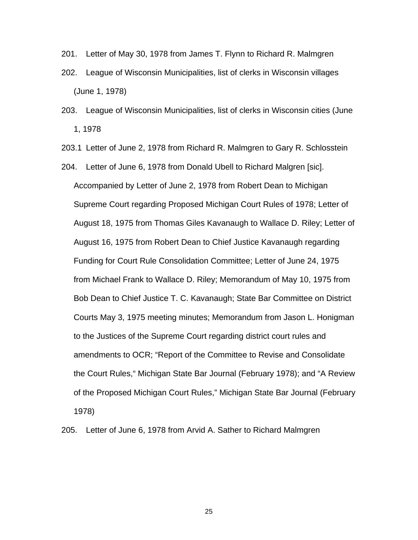- 201. Letter of May 30, 1978 from James T. Flynn to Richard R. Malmgren
- 202. League of Wisconsin Municipalities, list of clerks in Wisconsin villages (June 1, 1978)
- 203. League of Wisconsin Municipalities, list of clerks in Wisconsin cities (June 1, 1978
- 203.1 Letter of June 2, 1978 from Richard R. Malmgren to Gary R. Schlosstein
- 204. Letter of June 6, 1978 from Donald Ubell to Richard Malgren [sic]. Accompanied by Letter of June 2, 1978 from Robert Dean to Michigan Supreme Court regarding Proposed Michigan Court Rules of 1978; Letter of August 18, 1975 from Thomas Giles Kavanaugh to Wallace D. Riley; Letter of August 16, 1975 from Robert Dean to Chief Justice Kavanaugh regarding Funding for Court Rule Consolidation Committee; Letter of June 24, 1975 from Michael Frank to Wallace D. Riley; Memorandum of May 10, 1975 from Bob Dean to Chief Justice T. C. Kavanaugh; State Bar Committee on District Courts May 3, 1975 meeting minutes; Memorandum from Jason L. Honigman to the Justices of the Supreme Court regarding district court rules and amendments to OCR; "Report of the Committee to Revise and Consolidate the Court Rules," Michigan State Bar Journal (February 1978); and "A Review of the Proposed Michigan Court Rules," Michigan State Bar Journal (February 1978)
- 205. Letter of June 6, 1978 from Arvid A. Sather to Richard Malmgren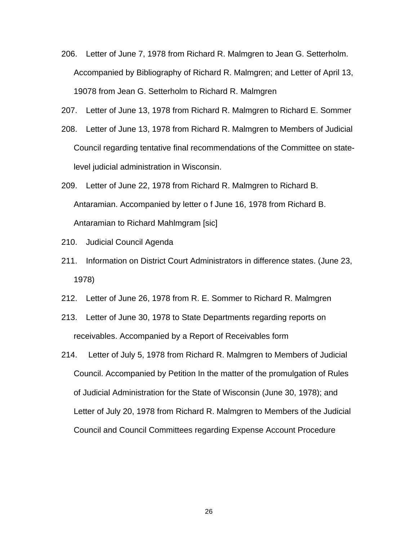- 206. Letter of June 7, 1978 from Richard R. Malmgren to Jean G. Setterholm. Accompanied by Bibliography of Richard R. Malmgren; and Letter of April 13, 19078 from Jean G. Setterholm to Richard R. Malmgren
- 207. Letter of June 13, 1978 from Richard R. Malmgren to Richard E. Sommer
- 208. Letter of June 13, 1978 from Richard R. Malmgren to Members of Judicial Council regarding tentative final recommendations of the Committee on statelevel judicial administration in Wisconsin.
- 209. Letter of June 22, 1978 from Richard R. Malmgren to Richard B. Antaramian. Accompanied by letter o f June 16, 1978 from Richard B. Antaramian to Richard Mahlmgram [sic]
- 210. Judicial Council Agenda
- 211. Information on District Court Administrators in difference states. (June 23, 1978)
- 212. Letter of June 26, 1978 from R. E. Sommer to Richard R. Malmgren
- 213. Letter of June 30, 1978 to State Departments regarding reports on receivables. Accompanied by a Report of Receivables form
- 214. Letter of July 5, 1978 from Richard R. Malmgren to Members of Judicial Council. Accompanied by Petition In the matter of the promulgation of Rules of Judicial Administration for the State of Wisconsin (June 30, 1978); and Letter of July 20, 1978 from Richard R. Malmgren to Members of the Judicial Council and Council Committees regarding Expense Account Procedure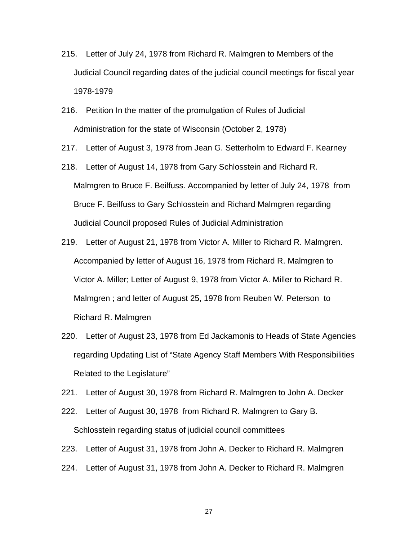- 215. Letter of July 24, 1978 from Richard R. Malmgren to Members of the Judicial Council regarding dates of the judicial council meetings for fiscal year 1978-1979
- 216. Petition In the matter of the promulgation of Rules of Judicial Administration for the state of Wisconsin (October 2, 1978)
- 217. Letter of August 3, 1978 from Jean G. Setterholm to Edward F. Kearney
- 218. Letter of August 14, 1978 from Gary Schlosstein and Richard R. Malmgren to Bruce F. Beilfuss. Accompanied by letter of July 24, 1978 from Bruce F. Beilfuss to Gary Schlosstein and Richard Malmgren regarding Judicial Council proposed Rules of Judicial Administration
- 219. Letter of August 21, 1978 from Victor A. Miller to Richard R. Malmgren. Accompanied by letter of August 16, 1978 from Richard R. Malmgren to Victor A. Miller; Letter of August 9, 1978 from Victor A. Miller to Richard R. Malmgren ; and letter of August 25, 1978 from Reuben W. Peterson to Richard R. Malmgren
- 220. Letter of August 23, 1978 from Ed Jackamonis to Heads of State Agencies regarding Updating List of "State Agency Staff Members With Responsibilities Related to the Legislature"
- 221. Letter of August 30, 1978 from Richard R. Malmgren to John A. Decker
- 222. Letter of August 30, 1978 from Richard R. Malmgren to Gary B. Schlosstein regarding status of judicial council committees
- 223. Letter of August 31, 1978 from John A. Decker to Richard R. Malmgren
- 224. Letter of August 31, 1978 from John A. Decker to Richard R. Malmgren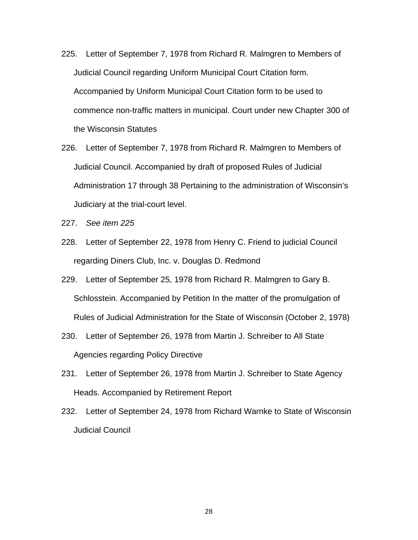- 225. Letter of September 7, 1978 from Richard R. Malmgren to Members of Judicial Council regarding Uniform Municipal Court Citation form. Accompanied by Uniform Municipal Court Citation form to be used to commence non-traffic matters in municipal. Court under new Chapter 300 of the Wisconsin Statutes
- 226. Letter of September 7, 1978 from Richard R. Malmgren to Members of Judicial Council. Accompanied by draft of proposed Rules of Judicial Administration 17 through 38 Pertaining to the administration of Wisconsin's Judiciary at the trial-court level.
- 227. *See item 225*
- 228. Letter of September 22, 1978 from Henry C. Friend to judicial Council regarding Diners Club, Inc. v. Douglas D. Redmond
- 229. Letter of September 25, 1978 from Richard R. Malmgren to Gary B. Schlosstein. Accompanied by Petition In the matter of the promulgation of Rules of Judicial Administration for the State of Wisconsin (October 2, 1978)
- 230. Letter of September 26, 1978 from Martin J. Schreiber to All State Agencies regarding Policy Directive
- 231. Letter of September 26, 1978 from Martin J. Schreiber to State Agency Heads. Accompanied by Retirement Report
- 232. Letter of September 24, 1978 from Richard Warnke to State of Wisconsin Judicial Council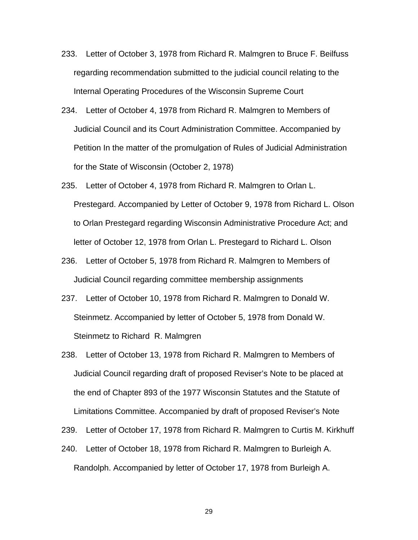- 233. Letter of October 3, 1978 from Richard R. Malmgren to Bruce F. Beilfuss regarding recommendation submitted to the judicial council relating to the Internal Operating Procedures of the Wisconsin Supreme Court
- 234. Letter of October 4, 1978 from Richard R. Malmgren to Members of Judicial Council and its Court Administration Committee. Accompanied by Petition In the matter of the promulgation of Rules of Judicial Administration for the State of Wisconsin (October 2, 1978)
- 235. Letter of October 4, 1978 from Richard R. Malmgren to Orlan L. Prestegard. Accompanied by Letter of October 9, 1978 from Richard L. Olson to Orlan Prestegard regarding Wisconsin Administrative Procedure Act; and letter of October 12, 1978 from Orlan L. Prestegard to Richard L. Olson
- 236. Letter of October 5, 1978 from Richard R. Malmgren to Members of Judicial Council regarding committee membership assignments
- 237. Letter of October 10, 1978 from Richard R. Malmgren to Donald W. Steinmetz. Accompanied by letter of October 5, 1978 from Donald W. Steinmetz to Richard R. Malmgren
- 238. Letter of October 13, 1978 from Richard R. Malmgren to Members of Judicial Council regarding draft of proposed Reviser's Note to be placed at the end of Chapter 893 of the 1977 Wisconsin Statutes and the Statute of Limitations Committee. Accompanied by draft of proposed Reviser's Note
- 239. Letter of October 17, 1978 from Richard R. Malmgren to Curtis M. Kirkhuff
- 240. Letter of October 18, 1978 from Richard R. Malmgren to Burleigh A. Randolph. Accompanied by letter of October 17, 1978 from Burleigh A.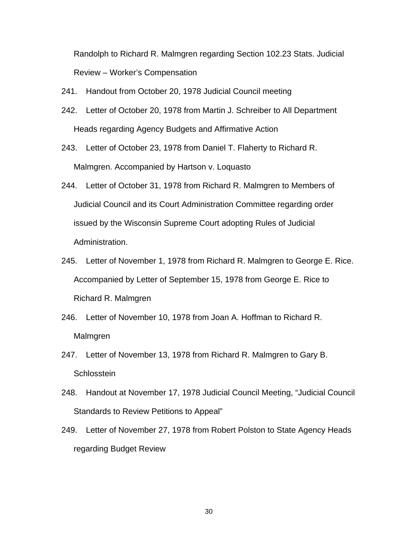Randolph to Richard R. Malmgren regarding Section 102.23 Stats. Judicial Review – Worker's Compensation

- 241. Handout from October 20, 1978 Judicial Council meeting
- 242. Letter of October 20, 1978 from Martin J. Schreiber to All Department Heads regarding Agency Budgets and Affirmative Action
- 243. Letter of October 23, 1978 from Daniel T. Flaherty to Richard R. Malmgren. Accompanied by Hartson v. Loquasto
- 244. Letter of October 31, 1978 from Richard R. Malmgren to Members of Judicial Council and its Court Administration Committee regarding order issued by the Wisconsin Supreme Court adopting Rules of Judicial Administration.
- 245. Letter of November 1, 1978 from Richard R. Malmgren to George E. Rice. Accompanied by Letter of September 15, 1978 from George E. Rice to Richard R. Malmgren
- 246. Letter of November 10, 1978 from Joan A. Hoffman to Richard R. Malmgren
- 247. Letter of November 13, 1978 from Richard R. Malmgren to Gary B. **Schlosstein**
- 248. Handout at November 17, 1978 Judicial Council Meeting, "Judicial Council Standards to Review Petitions to Appeal"
- 249. Letter of November 27, 1978 from Robert Polston to State Agency Heads regarding Budget Review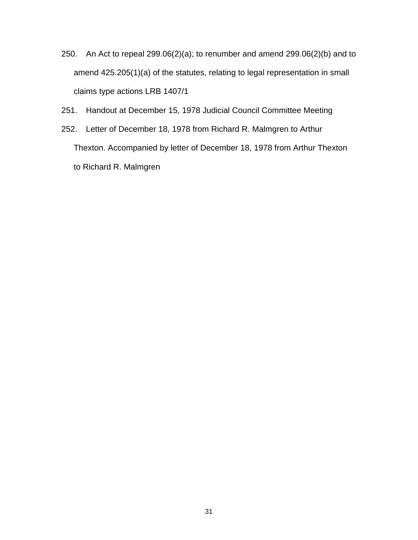- 250. An Act to repeal 299.06(2)(a); to renumber and amend 299.06(2)(b) and to amend 425.205(1)(a) of the statutes, relating to legal representation in small claims type actions LRB 1407/1
- 251. Handout at December 15, 1978 Judicial Council Committee Meeting
- 252. Letter of December 18, 1978 from Richard R. Malmgren to Arthur Thexton. Accompanied by letter of December 18, 1978 from Arthur Thexton to Richard R. Malmgren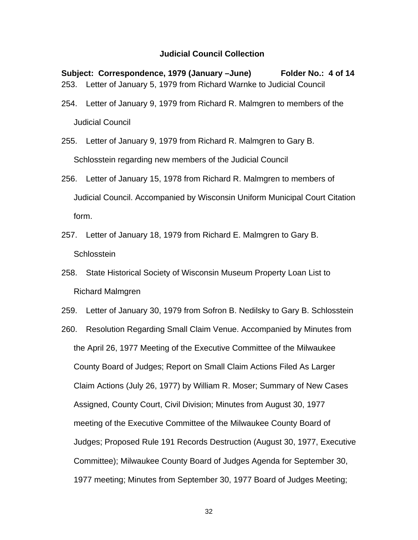**Subject: Correspondence, 1979 (January –June) Folder No.: 4 of 14**  253. Letter of January 5, 1979 from Richard Warnke to Judicial Council

- 254. Letter of January 9, 1979 from Richard R. Malmgren to members of the Judicial Council
- 255. Letter of January 9, 1979 from Richard R. Malmgren to Gary B. Schlosstein regarding new members of the Judicial Council
- 256. Letter of January 15, 1978 from Richard R. Malmgren to members of Judicial Council. Accompanied by Wisconsin Uniform Municipal Court Citation form.
- 257. Letter of January 18, 1979 from Richard E. Malmgren to Gary B. **Schlosstein**
- 258. State Historical Society of Wisconsin Museum Property Loan List to Richard Malmgren
- 259. Letter of January 30, 1979 from Sofron B. Nedilsky to Gary B. Schlosstein
- 260. Resolution Regarding Small Claim Venue. Accompanied by Minutes from the April 26, 1977 Meeting of the Executive Committee of the Milwaukee County Board of Judges; Report on Small Claim Actions Filed As Larger Claim Actions (July 26, 1977) by William R. Moser; Summary of New Cases Assigned, County Court, Civil Division; Minutes from August 30, 1977 meeting of the Executive Committee of the Milwaukee County Board of Judges; Proposed Rule 191 Records Destruction (August 30, 1977, Executive Committee); Milwaukee County Board of Judges Agenda for September 30, 1977 meeting; Minutes from September 30, 1977 Board of Judges Meeting;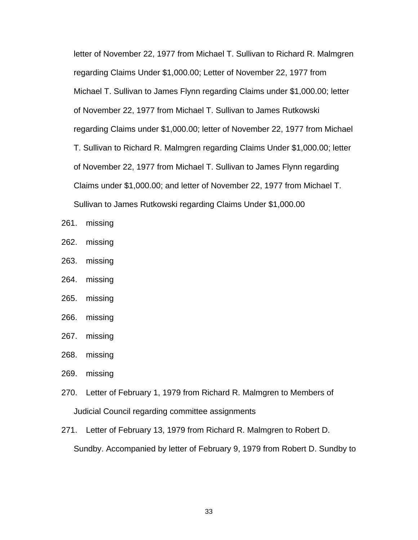letter of November 22, 1977 from Michael T. Sullivan to Richard R. Malmgren regarding Claims Under \$1,000.00; Letter of November 22, 1977 from Michael T. Sullivan to James Flynn regarding Claims under \$1,000.00; letter of November 22, 1977 from Michael T. Sullivan to James Rutkowski regarding Claims under \$1,000.00; letter of November 22, 1977 from Michael T. Sullivan to Richard R. Malmgren regarding Claims Under \$1,000.00; letter of November 22, 1977 from Michael T. Sullivan to James Flynn regarding Claims under \$1,000.00; and letter of November 22, 1977 from Michael T. Sullivan to James Rutkowski regarding Claims Under \$1,000.00

- 261. missing
- 262. missing
- 263. missing
- 264. missing
- 265. missing
- 266. missing
- 267. missing
- 268. missing
- 269. missing
- 270. Letter of February 1, 1979 from Richard R. Malmgren to Members of Judicial Council regarding committee assignments
- 271. Letter of February 13, 1979 from Richard R. Malmgren to Robert D. Sundby. Accompanied by letter of February 9, 1979 from Robert D. Sundby to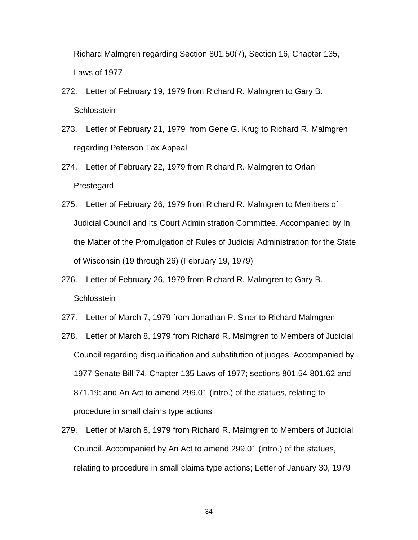Richard Malmgren regarding Section 801.50(7), Section 16, Chapter 135, Laws of 1977

- 272. Letter of February 19, 1979 from Richard R. Malmgren to Gary B. **Schlosstein**
- 273. Letter of February 21, 1979 from Gene G. Krug to Richard R. Malmgren regarding Peterson Tax Appeal
- 274. Letter of February 22, 1979 from Richard R. Malmgren to Orlan Prestegard
- 275. Letter of February 26, 1979 from Richard R. Malmgren to Members of Judicial Council and Its Court Administration Committee. Accompanied by In the Matter of the Promulgation of Rules of Judicial Administration for the State of Wisconsin (19 through 26) (February 19, 1979)
- 276. Letter of February 26, 1979 from Richard R. Malmgren to Gary B. **Schlosstein**
- 277. Letter of March 7, 1979 from Jonathan P. Siner to Richard Malmgren
- 278. Letter of March 8, 1979 from Richard R. Malmgren to Members of Judicial Council regarding disqualification and substitution of judges. Accompanied by 1977 Senate Bill 74, Chapter 135 Laws of 1977; sections 801.54-801.62 and 871.19; and An Act to amend 299.01 (intro.) of the statues, relating to procedure in small claims type actions
- 279. Letter of March 8, 1979 from Richard R. Malmgren to Members of Judicial Council. Accompanied by An Act to amend 299.01 (intro.) of the statues, relating to procedure in small claims type actions; Letter of January 30, 1979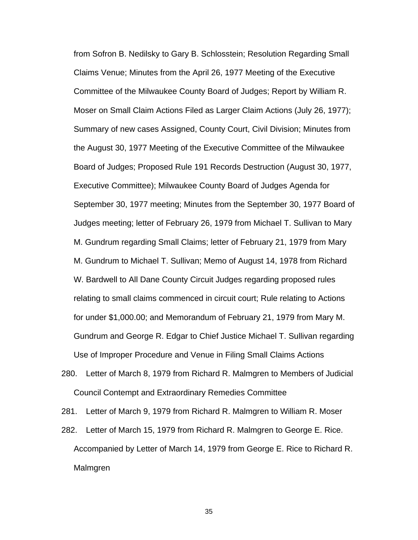from Sofron B. Nedilsky to Gary B. Schlosstein; Resolution Regarding Small Claims Venue; Minutes from the April 26, 1977 Meeting of the Executive Committee of the Milwaukee County Board of Judges; Report by William R. Moser on Small Claim Actions Filed as Larger Claim Actions (July 26, 1977); Summary of new cases Assigned, County Court, Civil Division; Minutes from the August 30, 1977 Meeting of the Executive Committee of the Milwaukee Board of Judges; Proposed Rule 191 Records Destruction (August 30, 1977, Executive Committee); Milwaukee County Board of Judges Agenda for September 30, 1977 meeting; Minutes from the September 30, 1977 Board of Judges meeting; letter of February 26, 1979 from Michael T. Sullivan to Mary M. Gundrum regarding Small Claims; letter of February 21, 1979 from Mary M. Gundrum to Michael T. Sullivan; Memo of August 14, 1978 from Richard W. Bardwell to All Dane County Circuit Judges regarding proposed rules relating to small claims commenced in circuit court; Rule relating to Actions for under \$1,000.00; and Memorandum of February 21, 1979 from Mary M. Gundrum and George R. Edgar to Chief Justice Michael T. Sullivan regarding Use of Improper Procedure and Venue in Filing Small Claims Actions

280. Letter of March 8, 1979 from Richard R. Malmgren to Members of Judicial Council Contempt and Extraordinary Remedies Committee

281. Letter of March 9, 1979 from Richard R. Malmgren to William R. Moser

282. Letter of March 15, 1979 from Richard R. Malmgren to George E. Rice. Accompanied by Letter of March 14, 1979 from George E. Rice to Richard R. Malmgren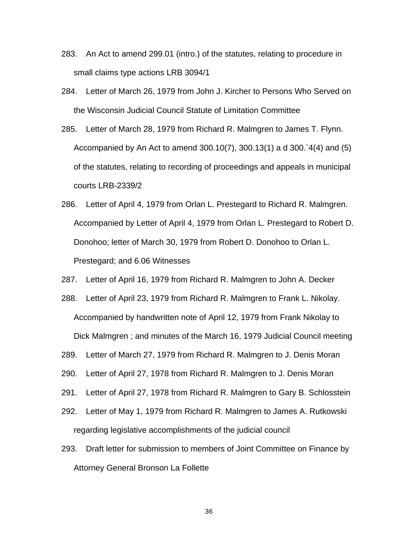- 283. An Act to amend 299.01 (intro.) of the statutes, relating to procedure in small claims type actions LRB 3094/1
- 284. Letter of March 26, 1979 from John J. Kircher to Persons Who Served on the Wisconsin Judicial Council Statute of Limitation Committee
- 285. Letter of March 28, 1979 from Richard R. Malmgren to James T. Flynn. Accompanied by An Act to amend 300.10(7), 300.13(1) a d 300.`4(4) and (5) of the statutes, relating to recording of proceedings and appeals in municipal courts LRB-2339/2
- 286. Letter of April 4, 1979 from Orlan L. Prestegard to Richard R. Malmgren. Accompanied by Letter of April 4, 1979 from Orlan L. Prestegard to Robert D. Donohoo; letter of March 30, 1979 from Robert D. Donohoo to Orlan L. Prestegard; and 6.06 Witnesses
- 287. Letter of April 16, 1979 from Richard R. Malmgren to John A. Decker
- 288. Letter of April 23, 1979 from Richard R. Malmgren to Frank L. Nikolay. Accompanied by handwritten note of April 12, 1979 from Frank Nikolay to Dick Malmgren ; and minutes of the March 16, 1979 Judicial Council meeting
- 289. Letter of March 27, 1979 from Richard R. Malmgren to J. Denis Moran
- 290. Letter of April 27, 1978 from Richard R. Malmgren to J. Denis Moran
- 291. Letter of April 27, 1978 from Richard R. Malmgren to Gary B. Schlosstein
- 292. Letter of May 1, 1979 from Richard R. Malmgren to James A. Rutkowski regarding legislative accomplishments of the judicial council
- 293. Draft letter for submission to members of Joint Committee on Finance by Attorney General Bronson La Follette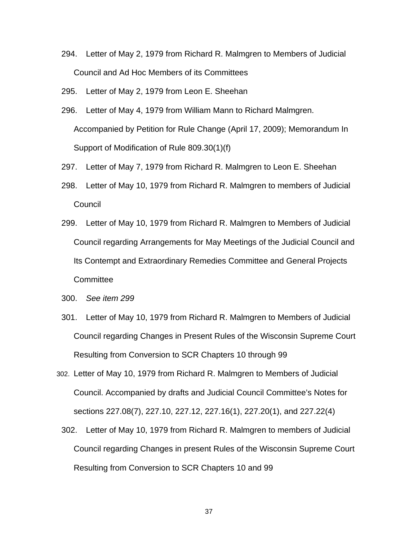- 294. Letter of May 2, 1979 from Richard R. Malmgren to Members of Judicial Council and Ad Hoc Members of its Committees
- 295. Letter of May 2, 1979 from Leon E. Sheehan
- 296. Letter of May 4, 1979 from William Mann to Richard Malmgren. Accompanied by Petition for Rule Change (April 17, 2009); Memorandum In Support of Modification of Rule 809.30(1)(f)
- 297. Letter of May 7, 1979 from Richard R. Malmgren to Leon E. Sheehan
- 298. Letter of May 10, 1979 from Richard R. Malmgren to members of Judicial Council
- 299. Letter of May 10, 1979 from Richard R. Malmgren to Members of Judicial Council regarding Arrangements for May Meetings of the Judicial Council and Its Contempt and Extraordinary Remedies Committee and General Projects **Committee**
- 300. *See item 299*
- 301. Letter of May 10, 1979 from Richard R. Malmgren to Members of Judicial Council regarding Changes in Present Rules of the Wisconsin Supreme Court Resulting from Conversion to SCR Chapters 10 through 99
- 302. Letter of May 10, 1979 from Richard R. Malmgren to Members of Judicial Council. Accompanied by drafts and Judicial Council Committee's Notes for sections 227.08(7), 227.10, 227.12, 227.16(1), 227.20(1), and 227.22(4)
	- 302. Letter of May 10, 1979 from Richard R. Malmgren to members of Judicial Council regarding Changes in present Rules of the Wisconsin Supreme Court Resulting from Conversion to SCR Chapters 10 and 99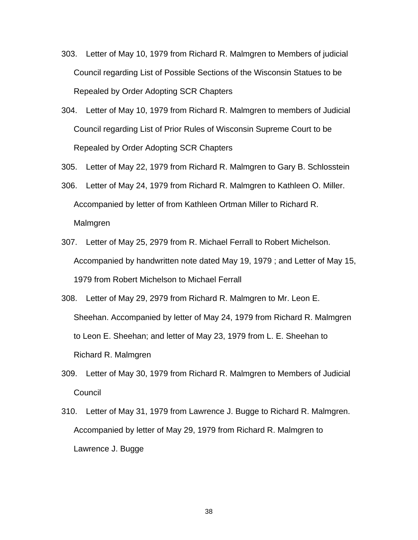- 303. Letter of May 10, 1979 from Richard R. Malmgren to Members of judicial Council regarding List of Possible Sections of the Wisconsin Statues to be Repealed by Order Adopting SCR Chapters
- 304. Letter of May 10, 1979 from Richard R. Malmgren to members of Judicial Council regarding List of Prior Rules of Wisconsin Supreme Court to be Repealed by Order Adopting SCR Chapters
- 305. Letter of May 22, 1979 from Richard R. Malmgren to Gary B. Schlosstein
- 306. Letter of May 24, 1979 from Richard R. Malmgren to Kathleen O. Miller. Accompanied by letter of from Kathleen Ortman Miller to Richard R. Malmgren
- 307. Letter of May 25, 2979 from R. Michael Ferrall to Robert Michelson. Accompanied by handwritten note dated May 19, 1979 ; and Letter of May 15, 1979 from Robert Michelson to Michael Ferrall
- 308. Letter of May 29, 2979 from Richard R. Malmgren to Mr. Leon E. Sheehan. Accompanied by letter of May 24, 1979 from Richard R. Malmgren to Leon E. Sheehan; and letter of May 23, 1979 from L. E. Sheehan to Richard R. Malmgren
- 309. Letter of May 30, 1979 from Richard R. Malmgren to Members of Judicial Council
- 310. Letter of May 31, 1979 from Lawrence J. Bugge to Richard R. Malmgren. Accompanied by letter of May 29, 1979 from Richard R. Malmgren to Lawrence J. Bugge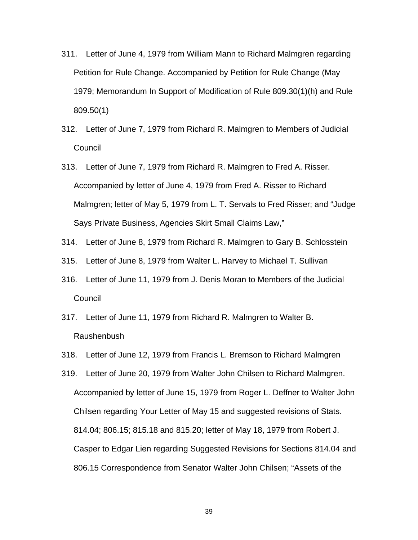- 311. Letter of June 4, 1979 from William Mann to Richard Malmgren regarding Petition for Rule Change. Accompanied by Petition for Rule Change (May 1979; Memorandum In Support of Modification of Rule 809.30(1)(h) and Rule 809.50(1)
- 312. Letter of June 7, 1979 from Richard R. Malmgren to Members of Judicial Council
- 313. Letter of June 7, 1979 from Richard R. Malmgren to Fred A. Risser. Accompanied by letter of June 4, 1979 from Fred A. Risser to Richard Malmgren; letter of May 5, 1979 from L. T. Servals to Fred Risser; and "Judge Says Private Business, Agencies Skirt Small Claims Law,"
- 314. Letter of June 8, 1979 from Richard R. Malmgren to Gary B. Schlosstein
- 315. Letter of June 8, 1979 from Walter L. Harvey to Michael T. Sullivan
- 316. Letter of June 11, 1979 from J. Denis Moran to Members of the Judicial **Council**
- 317. Letter of June 11, 1979 from Richard R. Malmgren to Walter B. Raushenbush
- 318. Letter of June 12, 1979 from Francis L. Bremson to Richard Malmgren
- 319. Letter of June 20, 1979 from Walter John Chilsen to Richard Malmgren. Accompanied by letter of June 15, 1979 from Roger L. Deffner to Walter John Chilsen regarding Your Letter of May 15 and suggested revisions of Stats. 814.04; 806.15; 815.18 and 815.20; letter of May 18, 1979 from Robert J. Casper to Edgar Lien regarding Suggested Revisions for Sections 814.04 and 806.15 Correspondence from Senator Walter John Chilsen; "Assets of the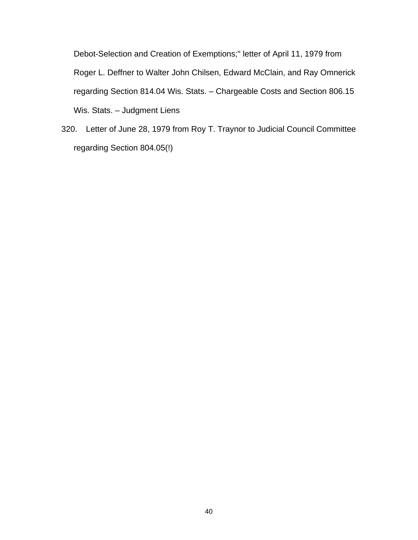Debot-Selection and Creation of Exemptions;" letter of April 11, 1979 from Roger L. Deffner to Walter John Chilsen, Edward McClain, and Ray Omnerick regarding Section 814.04 Wis. Stats. – Chargeable Costs and Section 806.15 Wis. Stats. - Judgment Liens

320. Letter of June 28, 1979 from Roy T. Traynor to Judicial Council Committee regarding Section 804.05(!)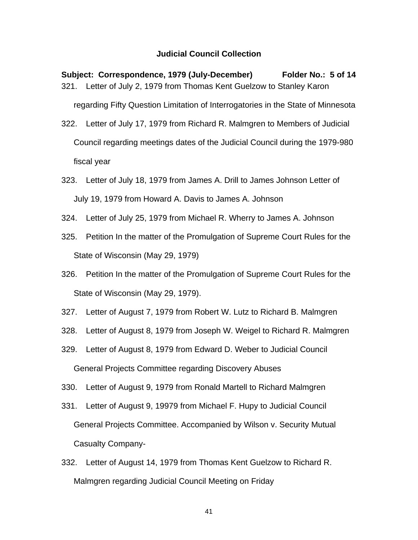## **Judicial Council Collection**

**Subject: Correspondence, 1979 (July-December) Folder No.: 5 of 14**  321. Letter of July 2, 1979 from Thomas Kent Guelzow to Stanley Karon regarding Fifty Question Limitation of Interrogatories in the State of Minnesota 322. Letter of July 17, 1979 from Richard R. Malmgren to Members of Judicial Council regarding meetings dates of the Judicial Council during the 1979-980 fiscal year

323. Letter of July 18, 1979 from James A. Drill to James Johnson Letter of July 19, 1979 from Howard A. Davis to James A. Johnson

- 324. Letter of July 25, 1979 from Michael R. Wherry to James A. Johnson
- 325. Petition In the matter of the Promulgation of Supreme Court Rules for the State of Wisconsin (May 29, 1979)
- 326. Petition In the matter of the Promulgation of Supreme Court Rules for the State of Wisconsin (May 29, 1979).
- 327. Letter of August 7, 1979 from Robert W. Lutz to Richard B. Malmgren
- 328. Letter of August 8, 1979 from Joseph W. Weigel to Richard R. Malmgren
- 329. Letter of August 8, 1979 from Edward D. Weber to Judicial Council General Projects Committee regarding Discovery Abuses
- 330. Letter of August 9, 1979 from Ronald Martell to Richard Malmgren
- 331. Letter of August 9, 19979 from Michael F. Hupy to Judicial Council General Projects Committee. Accompanied by Wilson v. Security Mutual Casualty Company-
- 332. Letter of August 14, 1979 from Thomas Kent Guelzow to Richard R. Malmgren regarding Judicial Council Meeting on Friday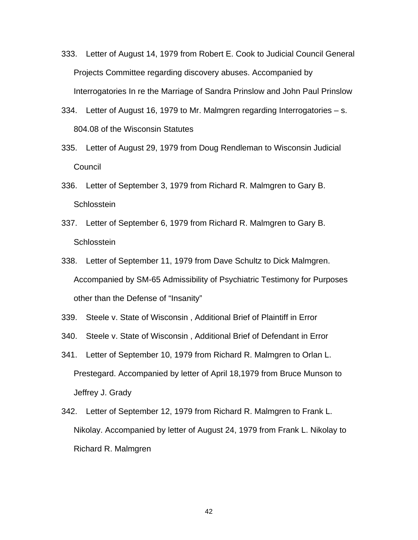- 333. Letter of August 14, 1979 from Robert E. Cook to Judicial Council General Projects Committee regarding discovery abuses. Accompanied by Interrogatories In re the Marriage of Sandra Prinslow and John Paul Prinslow
- 334. Letter of August 16, 1979 to Mr. Malmgren regarding Interrogatories s. 804.08 of the Wisconsin Statutes
- 335. Letter of August 29, 1979 from Doug Rendleman to Wisconsin Judicial **Council**
- 336. Letter of September 3, 1979 from Richard R. Malmgren to Gary B. **Schlosstein**
- 337. Letter of September 6, 1979 from Richard R. Malmgren to Gary B. **Schlosstein**
- 338. Letter of September 11, 1979 from Dave Schultz to Dick Malmgren. Accompanied by SM-65 Admissibility of Psychiatric Testimony for Purposes other than the Defense of "Insanity"
- 339. Steele v. State of Wisconsin , Additional Brief of Plaintiff in Error
- 340. Steele v. State of Wisconsin , Additional Brief of Defendant in Error
- 341. Letter of September 10, 1979 from Richard R. Malmgren to Orlan L. Prestegard. Accompanied by letter of April 18,1979 from Bruce Munson to Jeffrey J. Grady
- 342. Letter of September 12, 1979 from Richard R. Malmgren to Frank L. Nikolay. Accompanied by letter of August 24, 1979 from Frank L. Nikolay to Richard R. Malmgren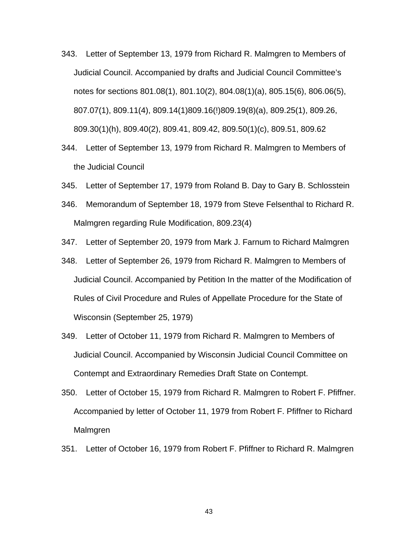- 343. Letter of September 13, 1979 from Richard R. Malmgren to Members of Judicial Council. Accompanied by drafts and Judicial Council Committee's notes for sections 801.08(1), 801.10(2), 804.08(1)(a), 805.15(6), 806.06(5), 807.07(1), 809.11(4), 809.14(1)809.16(!)809.19(8)(a), 809.25(1), 809.26, 809.30(1)(h), 809.40(2), 809.41, 809.42, 809.50(1)(c), 809.51, 809.62
- 344. Letter of September 13, 1979 from Richard R. Malmgren to Members of the Judicial Council
- 345. Letter of September 17, 1979 from Roland B. Day to Gary B. Schlosstein
- 346. Memorandum of September 18, 1979 from Steve Felsenthal to Richard R. Malmgren regarding Rule Modification, 809.23(4)
- 347. Letter of September 20, 1979 from Mark J. Farnum to Richard Malmgren
- 348. Letter of September 26, 1979 from Richard R. Malmgren to Members of Judicial Council. Accompanied by Petition In the matter of the Modification of Rules of Civil Procedure and Rules of Appellate Procedure for the State of Wisconsin (September 25, 1979)
- 349. Letter of October 11, 1979 from Richard R. Malmgren to Members of Judicial Council. Accompanied by Wisconsin Judicial Council Committee on Contempt and Extraordinary Remedies Draft State on Contempt.
- 350. Letter of October 15, 1979 from Richard R. Malmgren to Robert F. Pfiffner. Accompanied by letter of October 11, 1979 from Robert F. Pfiffner to Richard Malmgren
- 351. Letter of October 16, 1979 from Robert F. Pfiffner to Richard R. Malmgren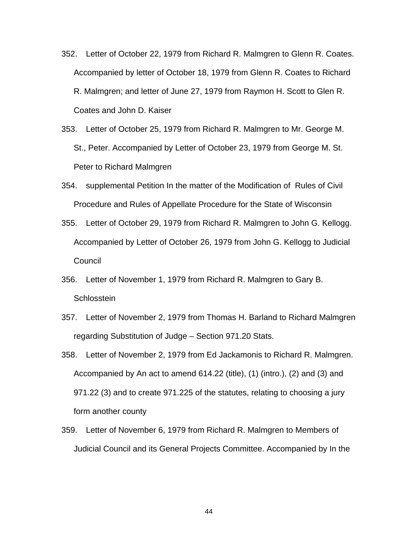- 352. Letter of October 22, 1979 from Richard R. Malmgren to Glenn R. Coates. Accompanied by letter of October 18, 1979 from Glenn R. Coates to Richard R. Malmgren; and letter of June 27, 1979 from Raymon H. Scott to Glen R. Coates and John D. Kaiser
- 353. Letter of October 25, 1979 from Richard R. Malmgren to Mr. George M. St., Peter. Accompanied by Letter of October 23, 1979 from George M. St. Peter to Richard Malmgren
- 354. supplemental Petition In the matter of the Modification of Rules of Civil Procedure and Rules of Appellate Procedure for the State of Wisconsin
- 355. Letter of October 29, 1979 from Richard R. Malmgren to John G. Kellogg. Accompanied by Letter of October 26, 1979 from John G. Kellogg to Judicial **Council**
- 356. Letter of November 1, 1979 from Richard R. Malmgren to Gary B. **Schlosstein**
- 357. Letter of November 2, 1979 from Thomas H. Barland to Richard Malmgren regarding Substitution of Judge – Section 971.20 Stats.
- 358. Letter of November 2, 1979 from Ed Jackamonis to Richard R. Malmgren. Accompanied by An act to amend 614.22 (title), (1) (intro.), (2) and (3) and 971.22 (3) and to create 971.225 of the statutes, relating to choosing a jury form another county
- 359. Letter of November 6, 1979 from Richard R. Malmgren to Members of Judicial Council and its General Projects Committee. Accompanied by In the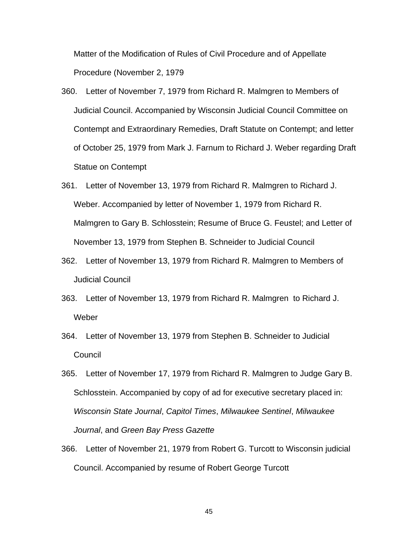Matter of the Modification of Rules of Civil Procedure and of Appellate Procedure (November 2, 1979

- 360. Letter of November 7, 1979 from Richard R. Malmgren to Members of Judicial Council. Accompanied by Wisconsin Judicial Council Committee on Contempt and Extraordinary Remedies, Draft Statute on Contempt; and letter of October 25, 1979 from Mark J. Farnum to Richard J. Weber regarding Draft Statue on Contempt
- 361. Letter of November 13, 1979 from Richard R. Malmgren to Richard J. Weber. Accompanied by letter of November 1, 1979 from Richard R. Malmgren to Gary B. Schlosstein; Resume of Bruce G. Feustel; and Letter of November 13, 1979 from Stephen B. Schneider to Judicial Council
- 362. Letter of November 13, 1979 from Richard R. Malmgren to Members of Judicial Council
- 363. Letter of November 13, 1979 from Richard R. Malmgren to Richard J. Weber
- 364. Letter of November 13, 1979 from Stephen B. Schneider to Judicial **Council**
- 365. Letter of November 17, 1979 from Richard R. Malmgren to Judge Gary B. Schlosstein. Accompanied by copy of ad for executive secretary placed in: *Wisconsin State Journal*, *Capitol Times*, *Milwaukee Sentinel*, *Milwaukee Journal*, and *Green Bay Press Gazette*
- 366. Letter of November 21, 1979 from Robert G. Turcott to Wisconsin judicial Council. Accompanied by resume of Robert George Turcott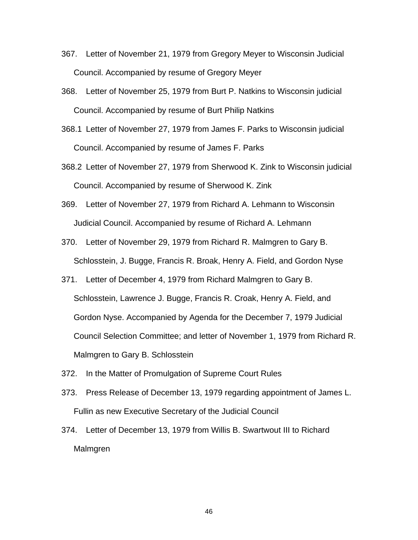- 367. Letter of November 21, 1979 from Gregory Meyer to Wisconsin Judicial Council. Accompanied by resume of Gregory Meyer
- 368. Letter of November 25, 1979 from Burt P. Natkins to Wisconsin judicial Council. Accompanied by resume of Burt Philip Natkins
- 368.1 Letter of November 27, 1979 from James F. Parks to Wisconsin judicial Council. Accompanied by resume of James F. Parks
- 368.2 Letter of November 27, 1979 from Sherwood K. Zink to Wisconsin judicial Council. Accompanied by resume of Sherwood K. Zink
- 369. Letter of November 27, 1979 from Richard A. Lehmann to Wisconsin Judicial Council. Accompanied by resume of Richard A. Lehmann
- 370. Letter of November 29, 1979 from Richard R. Malmgren to Gary B. Schlosstein, J. Bugge, Francis R. Broak, Henry A. Field, and Gordon Nyse
- 371. Letter of December 4, 1979 from Richard Malmgren to Gary B. Schlosstein, Lawrence J. Bugge, Francis R. Croak, Henry A. Field, and Gordon Nyse. Accompanied by Agenda for the December 7, 1979 Judicial Council Selection Committee; and letter of November 1, 1979 from Richard R. Malmgren to Gary B. Schlosstein
- 372. In the Matter of Promulgation of Supreme Court Rules
- 373. Press Release of December 13, 1979 regarding appointment of James L. Fullin as new Executive Secretary of the Judicial Council
- 374. Letter of December 13, 1979 from Willis B. Swartwout III to Richard Malmgren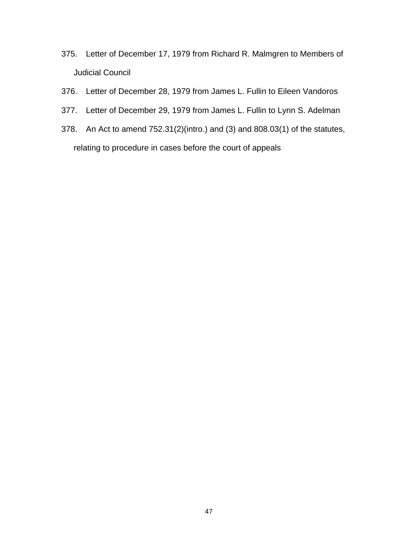- 375. Letter of December 17, 1979 from Richard R. Malmgren to Members of Judicial Council
- 376. Letter of December 28, 1979 from James L. Fullin to Eileen Vandoros
- 377. Letter of December 29, 1979 from James L. Fullin to Lynn S. Adelman
- 378. An Act to amend 752.31(2)(intro.) and (3) and 808.03(1) of the statutes, relating to procedure in cases before the court of appeals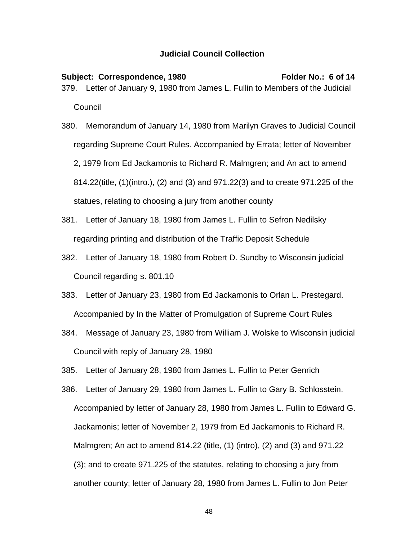## **Judicial Council Collection**

Subject: Correspondence, 1980 Folder No.: 6 of 14 379. Letter of January 9, 1980 from James L. Fullin to Members of the Judicial **Council** 

- 380. Memorandum of January 14, 1980 from Marilyn Graves to Judicial Council regarding Supreme Court Rules. Accompanied by Errata; letter of November 2, 1979 from Ed Jackamonis to Richard R. Malmgren; and An act to amend 814.22(title, (1)(intro.), (2) and (3) and 971.22(3) and to create 971.225 of the statues, relating to choosing a jury from another county
- 381. Letter of January 18, 1980 from James L. Fullin to Sefron Nedilsky regarding printing and distribution of the Traffic Deposit Schedule
- 382. Letter of January 18, 1980 from Robert D. Sundby to Wisconsin judicial Council regarding s. 801.10
- 383. Letter of January 23, 1980 from Ed Jackamonis to Orlan L. Prestegard. Accompanied by In the Matter of Promulgation of Supreme Court Rules
- 384. Message of January 23, 1980 from William J. Wolske to Wisconsin judicial Council with reply of January 28, 1980
- 385. Letter of January 28, 1980 from James L. Fullin to Peter Genrich
- 386. Letter of January 29, 1980 from James L. Fullin to Gary B. Schlosstein. Accompanied by letter of January 28, 1980 from James L. Fullin to Edward G. Jackamonis; letter of November 2, 1979 from Ed Jackamonis to Richard R. Malmgren; An act to amend 814.22 (title, (1) (intro), (2) and (3) and 971.22 (3); and to create 971.225 of the statutes, relating to choosing a jury from another county; letter of January 28, 1980 from James L. Fullin to Jon Peter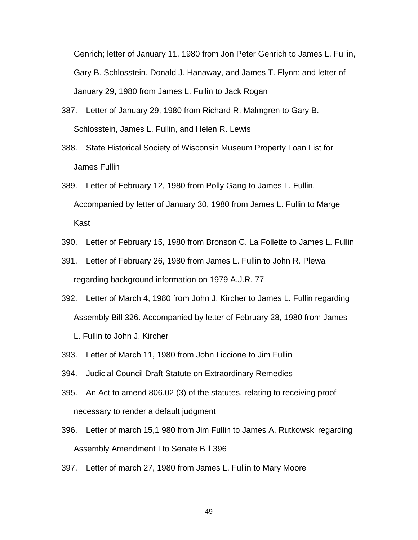Genrich; letter of January 11, 1980 from Jon Peter Genrich to James L. Fullin, Gary B. Schlosstein, Donald J. Hanaway, and James T. Flynn; and letter of January 29, 1980 from James L. Fullin to Jack Rogan

- 387. Letter of January 29, 1980 from Richard R. Malmgren to Gary B. Schlosstein, James L. Fullin, and Helen R. Lewis
- 388. State Historical Society of Wisconsin Museum Property Loan List for James Fullin
- 389. Letter of February 12, 1980 from Polly Gang to James L. Fullin. Accompanied by letter of January 30, 1980 from James L. Fullin to Marge Kast
- 390. Letter of February 15, 1980 from Bronson C. La Follette to James L. Fullin
- 391. Letter of February 26, 1980 from James L. Fullin to John R. Plewa regarding background information on 1979 A.J.R. 77
- 392. Letter of March 4, 1980 from John J. Kircher to James L. Fullin regarding Assembly Bill 326. Accompanied by letter of February 28, 1980 from James
	- L. Fullin to John J. Kircher
- 393. Letter of March 11, 1980 from John Liccione to Jim Fullin
- 394. Judicial Council Draft Statute on Extraordinary Remedies
- 395. An Act to amend 806.02 (3) of the statutes, relating to receiving proof necessary to render a default judgment
- 396. Letter of march 15,1 980 from Jim Fullin to James A. Rutkowski regarding Assembly Amendment I to Senate Bill 396
- 397. Letter of march 27, 1980 from James L. Fullin to Mary Moore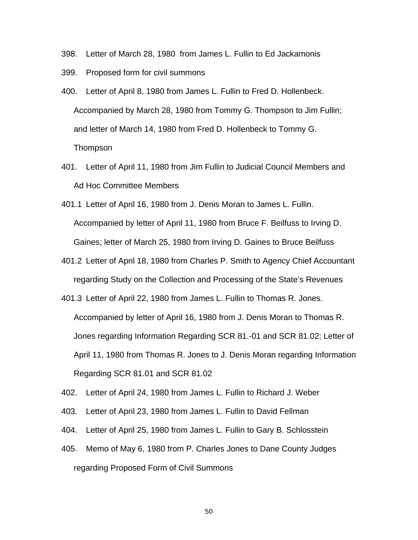- 398. Letter of March 28, 1980 from James L. Fullin to Ed Jackamonis
- 399. Proposed form for civil summons
- 400. Letter of April 8, 1980 from James L. Fullin to Fred D. Hollenbeck. Accompanied by March 28, 1980 from Tommy G. Thompson to Jim Fullin; and letter of March 14, 1980 from Fred D. Hollenbeck to Tommy G. Thompson
- 401. Letter of April 11, 1980 from Jim Fullin to Judicial Council Members and Ad Hoc Committee Members
- 401.1 Letter of April 16, 1980 from J. Denis Moran to James L. Fullin. Accompanied by letter of April 11, 1980 from Bruce F. Beilfuss to Irving D. Gaines; letter of March 25, 1980 from Irving D. Gaines to Bruce Beilfuss
- 401.2 Letter of April 18, 1980 from Charles P. Smith to Agency Chief Accountant regarding Study on the Collection and Processing of the State's Revenues
- 401.3 Letter of April 22, 1980 from James L. Fullin to Thomas R. Jones. Accompanied by letter of April 16, 1980 from J. Denis Moran to Thomas R. Jones regarding Information Regarding SCR 81.-01 and SCR 81.02; Letter of April 11, 1980 from Thomas R. Jones to J. Denis Moran regarding Information Regarding SCR 81.01 and SCR 81.02
- 402. Letter of April 24, 1980 from James L. Fullin to Richard J. Weber
- 403. Letter of April 23, 1980 from James L. Fullin to David Fellman
- 404. Letter of April 25, 1980 from James L. Fullin to Gary B. Schlosstein
- 405. Memo of May 6, 1980 from P. Charles Jones to Dane County Judges regarding Proposed Form of Civil Summons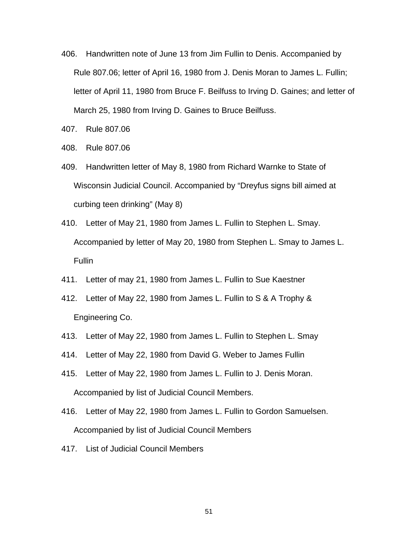- 406. Handwritten note of June 13 from Jim Fullin to Denis. Accompanied by Rule 807.06; letter of April 16, 1980 from J. Denis Moran to James L. Fullin; letter of April 11, 1980 from Bruce F. Beilfuss to Irving D. Gaines; and letter of March 25, 1980 from Irving D. Gaines to Bruce Beilfuss.
- 407. Rule 807.06
- 408. Rule 807.06
- 409. Handwritten letter of May 8, 1980 from Richard Warnke to State of Wisconsin Judicial Council. Accompanied by "Dreyfus signs bill aimed at curbing teen drinking" (May 8)
- 410. Letter of May 21, 1980 from James L. Fullin to Stephen L. Smay. Accompanied by letter of May 20, 1980 from Stephen L. Smay to James L. Fullin
- 411. Letter of may 21, 1980 from James L. Fullin to Sue Kaestner
- 412. Letter of May 22, 1980 from James L. Fullin to S & A Trophy & Engineering Co.
- 413. Letter of May 22, 1980 from James L. Fullin to Stephen L. Smay
- 414. Letter of May 22, 1980 from David G. Weber to James Fullin
- 415. Letter of May 22, 1980 from James L. Fullin to J. Denis Moran. Accompanied by list of Judicial Council Members.
- 416. Letter of May 22, 1980 from James L. Fullin to Gordon Samuelsen. Accompanied by list of Judicial Council Members
- 417. List of Judicial Council Members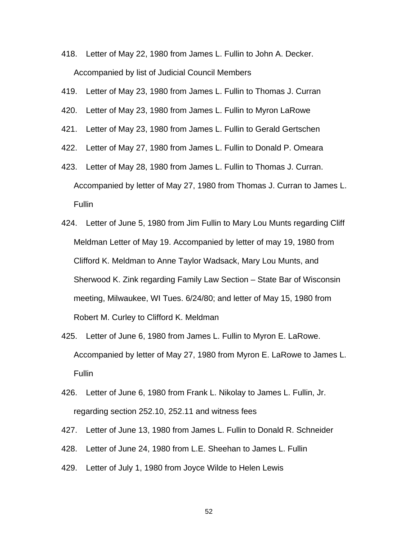- 418. Letter of May 22, 1980 from James L. Fullin to John A. Decker. Accompanied by list of Judicial Council Members
- 419. Letter of May 23, 1980 from James L. Fullin to Thomas J. Curran
- 420. Letter of May 23, 1980 from James L. Fullin to Myron LaRowe
- 421. Letter of May 23, 1980 from James L. Fullin to Gerald Gertschen
- 422. Letter of May 27, 1980 from James L. Fullin to Donald P. Omeara
- 423. Letter of May 28, 1980 from James L. Fullin to Thomas J. Curran. Accompanied by letter of May 27, 1980 from Thomas J. Curran to James L. Fullin
- 424. Letter of June 5, 1980 from Jim Fullin to Mary Lou Munts regarding Cliff Meldman Letter of May 19. Accompanied by letter of may 19, 1980 from Clifford K. Meldman to Anne Taylor Wadsack, Mary Lou Munts, and Sherwood K. Zink regarding Family Law Section – State Bar of Wisconsin meeting, Milwaukee, WI Tues. 6/24/80; and letter of May 15, 1980 from Robert M. Curley to Clifford K. Meldman
- 425. Letter of June 6, 1980 from James L. Fullin to Myron E. LaRowe. Accompanied by letter of May 27, 1980 from Myron E. LaRowe to James L. Fullin
- 426. Letter of June 6, 1980 from Frank L. Nikolay to James L. Fullin, Jr. regarding section 252.10, 252.11 and witness fees
- 427. Letter of June 13, 1980 from James L. Fullin to Donald R. Schneider
- 428. Letter of June 24, 1980 from L.E. Sheehan to James L. Fullin
- 429. Letter of July 1, 1980 from Joyce Wilde to Helen Lewis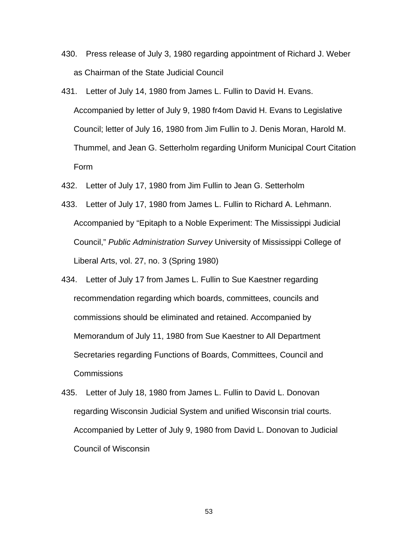- 430. Press release of July 3, 1980 regarding appointment of Richard J. Weber as Chairman of the State Judicial Council
- 431. Letter of July 14, 1980 from James L. Fullin to David H. Evans. Accompanied by letter of July 9, 1980 fr4om David H. Evans to Legislative Council; letter of July 16, 1980 from Jim Fullin to J. Denis Moran, Harold M. Thummel, and Jean G. Setterholm regarding Uniform Municipal Court Citation Form
- 432. Letter of July 17, 1980 from Jim Fullin to Jean G. Setterholm
- 433. Letter of July 17, 1980 from James L. Fullin to Richard A. Lehmann. Accompanied by "Epitaph to a Noble Experiment: The Mississippi Judicial Council," *Public Administration Survey* University of Mississippi College of Liberal Arts, vol. 27, no. 3 (Spring 1980)
- 434. Letter of July 17 from James L. Fullin to Sue Kaestner regarding recommendation regarding which boards, committees, councils and commissions should be eliminated and retained. Accompanied by Memorandum of July 11, 1980 from Sue Kaestner to All Department Secretaries regarding Functions of Boards, Committees, Council and **Commissions**
- 435. Letter of July 18, 1980 from James L. Fullin to David L. Donovan regarding Wisconsin Judicial System and unified Wisconsin trial courts. Accompanied by Letter of July 9, 1980 from David L. Donovan to Judicial Council of Wisconsin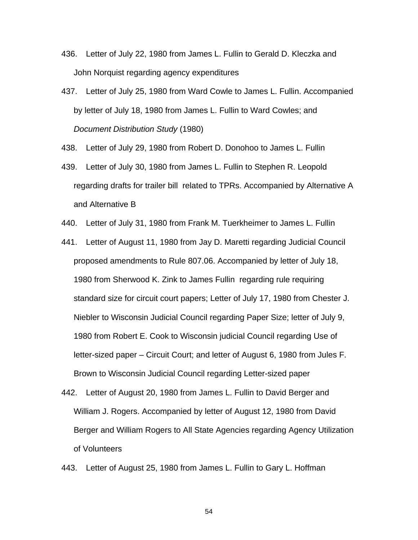- 436. Letter of July 22, 1980 from James L. Fullin to Gerald D. Kleczka and John Norquist regarding agency expenditures
- 437. Letter of July 25, 1980 from Ward Cowle to James L. Fullin. Accompanied by letter of July 18, 1980 from James L. Fullin to Ward Cowles; and *Document Distribution Study* (1980)
- 438. Letter of July 29, 1980 from Robert D. Donohoo to James L. Fullin
- 439. Letter of July 30, 1980 from James L. Fullin to Stephen R. Leopold regarding drafts for trailer bill related to TPRs. Accompanied by Alternative A and Alternative B
- 440. Letter of July 31, 1980 from Frank M. Tuerkheimer to James L. Fullin
- 441. Letter of August 11, 1980 from Jay D. Maretti regarding Judicial Council proposed amendments to Rule 807.06. Accompanied by letter of July 18, 1980 from Sherwood K. Zink to James Fullin regarding rule requiring standard size for circuit court papers; Letter of July 17, 1980 from Chester J. Niebler to Wisconsin Judicial Council regarding Paper Size; letter of July 9, 1980 from Robert E. Cook to Wisconsin judicial Council regarding Use of letter-sized paper – Circuit Court; and letter of August 6, 1980 from Jules F. Brown to Wisconsin Judicial Council regarding Letter-sized paper
- 442. Letter of August 20, 1980 from James L. Fullin to David Berger and William J. Rogers. Accompanied by letter of August 12, 1980 from David Berger and William Rogers to All State Agencies regarding Agency Utilization of Volunteers
- 443. Letter of August 25, 1980 from James L. Fullin to Gary L. Hoffman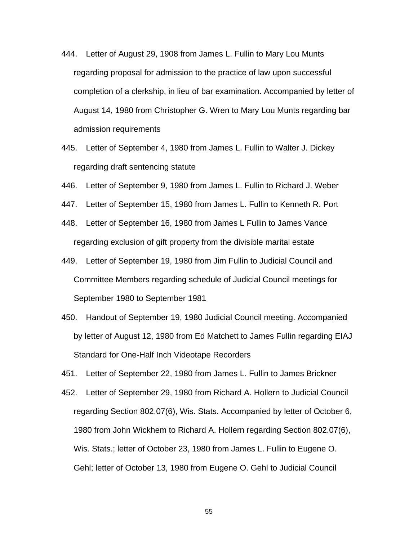- 444. Letter of August 29, 1908 from James L. Fullin to Mary Lou Munts regarding proposal for admission to the practice of law upon successful completion of a clerkship, in lieu of bar examination. Accompanied by letter of August 14, 1980 from Christopher G. Wren to Mary Lou Munts regarding bar admission requirements
- 445. Letter of September 4, 1980 from James L. Fullin to Walter J. Dickey regarding draft sentencing statute
- 446. Letter of September 9, 1980 from James L. Fullin to Richard J. Weber
- 447. Letter of September 15, 1980 from James L. Fullin to Kenneth R. Port
- 448. Letter of September 16, 1980 from James L Fullin to James Vance regarding exclusion of gift property from the divisible marital estate
- 449. Letter of September 19, 1980 from Jim Fullin to Judicial Council and Committee Members regarding schedule of Judicial Council meetings for September 1980 to September 1981
- 450. Handout of September 19, 1980 Judicial Council meeting. Accompanied by letter of August 12, 1980 from Ed Matchett to James Fullin regarding EIAJ Standard for One-Half Inch Videotape Recorders
- 451. Letter of September 22, 1980 from James L. Fullin to James Brickner
- 452. Letter of September 29, 1980 from Richard A. Hollern to Judicial Council regarding Section 802.07(6), Wis. Stats. Accompanied by letter of October 6, 1980 from John Wickhem to Richard A. Hollern regarding Section 802.07(6), Wis. Stats.; letter of October 23, 1980 from James L. Fullin to Eugene O. Gehl; letter of October 13, 1980 from Eugene O. Gehl to Judicial Council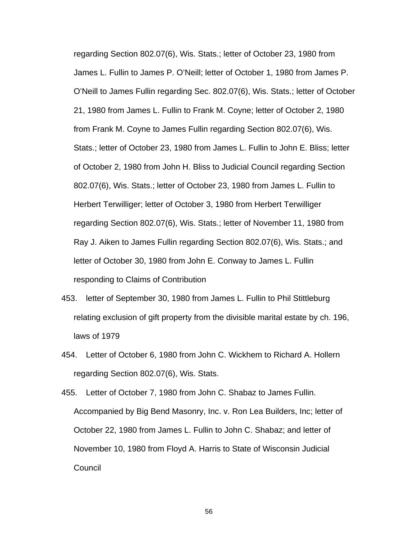regarding Section 802.07(6), Wis. Stats.; letter of October 23, 1980 from James L. Fullin to James P. O'Neill; letter of October 1, 1980 from James P. O'Neill to James Fullin regarding Sec. 802.07(6), Wis. Stats.; letter of October 21, 1980 from James L. Fullin to Frank M. Coyne; letter of October 2, 1980 from Frank M. Coyne to James Fullin regarding Section 802.07(6), Wis. Stats.; letter of October 23, 1980 from James L. Fullin to John E. Bliss; letter of October 2, 1980 from John H. Bliss to Judicial Council regarding Section 802.07(6), Wis. Stats.; letter of October 23, 1980 from James L. Fullin to Herbert Terwilliger; letter of October 3, 1980 from Herbert Terwilliger regarding Section 802.07(6), Wis. Stats.; letter of November 11, 1980 from Ray J. Aiken to James Fullin regarding Section 802.07(6), Wis. Stats.; and letter of October 30, 1980 from John E. Conway to James L. Fullin responding to Claims of Contribution

- 453. letter of September 30, 1980 from James L. Fullin to Phil Stittleburg relating exclusion of gift property from the divisible marital estate by ch. 196, laws of 1979
- 454. Letter of October 6, 1980 from John C. Wickhem to Richard A. Hollern regarding Section 802.07(6), Wis. Stats.

455. Letter of October 7, 1980 from John C. Shabaz to James Fullin. Accompanied by Big Bend Masonry, Inc. v. Ron Lea Builders, Inc; letter of October 22, 1980 from James L. Fullin to John C. Shabaz; and letter of November 10, 1980 from Floyd A. Harris to State of Wisconsin Judicial Council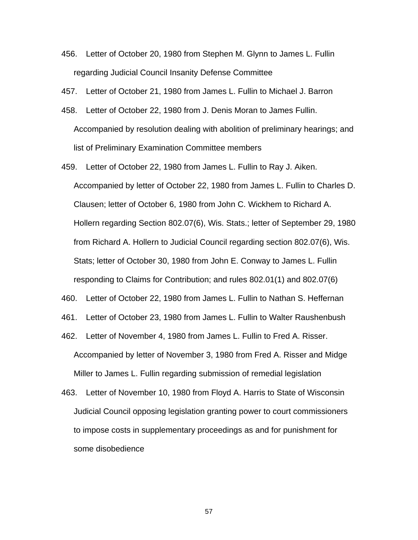456. Letter of October 20, 1980 from Stephen M. Glynn to James L. Fullin regarding Judicial Council Insanity Defense Committee

457. Letter of October 21, 1980 from James L. Fullin to Michael J. Barron

- 458. Letter of October 22, 1980 from J. Denis Moran to James Fullin. Accompanied by resolution dealing with abolition of preliminary hearings; and list of Preliminary Examination Committee members
- 459. Letter of October 22, 1980 from James L. Fullin to Ray J. Aiken. Accompanied by letter of October 22, 1980 from James L. Fullin to Charles D. Clausen; letter of October 6, 1980 from John C. Wickhem to Richard A. Hollern regarding Section 802.07(6), Wis. Stats.; letter of September 29, 1980 from Richard A. Hollern to Judicial Council regarding section 802.07(6), Wis. Stats; letter of October 30, 1980 from John E. Conway to James L. Fullin responding to Claims for Contribution; and rules 802.01(1) and 802.07(6)
- 460. Letter of October 22, 1980 from James L. Fullin to Nathan S. Heffernan

461. Letter of October 23, 1980 from James L. Fullin to Walter Raushenbush

- 462. Letter of November 4, 1980 from James L. Fullin to Fred A. Risser. Accompanied by letter of November 3, 1980 from Fred A. Risser and Midge Miller to James L. Fullin regarding submission of remedial legislation
- 463. Letter of November 10, 1980 from Floyd A. Harris to State of Wisconsin Judicial Council opposing legislation granting power to court commissioners to impose costs in supplementary proceedings as and for punishment for some disobedience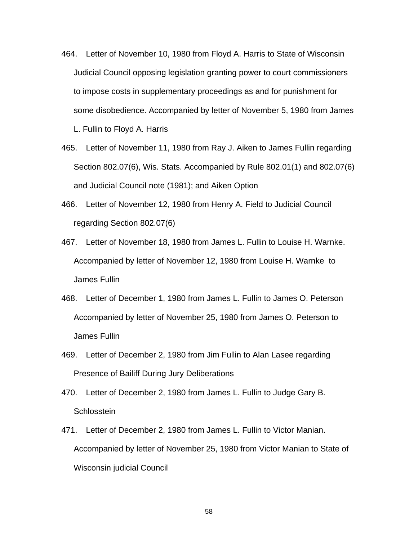- 464. Letter of November 10, 1980 from Floyd A. Harris to State of Wisconsin Judicial Council opposing legislation granting power to court commissioners to impose costs in supplementary proceedings as and for punishment for some disobedience. Accompanied by letter of November 5, 1980 from James L. Fullin to Floyd A. Harris
- 465. Letter of November 11, 1980 from Ray J. Aiken to James Fullin regarding Section 802.07(6), Wis. Stats. Accompanied by Rule 802.01(1) and 802.07(6) and Judicial Council note (1981); and Aiken Option
- 466. Letter of November 12, 1980 from Henry A. Field to Judicial Council regarding Section 802.07(6)
- 467. Letter of November 18, 1980 from James L. Fullin to Louise H. Warnke. Accompanied by letter of November 12, 1980 from Louise H. Warnke to James Fullin
- 468. Letter of December 1, 1980 from James L. Fullin to James O. Peterson Accompanied by letter of November 25, 1980 from James O. Peterson to James Fullin
- 469. Letter of December 2, 1980 from Jim Fullin to Alan Lasee regarding Presence of Bailiff During Jury Deliberations
- 470. Letter of December 2, 1980 from James L. Fullin to Judge Gary B. **Schlosstein**
- 471. Letter of December 2, 1980 from James L. Fullin to Victor Manian. Accompanied by letter of November 25, 1980 from Victor Manian to State of Wisconsin judicial Council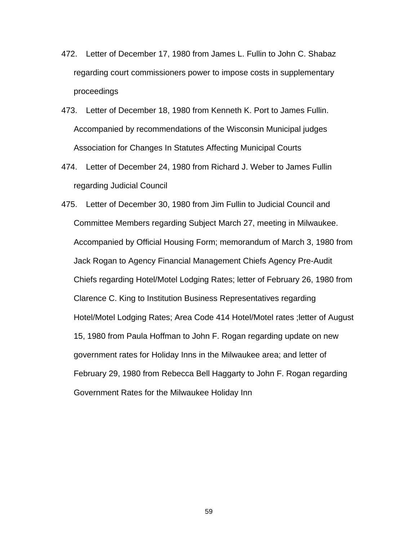- 472. Letter of December 17, 1980 from James L. Fullin to John C. Shabaz regarding court commissioners power to impose costs in supplementary proceedings
- 473. Letter of December 18, 1980 from Kenneth K. Port to James Fullin. Accompanied by recommendations of the Wisconsin Municipal judges Association for Changes In Statutes Affecting Municipal Courts
- 474. Letter of December 24, 1980 from Richard J. Weber to James Fullin regarding Judicial Council
- 475. Letter of December 30, 1980 from Jim Fullin to Judicial Council and Committee Members regarding Subject March 27, meeting in Milwaukee. Accompanied by Official Housing Form; memorandum of March 3, 1980 from Jack Rogan to Agency Financial Management Chiefs Agency Pre-Audit Chiefs regarding Hotel/Motel Lodging Rates; letter of February 26, 1980 from Clarence C. King to Institution Business Representatives regarding Hotel/Motel Lodging Rates; Area Code 414 Hotel/Motel rates ;letter of August 15, 1980 from Paula Hoffman to John F. Rogan regarding update on new government rates for Holiday Inns in the Milwaukee area; and letter of February 29, 1980 from Rebecca Bell Haggarty to John F. Rogan regarding Government Rates for the Milwaukee Holiday Inn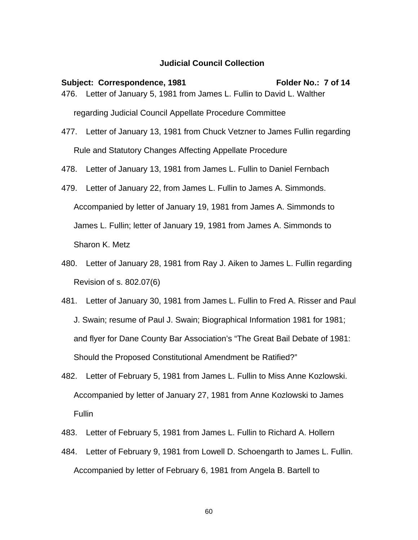## **Judicial Council Collection**

## Subject: Correspondence, 1981 **Folder No.: 7 of 14** 476. Letter of January 5, 1981 from James L. Fullin to David L. Walther regarding Judicial Council Appellate Procedure Committee

- 477. Letter of January 13, 1981 from Chuck Vetzner to James Fullin regarding Rule and Statutory Changes Affecting Appellate Procedure
- 478. Letter of January 13, 1981 from James L. Fullin to Daniel Fernbach
- 479. Letter of January 22, from James L. Fullin to James A. Simmonds. Accompanied by letter of January 19, 1981 from James A. Simmonds to James L. Fullin; letter of January 19, 1981 from James A. Simmonds to Sharon K. Metz
- 480. Letter of January 28, 1981 from Ray J. Aiken to James L. Fullin regarding Revision of s. 802.07(6)
- 481. Letter of January 30, 1981 from James L. Fullin to Fred A. Risser and Paul J. Swain; resume of Paul J. Swain; Biographical Information 1981 for 1981; and flyer for Dane County Bar Association's "The Great Bail Debate of 1981: Should the Proposed Constitutional Amendment be Ratified?"
- 482. Letter of February 5, 1981 from James L. Fullin to Miss Anne Kozlowski. Accompanied by letter of January 27, 1981 from Anne Kozlowski to James Fullin
- 483. Letter of February 5, 1981 from James L. Fullin to Richard A. Hollern
- 484. Letter of February 9, 1981 from Lowell D. Schoengarth to James L. Fullin. Accompanied by letter of February 6, 1981 from Angela B. Bartell to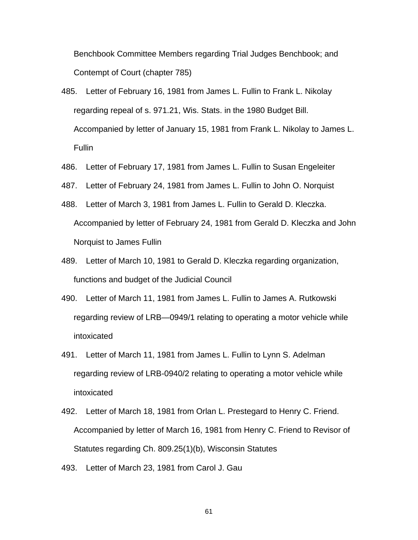Benchbook Committee Members regarding Trial Judges Benchbook; and Contempt of Court (chapter 785)

- 485. Letter of February 16, 1981 from James L. Fullin to Frank L. Nikolay regarding repeal of s. 971.21, Wis. Stats. in the 1980 Budget Bill. Accompanied by letter of January 15, 1981 from Frank L. Nikolay to James L. **Fullin**
- 486. Letter of February 17, 1981 from James L. Fullin to Susan Engeleiter
- 487. Letter of February 24, 1981 from James L. Fullin to John O. Norquist
- 488. Letter of March 3, 1981 from James L. Fullin to Gerald D. Kleczka. Accompanied by letter of February 24, 1981 from Gerald D. Kleczka and John Norquist to James Fullin
- 489. Letter of March 10, 1981 to Gerald D. Kleczka regarding organization, functions and budget of the Judicial Council
- 490. Letter of March 11, 1981 from James L. Fullin to James A. Rutkowski regarding review of LRB—0949/1 relating to operating a motor vehicle while intoxicated
- 491. Letter of March 11, 1981 from James L. Fullin to Lynn S. Adelman regarding review of LRB-0940/2 relating to operating a motor vehicle while intoxicated
- 492. Letter of March 18, 1981 from Orlan L. Prestegard to Henry C. Friend. Accompanied by letter of March 16, 1981 from Henry C. Friend to Revisor of Statutes regarding Ch. 809.25(1)(b), Wisconsin Statutes
- 493. Letter of March 23, 1981 from Carol J. Gau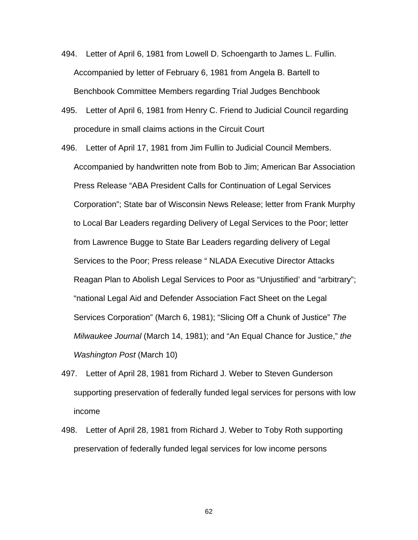- 494. Letter of April 6, 1981 from Lowell D. Schoengarth to James L. Fullin. Accompanied by letter of February 6, 1981 from Angela B. Bartell to Benchbook Committee Members regarding Trial Judges Benchbook
- 495. Letter of April 6, 1981 from Henry C. Friend to Judicial Council regarding procedure in small claims actions in the Circuit Court
- 496. Letter of April 17, 1981 from Jim Fullin to Judicial Council Members. Accompanied by handwritten note from Bob to Jim; American Bar Association Press Release "ABA President Calls for Continuation of Legal Services Corporation"; State bar of Wisconsin News Release; letter from Frank Murphy to Local Bar Leaders regarding Delivery of Legal Services to the Poor; letter from Lawrence Bugge to State Bar Leaders regarding delivery of Legal Services to the Poor; Press release " NLADA Executive Director Attacks Reagan Plan to Abolish Legal Services to Poor as "Unjustified' and "arbitrary"; "national Legal Aid and Defender Association Fact Sheet on the Legal Services Corporation" (March 6, 1981); "Slicing Off a Chunk of Justice" *The Milwaukee Journal* (March 14, 1981); and "An Equal Chance for Justice," *the Washington Post* (March 10)
- 497. Letter of April 28, 1981 from Richard J. Weber to Steven Gunderson supporting preservation of federally funded legal services for persons with low income
- 498. Letter of April 28, 1981 from Richard J. Weber to Toby Roth supporting preservation of federally funded legal services for low income persons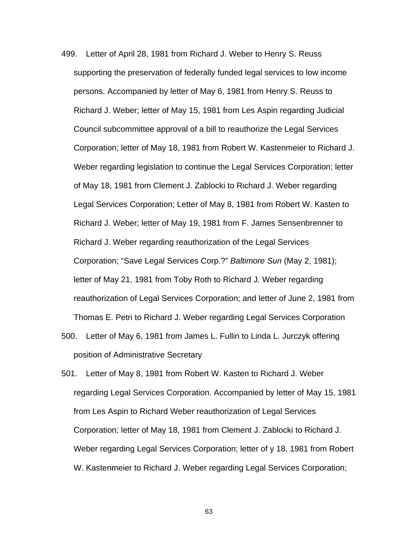- 499. Letter of April 28, 1981 from Richard J. Weber to Henry S. Reuss supporting the preservation of federally funded legal services to low income persons. Accompanied by letter of May 6, 1981 from Henry S. Reuss to Richard J. Weber; letter of May 15, 1981 from Les Aspin regarding Judicial Council subcommittee approval of a bill to reauthorize the Legal Services Corporation; letter of May 18, 1981 from Robert W. Kastenmeier to Richard J. Weber regarding legislation to continue the Legal Services Corporation; letter of May 18, 1981 from Clement J. Zablocki to Richard J. Weber regarding Legal Services Corporation; Letter of May 8, 1981 from Robert W. Kasten to Richard J. Weber; letter of May 19, 1981 from F. James Sensenbrenner to Richard J. Weber regarding reauthorization of the Legal Services Corporation; "Save Legal Services Corp.?" *Baltimore Sun* (May 2, 1981); letter of May 21, 1981 from Toby Roth to Richard J. Weber regarding reauthorization of Legal Services Corporation; and letter of June 2, 1981 from Thomas E. Petri to Richard J. Weber regarding Legal Services Corporation
- 500. Letter of May 6, 1981 from James L. Fullin to Linda L. Jurczyk offering position of Administrative Secretary
- 501. Letter of May 8, 1981 from Robert W. Kasten to Richard J. Weber regarding Legal Services Corporation. Accompanied by letter of May 15, 1981 from Les Aspin to Richard Weber reauthorization of Legal Services Corporation; letter of May 18, 1981 from Clement J. Zablocki to Richard J. Weber regarding Legal Services Corporation; letter of y 18, 1981 from Robert W. Kastenmeier to Richard J. Weber regarding Legal Services Corporation;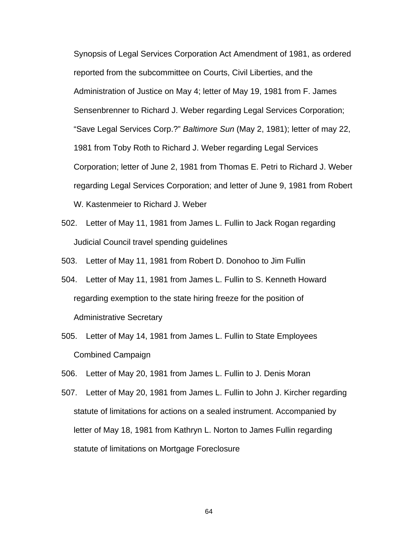Synopsis of Legal Services Corporation Act Amendment of 1981, as ordered reported from the subcommittee on Courts, Civil Liberties, and the Administration of Justice on May 4; letter of May 19, 1981 from F. James Sensenbrenner to Richard J. Weber regarding Legal Services Corporation; "Save Legal Services Corp.?" *Baltimore Sun* (May 2, 1981); letter of may 22, 1981 from Toby Roth to Richard J. Weber regarding Legal Services Corporation; letter of June 2, 1981 from Thomas E. Petri to Richard J. Weber regarding Legal Services Corporation; and letter of June 9, 1981 from Robert W. Kastenmeier to Richard J. Weber

- 502. Letter of May 11, 1981 from James L. Fullin to Jack Rogan regarding Judicial Council travel spending guidelines
- 503. Letter of May 11, 1981 from Robert D. Donohoo to Jim Fullin
- 504. Letter of May 11, 1981 from James L. Fullin to S. Kenneth Howard regarding exemption to the state hiring freeze for the position of Administrative Secretary
- 505. Letter of May 14, 1981 from James L. Fullin to State Employees Combined Campaign
- 506. Letter of May 20, 1981 from James L. Fullin to J. Denis Moran
- 507. Letter of May 20, 1981 from James L. Fullin to John J. Kircher regarding statute of limitations for actions on a sealed instrument. Accompanied by letter of May 18, 1981 from Kathryn L. Norton to James Fullin regarding statute of limitations on Mortgage Foreclosure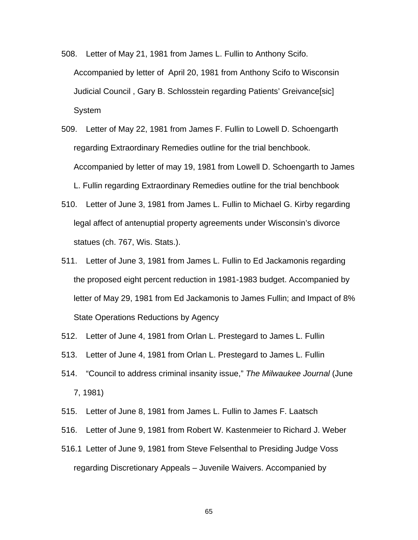- 508. Letter of May 21, 1981 from James L. Fullin to Anthony Scifo. Accompanied by letter of April 20, 1981 from Anthony Scifo to Wisconsin Judicial Council , Gary B. Schlosstein regarding Patients' Greivance[sic] System
- 509. Letter of May 22, 1981 from James F. Fullin to Lowell D. Schoengarth regarding Extraordinary Remedies outline for the trial benchbook. Accompanied by letter of may 19, 1981 from Lowell D. Schoengarth to James L. Fullin regarding Extraordinary Remedies outline for the trial benchbook
- 510. Letter of June 3, 1981 from James L. Fullin to Michael G. Kirby regarding legal affect of antenuptial property agreements under Wisconsin's divorce statues (ch. 767, Wis. Stats.).
- 511. Letter of June 3, 1981 from James L. Fullin to Ed Jackamonis regarding the proposed eight percent reduction in 1981-1983 budget. Accompanied by letter of May 29, 1981 from Ed Jackamonis to James Fullin; and Impact of 8% State Operations Reductions by Agency
- 512. Letter of June 4, 1981 from Orlan L. Prestegard to James L. Fullin
- 513. Letter of June 4, 1981 from Orlan L. Prestegard to James L. Fullin
- 514. "Council to address criminal insanity issue," *The Milwaukee Journal* (June 7, 1981)
- 515. Letter of June 8, 1981 from James L. Fullin to James F. Laatsch
- 516. Letter of June 9, 1981 from Robert W. Kastenmeier to Richard J. Weber
- 516.1 Letter of June 9, 1981 from Steve Felsenthal to Presiding Judge Voss regarding Discretionary Appeals – Juvenile Waivers. Accompanied by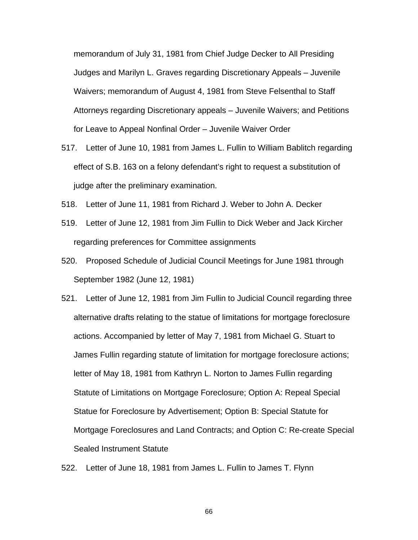memorandum of July 31, 1981 from Chief Judge Decker to All Presiding Judges and Marilyn L. Graves regarding Discretionary Appeals – Juvenile Waivers; memorandum of August 4, 1981 from Steve Felsenthal to Staff Attorneys regarding Discretionary appeals – Juvenile Waivers; and Petitions for Leave to Appeal Nonfinal Order – Juvenile Waiver Order

- 517. Letter of June 10, 1981 from James L. Fullin to William Bablitch regarding effect of S.B. 163 on a felony defendant's right to request a substitution of judge after the preliminary examination.
- 518. Letter of June 11, 1981 from Richard J. Weber to John A. Decker
- 519. Letter of June 12, 1981 from Jim Fullin to Dick Weber and Jack Kircher regarding preferences for Committee assignments
- 520. Proposed Schedule of Judicial Council Meetings for June 1981 through September 1982 (June 12, 1981)
- 521. Letter of June 12, 1981 from Jim Fullin to Judicial Council regarding three alternative drafts relating to the statue of limitations for mortgage foreclosure actions. Accompanied by letter of May 7, 1981 from Michael G. Stuart to James Fullin regarding statute of limitation for mortgage foreclosure actions; letter of May 18, 1981 from Kathryn L. Norton to James Fullin regarding Statute of Limitations on Mortgage Foreclosure; Option A: Repeal Special Statue for Foreclosure by Advertisement; Option B: Special Statute for Mortgage Foreclosures and Land Contracts; and Option C: Re-create Special Sealed Instrument Statute
- 522. Letter of June 18, 1981 from James L. Fullin to James T. Flynn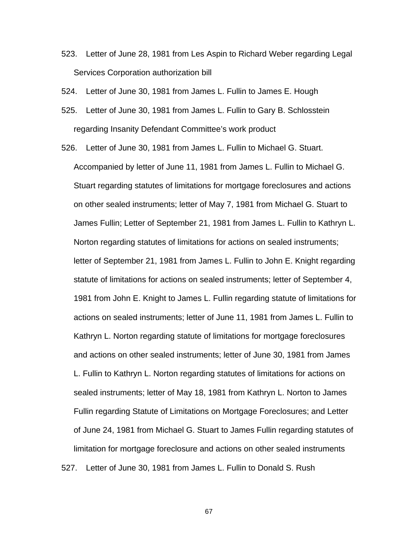523. Letter of June 28, 1981 from Les Aspin to Richard Weber regarding Legal Services Corporation authorization bill

524. Letter of June 30, 1981 from James L. Fullin to James E. Hough

- 525. Letter of June 30, 1981 from James L. Fullin to Gary B. Schlosstein regarding Insanity Defendant Committee's work product
- 526. Letter of June 30, 1981 from James L. Fullin to Michael G. Stuart. Accompanied by letter of June 11, 1981 from James L. Fullin to Michael G. Stuart regarding statutes of limitations for mortgage foreclosures and actions on other sealed instruments; letter of May 7, 1981 from Michael G. Stuart to James Fullin; Letter of September 21, 1981 from James L. Fullin to Kathryn L. Norton regarding statutes of limitations for actions on sealed instruments; letter of September 21, 1981 from James L. Fullin to John E. Knight regarding statute of limitations for actions on sealed instruments; letter of September 4, 1981 from John E. Knight to James L. Fullin regarding statute of limitations for actions on sealed instruments; letter of June 11, 1981 from James L. Fullin to Kathryn L. Norton regarding statute of limitations for mortgage foreclosures and actions on other sealed instruments; letter of June 30, 1981 from James L. Fullin to Kathryn L. Norton regarding statutes of limitations for actions on sealed instruments; letter of May 18, 1981 from Kathryn L. Norton to James Fullin regarding Statute of Limitations on Mortgage Foreclosures; and Letter of June 24, 1981 from Michael G. Stuart to James Fullin regarding statutes of limitation for mortgage foreclosure and actions on other sealed instruments 527. Letter of June 30, 1981 from James L. Fullin to Donald S. Rush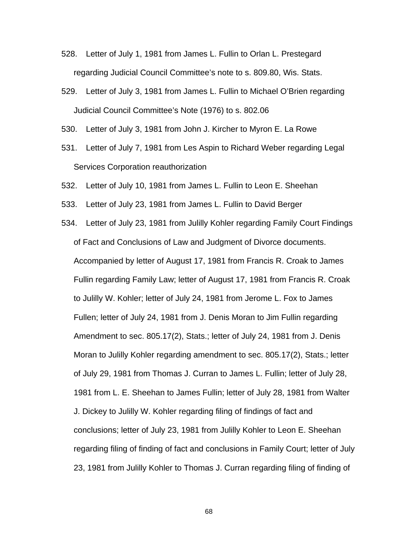- 528. Letter of July 1, 1981 from James L. Fullin to Orlan L. Prestegard regarding Judicial Council Committee's note to s. 809.80, Wis. Stats.
- 529. Letter of July 3, 1981 from James L. Fullin to Michael O'Brien regarding Judicial Council Committee's Note (1976) to s. 802.06
- 530. Letter of July 3, 1981 from John J. Kircher to Myron E. La Rowe
- 531. Letter of July 7, 1981 from Les Aspin to Richard Weber regarding Legal Services Corporation reauthorization
- 532. Letter of July 10, 1981 from James L. Fullin to Leon E. Sheehan
- 533. Letter of July 23, 1981 from James L. Fullin to David Berger
- 534. Letter of July 23, 1981 from Julilly Kohler regarding Family Court Findings of Fact and Conclusions of Law and Judgment of Divorce documents. Accompanied by letter of August 17, 1981 from Francis R. Croak to James Fullin regarding Family Law; letter of August 17, 1981 from Francis R. Croak to Julilly W. Kohler; letter of July 24, 1981 from Jerome L. Fox to James Fullen; letter of July 24, 1981 from J. Denis Moran to Jim Fullin regarding Amendment to sec. 805.17(2), Stats.; letter of July 24, 1981 from J. Denis Moran to Julilly Kohler regarding amendment to sec. 805.17(2), Stats.; letter of July 29, 1981 from Thomas J. Curran to James L. Fullin; letter of July 28, 1981 from L. E. Sheehan to James Fullin; letter of July 28, 1981 from Walter J. Dickey to Julilly W. Kohler regarding filing of findings of fact and conclusions; letter of July 23, 1981 from Julilly Kohler to Leon E. Sheehan regarding filing of finding of fact and conclusions in Family Court; letter of July 23, 1981 from Julilly Kohler to Thomas J. Curran regarding filing of finding of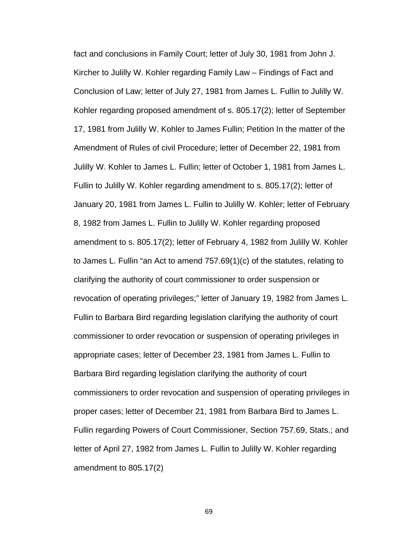fact and conclusions in Family Court; letter of July 30, 1981 from John J. Kircher to Julilly W. Kohler regarding Family Law – Findings of Fact and Conclusion of Law; letter of July 27, 1981 from James L. Fullin to Julilly W. Kohler regarding proposed amendment of s. 805.17(2); letter of September 17, 1981 from Julilly W. Kohler to James Fullin; Petition In the matter of the Amendment of Rules of civil Procedure; letter of December 22, 1981 from Julilly W. Kohler to James L. Fullin; letter of October 1, 1981 from James L. Fullin to Julilly W. Kohler regarding amendment to s. 805.17(2); letter of January 20, 1981 from James L. Fullin to Julilly W. Kohler; letter of February 8, 1982 from James L. Fullin to Julilly W. Kohler regarding proposed amendment to s. 805.17(2); letter of February 4, 1982 from Julilly W. Kohler to James L. Fullin "an Act to amend 757.69(1)(c) of the statutes, relating to clarifying the authority of court commissioner to order suspension or revocation of operating privileges;" letter of January 19, 1982 from James L. Fullin to Barbara Bird regarding legislation clarifying the authority of court commissioner to order revocation or suspension of operating privileges in appropriate cases; letter of December 23, 1981 from James L. Fullin to Barbara Bird regarding legislation clarifying the authority of court commissioners to order revocation and suspension of operating privileges in proper cases; letter of December 21, 1981 from Barbara Bird to James L. Fullin regarding Powers of Court Commissioner, Section 757.69, Stats.; and letter of April 27, 1982 from James L. Fullin to Julilly W. Kohler regarding amendment to 805.17(2)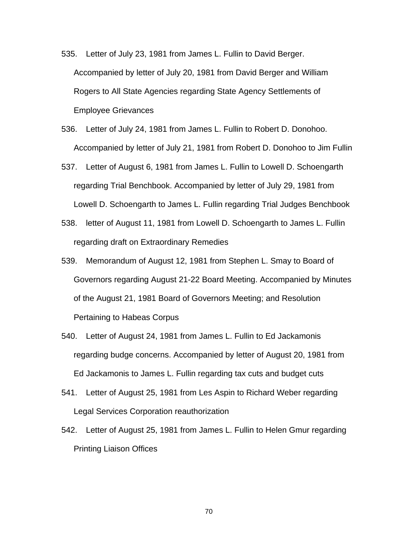- 535. Letter of July 23, 1981 from James L. Fullin to David Berger. Accompanied by letter of July 20, 1981 from David Berger and William Rogers to All State Agencies regarding State Agency Settlements of Employee Grievances
- 536. Letter of July 24, 1981 from James L. Fullin to Robert D. Donohoo. Accompanied by letter of July 21, 1981 from Robert D. Donohoo to Jim Fullin
- 537. Letter of August 6, 1981 from James L. Fullin to Lowell D. Schoengarth regarding Trial Benchbook. Accompanied by letter of July 29, 1981 from Lowell D. Schoengarth to James L. Fullin regarding Trial Judges Benchbook
- 538. letter of August 11, 1981 from Lowell D. Schoengarth to James L. Fullin regarding draft on Extraordinary Remedies
- 539. Memorandum of August 12, 1981 from Stephen L. Smay to Board of Governors regarding August 21-22 Board Meeting. Accompanied by Minutes of the August 21, 1981 Board of Governors Meeting; and Resolution Pertaining to Habeas Corpus
- 540. Letter of August 24, 1981 from James L. Fullin to Ed Jackamonis regarding budge concerns. Accompanied by letter of August 20, 1981 from Ed Jackamonis to James L. Fullin regarding tax cuts and budget cuts
- 541. Letter of August 25, 1981 from Les Aspin to Richard Weber regarding Legal Services Corporation reauthorization
- 542. Letter of August 25, 1981 from James L. Fullin to Helen Gmur regarding Printing Liaison Offices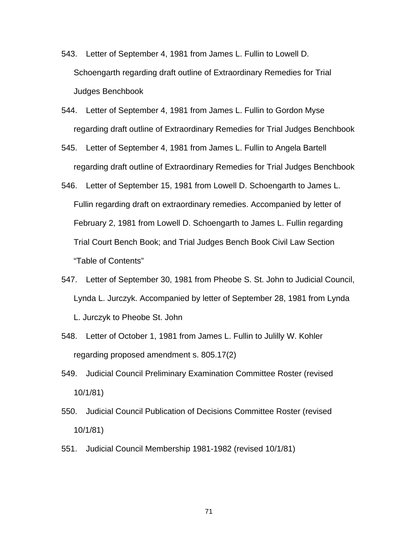- 543. Letter of September 4, 1981 from James L. Fullin to Lowell D. Schoengarth regarding draft outline of Extraordinary Remedies for Trial Judges Benchbook
- 544. Letter of September 4, 1981 from James L. Fullin to Gordon Myse regarding draft outline of Extraordinary Remedies for Trial Judges Benchbook
- 545. Letter of September 4, 1981 from James L. Fullin to Angela Bartell regarding draft outline of Extraordinary Remedies for Trial Judges Benchbook
- 546. Letter of September 15, 1981 from Lowell D. Schoengarth to James L. Fullin regarding draft on extraordinary remedies. Accompanied by letter of February 2, 1981 from Lowell D. Schoengarth to James L. Fullin regarding Trial Court Bench Book; and Trial Judges Bench Book Civil Law Section "Table of Contents"
- 547. Letter of September 30, 1981 from Pheobe S. St. John to Judicial Council, Lynda L. Jurczyk. Accompanied by letter of September 28, 1981 from Lynda L. Jurczyk to Pheobe St. John
- 548. Letter of October 1, 1981 from James L. Fullin to Julilly W. Kohler regarding proposed amendment s. 805.17(2)
- 549. Judicial Council Preliminary Examination Committee Roster (revised 10/1/81)
- 550. Judicial Council Publication of Decisions Committee Roster (revised 10/1/81)
- 551. Judicial Council Membership 1981-1982 (revised 10/1/81)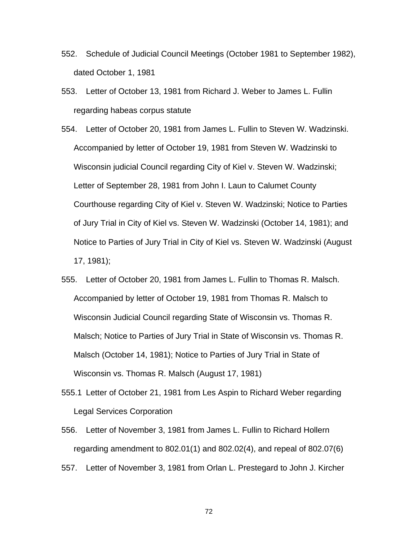- 552. Schedule of Judicial Council Meetings (October 1981 to September 1982), dated October 1, 1981
- 553. Letter of October 13, 1981 from Richard J. Weber to James L. Fullin regarding habeas corpus statute
- 554. Letter of October 20, 1981 from James L. Fullin to Steven W. Wadzinski. Accompanied by letter of October 19, 1981 from Steven W. Wadzinski to Wisconsin judicial Council regarding City of Kiel v. Steven W. Wadzinski; Letter of September 28, 1981 from John I. Laun to Calumet County Courthouse regarding City of Kiel v. Steven W. Wadzinski; Notice to Parties of Jury Trial in City of Kiel vs. Steven W. Wadzinski (October 14, 1981); and Notice to Parties of Jury Trial in City of Kiel vs. Steven W. Wadzinski (August 17, 1981);
- 555. Letter of October 20, 1981 from James L. Fullin to Thomas R. Malsch. Accompanied by letter of October 19, 1981 from Thomas R. Malsch to Wisconsin Judicial Council regarding State of Wisconsin vs. Thomas R. Malsch; Notice to Parties of Jury Trial in State of Wisconsin vs. Thomas R. Malsch (October 14, 1981); Notice to Parties of Jury Trial in State of Wisconsin vs. Thomas R. Malsch (August 17, 1981)
- 555.1 Letter of October 21, 1981 from Les Aspin to Richard Weber regarding Legal Services Corporation
- 556. Letter of November 3, 1981 from James L. Fullin to Richard Hollern regarding amendment to 802.01(1) and 802.02(4), and repeal of 802.07(6)
- 557. Letter of November 3, 1981 from Orlan L. Prestegard to John J. Kircher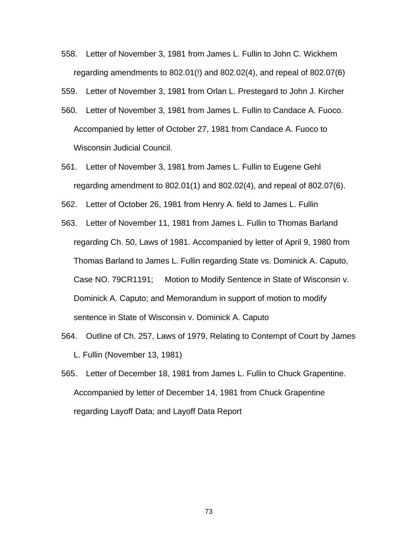- 558. Letter of November 3, 1981 from James L. Fullin to John C. Wickhem regarding amendments to 802.01(!) and 802.02(4), and repeal of 802.07(6)
- 559. Letter of November 3, 1981 from Orlan L. Prestegard to John J. Kircher
- 560. Letter of November 3, 1981 from James L. Fullin to Candace A. Fuoco. Accompanied by letter of October 27, 1981 from Candace A. Fuoco to Wisconsin Judicial Council.
- 561. Letter of November 3, 1981 from James L. Fullin to Eugene Gehl regarding amendment to 802.01(1) and 802.02(4), and repeal of 802.07(6).
- 562. Letter of October 26, 1981 from Henry A. field to James L. Fullin
- 563. Letter of November 11, 1981 from James L. Fullin to Thomas Barland regarding Ch. 50, Laws of 1981. Accompanied by letter of April 9, 1980 from Thomas Barland to James L. Fullin regarding State vs. Dominick A. Caputo, Case NO. 79CR1191; Motion to Modify Sentence in State of Wisconsin v. Dominick A. Caputo; and Memorandum in support of motion to modify sentence in State of Wisconsin v. Dominick A. Caputo
- 564. Outline of Ch. 257, Laws of 1979, Relating to Contempt of Court by James L. Fullin (November 13, 1981)
- 565. Letter of December 18, 1981 from James L. Fullin to Chuck Grapentine. Accompanied by letter of December 14, 1981 from Chuck Grapentine regarding Layoff Data; and Layoff Data Report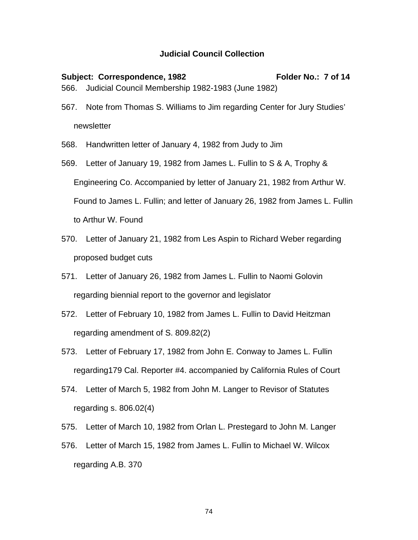## **Judicial Council Collection**

- Subject: Correspondence, 1982 Folder No.: 7 of 14 566. Judicial Council Membership 1982-1983 (June 1982)
- 567. Note from Thomas S. Williams to Jim regarding Center for Jury Studies' newsletter
- 568. Handwritten letter of January 4, 1982 from Judy to Jim
- 569. Letter of January 19, 1982 from James L. Fullin to S & A, Trophy & Engineering Co. Accompanied by letter of January 21, 1982 from Arthur W. Found to James L. Fullin; and letter of January 26, 1982 from James L. Fullin to Arthur W. Found
- 570. Letter of January 21, 1982 from Les Aspin to Richard Weber regarding proposed budget cuts
- 571. Letter of January 26, 1982 from James L. Fullin to Naomi Golovin regarding biennial report to the governor and legislator
- 572. Letter of February 10, 1982 from James L. Fullin to David Heitzman regarding amendment of S. 809.82(2)
- 573. Letter of February 17, 1982 from John E. Conway to James L. Fullin regarding179 Cal. Reporter #4. accompanied by California Rules of Court
- 574. Letter of March 5, 1982 from John M. Langer to Revisor of Statutes regarding s. 806.02(4)
- 575. Letter of March 10, 1982 from Orlan L. Prestegard to John M. Langer
- 576. Letter of March 15, 1982 from James L. Fullin to Michael W. Wilcox regarding A.B. 370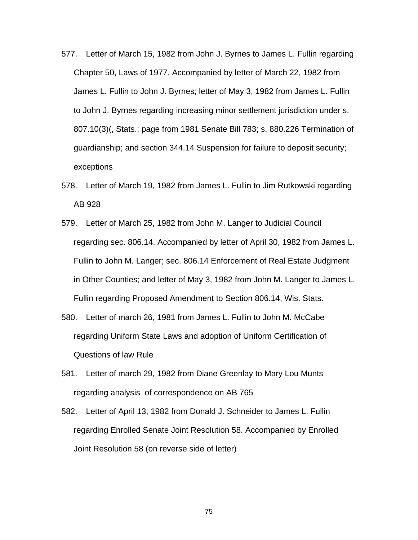- 577. Letter of March 15, 1982 from John J. Byrnes to James L. Fullin regarding Chapter 50, Laws of 1977. Accompanied by letter of March 22, 1982 from James L. Fullin to John J. Byrnes; letter of May 3, 1982 from James L. Fullin to John J. Byrnes regarding increasing minor settlement jurisdiction under s. 807.10(3)(, Stats.; page from 1981 Senate Bill 783; s. 880.226 Termination of guardianship; and section 344.14 Suspension for failure to deposit security; exceptions
- 578. Letter of March 19, 1982 from James L. Fullin to Jim Rutkowski regarding AB 928
- 579. Letter of March 25, 1982 from John M. Langer to Judicial Council regarding sec. 806.14. Accompanied by letter of April 30, 1982 from James L. Fullin to John M. Langer; sec. 806.14 Enforcement of Real Estate Judgment in Other Counties; and letter of May 3, 1982 from John M. Langer to James L. Fullin regarding Proposed Amendment to Section 806.14, Wis. Stats.
- 580. Letter of march 26, 1981 from James L. Fullin to John M. McCabe regarding Uniform State Laws and adoption of Uniform Certification of Questions of law Rule
- 581. Letter of march 29, 1982 from Diane Greenlay to Mary Lou Munts regarding analysis of correspondence on AB 765
- 582. Letter of April 13, 1982 from Donald J. Schneider to James L. Fullin regarding Enrolled Senate Joint Resolution 58. Accompanied by Enrolled Joint Resolution 58 (on reverse side of letter)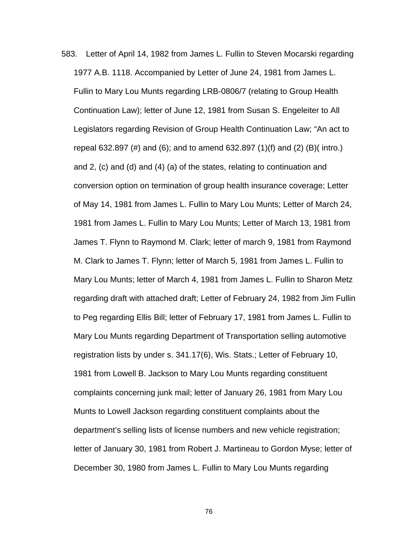583. Letter of April 14, 1982 from James L. Fullin to Steven Mocarski regarding 1977 A.B. 1118. Accompanied by Letter of June 24, 1981 from James L. Fullin to Mary Lou Munts regarding LRB-0806/7 (relating to Group Health Continuation Law); letter of June 12, 1981 from Susan S. Engeleiter to All Legislators regarding Revision of Group Health Continuation Law; "An act to repeal 632.897 (#) and (6); and to amend 632.897 (1)(f) and (2) (B)( intro.) and 2, (c) and (d) and (4) (a) of the states, relating to continuation and conversion option on termination of group health insurance coverage; Letter of May 14, 1981 from James L. Fullin to Mary Lou Munts; Letter of March 24, 1981 from James L. Fullin to Mary Lou Munts; Letter of March 13, 1981 from James T. Flynn to Raymond M. Clark; letter of march 9, 1981 from Raymond M. Clark to James T. Flynn; letter of March 5, 1981 from James L. Fullin to Mary Lou Munts; letter of March 4, 1981 from James L. Fullin to Sharon Metz regarding draft with attached draft; Letter of February 24, 1982 from Jim Fullin to Peg regarding Ellis Bill; letter of February 17, 1981 from James L. Fullin to Mary Lou Munts regarding Department of Transportation selling automotive registration lists by under s. 341.17(6), Wis. Stats.; Letter of February 10, 1981 from Lowell B. Jackson to Mary Lou Munts regarding constituent complaints concerning junk mail; letter of January 26, 1981 from Mary Lou Munts to Lowell Jackson regarding constituent complaints about the department's selling lists of license numbers and new vehicle registration; letter of January 30, 1981 from Robert J. Martineau to Gordon Myse; letter of December 30, 1980 from James L. Fullin to Mary Lou Munts regarding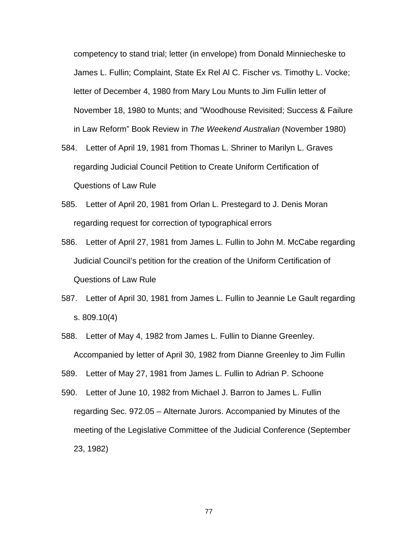competency to stand trial; letter (in envelope) from Donald Minniecheske to James L. Fullin; Complaint, State Ex Rel Al C. Fischer vs. Timothy L. Vocke; letter of December 4, 1980 from Mary Lou Munts to Jim Fullin letter of November 18, 1980 to Munts; and "Woodhouse Revisited; Success & Failure in Law Reform" Book Review in *The Weekend Australian* (November 1980)

- 584. Letter of April 19, 1981 from Thomas L. Shriner to Marilyn L. Graves regarding Judicial Council Petition to Create Uniform Certification of Questions of Law Rule
- 585. Letter of April 20, 1981 from Orlan L. Prestegard to J. Denis Moran regarding request for correction of typographical errors
- 586. Letter of April 27, 1981 from James L. Fullin to John M. McCabe regarding Judicial Council's petition for the creation of the Uniform Certification of Questions of Law Rule
- 587. Letter of April 30, 1981 from James L. Fullin to Jeannie Le Gault regarding s. 809.10(4)
- 588. Letter of May 4, 1982 from James L. Fullin to Dianne Greenley. Accompanied by letter of April 30, 1982 from Dianne Greenley to Jim Fullin
- 589. Letter of May 27, 1981 from James L. Fullin to Adrian P. Schoone
- 590. Letter of June 10, 1982 from Michael J. Barron to James L. Fullin regarding Sec. 972.05 – Alternate Jurors. Accompanied by Minutes of the meeting of the Legislative Committee of the Judicial Conference (September 23, 1982)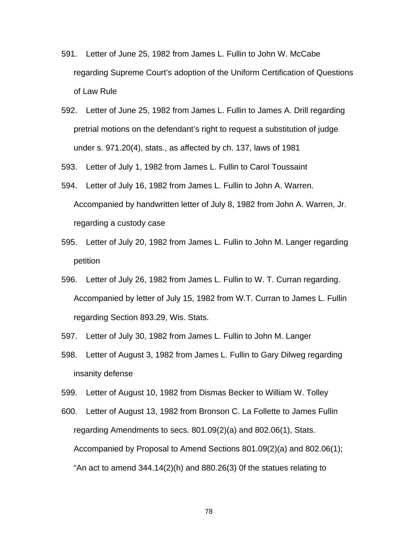- 591. Letter of June 25, 1982 from James L. Fullin to John W. McCabe regarding Supreme Court's adoption of the Uniform Certification of Questions of Law Rule
- 592. Letter of June 25, 1982 from James L. Fullin to James A. Drill regarding pretrial motions on the defendant's right to request a substitution of judge under s. 971.20(4), stats., as affected by ch. 137, laws of 1981

593. Letter of July 1, 1982 from James L. Fullin to Carol Toussaint

- 594. Letter of July 16, 1982 from James L. Fullin to John A. Warren. Accompanied by handwritten letter of July 8, 1982 from John A. Warren, Jr. regarding a custody case
- 595. Letter of July 20, 1982 from James L. Fullin to John M. Langer regarding petition
- 596. Letter of July 26, 1982 from James L. Fullin to W. T. Curran regarding. Accompanied by letter of July 15, 1982 from W.T. Curran to James L. Fullin regarding Section 893.29, Wis. Stats.
- 597. Letter of July 30, 1982 from James L. Fullin to John M. Langer
- 598. Letter of August 3, 1982 from James L. Fullin to Gary Dilweg regarding insanity defense
- 599. Letter of August 10, 1982 from Dismas Becker to William W. Tolley
- 600. Letter of August 13, 1982 from Bronson C. La Follette to James Fullin regarding Amendments to secs. 801.09(2)(a) and 802.06(1), Stats. Accompanied by Proposal to Amend Sections 801.09(2)(a) and 802.06(1); "An act to amend  $344.14(2)$ (h) and  $880.26(3)$  Of the statues relating to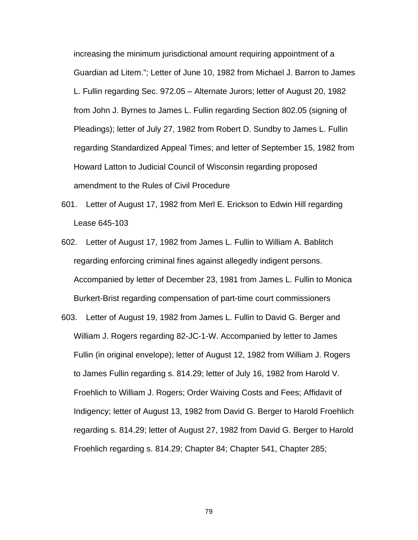increasing the minimum jurisdictional amount requiring appointment of a Guardian ad Litem."; Letter of June 10, 1982 from Michael J. Barron to James L. Fullin regarding Sec. 972.05 – Alternate Jurors; letter of August 20, 1982 from John J. Byrnes to James L. Fullin regarding Section 802.05 (signing of Pleadings); letter of July 27, 1982 from Robert D. Sundby to James L. Fullin regarding Standardized Appeal Times; and letter of September 15, 1982 from Howard Latton to Judicial Council of Wisconsin regarding proposed amendment to the Rules of Civil Procedure

- 601. Letter of August 17, 1982 from Merl E. Erickson to Edwin Hill regarding Lease 645-103
- 602. Letter of August 17, 1982 from James L. Fullin to William A. Bablitch regarding enforcing criminal fines against allegedly indigent persons. Accompanied by letter of December 23, 1981 from James L. Fullin to Monica Burkert-Brist regarding compensation of part-time court commissioners
- 603. Letter of August 19, 1982 from James L. Fullin to David G. Berger and William J. Rogers regarding 82-JC-1-W. Accompanied by letter to James Fullin (in original envelope); letter of August 12, 1982 from William J. Rogers to James Fullin regarding s. 814.29; letter of July 16, 1982 from Harold V. Froehlich to William J. Rogers; Order Waiving Costs and Fees; Affidavit of Indigency; letter of August 13, 1982 from David G. Berger to Harold Froehlich regarding s. 814.29; letter of August 27, 1982 from David G. Berger to Harold Froehlich regarding s. 814.29; Chapter 84; Chapter 541, Chapter 285;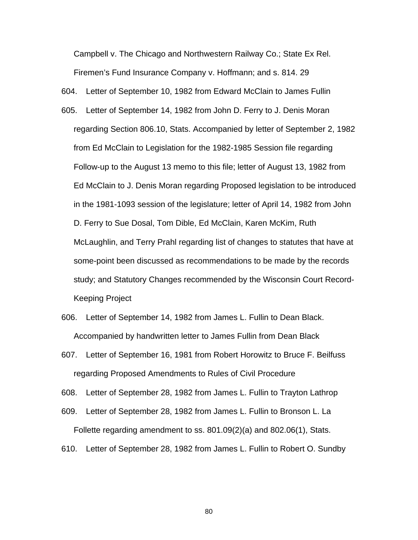Campbell v. The Chicago and Northwestern Railway Co.; State Ex Rel. Firemen's Fund Insurance Company v. Hoffmann; and s. 814. 29

604. Letter of September 10, 1982 from Edward McClain to James Fullin

- 605. Letter of September 14, 1982 from John D. Ferry to J. Denis Moran regarding Section 806.10, Stats. Accompanied by letter of September 2, 1982 from Ed McClain to Legislation for the 1982-1985 Session file regarding Follow-up to the August 13 memo to this file; letter of August 13, 1982 from Ed McClain to J. Denis Moran regarding Proposed legislation to be introduced in the 1981-1093 session of the legislature; letter of April 14, 1982 from John D. Ferry to Sue Dosal, Tom Dible, Ed McClain, Karen McKim, Ruth McLaughlin, and Terry Prahl regarding list of changes to statutes that have at some-point been discussed as recommendations to be made by the records study; and Statutory Changes recommended by the Wisconsin Court Record-Keeping Project
- 606. Letter of September 14, 1982 from James L. Fullin to Dean Black. Accompanied by handwritten letter to James Fullin from Dean Black
- 607. Letter of September 16, 1981 from Robert Horowitz to Bruce F. Beilfuss regarding Proposed Amendments to Rules of Civil Procedure

608. Letter of September 28, 1982 from James L. Fullin to Trayton Lathrop

- 609. Letter of September 28, 1982 from James L. Fullin to Bronson L. La Follette regarding amendment to ss. 801.09(2)(a) and 802.06(1), Stats.
- 610. Letter of September 28, 1982 from James L. Fullin to Robert O. Sundby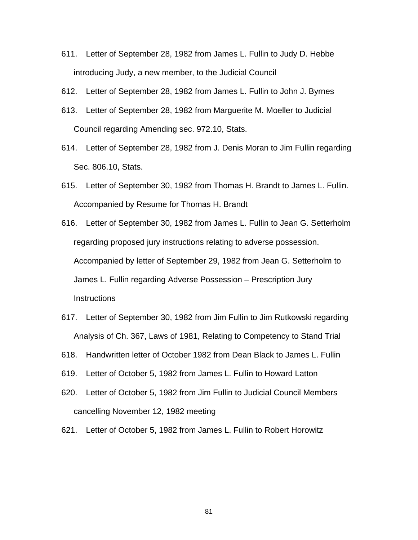- 611. Letter of September 28, 1982 from James L. Fullin to Judy D. Hebbe introducing Judy, a new member, to the Judicial Council
- 612. Letter of September 28, 1982 from James L. Fullin to John J. Byrnes
- 613. Letter of September 28, 1982 from Marguerite M. Moeller to Judicial Council regarding Amending sec. 972.10, Stats.
- 614. Letter of September 28, 1982 from J. Denis Moran to Jim Fullin regarding Sec. 806.10, Stats.
- 615. Letter of September 30, 1982 from Thomas H. Brandt to James L. Fullin. Accompanied by Resume for Thomas H. Brandt
- 616. Letter of September 30, 1982 from James L. Fullin to Jean G. Setterholm regarding proposed jury instructions relating to adverse possession. Accompanied by letter of September 29, 1982 from Jean G. Setterholm to James L. Fullin regarding Adverse Possession – Prescription Jury **Instructions**
- 617. Letter of September 30, 1982 from Jim Fullin to Jim Rutkowski regarding Analysis of Ch. 367, Laws of 1981, Relating to Competency to Stand Trial
- 618. Handwritten letter of October 1982 from Dean Black to James L. Fullin
- 619. Letter of October 5, 1982 from James L. Fullin to Howard Latton
- 620. Letter of October 5, 1982 from Jim Fullin to Judicial Council Members cancelling November 12, 1982 meeting
- 621. Letter of October 5, 1982 from James L. Fullin to Robert Horowitz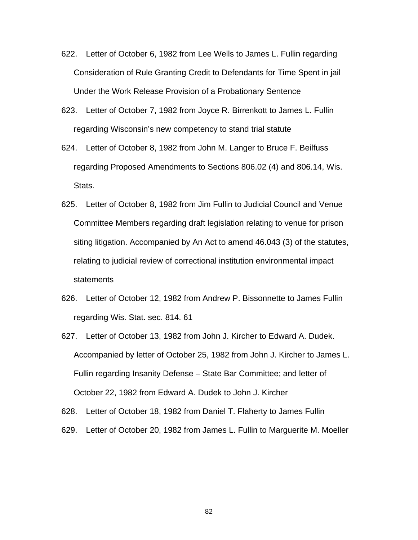- 622. Letter of October 6, 1982 from Lee Wells to James L. Fullin regarding Consideration of Rule Granting Credit to Defendants for Time Spent in jail Under the Work Release Provision of a Probationary Sentence
- 623. Letter of October 7, 1982 from Joyce R. Birrenkott to James L. Fullin regarding Wisconsin's new competency to stand trial statute
- 624. Letter of October 8, 1982 from John M. Langer to Bruce F. Beilfuss regarding Proposed Amendments to Sections 806.02 (4) and 806.14, Wis. Stats.
- 625. Letter of October 8, 1982 from Jim Fullin to Judicial Council and Venue Committee Members regarding draft legislation relating to venue for prison siting litigation. Accompanied by An Act to amend 46.043 (3) of the statutes, relating to judicial review of correctional institution environmental impact statements
- 626. Letter of October 12, 1982 from Andrew P. Bissonnette to James Fullin regarding Wis. Stat. sec. 814. 61
- 627. Letter of October 13, 1982 from John J. Kircher to Edward A. Dudek. Accompanied by letter of October 25, 1982 from John J. Kircher to James L. Fullin regarding Insanity Defense – State Bar Committee; and letter of October 22, 1982 from Edward A. Dudek to John J. Kircher
- 628. Letter of October 18, 1982 from Daniel T. Flaherty to James Fullin
- 629. Letter of October 20, 1982 from James L. Fullin to Marguerite M. Moeller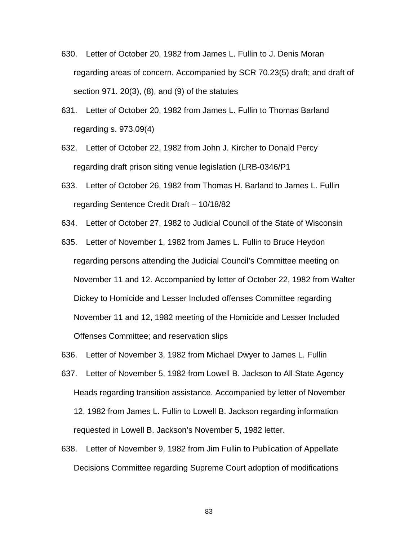- 630. Letter of October 20, 1982 from James L. Fullin to J. Denis Moran regarding areas of concern. Accompanied by SCR 70.23(5) draft; and draft of section 971. 20(3), (8), and (9) of the statutes
- 631. Letter of October 20, 1982 from James L. Fullin to Thomas Barland regarding s. 973.09(4)
- 632. Letter of October 22, 1982 from John J. Kircher to Donald Percy regarding draft prison siting venue legislation (LRB-0346/P1
- 633. Letter of October 26, 1982 from Thomas H. Barland to James L. Fullin regarding Sentence Credit Draft – 10/18/82
- 634. Letter of October 27, 1982 to Judicial Council of the State of Wisconsin
- 635. Letter of November 1, 1982 from James L. Fullin to Bruce Heydon regarding persons attending the Judicial Council's Committee meeting on November 11 and 12. Accompanied by letter of October 22, 1982 from Walter Dickey to Homicide and Lesser Included offenses Committee regarding November 11 and 12, 1982 meeting of the Homicide and Lesser Included Offenses Committee; and reservation slips
- 636. Letter of November 3, 1982 from Michael Dwyer to James L. Fullin
- 637. Letter of November 5, 1982 from Lowell B. Jackson to All State Agency Heads regarding transition assistance. Accompanied by letter of November 12, 1982 from James L. Fullin to Lowell B. Jackson regarding information requested in Lowell B. Jackson's November 5, 1982 letter.
- 638. Letter of November 9, 1982 from Jim Fullin to Publication of Appellate Decisions Committee regarding Supreme Court adoption of modifications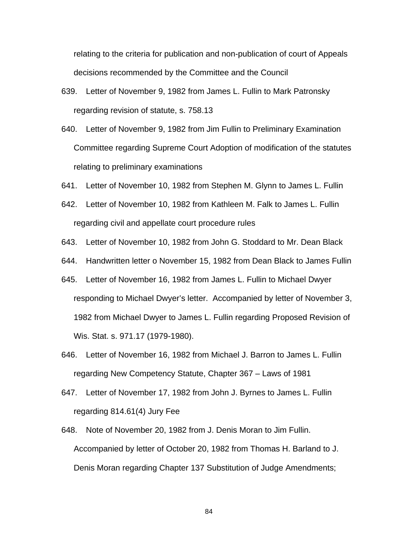relating to the criteria for publication and non-publication of court of Appeals decisions recommended by the Committee and the Council

- 639. Letter of November 9, 1982 from James L. Fullin to Mark Patronsky regarding revision of statute, s. 758.13
- 640. Letter of November 9, 1982 from Jim Fullin to Preliminary Examination Committee regarding Supreme Court Adoption of modification of the statutes relating to preliminary examinations
- 641. Letter of November 10, 1982 from Stephen M. Glynn to James L. Fullin
- 642. Letter of November 10, 1982 from Kathleen M. Falk to James L. Fullin regarding civil and appellate court procedure rules
- 643. Letter of November 10, 1982 from John G. Stoddard to Mr. Dean Black
- 644. Handwritten letter o November 15, 1982 from Dean Black to James Fullin
- 645. Letter of November 16, 1982 from James L. Fullin to Michael Dwyer responding to Michael Dwyer's letter. Accompanied by letter of November 3, 1982 from Michael Dwyer to James L. Fullin regarding Proposed Revision of Wis. Stat. s. 971.17 (1979-1980).
- 646. Letter of November 16, 1982 from Michael J. Barron to James L. Fullin regarding New Competency Statute, Chapter 367 – Laws of 1981
- 647. Letter of November 17, 1982 from John J. Byrnes to James L. Fullin regarding 814.61(4) Jury Fee
- 648. Note of November 20, 1982 from J. Denis Moran to Jim Fullin. Accompanied by letter of October 20, 1982 from Thomas H. Barland to J. Denis Moran regarding Chapter 137 Substitution of Judge Amendments;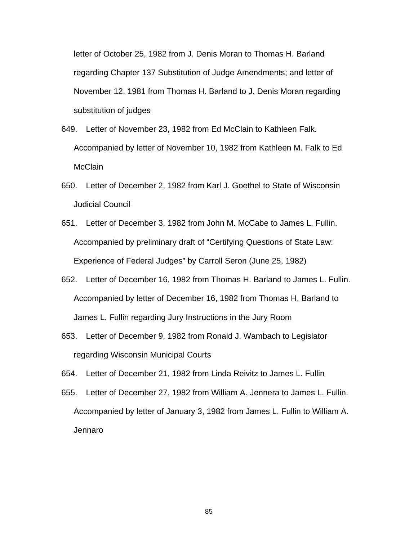letter of October 25, 1982 from J. Denis Moran to Thomas H. Barland regarding Chapter 137 Substitution of Judge Amendments; and letter of November 12, 1981 from Thomas H. Barland to J. Denis Moran regarding substitution of judges

- 649. Letter of November 23, 1982 from Ed McClain to Kathleen Falk. Accompanied by letter of November 10, 1982 from Kathleen M. Falk to Ed **McClain**
- 650. Letter of December 2, 1982 from Karl J. Goethel to State of Wisconsin Judicial Council
- 651. Letter of December 3, 1982 from John M. McCabe to James L. Fullin. Accompanied by preliminary draft of "Certifying Questions of State Law: Experience of Federal Judges" by Carroll Seron (June 25, 1982)
- 652. Letter of December 16, 1982 from Thomas H. Barland to James L. Fullin. Accompanied by letter of December 16, 1982 from Thomas H. Barland to James L. Fullin regarding Jury Instructions in the Jury Room
- 653. Letter of December 9, 1982 from Ronald J. Wambach to Legislator regarding Wisconsin Municipal Courts
- 654. Letter of December 21, 1982 from Linda Reivitz to James L. Fullin
- 655. Letter of December 27, 1982 from William A. Jennera to James L. Fullin. Accompanied by letter of January 3, 1982 from James L. Fullin to William A. Jennaro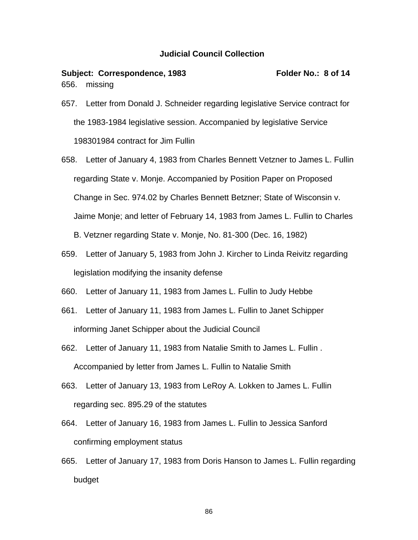## **Judicial Council Collection**

## Subject: Correspondence, 1983 Folder No.: 8 of 14 656. missing

- 657. Letter from Donald J. Schneider regarding legislative Service contract for the 1983-1984 legislative session. Accompanied by legislative Service 198301984 contract for Jim Fullin
- 658. Letter of January 4, 1983 from Charles Bennett Vetzner to James L. Fullin regarding State v. Monje. Accompanied by Position Paper on Proposed Change in Sec. 974.02 by Charles Bennett Betzner; State of Wisconsin v. Jaime Monje; and letter of February 14, 1983 from James L. Fullin to Charles B. Vetzner regarding State v. Monje, No. 81-300 (Dec. 16, 1982)
- 659. Letter of January 5, 1983 from John J. Kircher to Linda Reivitz regarding legislation modifying the insanity defense
- 660. Letter of January 11, 1983 from James L. Fullin to Judy Hebbe
- 661. Letter of January 11, 1983 from James L. Fullin to Janet Schipper informing Janet Schipper about the Judicial Council
- 662. Letter of January 11, 1983 from Natalie Smith to James L. Fullin . Accompanied by letter from James L. Fullin to Natalie Smith
- 663. Letter of January 13, 1983 from LeRoy A. Lokken to James L. Fullin regarding sec. 895.29 of the statutes
- 664. Letter of January 16, 1983 from James L. Fullin to Jessica Sanford confirming employment status
- 665. Letter of January 17, 1983 from Doris Hanson to James L. Fullin regarding budget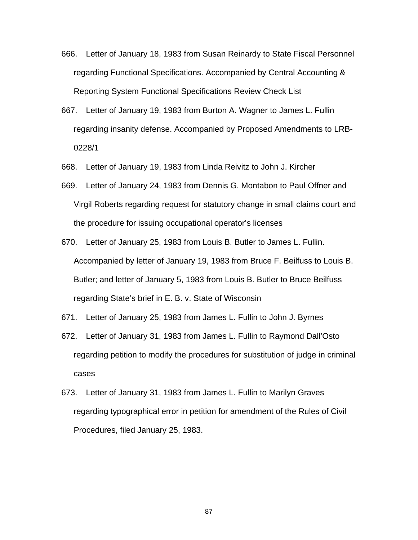- 666. Letter of January 18, 1983 from Susan Reinardy to State Fiscal Personnel regarding Functional Specifications. Accompanied by Central Accounting & Reporting System Functional Specifications Review Check List
- 667. Letter of January 19, 1983 from Burton A. Wagner to James L. Fullin regarding insanity defense. Accompanied by Proposed Amendments to LRB-0228/1
- 668. Letter of January 19, 1983 from Linda Reivitz to John J. Kircher
- 669. Letter of January 24, 1983 from Dennis G. Montabon to Paul Offner and Virgil Roberts regarding request for statutory change in small claims court and the procedure for issuing occupational operator's licenses
- 670. Letter of January 25, 1983 from Louis B. Butler to James L. Fullin. Accompanied by letter of January 19, 1983 from Bruce F. Beilfuss to Louis B. Butler; and letter of January 5, 1983 from Louis B. Butler to Bruce Beilfuss regarding State's brief in E. B. v. State of Wisconsin
- 671. Letter of January 25, 1983 from James L. Fullin to John J. Byrnes
- 672. Letter of January 31, 1983 from James L. Fullin to Raymond Dall'Osto regarding petition to modify the procedures for substitution of judge in criminal cases
- 673. Letter of January 31, 1983 from James L. Fullin to Marilyn Graves regarding typographical error in petition for amendment of the Rules of Civil Procedures, filed January 25, 1983.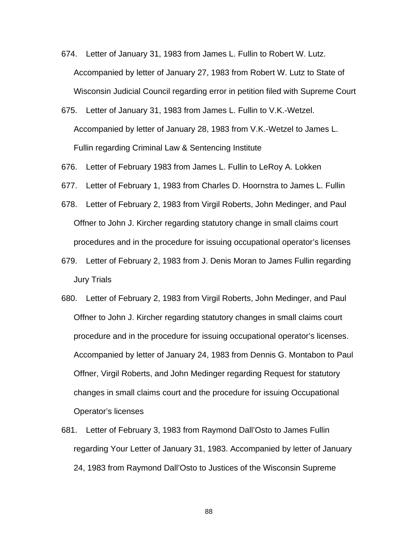- 674. Letter of January 31, 1983 from James L. Fullin to Robert W. Lutz. Accompanied by letter of January 27, 1983 from Robert W. Lutz to State of Wisconsin Judicial Council regarding error in petition filed with Supreme Court
- 675. Letter of January 31, 1983 from James L. Fullin to V.K.-Wetzel. Accompanied by letter of January 28, 1983 from V.K.-Wetzel to James L. Fullin regarding Criminal Law & Sentencing Institute
- 676. Letter of February 1983 from James L. Fullin to LeRoy A. Lokken
- 677. Letter of February 1, 1983 from Charles D. Hoornstra to James L. Fullin
- 678. Letter of February 2, 1983 from Virgil Roberts, John Medinger, and Paul Offner to John J. Kircher regarding statutory change in small claims court procedures and in the procedure for issuing occupational operator's licenses
- 679. Letter of February 2, 1983 from J. Denis Moran to James Fullin regarding Jury Trials
- 680. Letter of February 2, 1983 from Virgil Roberts, John Medinger, and Paul Offner to John J. Kircher regarding statutory changes in small claims court procedure and in the procedure for issuing occupational operator's licenses. Accompanied by letter of January 24, 1983 from Dennis G. Montabon to Paul Offner, Virgil Roberts, and John Medinger regarding Request for statutory changes in small claims court and the procedure for issuing Occupational Operator's licenses
- 681. Letter of February 3, 1983 from Raymond Dall'Osto to James Fullin regarding Your Letter of January 31, 1983. Accompanied by letter of January 24, 1983 from Raymond Dall'Osto to Justices of the Wisconsin Supreme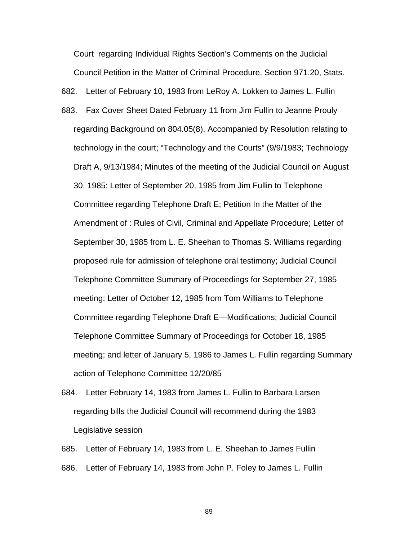Court regarding Individual Rights Section's Comments on the Judicial Council Petition in the Matter of Criminal Procedure, Section 971.20, Stats.

682. Letter of February 10, 1983 from LeRoy A. Lokken to James L. Fullin

- 683. Fax Cover Sheet Dated February 11 from Jim Fullin to Jeanne Prouly regarding Background on 804.05(8). Accompanied by Resolution relating to technology in the court; "Technology and the Courts" (9/9/1983; Technology Draft A, 9/13/1984; Minutes of the meeting of the Judicial Council on August 30, 1985; Letter of September 20, 1985 from Jim Fullin to Telephone Committee regarding Telephone Draft E; Petition In the Matter of the Amendment of : Rules of Civil, Criminal and Appellate Procedure; Letter of September 30, 1985 from L. E. Sheehan to Thomas S. Williams regarding proposed rule for admission of telephone oral testimony; Judicial Council Telephone Committee Summary of Proceedings for September 27, 1985 meeting; Letter of October 12, 1985 from Tom Williams to Telephone Committee regarding Telephone Draft E—Modifications; Judicial Council Telephone Committee Summary of Proceedings for October 18, 1985 meeting; and letter of January 5, 1986 to James L. Fullin regarding Summary action of Telephone Committee 12/20/85
- 684. Letter February 14, 1983 from James L. Fullin to Barbara Larsen regarding bills the Judicial Council will recommend during the 1983 Legislative session

685. Letter of February 14, 1983 from L. E. Sheehan to James Fullin 686. Letter of February 14, 1983 from John P. Foley to James L. Fullin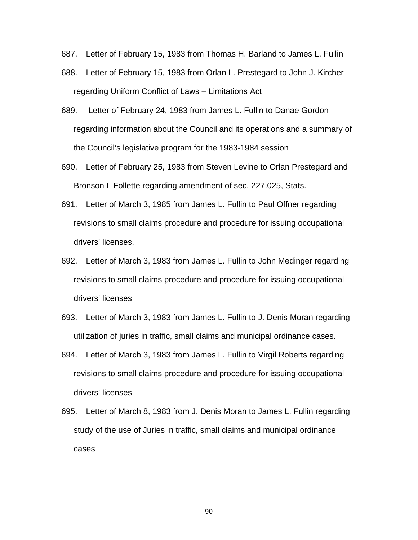- 687. Letter of February 15, 1983 from Thomas H. Barland to James L. Fullin
- 688. Letter of February 15, 1983 from Orlan L. Prestegard to John J. Kircher regarding Uniform Conflict of Laws – Limitations Act
- 689. Letter of February 24, 1983 from James L. Fullin to Danae Gordon regarding information about the Council and its operations and a summary of the Council's legislative program for the 1983-1984 session
- 690. Letter of February 25, 1983 from Steven Levine to Orlan Prestegard and Bronson L Follette regarding amendment of sec. 227.025, Stats.
- 691. Letter of March 3, 1985 from James L. Fullin to Paul Offner regarding revisions to small claims procedure and procedure for issuing occupational drivers' licenses.
- 692. Letter of March 3, 1983 from James L. Fullin to John Medinger regarding revisions to small claims procedure and procedure for issuing occupational drivers' licenses
- 693. Letter of March 3, 1983 from James L. Fullin to J. Denis Moran regarding utilization of juries in traffic, small claims and municipal ordinance cases.
- 694. Letter of March 3, 1983 from James L. Fullin to Virgil Roberts regarding revisions to small claims procedure and procedure for issuing occupational drivers' licenses
- 695. Letter of March 8, 1983 from J. Denis Moran to James L. Fullin regarding study of the use of Juries in traffic, small claims and municipal ordinance cases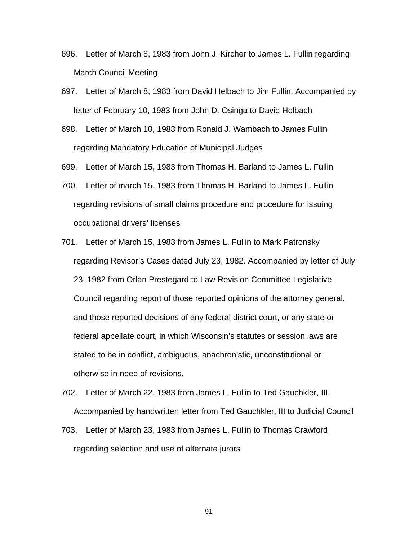- 696. Letter of March 8, 1983 from John J. Kircher to James L. Fullin regarding March Council Meeting
- 697. Letter of March 8, 1983 from David Helbach to Jim Fullin. Accompanied by letter of February 10, 1983 from John D. Osinga to David Helbach
- 698. Letter of March 10, 1983 from Ronald J. Wambach to James Fullin regarding Mandatory Education of Municipal Judges
- 699. Letter of March 15, 1983 from Thomas H. Barland to James L. Fullin
- 700. Letter of march 15, 1983 from Thomas H. Barland to James L. Fullin regarding revisions of small claims procedure and procedure for issuing occupational drivers' licenses
- 701. Letter of March 15, 1983 from James L. Fullin to Mark Patronsky regarding Revisor's Cases dated July 23, 1982. Accompanied by letter of July 23, 1982 from Orlan Prestegard to Law Revision Committee Legislative Council regarding report of those reported opinions of the attorney general, and those reported decisions of any federal district court, or any state or federal appellate court, in which Wisconsin's statutes or session laws are stated to be in conflict, ambiguous, anachronistic, unconstitutional or otherwise in need of revisions.
- 702. Letter of March 22, 1983 from James L. Fullin to Ted Gauchkler, III. Accompanied by handwritten letter from Ted Gauchkler, III to Judicial Council
- 703. Letter of March 23, 1983 from James L. Fullin to Thomas Crawford regarding selection and use of alternate jurors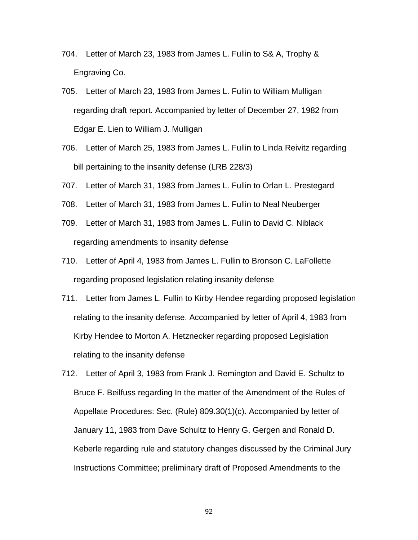- 704. Letter of March 23, 1983 from James L. Fullin to S& A, Trophy & Engraving Co.
- 705. Letter of March 23, 1983 from James L. Fullin to William Mulligan regarding draft report. Accompanied by letter of December 27, 1982 from Edgar E. Lien to William J. Mulligan
- 706. Letter of March 25, 1983 from James L. Fullin to Linda Reivitz regarding bill pertaining to the insanity defense (LRB 228/3)
- 707. Letter of March 31, 1983 from James L. Fullin to Orlan L. Prestegard
- 708. Letter of March 31, 1983 from James L. Fullin to Neal Neuberger
- 709. Letter of March 31, 1983 from James L. Fullin to David C. Niblack regarding amendments to insanity defense
- 710. Letter of April 4, 1983 from James L. Fullin to Bronson C. LaFollette regarding proposed legislation relating insanity defense
- 711. Letter from James L. Fullin to Kirby Hendee regarding proposed legislation relating to the insanity defense. Accompanied by letter of April 4, 1983 from Kirby Hendee to Morton A. Hetznecker regarding proposed Legislation relating to the insanity defense
- 712. Letter of April 3, 1983 from Frank J. Remington and David E. Schultz to Bruce F. Beilfuss regarding In the matter of the Amendment of the Rules of Appellate Procedures: Sec. (Rule) 809.30(1)(c). Accompanied by letter of January 11, 1983 from Dave Schultz to Henry G. Gergen and Ronald D. Keberle regarding rule and statutory changes discussed by the Criminal Jury Instructions Committee; preliminary draft of Proposed Amendments to the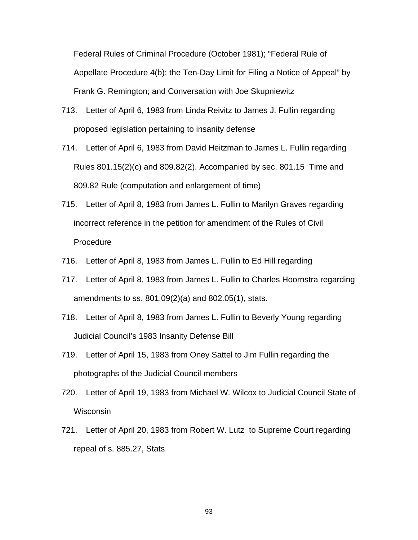Federal Rules of Criminal Procedure (October 1981); "Federal Rule of Appellate Procedure 4(b): the Ten-Day Limit for Filing a Notice of Appeal" by Frank G. Remington; and Conversation with Joe Skupniewitz

- 713. Letter of April 6, 1983 from Linda Reivitz to James J. Fullin regarding proposed legislation pertaining to insanity defense
- 714. Letter of April 6, 1983 from David Heitzman to James L. Fullin regarding Rules 801.15(2)(c) and 809.82(2). Accompanied by sec. 801.15 Time and 809.82 Rule (computation and enlargement of time)
- 715. Letter of April 8, 1983 from James L. Fullin to Marilyn Graves regarding incorrect reference in the petition for amendment of the Rules of Civil Procedure
- 716. Letter of April 8, 1983 from James L. Fullin to Ed Hill regarding
- 717. Letter of April 8, 1983 from James L. Fullin to Charles Hoornstra regarding amendments to ss. 801.09(2)(a) and 802.05(1), stats.
- 718. Letter of April 8, 1983 from James L. Fullin to Beverly Young regarding Judicial Council's 1983 Insanity Defense Bill
- 719. Letter of April 15, 1983 from Oney Sattel to Jim Fullin regarding the photographs of the Judicial Council members
- 720. Letter of April 19, 1983 from Michael W. Wilcox to Judicial Council State of **Wisconsin**
- 721. Letter of April 20, 1983 from Robert W. Lutz to Supreme Court regarding repeal of s. 885.27, Stats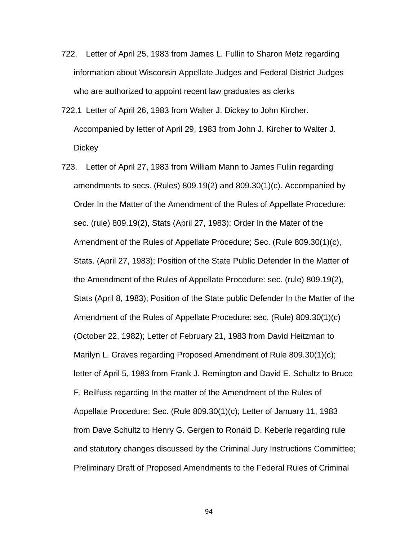- 722. Letter of April 25, 1983 from James L. Fullin to Sharon Metz regarding information about Wisconsin Appellate Judges and Federal District Judges who are authorized to appoint recent law graduates as clerks
- 722.1 Letter of April 26, 1983 from Walter J. Dickey to John Kircher. Accompanied by letter of April 29, 1983 from John J. Kircher to Walter J. **Dickey**
- 723. Letter of April 27, 1983 from William Mann to James Fullin regarding amendments to secs. (Rules) 809.19(2) and 809.30(1)(c). Accompanied by Order In the Matter of the Amendment of the Rules of Appellate Procedure: sec. (rule) 809.19(2), Stats (April 27, 1983); Order In the Mater of the Amendment of the Rules of Appellate Procedure; Sec. (Rule 809.30(1)(c), Stats. (April 27, 1983); Position of the State Public Defender In the Matter of the Amendment of the Rules of Appellate Procedure: sec. (rule) 809.19(2), Stats (April 8, 1983); Position of the State public Defender In the Matter of the Amendment of the Rules of Appellate Procedure: sec. (Rule) 809.30(1)(c) (October 22, 1982); Letter of February 21, 1983 from David Heitzman to Marilyn L. Graves regarding Proposed Amendment of Rule 809.30(1)(c); letter of April 5, 1983 from Frank J. Remington and David E. Schultz to Bruce F. Beilfuss regarding In the matter of the Amendment of the Rules of Appellate Procedure: Sec. (Rule 809.30(1)(c); Letter of January 11, 1983 from Dave Schultz to Henry G. Gergen to Ronald D. Keberle regarding rule and statutory changes discussed by the Criminal Jury Instructions Committee; Preliminary Draft of Proposed Amendments to the Federal Rules of Criminal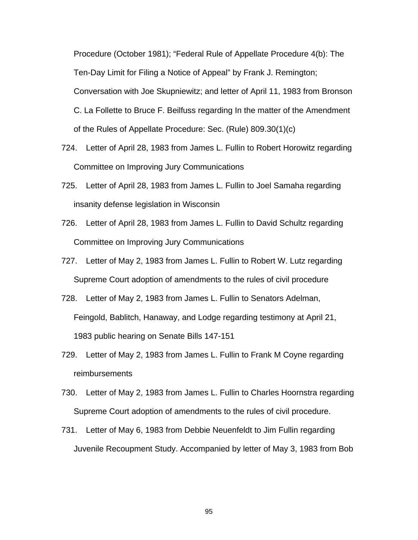Procedure (October 1981); "Federal Rule of Appellate Procedure 4(b): The Ten-Day Limit for Filing a Notice of Appeal" by Frank J. Remington; Conversation with Joe Skupniewitz; and letter of April 11, 1983 from Bronson C. La Follette to Bruce F. Beilfuss regarding In the matter of the Amendment of the Rules of Appellate Procedure: Sec. (Rule) 809.30(1)(c)

- 724. Letter of April 28, 1983 from James L. Fullin to Robert Horowitz regarding Committee on Improving Jury Communications
- 725. Letter of April 28, 1983 from James L. Fullin to Joel Samaha regarding insanity defense legislation in Wisconsin
- 726. Letter of April 28, 1983 from James L. Fullin to David Schultz regarding Committee on Improving Jury Communications
- 727. Letter of May 2, 1983 from James L. Fullin to Robert W. Lutz regarding Supreme Court adoption of amendments to the rules of civil procedure
- 728. Letter of May 2, 1983 from James L. Fullin to Senators Adelman, Feingold, Bablitch, Hanaway, and Lodge regarding testimony at April 21, 1983 public hearing on Senate Bills 147-151
- 729. Letter of May 2, 1983 from James L. Fullin to Frank M Coyne regarding reimbursements
- 730. Letter of May 2, 1983 from James L. Fullin to Charles Hoornstra regarding Supreme Court adoption of amendments to the rules of civil procedure.
- 731. Letter of May 6, 1983 from Debbie Neuenfeldt to Jim Fullin regarding Juvenile Recoupment Study. Accompanied by letter of May 3, 1983 from Bob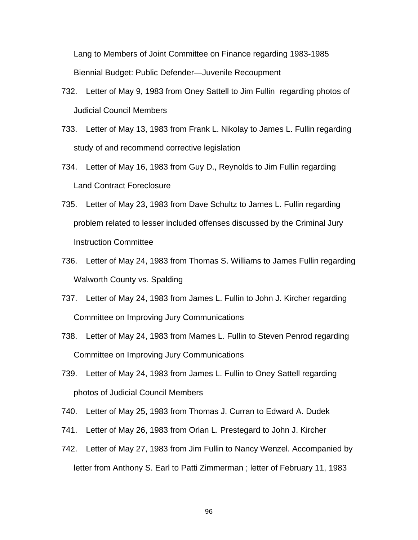Lang to Members of Joint Committee on Finance regarding 1983-1985 Biennial Budget: Public Defender—Juvenile Recoupment

- 732. Letter of May 9, 1983 from Oney Sattell to Jim Fullin regarding photos of Judicial Council Members
- 733. Letter of May 13, 1983 from Frank L. Nikolay to James L. Fullin regarding study of and recommend corrective legislation
- 734. Letter of May 16, 1983 from Guy D., Reynolds to Jim Fullin regarding Land Contract Foreclosure
- 735. Letter of May 23, 1983 from Dave Schultz to James L. Fullin regarding problem related to lesser included offenses discussed by the Criminal Jury Instruction Committee
- 736. Letter of May 24, 1983 from Thomas S. Williams to James Fullin regarding Walworth County vs. Spalding
- 737. Letter of May 24, 1983 from James L. Fullin to John J. Kircher regarding Committee on Improving Jury Communications
- 738. Letter of May 24, 1983 from Mames L. Fullin to Steven Penrod regarding Committee on Improving Jury Communications
- 739. Letter of May 24, 1983 from James L. Fullin to Oney Sattell regarding photos of Judicial Council Members
- 740. Letter of May 25, 1983 from Thomas J. Curran to Edward A. Dudek
- 741. Letter of May 26, 1983 from Orlan L. Prestegard to John J. Kircher
- 742. Letter of May 27, 1983 from Jim Fullin to Nancy Wenzel. Accompanied by letter from Anthony S. Earl to Patti Zimmerman ; letter of February 11, 1983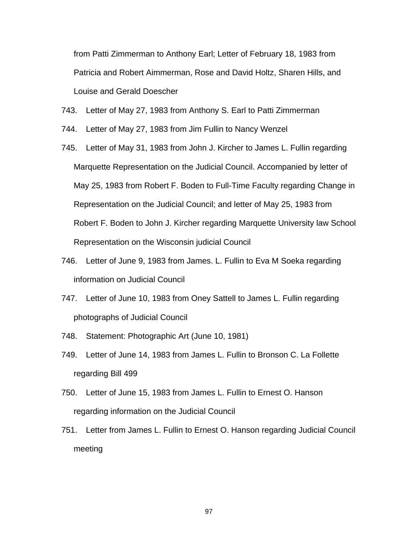from Patti Zimmerman to Anthony Earl; Letter of February 18, 1983 from Patricia and Robert Aimmerman, Rose and David Holtz, Sharen Hills, and Louise and Gerald Doescher

- 743. Letter of May 27, 1983 from Anthony S. Earl to Patti Zimmerman
- 744. Letter of May 27, 1983 from Jim Fullin to Nancy Wenzel
- 745. Letter of May 31, 1983 from John J. Kircher to James L. Fullin regarding Marquette Representation on the Judicial Council. Accompanied by letter of May 25, 1983 from Robert F. Boden to Full-Time Faculty regarding Change in Representation on the Judicial Council; and letter of May 25, 1983 from Robert F. Boden to John J. Kircher regarding Marquette University law School Representation on the Wisconsin judicial Council
- 746. Letter of June 9, 1983 from James. L. Fullin to Eva M Soeka regarding information on Judicial Council
- 747. Letter of June 10, 1983 from Oney Sattell to James L. Fullin regarding photographs of Judicial Council
- 748. Statement: Photographic Art (June 10, 1981)
- 749. Letter of June 14, 1983 from James L. Fullin to Bronson C. La Follette regarding Bill 499
- 750. Letter of June 15, 1983 from James L. Fullin to Ernest O. Hanson regarding information on the Judicial Council
- 751. Letter from James L. Fullin to Ernest O. Hanson regarding Judicial Council meeting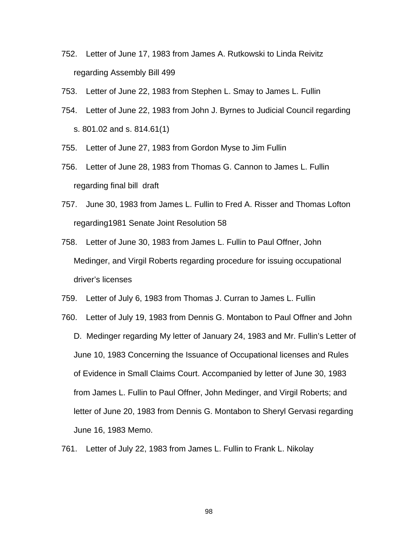- 752. Letter of June 17, 1983 from James A. Rutkowski to Linda Reivitz regarding Assembly Bill 499
- 753. Letter of June 22, 1983 from Stephen L. Smay to James L. Fullin
- 754. Letter of June 22, 1983 from John J. Byrnes to Judicial Council regarding s. 801.02 and s. 814.61(1)
- 755. Letter of June 27, 1983 from Gordon Myse to Jim Fullin
- 756. Letter of June 28, 1983 from Thomas G. Cannon to James L. Fullin regarding final bill draft
- 757. June 30, 1983 from James L. Fullin to Fred A. Risser and Thomas Lofton regarding1981 Senate Joint Resolution 58
- 758. Letter of June 30, 1983 from James L. Fullin to Paul Offner, John Medinger, and Virgil Roberts regarding procedure for issuing occupational driver's licenses
- 759. Letter of July 6, 1983 from Thomas J. Curran to James L. Fullin
- 760. Letter of July 19, 1983 from Dennis G. Montabon to Paul Offner and John D. Medinger regarding My letter of January 24, 1983 and Mr. Fullin's Letter of June 10, 1983 Concerning the Issuance of Occupational licenses and Rules of Evidence in Small Claims Court. Accompanied by letter of June 30, 1983 from James L. Fullin to Paul Offner, John Medinger, and Virgil Roberts; and letter of June 20, 1983 from Dennis G. Montabon to Sheryl Gervasi regarding June 16, 1983 Memo.
- 761. Letter of July 22, 1983 from James L. Fullin to Frank L. Nikolay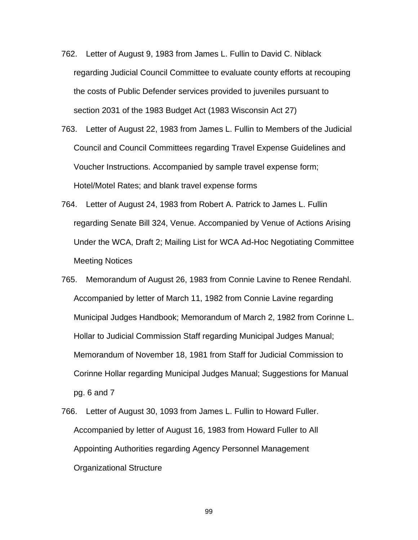- 762. Letter of August 9, 1983 from James L. Fullin to David C. Niblack regarding Judicial Council Committee to evaluate county efforts at recouping the costs of Public Defender services provided to juveniles pursuant to section 2031 of the 1983 Budget Act (1983 Wisconsin Act 27)
- 763. Letter of August 22, 1983 from James L. Fullin to Members of the Judicial Council and Council Committees regarding Travel Expense Guidelines and Voucher Instructions. Accompanied by sample travel expense form; Hotel/Motel Rates; and blank travel expense forms
- 764. Letter of August 24, 1983 from Robert A. Patrick to James L. Fullin regarding Senate Bill 324, Venue. Accompanied by Venue of Actions Arising Under the WCA, Draft 2; Mailing List for WCA Ad-Hoc Negotiating Committee Meeting Notices
- 765. Memorandum of August 26, 1983 from Connie Lavine to Renee Rendahl. Accompanied by letter of March 11, 1982 from Connie Lavine regarding Municipal Judges Handbook; Memorandum of March 2, 1982 from Corinne L. Hollar to Judicial Commission Staff regarding Municipal Judges Manual; Memorandum of November 18, 1981 from Staff for Judicial Commission to Corinne Hollar regarding Municipal Judges Manual; Suggestions for Manual pg. 6 and 7
- 766. Letter of August 30, 1093 from James L. Fullin to Howard Fuller. Accompanied by letter of August 16, 1983 from Howard Fuller to All Appointing Authorities regarding Agency Personnel Management Organizational Structure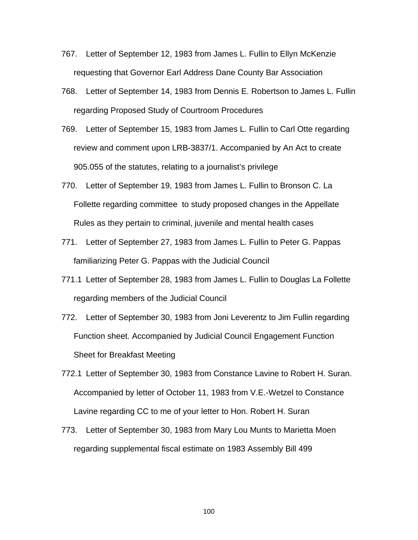- 767. Letter of September 12, 1983 from James L. Fullin to Ellyn McKenzie requesting that Governor Earl Address Dane County Bar Association
- 768. Letter of September 14, 1983 from Dennis E. Robertson to James L. Fullin regarding Proposed Study of Courtroom Procedures
- 769. Letter of September 15, 1983 from James L. Fullin to Carl Otte regarding review and comment upon LRB-3837/1. Accompanied by An Act to create 905.055 of the statutes, relating to a journalist's privilege
- 770. Letter of September 19, 1983 from James L. Fullin to Bronson C. La Follette regarding committee to study proposed changes in the Appellate Rules as they pertain to criminal, juvenile and mental health cases
- 771. Letter of September 27, 1983 from James L. Fullin to Peter G. Pappas familiarizing Peter G. Pappas with the Judicial Council
- 771.1 Letter of September 28, 1983 from James L. Fullin to Douglas La Follette regarding members of the Judicial Council
- 772. Letter of September 30, 1983 from Joni Leverentz to Jim Fullin regarding Function sheet. Accompanied by Judicial Council Engagement Function Sheet for Breakfast Meeting
- 772.1 Letter of September 30, 1983 from Constance Lavine to Robert H. Suran. Accompanied by letter of October 11, 1983 from V.E.-Wetzel to Constance Lavine regarding CC to me of your letter to Hon. Robert H. Suran
- 773. Letter of September 30, 1983 from Mary Lou Munts to Marietta Moen regarding supplemental fiscal estimate on 1983 Assembly Bill 499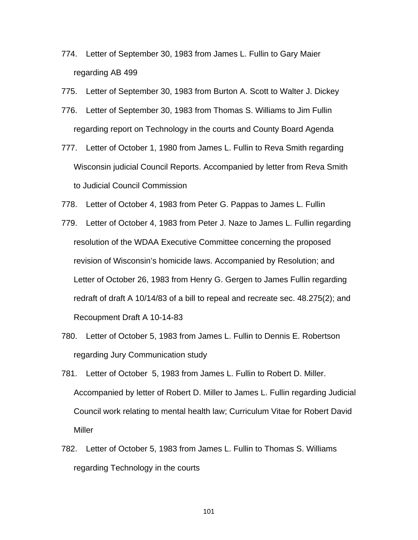- 774. Letter of September 30, 1983 from James L. Fullin to Gary Maier regarding AB 499
- 775. Letter of September 30, 1983 from Burton A. Scott to Walter J. Dickey
- 776. Letter of September 30, 1983 from Thomas S. Williams to Jim Fullin regarding report on Technology in the courts and County Board Agenda
- 777. Letter of October 1, 1980 from James L. Fullin to Reva Smith regarding Wisconsin judicial Council Reports. Accompanied by letter from Reva Smith to Judicial Council Commission
- 778. Letter of October 4, 1983 from Peter G. Pappas to James L. Fullin
- 779. Letter of October 4, 1983 from Peter J. Naze to James L. Fullin regarding resolution of the WDAA Executive Committee concerning the proposed revision of Wisconsin's homicide laws. Accompanied by Resolution; and Letter of October 26, 1983 from Henry G. Gergen to James Fullin regarding redraft of draft A 10/14/83 of a bill to repeal and recreate sec. 48.275(2); and Recoupment Draft A 10-14-83
- 780. Letter of October 5, 1983 from James L. Fullin to Dennis E. Robertson regarding Jury Communication study
- 781. Letter of October 5, 1983 from James L. Fullin to Robert D. Miller. Accompanied by letter of Robert D. Miller to James L. Fullin regarding Judicial Council work relating to mental health law; Curriculum Vitae for Robert David Miller
- 782. Letter of October 5, 1983 from James L. Fullin to Thomas S. Williams regarding Technology in the courts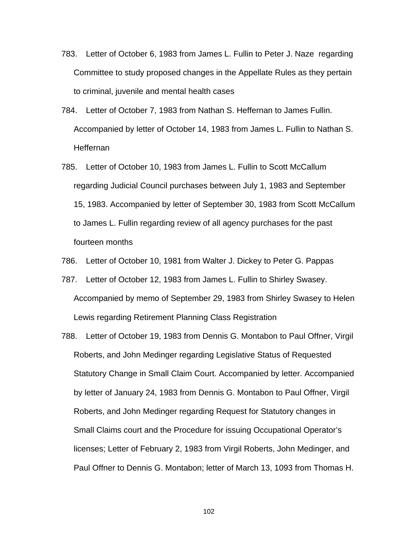- 783. Letter of October 6, 1983 from James L. Fullin to Peter J. Naze regarding Committee to study proposed changes in the Appellate Rules as they pertain to criminal, juvenile and mental health cases
- 784. Letter of October 7, 1983 from Nathan S. Heffernan to James Fullin. Accompanied by letter of October 14, 1983 from James L. Fullin to Nathan S. Heffernan
- 785. Letter of October 10, 1983 from James L. Fullin to Scott McCallum regarding Judicial Council purchases between July 1, 1983 and September 15, 1983. Accompanied by letter of September 30, 1983 from Scott McCallum to James L. Fullin regarding review of all agency purchases for the past fourteen months
- 786. Letter of October 10, 1981 from Walter J. Dickey to Peter G. Pappas
- 787. Letter of October 12, 1983 from James L. Fullin to Shirley Swasey. Accompanied by memo of September 29, 1983 from Shirley Swasey to Helen Lewis regarding Retirement Planning Class Registration
- 788. Letter of October 19, 1983 from Dennis G. Montabon to Paul Offner, Virgil Roberts, and John Medinger regarding Legislative Status of Requested Statutory Change in Small Claim Court. Accompanied by letter. Accompanied by letter of January 24, 1983 from Dennis G. Montabon to Paul Offner, Virgil Roberts, and John Medinger regarding Request for Statutory changes in Small Claims court and the Procedure for issuing Occupational Operator's licenses; Letter of February 2, 1983 from Virgil Roberts, John Medinger, and Paul Offner to Dennis G. Montabon; letter of March 13, 1093 from Thomas H.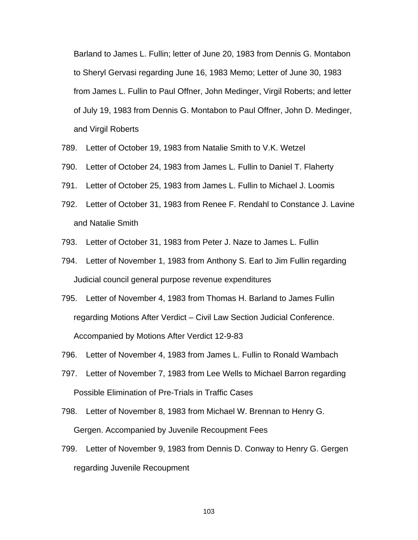Barland to James L. Fullin; letter of June 20, 1983 from Dennis G. Montabon to Sheryl Gervasi regarding June 16, 1983 Memo; Letter of June 30, 1983 from James L. Fullin to Paul Offner, John Medinger, Virgil Roberts; and letter of July 19, 1983 from Dennis G. Montabon to Paul Offner, John D. Medinger, and Virgil Roberts

- 789. Letter of October 19, 1983 from Natalie Smith to V.K. Wetzel
- 790. Letter of October 24, 1983 from James L. Fullin to Daniel T. Flaherty
- 791. Letter of October 25, 1983 from James L. Fullin to Michael J. Loomis
- 792. Letter of October 31, 1983 from Renee F. Rendahl to Constance J. Lavine and Natalie Smith
- 793. Letter of October 31, 1983 from Peter J. Naze to James L. Fullin
- 794. Letter of November 1, 1983 from Anthony S. Earl to Jim Fullin regarding Judicial council general purpose revenue expenditures
- 795. Letter of November 4, 1983 from Thomas H. Barland to James Fullin regarding Motions After Verdict – Civil Law Section Judicial Conference. Accompanied by Motions After Verdict 12-9-83
- 796. Letter of November 4, 1983 from James L. Fullin to Ronald Wambach
- 797. Letter of November 7, 1983 from Lee Wells to Michael Barron regarding Possible Elimination of Pre-Trials in Traffic Cases
- 798. Letter of November 8, 1983 from Michael W. Brennan to Henry G. Gergen. Accompanied by Juvenile Recoupment Fees
- 799. Letter of November 9, 1983 from Dennis D. Conway to Henry G. Gergen regarding Juvenile Recoupment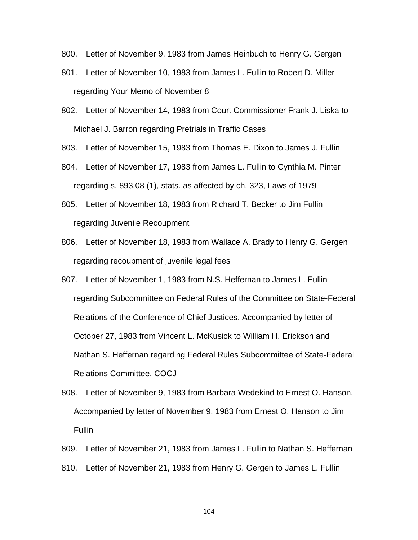- 800. Letter of November 9, 1983 from James Heinbuch to Henry G. Gergen
- 801. Letter of November 10, 1983 from James L. Fullin to Robert D. Miller regarding Your Memo of November 8
- 802. Letter of November 14, 1983 from Court Commissioner Frank J. Liska to Michael J. Barron regarding Pretrials in Traffic Cases
- 803. Letter of November 15, 1983 from Thomas E. Dixon to James J. Fullin
- 804. Letter of November 17, 1983 from James L. Fullin to Cynthia M. Pinter regarding s. 893.08 (1), stats. as affected by ch. 323, Laws of 1979
- 805. Letter of November 18, 1983 from Richard T. Becker to Jim Fullin regarding Juvenile Recoupment
- 806. Letter of November 18, 1983 from Wallace A. Brady to Henry G. Gergen regarding recoupment of juvenile legal fees
- 807. Letter of November 1, 1983 from N.S. Heffernan to James L. Fullin regarding Subcommittee on Federal Rules of the Committee on State-Federal Relations of the Conference of Chief Justices. Accompanied by letter of October 27, 1983 from Vincent L. McKusick to William H. Erickson and Nathan S. Heffernan regarding Federal Rules Subcommittee of State-Federal Relations Committee, COCJ
- 808. Letter of November 9, 1983 from Barbara Wedekind to Ernest O. Hanson. Accompanied by letter of November 9, 1983 from Ernest O. Hanson to Jim Fullin
- 809. Letter of November 21, 1983 from James L. Fullin to Nathan S. Heffernan
- 810. Letter of November 21, 1983 from Henry G. Gergen to James L. Fullin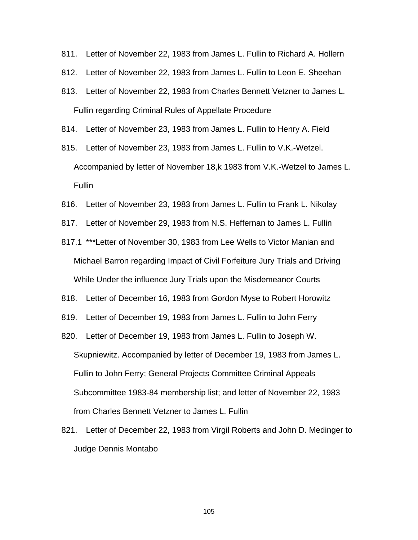- 811. Letter of November 22, 1983 from James L. Fullin to Richard A. Hollern
- 812. Letter of November 22, 1983 from James L. Fullin to Leon E. Sheehan
- 813. Letter of November 22, 1983 from Charles Bennett Vetzner to James L. Fullin regarding Criminal Rules of Appellate Procedure
- 814. Letter of November 23, 1983 from James L. Fullin to Henry A. Field
- 815. Letter of November 23, 1983 from James L. Fullin to V.K.-Wetzel. Accompanied by letter of November 18,k 1983 from V.K.-Wetzel to James L. Fullin
- 816. Letter of November 23, 1983 from James L. Fullin to Frank L. Nikolay
- 817. Letter of November 29, 1983 from N.S. Heffernan to James L. Fullin
- 817.1 \*\*\*Letter of November 30, 1983 from Lee Wells to Victor Manian and Michael Barron regarding Impact of Civil Forfeiture Jury Trials and Driving While Under the influence Jury Trials upon the Misdemeanor Courts
- 818. Letter of December 16, 1983 from Gordon Myse to Robert Horowitz
- 819. Letter of December 19, 1983 from James L. Fullin to John Ferry
- 820. Letter of December 19, 1983 from James L. Fullin to Joseph W. Skupniewitz. Accompanied by letter of December 19, 1983 from James L. Fullin to John Ferry; General Projects Committee Criminal Appeals Subcommittee 1983-84 membership list; and letter of November 22, 1983 from Charles Bennett Vetzner to James L. Fullin
- 821. Letter of December 22, 1983 from Virgil Roberts and John D. Medinger to Judge Dennis Montabo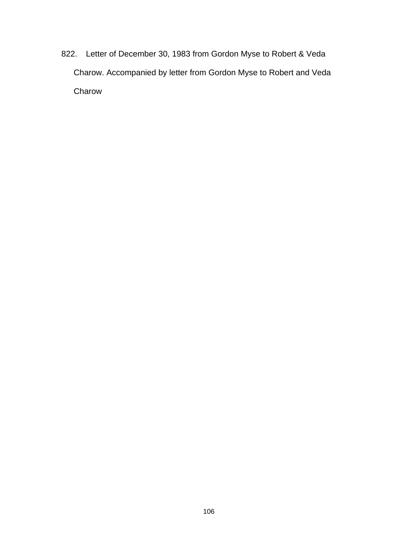822. Letter of December 30, 1983 from Gordon Myse to Robert & Veda Charow. Accompanied by letter from Gordon Myse to Robert and Veda Charow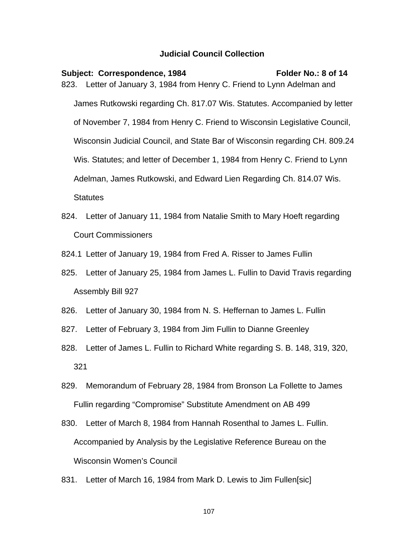## **Judicial Council Collection**

- Subject: Correspondence, 1984 Folder No.: 8 of 14 823. Letter of January 3, 1984 from Henry C. Friend to Lynn Adelman and James Rutkowski regarding Ch. 817.07 Wis. Statutes. Accompanied by letter of November 7, 1984 from Henry C. Friend to Wisconsin Legislative Council, Wisconsin Judicial Council, and State Bar of Wisconsin regarding CH. 809.24 Wis. Statutes; and letter of December 1, 1984 from Henry C. Friend to Lynn Adelman, James Rutkowski, and Edward Lien Regarding Ch. 814.07 Wis. **Statutes**
- 824. Letter of January 11, 1984 from Natalie Smith to Mary Hoeft regarding Court Commissioners
- 824.1 Letter of January 19, 1984 from Fred A. Risser to James Fullin
- 825. Letter of January 25, 1984 from James L. Fullin to David Travis regarding Assembly Bill 927
- 826. Letter of January 30, 1984 from N. S. Heffernan to James L. Fullin
- 827. Letter of February 3, 1984 from Jim Fullin to Dianne Greenley
- 828. Letter of James L. Fullin to Richard White regarding S. B. 148, 319, 320, 321
- 829. Memorandum of February 28, 1984 from Bronson La Follette to James Fullin regarding "Compromise" Substitute Amendment on AB 499
- 830. Letter of March 8, 1984 from Hannah Rosenthal to James L. Fullin. Accompanied by Analysis by the Legislative Reference Bureau on the Wisconsin Women's Council
- 831. Letter of March 16, 1984 from Mark D. Lewis to Jim Fullen[sic]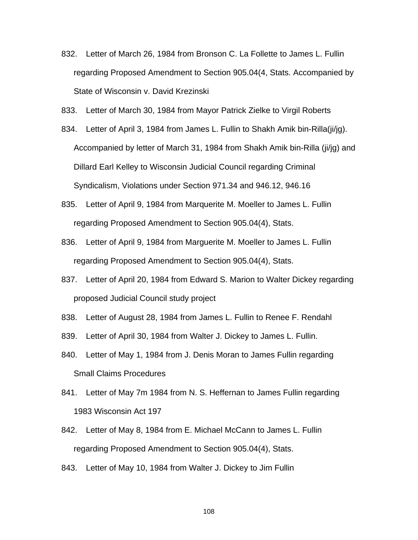- 832. Letter of March 26, 1984 from Bronson C. La Follette to James L. Fullin regarding Proposed Amendment to Section 905.04(4, Stats. Accompanied by State of Wisconsin v. David Krezinski
- 833. Letter of March 30, 1984 from Mayor Patrick Zielke to Virgil Roberts
- 834. Letter of April 3, 1984 from James L. Fullin to Shakh Amik bin-Rilla(ji/jg). Accompanied by letter of March 31, 1984 from Shakh Amik bin-Rilla (ji/jg) and Dillard Earl Kelley to Wisconsin Judicial Council regarding Criminal Syndicalism, Violations under Section 971.34 and 946.12, 946.16
- 835. Letter of April 9, 1984 from Marquerite M. Moeller to James L. Fullin regarding Proposed Amendment to Section 905.04(4), Stats.
- 836. Letter of April 9, 1984 from Marguerite M. Moeller to James L. Fullin regarding Proposed Amendment to Section 905.04(4), Stats.
- 837. Letter of April 20, 1984 from Edward S. Marion to Walter Dickey regarding proposed Judicial Council study project
- 838. Letter of August 28, 1984 from James L. Fullin to Renee F. Rendahl
- 839. Letter of April 30, 1984 from Walter J. Dickey to James L. Fullin.
- 840. Letter of May 1, 1984 from J. Denis Moran to James Fullin regarding Small Claims Procedures
- 841. Letter of May 7m 1984 from N. S. Heffernan to James Fullin regarding 1983 Wisconsin Act 197
- 842. Letter of May 8, 1984 from E. Michael McCann to James L. Fullin regarding Proposed Amendment to Section 905.04(4), Stats.
- 843. Letter of May 10, 1984 from Walter J. Dickey to Jim Fullin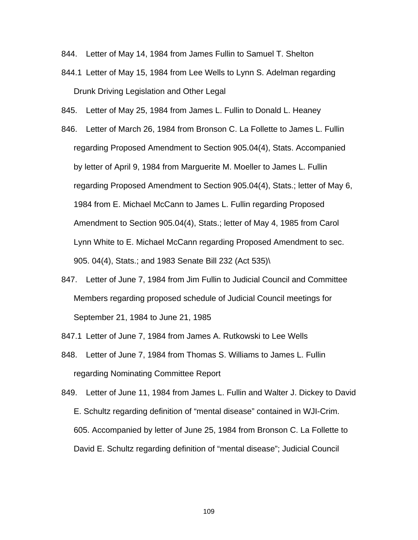- 844. Letter of May 14, 1984 from James Fullin to Samuel T. Shelton
- 844.1 Letter of May 15, 1984 from Lee Wells to Lynn S. Adelman regarding Drunk Driving Legislation and Other Legal
- 845. Letter of May 25, 1984 from James L. Fullin to Donald L. Heaney
- 846. Letter of March 26, 1984 from Bronson C. La Follette to James L. Fullin regarding Proposed Amendment to Section 905.04(4), Stats. Accompanied by letter of April 9, 1984 from Marguerite M. Moeller to James L. Fullin regarding Proposed Amendment to Section 905.04(4), Stats.; letter of May 6, 1984 from E. Michael McCann to James L. Fullin regarding Proposed Amendment to Section 905.04(4), Stats.; letter of May 4, 1985 from Carol Lynn White to E. Michael McCann regarding Proposed Amendment to sec. 905. 04(4), Stats.; and 1983 Senate Bill 232 (Act 535)\
- 847. Letter of June 7, 1984 from Jim Fullin to Judicial Council and Committee Members regarding proposed schedule of Judicial Council meetings for September 21, 1984 to June 21, 1985
- 847.1 Letter of June 7, 1984 from James A. Rutkowski to Lee Wells
- 848. Letter of June 7, 1984 from Thomas S. Williams to James L. Fullin regarding Nominating Committee Report
- 849. Letter of June 11, 1984 from James L. Fullin and Walter J. Dickey to David E. Schultz regarding definition of "mental disease" contained in WJI-Crim. 605. Accompanied by letter of June 25, 1984 from Bronson C. La Follette to David E. Schultz regarding definition of "mental disease"; Judicial Council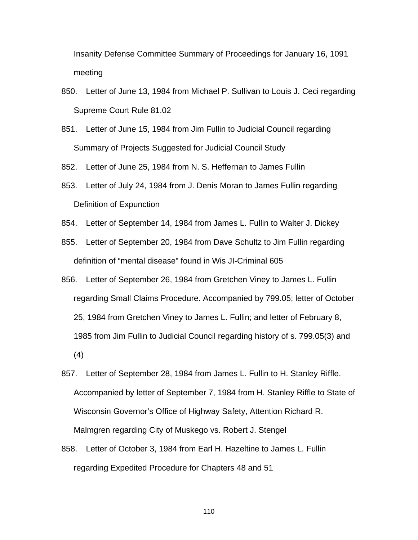Insanity Defense Committee Summary of Proceedings for January 16, 1091 meeting

- 850. Letter of June 13, 1984 from Michael P. Sullivan to Louis J. Ceci regarding Supreme Court Rule 81.02
- 851. Letter of June 15, 1984 from Jim Fullin to Judicial Council regarding Summary of Projects Suggested for Judicial Council Study
- 852. Letter of June 25, 1984 from N. S. Heffernan to James Fullin
- 853. Letter of July 24, 1984 from J. Denis Moran to James Fullin regarding Definition of Expunction
- 854. Letter of September 14, 1984 from James L. Fullin to Walter J. Dickey
- 855. Letter of September 20, 1984 from Dave Schultz to Jim Fullin regarding definition of "mental disease" found in Wis JI-Criminal 605
- 856. Letter of September 26, 1984 from Gretchen Viney to James L. Fullin regarding Small Claims Procedure. Accompanied by 799.05; letter of October 25, 1984 from Gretchen Viney to James L. Fullin; and letter of February 8, 1985 from Jim Fullin to Judicial Council regarding history of s. 799.05(3) and (4)
- 857. Letter of September 28, 1984 from James L. Fullin to H. Stanley Riffle. Accompanied by letter of September 7, 1984 from H. Stanley Riffle to State of Wisconsin Governor's Office of Highway Safety, Attention Richard R. Malmgren regarding City of Muskego vs. Robert J. Stengel
- 858. Letter of October 3, 1984 from Earl H. Hazeltine to James L. Fullin regarding Expedited Procedure for Chapters 48 and 51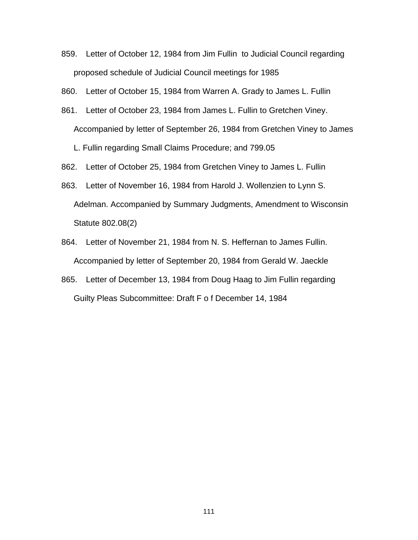859. Letter of October 12, 1984 from Jim Fullin to Judicial Council regarding proposed schedule of Judicial Council meetings for 1985

860. Letter of October 15, 1984 from Warren A. Grady to James L. Fullin

861. Letter of October 23, 1984 from James L. Fullin to Gretchen Viney. Accompanied by letter of September 26, 1984 from Gretchen Viney to James

L. Fullin regarding Small Claims Procedure; and 799.05

862. Letter of October 25, 1984 from Gretchen Viney to James L. Fullin

- 863. Letter of November 16, 1984 from Harold J. Wollenzien to Lynn S. Adelman. Accompanied by Summary Judgments, Amendment to Wisconsin Statute 802.08(2)
- 864. Letter of November 21, 1984 from N. S. Heffernan to James Fullin. Accompanied by letter of September 20, 1984 from Gerald W. Jaeckle
- 865. Letter of December 13, 1984 from Doug Haag to Jim Fullin regarding Guilty Pleas Subcommittee: Draft F o f December 14, 1984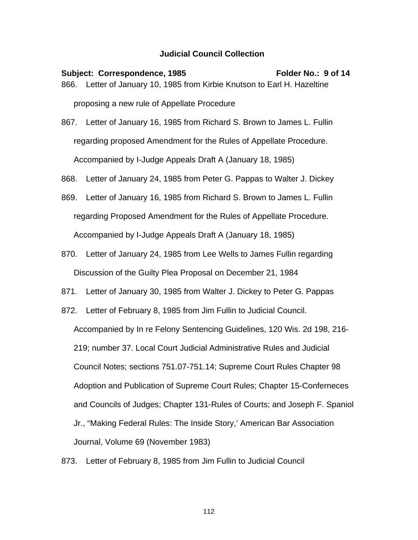Subject: Correspondence, 1985 Folder No.: 9 of 14 866. Letter of January 10, 1985 from Kirbie Knutson to Earl H. Hazeltine proposing a new rule of Appellate Procedure

867. Letter of January 16, 1985 from Richard S. Brown to James L. Fullin regarding proposed Amendment for the Rules of Appellate Procedure. Accompanied by I-Judge Appeals Draft A (January 18, 1985)

868. Letter of January 24, 1985 from Peter G. Pappas to Walter J. Dickey

- 869. Letter of January 16, 1985 from Richard S. Brown to James L. Fullin regarding Proposed Amendment for the Rules of Appellate Procedure. Accompanied by I-Judge Appeals Draft A (January 18, 1985)
- 870. Letter of January 24, 1985 from Lee Wells to James Fullin regarding Discussion of the Guilty Plea Proposal on December 21, 1984
- 871. Letter of January 30, 1985 from Walter J. Dickey to Peter G. Pappas
- 872. Letter of February 8, 1985 from Jim Fullin to Judicial Council. Accompanied by In re Felony Sentencing Guidelines, 120 Wis. 2d 198, 216- 219; number 37. Local Court Judicial Administrative Rules and Judicial Council Notes; sections 751.07-751.14; Supreme Court Rules Chapter 98 Adoption and Publication of Supreme Court Rules; Chapter 15-Conferneces and Councils of Judges; Chapter 131-Rules of Courts; and Joseph F. Spaniol Jr., "Making Federal Rules: The Inside Story,' American Bar Association Journal, Volume 69 (November 1983)
- 873. Letter of February 8, 1985 from Jim Fullin to Judicial Council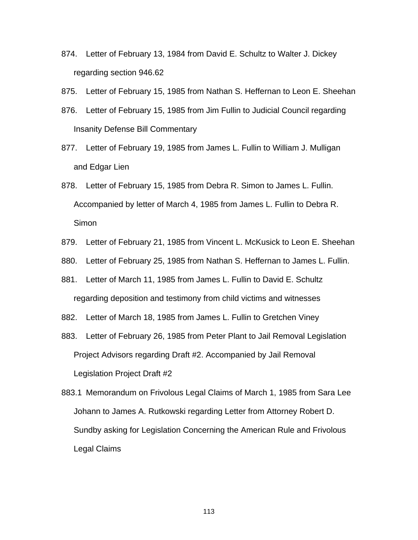- 874. Letter of February 13, 1984 from David E. Schultz to Walter J. Dickey regarding section 946.62
- 875. Letter of February 15, 1985 from Nathan S. Heffernan to Leon E. Sheehan
- 876. Letter of February 15, 1985 from Jim Fullin to Judicial Council regarding Insanity Defense Bill Commentary
- 877. Letter of February 19, 1985 from James L. Fullin to William J. Mulligan and Edgar Lien
- 878. Letter of February 15, 1985 from Debra R. Simon to James L. Fullin. Accompanied by letter of March 4, 1985 from James L. Fullin to Debra R. **Simon**
- 879. Letter of February 21, 1985 from Vincent L. McKusick to Leon E. Sheehan
- 880. Letter of February 25, 1985 from Nathan S. Heffernan to James L. Fullin.
- 881. Letter of March 11, 1985 from James L. Fullin to David E. Schultz regarding deposition and testimony from child victims and witnesses
- 882. Letter of March 18, 1985 from James L. Fullin to Gretchen Viney
- 883. Letter of February 26, 1985 from Peter Plant to Jail Removal Legislation Project Advisors regarding Draft #2. Accompanied by Jail Removal Legislation Project Draft #2
- 883.1 Memorandum on Frivolous Legal Claims of March 1, 1985 from Sara Lee Johann to James A. Rutkowski regarding Letter from Attorney Robert D. Sundby asking for Legislation Concerning the American Rule and Frivolous Legal Claims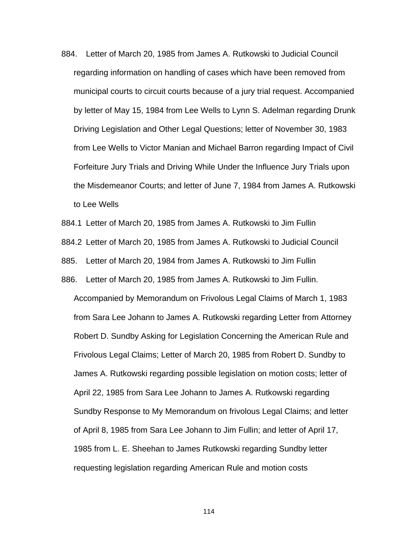- 884. Letter of March 20, 1985 from James A. Rutkowski to Judicial Council regarding information on handling of cases which have been removed from municipal courts to circuit courts because of a jury trial request. Accompanied by letter of May 15, 1984 from Lee Wells to Lynn S. Adelman regarding Drunk Driving Legislation and Other Legal Questions; letter of November 30, 1983 from Lee Wells to Victor Manian and Michael Barron regarding Impact of Civil Forfeiture Jury Trials and Driving While Under the Influence Jury Trials upon the Misdemeanor Courts; and letter of June 7, 1984 from James A. Rutkowski to Lee Wells
- 884.1 Letter of March 20, 1985 from James A. Rutkowski to Jim Fullin
- 884.2 Letter of March 20, 1985 from James A. Rutkowski to Judicial Council
- 885. Letter of March 20, 1984 from James A. Rutkowski to Jim Fullin
- 886. Letter of March 20, 1985 from James A. Rutkowski to Jim Fullin. Accompanied by Memorandum on Frivolous Legal Claims of March 1, 1983 from Sara Lee Johann to James A. Rutkowski regarding Letter from Attorney Robert D. Sundby Asking for Legislation Concerning the American Rule and Frivolous Legal Claims; Letter of March 20, 1985 from Robert D. Sundby to James A. Rutkowski regarding possible legislation on motion costs; letter of April 22, 1985 from Sara Lee Johann to James A. Rutkowski regarding Sundby Response to My Memorandum on frivolous Legal Claims; and letter of April 8, 1985 from Sara Lee Johann to Jim Fullin; and letter of April 17, 1985 from L. E. Sheehan to James Rutkowski regarding Sundby letter requesting legislation regarding American Rule and motion costs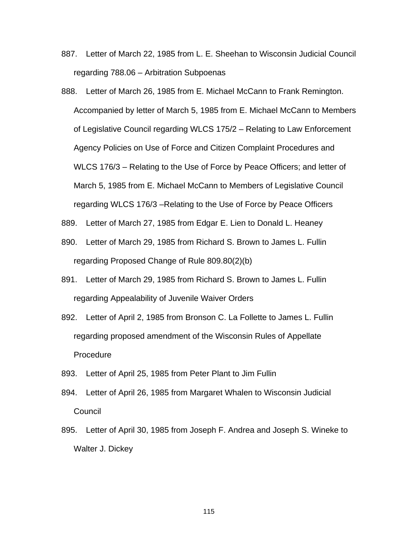- 887. Letter of March 22, 1985 from L. E. Sheehan to Wisconsin Judicial Council regarding 788.06 – Arbitration Subpoenas
- 888. Letter of March 26, 1985 from E. Michael McCann to Frank Remington. Accompanied by letter of March 5, 1985 from E. Michael McCann to Members of Legislative Council regarding WLCS 175/2 – Relating to Law Enforcement Agency Policies on Use of Force and Citizen Complaint Procedures and WLCS 176/3 – Relating to the Use of Force by Peace Officers; and letter of March 5, 1985 from E. Michael McCann to Members of Legislative Council regarding WLCS 176/3 –Relating to the Use of Force by Peace Officers
- 889. Letter of March 27, 1985 from Edgar E. Lien to Donald L. Heaney
- 890. Letter of March 29, 1985 from Richard S. Brown to James L. Fullin regarding Proposed Change of Rule 809.80(2)(b)
- 891. Letter of March 29, 1985 from Richard S. Brown to James L. Fullin regarding Appealability of Juvenile Waiver Orders
- 892. Letter of April 2, 1985 from Bronson C. La Follette to James L. Fullin regarding proposed amendment of the Wisconsin Rules of Appellate **Procedure**
- 893. Letter of April 25, 1985 from Peter Plant to Jim Fullin
- 894. Letter of April 26, 1985 from Margaret Whalen to Wisconsin Judicial **Council**
- 895. Letter of April 30, 1985 from Joseph F. Andrea and Joseph S. Wineke to Walter J. Dickey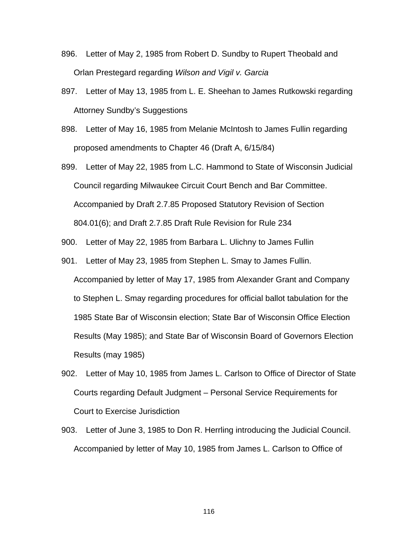- 896. Letter of May 2, 1985 from Robert D. Sundby to Rupert Theobald and Orlan Prestegard regarding *Wilson and Vigil v. Garcia*
- 897. Letter of May 13, 1985 from L. E. Sheehan to James Rutkowski regarding Attorney Sundby's Suggestions
- 898. Letter of May 16, 1985 from Melanie McIntosh to James Fullin regarding proposed amendments to Chapter 46 (Draft A, 6/15/84)
- 899. Letter of May 22, 1985 from L.C. Hammond to State of Wisconsin Judicial Council regarding Milwaukee Circuit Court Bench and Bar Committee. Accompanied by Draft 2.7.85 Proposed Statutory Revision of Section 804.01(6); and Draft 2.7.85 Draft Rule Revision for Rule 234
- 900. Letter of May 22, 1985 from Barbara L. Ulichny to James Fullin
- 901. Letter of May 23, 1985 from Stephen L. Smay to James Fullin. Accompanied by letter of May 17, 1985 from Alexander Grant and Company to Stephen L. Smay regarding procedures for official ballot tabulation for the 1985 State Bar of Wisconsin election; State Bar of Wisconsin Office Election Results (May 1985); and State Bar of Wisconsin Board of Governors Election Results (may 1985)
- 902. Letter of May 10, 1985 from James L. Carlson to Office of Director of State Courts regarding Default Judgment – Personal Service Requirements for Court to Exercise Jurisdiction
- 903. Letter of June 3, 1985 to Don R. Herrling introducing the Judicial Council. Accompanied by letter of May 10, 1985 from James L. Carlson to Office of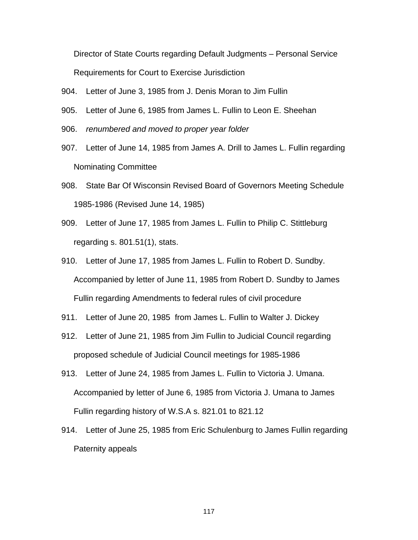Director of State Courts regarding Default Judgments – Personal Service Requirements for Court to Exercise Jurisdiction

- 904. Letter of June 3, 1985 from J. Denis Moran to Jim Fullin
- 905. Letter of June 6, 1985 from James L. Fullin to Leon E. Sheehan
- 906. *renumbered and moved to proper year folder*
- 907. Letter of June 14, 1985 from James A. Drill to James L. Fullin regarding Nominating Committee
- 908. State Bar Of Wisconsin Revised Board of Governors Meeting Schedule 1985-1986 (Revised June 14, 1985)
- 909. Letter of June 17, 1985 from James L. Fullin to Philip C. Stittleburg regarding s. 801.51(1), stats.
- 910. Letter of June 17, 1985 from James L. Fullin to Robert D. Sundby. Accompanied by letter of June 11, 1985 from Robert D. Sundby to James Fullin regarding Amendments to federal rules of civil procedure
- 911. Letter of June 20, 1985 from James L. Fullin to Walter J. Dickey
- 912. Letter of June 21, 1985 from Jim Fullin to Judicial Council regarding proposed schedule of Judicial Council meetings for 1985-1986
- 913. Letter of June 24, 1985 from James L. Fullin to Victoria J. Umana. Accompanied by letter of June 6, 1985 from Victoria J. Umana to James Fullin regarding history of W.S.A s. 821.01 to 821.12
- 914. Letter of June 25, 1985 from Eric Schulenburg to James Fullin regarding Paternity appeals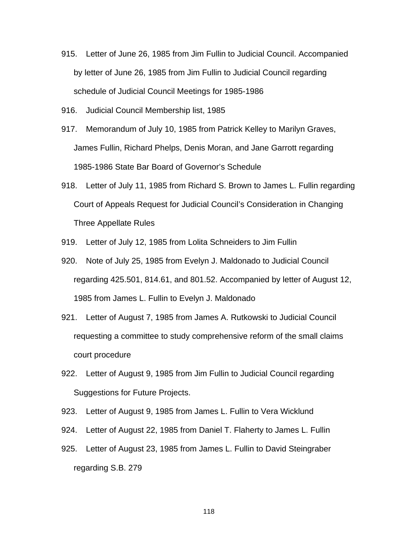- 915. Letter of June 26, 1985 from Jim Fullin to Judicial Council. Accompanied by letter of June 26, 1985 from Jim Fullin to Judicial Council regarding schedule of Judicial Council Meetings for 1985-1986
- 916. Judicial Council Membership list, 1985
- 917. Memorandum of July 10, 1985 from Patrick Kelley to Marilyn Graves, James Fullin, Richard Phelps, Denis Moran, and Jane Garrott regarding 1985-1986 State Bar Board of Governor's Schedule
- 918. Letter of July 11, 1985 from Richard S. Brown to James L. Fullin regarding Court of Appeals Request for Judicial Council's Consideration in Changing Three Appellate Rules
- 919. Letter of July 12, 1985 from Lolita Schneiders to Jim Fullin
- 920. Note of July 25, 1985 from Evelyn J. Maldonado to Judicial Council regarding 425.501, 814.61, and 801.52. Accompanied by letter of August 12, 1985 from James L. Fullin to Evelyn J. Maldonado
- 921. Letter of August 7, 1985 from James A. Rutkowski to Judicial Council requesting a committee to study comprehensive reform of the small claims court procedure
- 922. Letter of August 9, 1985 from Jim Fullin to Judicial Council regarding Suggestions for Future Projects.
- 923. Letter of August 9, 1985 from James L. Fullin to Vera Wicklund
- 924. Letter of August 22, 1985 from Daniel T. Flaherty to James L. Fullin
- 925. Letter of August 23, 1985 from James L. Fullin to David Steingraber regarding S.B. 279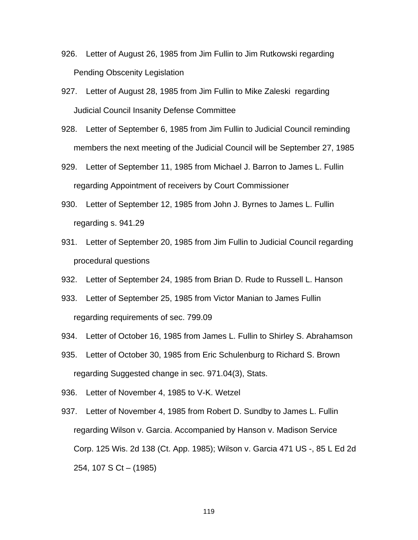- 926. Letter of August 26, 1985 from Jim Fullin to Jim Rutkowski regarding Pending Obscenity Legislation
- 927. Letter of August 28, 1985 from Jim Fullin to Mike Zaleski regarding Judicial Council Insanity Defense Committee
- 928. Letter of September 6, 1985 from Jim Fullin to Judicial Council reminding members the next meeting of the Judicial Council will be September 27, 1985
- 929. Letter of September 11, 1985 from Michael J. Barron to James L. Fullin regarding Appointment of receivers by Court Commissioner
- 930. Letter of September 12, 1985 from John J. Byrnes to James L. Fullin regarding s. 941.29
- 931. Letter of September 20, 1985 from Jim Fullin to Judicial Council regarding procedural questions
- 932. Letter of September 24, 1985 from Brian D. Rude to Russell L. Hanson
- 933. Letter of September 25, 1985 from Victor Manian to James Fullin regarding requirements of sec. 799.09
- 934. Letter of October 16, 1985 from James L. Fullin to Shirley S. Abrahamson
- 935. Letter of October 30, 1985 from Eric Schulenburg to Richard S. Brown regarding Suggested change in sec. 971.04(3), Stats.
- 936. Letter of November 4, 1985 to V-K. Wetzel
- 937. Letter of November 4, 1985 from Robert D. Sundby to James L. Fullin regarding Wilson v. Garcia. Accompanied by Hanson v. Madison Service Corp. 125 Wis. 2d 138 (Ct. App. 1985); Wilson v. Garcia 471 US -, 85 L Ed 2d 254, 107 S Ct – (1985)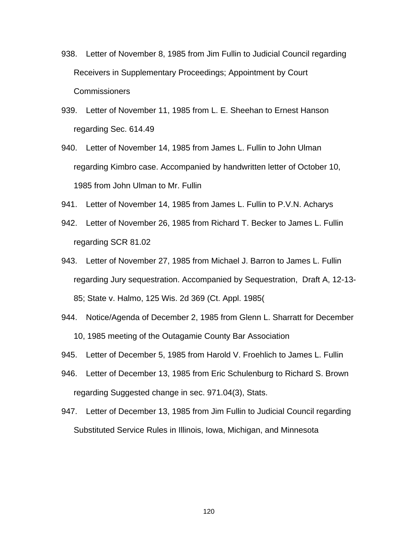- 938. Letter of November 8, 1985 from Jim Fullin to Judicial Council regarding Receivers in Supplementary Proceedings; Appointment by Court **Commissioners**
- 939. Letter of November 11, 1985 from L. E. Sheehan to Ernest Hanson regarding Sec. 614.49
- 940. Letter of November 14, 1985 from James L. Fullin to John Ulman regarding Kimbro case. Accompanied by handwritten letter of October 10, 1985 from John Ulman to Mr. Fullin
- 941. Letter of November 14, 1985 from James L. Fullin to P.V.N. Acharys
- 942. Letter of November 26, 1985 from Richard T. Becker to James L. Fullin regarding SCR 81.02
- 943. Letter of November 27, 1985 from Michael J. Barron to James L. Fullin regarding Jury sequestration. Accompanied by Sequestration, Draft A, 12-13- 85; State v. Halmo, 125 Wis. 2d 369 (Ct. Appl. 1985(
- 944. Notice/Agenda of December 2, 1985 from Glenn L. Sharratt for December 10, 1985 meeting of the Outagamie County Bar Association
- 945. Letter of December 5, 1985 from Harold V. Froehlich to James L. Fullin
- 946. Letter of December 13, 1985 from Eric Schulenburg to Richard S. Brown regarding Suggested change in sec. 971.04(3), Stats.
- 947. Letter of December 13, 1985 from Jim Fullin to Judicial Council regarding Substituted Service Rules in Illinois, Iowa, Michigan, and Minnesota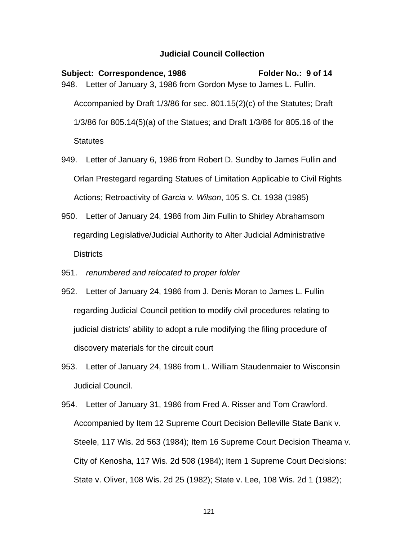Subject: Correspondence, 1986 Folder No.: 9 of 14 948. Letter of January 3, 1986 from Gordon Myse to James L. Fullin. Accompanied by Draft 1/3/86 for sec. 801.15(2)(c) of the Statutes; Draft 1/3/86 for 805.14(5)(a) of the Statues; and Draft 1/3/86 for 805.16 of the **Statutes** 

949. Letter of January 6, 1986 from Robert D. Sundby to James Fullin and Orlan Prestegard regarding Statues of Limitation Applicable to Civil Rights Actions; Retroactivity of *Garcia v. Wilson*, 105 S. Ct. 1938 (1985)

- 950. Letter of January 24, 1986 from Jim Fullin to Shirley Abrahamsom regarding Legislative/Judicial Authority to Alter Judicial Administrative Districts
- 951. *renumbered and relocated to proper folder*
- 952. Letter of January 24, 1986 from J. Denis Moran to James L. Fullin regarding Judicial Council petition to modify civil procedures relating to judicial districts' ability to adopt a rule modifying the filing procedure of discovery materials for the circuit court
- 953. Letter of January 24, 1986 from L. William Staudenmaier to Wisconsin Judicial Council.
- 954. Letter of January 31, 1986 from Fred A. Risser and Tom Crawford. Accompanied by Item 12 Supreme Court Decision Belleville State Bank v. Steele, 117 Wis. 2d 563 (1984); Item 16 Supreme Court Decision Theama v. City of Kenosha, 117 Wis. 2d 508 (1984); Item 1 Supreme Court Decisions: State v. Oliver, 108 Wis. 2d 25 (1982); State v. Lee, 108 Wis. 2d 1 (1982);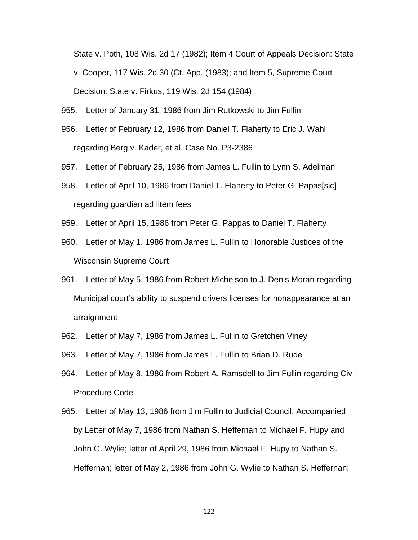State v. Poth, 108 Wis. 2d 17 (1982); Item 4 Court of Appeals Decision: State v. Cooper, 117 Wis. 2d 30 (Ct. App. (1983); and Item 5, Supreme Court Decision: State v. Firkus, 119 Wis. 2d 154 (1984)

- 955. Letter of January 31, 1986 from Jim Rutkowski to Jim Fullin
- 956. Letter of February 12, 1986 from Daniel T. Flaherty to Eric J. Wahl regarding Berg v. Kader, et al. Case No. P3-2386
- 957. Letter of February 25, 1986 from James L. Fullin to Lynn S. Adelman
- 958. Letter of April 10, 1986 from Daniel T. Flaherty to Peter G. Papas[sic] regarding guardian ad litem fees
- 959. Letter of April 15, 1986 from Peter G. Pappas to Daniel T. Flaherty
- 960. Letter of May 1, 1986 from James L. Fullin to Honorable Justices of the Wisconsin Supreme Court
- 961. Letter of May 5, 1986 from Robert Michelson to J. Denis Moran regarding Municipal court's ability to suspend drivers licenses for nonappearance at an arraignment
- 962. Letter of May 7, 1986 from James L. Fullin to Gretchen Viney
- 963. Letter of May 7, 1986 from James L. Fullin to Brian D. Rude
- 964. Letter of May 8, 1986 from Robert A. Ramsdell to Jim Fullin regarding Civil Procedure Code
- 965. Letter of May 13, 1986 from Jim Fullin to Judicial Council. Accompanied by Letter of May 7, 1986 from Nathan S. Heffernan to Michael F. Hupy and John G. Wylie; letter of April 29, 1986 from Michael F. Hupy to Nathan S. Heffernan; letter of May 2, 1986 from John G. Wylie to Nathan S. Heffernan;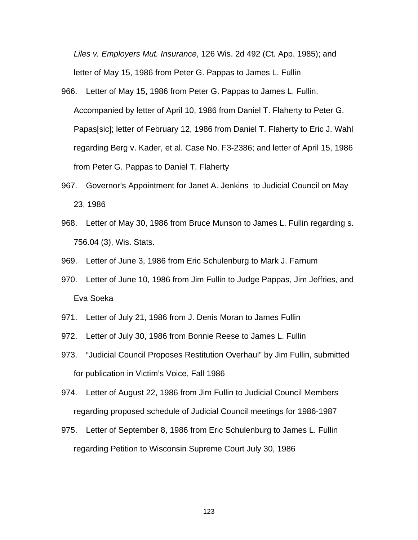*Liles v. Employers Mut. Insurance*, 126 Wis. 2d 492 (Ct. App. 1985); and letter of May 15, 1986 from Peter G. Pappas to James L. Fullin

- 966. Letter of May 15, 1986 from Peter G. Pappas to James L. Fullin. Accompanied by letter of April 10, 1986 from Daniel T. Flaherty to Peter G. Papas[sic]; letter of February 12, 1986 from Daniel T. Flaherty to Eric J. Wahl regarding Berg v. Kader, et al. Case No. F3-2386; and letter of April 15, 1986 from Peter G. Pappas to Daniel T. Flaherty
- 967. Governor's Appointment for Janet A. Jenkins to Judicial Council on May 23, 1986
- 968. Letter of May 30, 1986 from Bruce Munson to James L. Fullin regarding s. 756.04 (3), Wis. Stats.
- 969. Letter of June 3, 1986 from Eric Schulenburg to Mark J. Farnum
- 970. Letter of June 10, 1986 from Jim Fullin to Judge Pappas, Jim Jeffries, and Eva Soeka
- 971. Letter of July 21, 1986 from J. Denis Moran to James Fullin
- 972. Letter of July 30, 1986 from Bonnie Reese to James L. Fullin
- 973. "Judicial Council Proposes Restitution Overhaul" by Jim Fullin, submitted for publication in Victim's Voice, Fall 1986
- 974. Letter of August 22, 1986 from Jim Fullin to Judicial Council Members regarding proposed schedule of Judicial Council meetings for 1986-1987
- 975. Letter of September 8, 1986 from Eric Schulenburg to James L. Fullin regarding Petition to Wisconsin Supreme Court July 30, 1986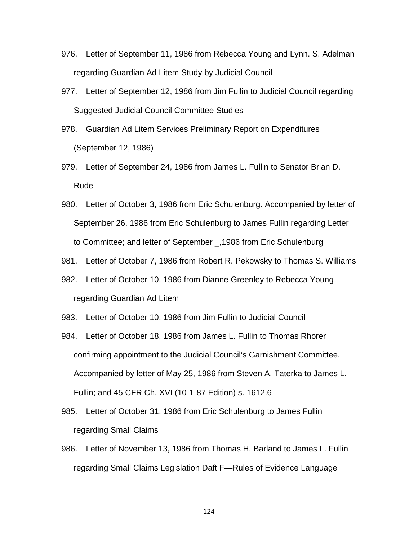- 976. Letter of September 11, 1986 from Rebecca Young and Lynn. S. Adelman regarding Guardian Ad Litem Study by Judicial Council
- 977. Letter of September 12, 1986 from Jim Fullin to Judicial Council regarding Suggested Judicial Council Committee Studies
- 978. Guardian Ad Litem Services Preliminary Report on Expenditures (September 12, 1986)
- 979. Letter of September 24, 1986 from James L. Fullin to Senator Brian D. Rude
- 980. Letter of October 3, 1986 from Eric Schulenburg. Accompanied by letter of September 26, 1986 from Eric Schulenburg to James Fullin regarding Letter to Committee; and letter of September \_,1986 from Eric Schulenburg
- 981. Letter of October 7, 1986 from Robert R. Pekowsky to Thomas S. Williams
- 982. Letter of October 10, 1986 from Dianne Greenley to Rebecca Young regarding Guardian Ad Litem
- 983. Letter of October 10, 1986 from Jim Fullin to Judicial Council
- 984. Letter of October 18, 1986 from James L. Fullin to Thomas Rhorer confirming appointment to the Judicial Council's Garnishment Committee. Accompanied by letter of May 25, 1986 from Steven A. Taterka to James L. Fullin; and 45 CFR Ch. XVI (10-1-87 Edition) s. 1612.6
- 985. Letter of October 31, 1986 from Eric Schulenburg to James Fullin regarding Small Claims
- 986. Letter of November 13, 1986 from Thomas H. Barland to James L. Fullin regarding Small Claims Legislation Daft F—Rules of Evidence Language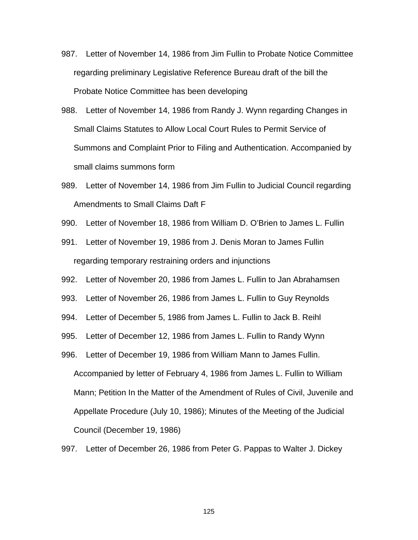- 987. Letter of November 14, 1986 from Jim Fullin to Probate Notice Committee regarding preliminary Legislative Reference Bureau draft of the bill the Probate Notice Committee has been developing
- 988. Letter of November 14, 1986 from Randy J. Wynn regarding Changes in Small Claims Statutes to Allow Local Court Rules to Permit Service of Summons and Complaint Prior to Filing and Authentication. Accompanied by small claims summons form
- 989. Letter of November 14, 1986 from Jim Fullin to Judicial Council regarding Amendments to Small Claims Daft F
- 990. Letter of November 18, 1986 from William D. O'Brien to James L. Fullin
- 991. Letter of November 19, 1986 from J. Denis Moran to James Fullin regarding temporary restraining orders and injunctions
- 992. Letter of November 20, 1986 from James L. Fullin to Jan Abrahamsen
- 993. Letter of November 26, 1986 from James L. Fullin to Guy Reynolds
- 994. Letter of December 5, 1986 from James L. Fullin to Jack B. Reihl
- 995. Letter of December 12, 1986 from James L. Fullin to Randy Wynn
- 996. Letter of December 19, 1986 from William Mann to James Fullin. Accompanied by letter of February 4, 1986 from James L. Fullin to William Mann; Petition In the Matter of the Amendment of Rules of Civil, Juvenile and Appellate Procedure (July 10, 1986); Minutes of the Meeting of the Judicial Council (December 19, 1986)
- 997. Letter of December 26, 1986 from Peter G. Pappas to Walter J. Dickey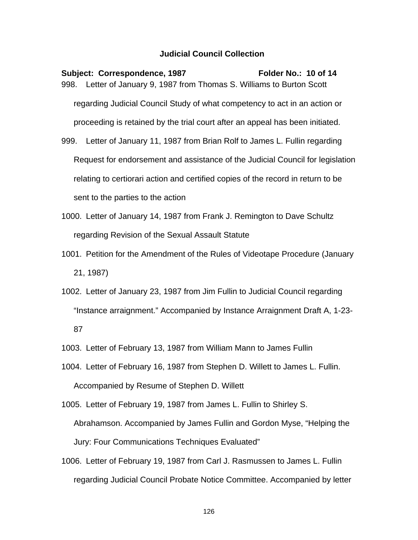Subject: Correspondence, 1987 Folder No.: 10 of 14 998. Letter of January 9, 1987 from Thomas S. Williams to Burton Scott regarding Judicial Council Study of what competency to act in an action or proceeding is retained by the trial court after an appeal has been initiated. 999. Letter of January 11, 1987 from Brian Rolf to James L. Fullin regarding Request for endorsement and assistance of the Judicial Council for legislation

relating to certiorari action and certified copies of the record in return to be sent to the parties to the action

1000. Letter of January 14, 1987 from Frank J. Remington to Dave Schultz regarding Revision of the Sexual Assault Statute

1001. Petition for the Amendment of the Rules of Videotape Procedure (January 21, 1987)

1002. Letter of January 23, 1987 from Jim Fullin to Judicial Council regarding "Instance arraignment." Accompanied by Instance Arraignment Draft A, 1-23- 87

1003. Letter of February 13, 1987 from William Mann to James Fullin

1004. Letter of February 16, 1987 from Stephen D. Willett to James L. Fullin. Accompanied by Resume of Stephen D. Willett

1005. Letter of February 19, 1987 from James L. Fullin to Shirley S. Abrahamson. Accompanied by James Fullin and Gordon Myse, "Helping the Jury: Four Communications Techniques Evaluated"

1006. Letter of February 19, 1987 from Carl J. Rasmussen to James L. Fullin regarding Judicial Council Probate Notice Committee. Accompanied by letter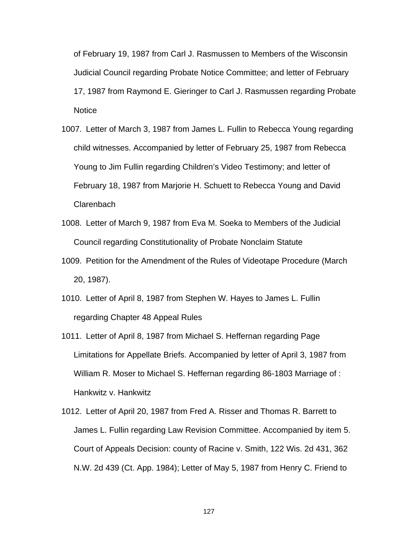of February 19, 1987 from Carl J. Rasmussen to Members of the Wisconsin Judicial Council regarding Probate Notice Committee; and letter of February 17, 1987 from Raymond E. Gieringer to Carl J. Rasmussen regarding Probate **Notice** 

- 1007. Letter of March 3, 1987 from James L. Fullin to Rebecca Young regarding child witnesses. Accompanied by letter of February 25, 1987 from Rebecca Young to Jim Fullin regarding Children's Video Testimony; and letter of February 18, 1987 from Marjorie H. Schuett to Rebecca Young and David **Clarenbach**
- 1008. Letter of March 9, 1987 from Eva M. Soeka to Members of the Judicial Council regarding Constitutionality of Probate Nonclaim Statute
- 1009. Petition for the Amendment of the Rules of Videotape Procedure (March 20, 1987).
- 1010. Letter of April 8, 1987 from Stephen W. Hayes to James L. Fullin regarding Chapter 48 Appeal Rules
- 1011. Letter of April 8, 1987 from Michael S. Heffernan regarding Page Limitations for Appellate Briefs. Accompanied by letter of April 3, 1987 from William R. Moser to Michael S. Heffernan regarding 86-1803 Marriage of : Hankwitz v. Hankwitz
- 1012. Letter of April 20, 1987 from Fred A. Risser and Thomas R. Barrett to James L. Fullin regarding Law Revision Committee. Accompanied by item 5. Court of Appeals Decision: county of Racine v. Smith, 122 Wis. 2d 431, 362 N.W. 2d 439 (Ct. App. 1984); Letter of May 5, 1987 from Henry C. Friend to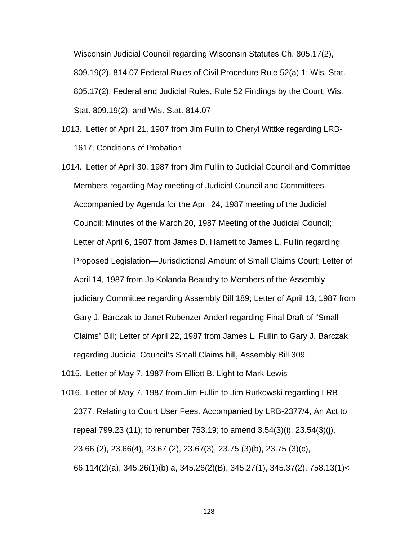Wisconsin Judicial Council regarding Wisconsin Statutes Ch. 805.17(2), 809.19(2), 814.07 Federal Rules of Civil Procedure Rule 52(a) 1; Wis. Stat. 805.17(2); Federal and Judicial Rules, Rule 52 Findings by the Court; Wis. Stat. 809.19(2); and Wis. Stat. 814.07

- 1013. Letter of April 21, 1987 from Jim Fullin to Cheryl Wittke regarding LRB-1617, Conditions of Probation
- 1014. Letter of April 30, 1987 from Jim Fullin to Judicial Council and Committee Members regarding May meeting of Judicial Council and Committees. Accompanied by Agenda for the April 24, 1987 meeting of the Judicial Council; Minutes of the March 20, 1987 Meeting of the Judicial Council;; Letter of April 6, 1987 from James D. Harnett to James L. Fullin regarding Proposed Legislation—Jurisdictional Amount of Small Claims Court; Letter of April 14, 1987 from Jo Kolanda Beaudry to Members of the Assembly judiciary Committee regarding Assembly Bill 189; Letter of April 13, 1987 from Gary J. Barczak to Janet Rubenzer Anderl regarding Final Draft of "Small Claims" Bill; Letter of April 22, 1987 from James L. Fullin to Gary J. Barczak regarding Judicial Council's Small Claims bill, Assembly Bill 309

1015. Letter of May 7, 1987 from Elliott B. Light to Mark Lewis

1016. Letter of May 7, 1987 from Jim Fullin to Jim Rutkowski regarding LRB-2377, Relating to Court User Fees. Accompanied by LRB-2377/4, An Act to repeal 799.23 (11); to renumber 753.19; to amend 3.54(3)(i), 23.54(3)(j), 23.66 (2), 23.66(4), 23.67 (2), 23.67(3), 23.75 (3)(b), 23.75 (3)(c), 66.114(2)(a), 345.26(1)(b) a, 345.26(2)(B), 345.27(1), 345.37(2), 758.13(1)<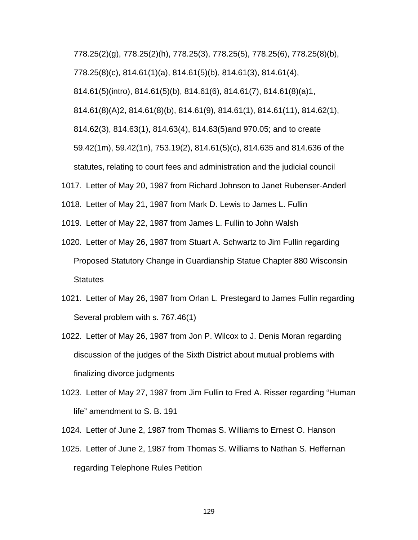778.25(2)(g), 778.25(2)(h), 778.25(3), 778.25(5), 778.25(6), 778.25(8)(b), 778.25(8)(c), 814.61(1)(a), 814.61(5)(b), 814.61(3), 814.61(4), 814.61(5)(intro), 814.61(5)(b), 814.61(6), 814.61(7), 814.61(8)(a)1, 814.61(8)(A)2, 814.61(8)(b), 814.61(9), 814.61(1), 814.61(11), 814.62(1), 814.62(3), 814.63(1), 814.63(4), 814.63(5)and 970.05; and to create 59.42(1m), 59.42(1n), 753.19(2), 814.61(5)(c), 814.635 and 814.636 of the statutes, relating to court fees and administration and the judicial council

1017. Letter of May 20, 1987 from Richard Johnson to Janet Rubenser-Anderl

1018. Letter of May 21, 1987 from Mark D. Lewis to James L. Fullin

- 1019. Letter of May 22, 1987 from James L. Fullin to John Walsh
- 1020. Letter of May 26, 1987 from Stuart A. Schwartz to Jim Fullin regarding Proposed Statutory Change in Guardianship Statue Chapter 880 Wisconsin **Statutes**
- 1021. Letter of May 26, 1987 from Orlan L. Prestegard to James Fullin regarding Several problem with s. 767.46(1)
- 1022. Letter of May 26, 1987 from Jon P. Wilcox to J. Denis Moran regarding discussion of the judges of the Sixth District about mutual problems with finalizing divorce judgments
- 1023. Letter of May 27, 1987 from Jim Fullin to Fred A. Risser regarding "Human life" amendment to S. B. 191

1024. Letter of June 2, 1987 from Thomas S. Williams to Ernest O. Hanson

1025. Letter of June 2, 1987 from Thomas S. Williams to Nathan S. Heffernan regarding Telephone Rules Petition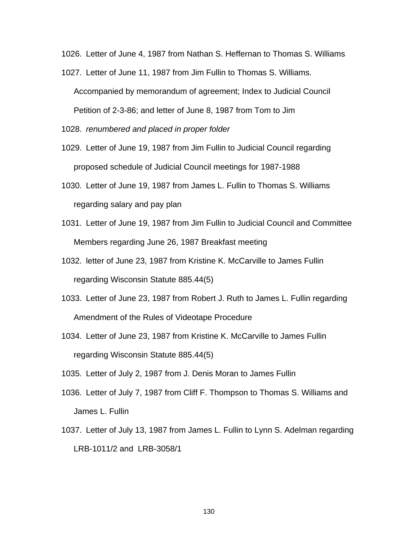1026. Letter of June 4, 1987 from Nathan S. Heffernan to Thomas S. Williams

1027. Letter of June 11, 1987 from Jim Fullin to Thomas S. Williams. Accompanied by memorandum of agreement; Index to Judicial Council Petition of 2-3-86; and letter of June 8, 1987 from Tom to Jim

1028. *renumbered and placed in proper folder*

- 1029. Letter of June 19, 1987 from Jim Fullin to Judicial Council regarding proposed schedule of Judicial Council meetings for 1987-1988
- 1030. Letter of June 19, 1987 from James L. Fullin to Thomas S. Williams regarding salary and pay plan
- 1031. Letter of June 19, 1987 from Jim Fullin to Judicial Council and Committee Members regarding June 26, 1987 Breakfast meeting
- 1032. letter of June 23, 1987 from Kristine K. McCarville to James Fullin regarding Wisconsin Statute 885.44(5)
- 1033. Letter of June 23, 1987 from Robert J. Ruth to James L. Fullin regarding Amendment of the Rules of Videotape Procedure
- 1034. Letter of June 23, 1987 from Kristine K. McCarville to James Fullin regarding Wisconsin Statute 885.44(5)

1035. Letter of July 2, 1987 from J. Denis Moran to James Fullin

- 1036. Letter of July 7, 1987 from Cliff F. Thompson to Thomas S. Williams and James L. Fullin
- 1037. Letter of July 13, 1987 from James L. Fullin to Lynn S. Adelman regarding LRB-1011/2 and LRB-3058/1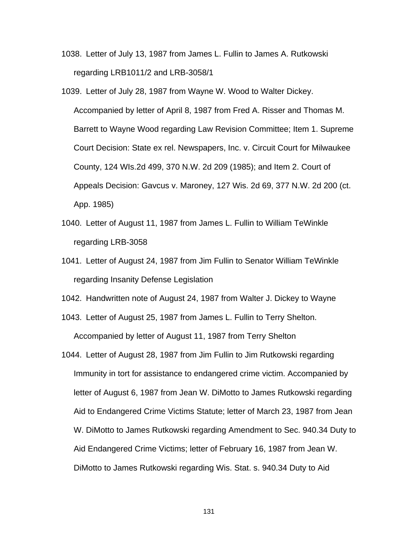- 1038. Letter of July 13, 1987 from James L. Fullin to James A. Rutkowski regarding LRB1011/2 and LRB-3058/1
- 1039. Letter of July 28, 1987 from Wayne W. Wood to Walter Dickey. Accompanied by letter of April 8, 1987 from Fred A. Risser and Thomas M. Barrett to Wayne Wood regarding Law Revision Committee; Item 1. Supreme Court Decision: State ex rel. Newspapers, Inc. v. Circuit Court for Milwaukee County, 124 WIs.2d 499, 370 N.W. 2d 209 (1985); and Item 2. Court of Appeals Decision: Gavcus v. Maroney, 127 Wis. 2d 69, 377 N.W. 2d 200 (ct. App. 1985)
- 1040. Letter of August 11, 1987 from James L. Fullin to William TeWinkle regarding LRB-3058
- 1041. Letter of August 24, 1987 from Jim Fullin to Senator William TeWinkle regarding Insanity Defense Legislation
- 1042. Handwritten note of August 24, 1987 from Walter J. Dickey to Wayne
- 1043. Letter of August 25, 1987 from James L. Fullin to Terry Shelton. Accompanied by letter of August 11, 1987 from Terry Shelton
- 1044. Letter of August 28, 1987 from Jim Fullin to Jim Rutkowski regarding Immunity in tort for assistance to endangered crime victim. Accompanied by letter of August 6, 1987 from Jean W. DiMotto to James Rutkowski regarding Aid to Endangered Crime Victims Statute; letter of March 23, 1987 from Jean W. DiMotto to James Rutkowski regarding Amendment to Sec. 940.34 Duty to Aid Endangered Crime Victims; letter of February 16, 1987 from Jean W. DiMotto to James Rutkowski regarding Wis. Stat. s. 940.34 Duty to Aid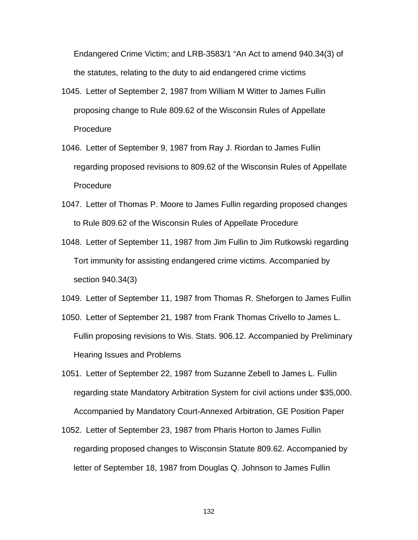Endangered Crime Victim; and LRB-3583/1 "An Act to amend 940.34(3) of the statutes, relating to the duty to aid endangered crime victims

- 1045. Letter of September 2, 1987 from William M Witter to James Fullin proposing change to Rule 809.62 of the Wisconsin Rules of Appellate **Procedure**
- 1046. Letter of September 9, 1987 from Ray J. Riordan to James Fullin regarding proposed revisions to 809.62 of the Wisconsin Rules of Appellate Procedure
- 1047. Letter of Thomas P. Moore to James Fullin regarding proposed changes to Rule 809.62 of the Wisconsin Rules of Appellate Procedure
- 1048. Letter of September 11, 1987 from Jim Fullin to Jim Rutkowski regarding Tort immunity for assisting endangered crime victims. Accompanied by section 940.34(3)

1049. Letter of September 11, 1987 from Thomas R. Sheforgen to James Fullin

- 1050. Letter of September 21, 1987 from Frank Thomas Crivello to James L. Fullin proposing revisions to Wis. Stats. 906.12. Accompanied by Preliminary Hearing Issues and Problems
- 1051. Letter of September 22, 1987 from Suzanne Zebell to James L. Fullin regarding state Mandatory Arbitration System for civil actions under \$35,000. Accompanied by Mandatory Court-Annexed Arbitration, GE Position Paper
- 1052. Letter of September 23, 1987 from Pharis Horton to James Fullin regarding proposed changes to Wisconsin Statute 809.62. Accompanied by letter of September 18, 1987 from Douglas Q. Johnson to James Fullin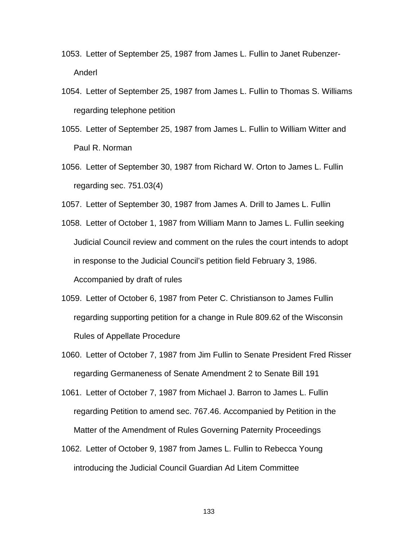- 1053. Letter of September 25, 1987 from James L. Fullin to Janet Rubenzer-Anderl
- 1054. Letter of September 25, 1987 from James L. Fullin to Thomas S. Williams regarding telephone petition
- 1055. Letter of September 25, 1987 from James L. Fullin to William Witter and Paul R. Norman
- 1056. Letter of September 30, 1987 from Richard W. Orton to James L. Fullin regarding sec. 751.03(4)
- 1057. Letter of September 30, 1987 from James A. Drill to James L. Fullin
- 1058. Letter of October 1, 1987 from William Mann to James L. Fullin seeking Judicial Council review and comment on the rules the court intends to adopt in response to the Judicial Council's petition field February 3, 1986. Accompanied by draft of rules
- 1059. Letter of October 6, 1987 from Peter C. Christianson to James Fullin regarding supporting petition for a change in Rule 809.62 of the Wisconsin Rules of Appellate Procedure
- 1060. Letter of October 7, 1987 from Jim Fullin to Senate President Fred Risser regarding Germaneness of Senate Amendment 2 to Senate Bill 191
- 1061. Letter of October 7, 1987 from Michael J. Barron to James L. Fullin regarding Petition to amend sec. 767.46. Accompanied by Petition in the Matter of the Amendment of Rules Governing Paternity Proceedings
- 1062. Letter of October 9, 1987 from James L. Fullin to Rebecca Young introducing the Judicial Council Guardian Ad Litem Committee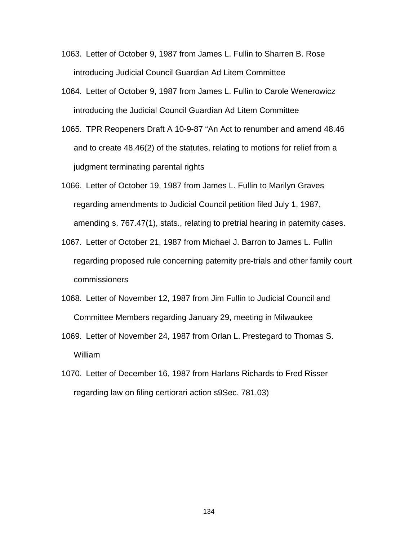- 1063. Letter of October 9, 1987 from James L. Fullin to Sharren B. Rose introducing Judicial Council Guardian Ad Litem Committee
- 1064. Letter of October 9, 1987 from James L. Fullin to Carole Wenerowicz introducing the Judicial Council Guardian Ad Litem Committee
- 1065. TPR Reopeners Draft A 10-9-87 "An Act to renumber and amend 48.46 and to create 48.46(2) of the statutes, relating to motions for relief from a judgment terminating parental rights
- 1066. Letter of October 19, 1987 from James L. Fullin to Marilyn Graves regarding amendments to Judicial Council petition filed July 1, 1987, amending s. 767.47(1), stats., relating to pretrial hearing in paternity cases.
- 1067. Letter of October 21, 1987 from Michael J. Barron to James L. Fullin regarding proposed rule concerning paternity pre-trials and other family court commissioners
- 1068. Letter of November 12, 1987 from Jim Fullin to Judicial Council and Committee Members regarding January 29, meeting in Milwaukee
- 1069. Letter of November 24, 1987 from Orlan L. Prestegard to Thomas S. William
- 1070. Letter of December 16, 1987 from Harlans Richards to Fred Risser regarding law on filing certiorari action s9Sec. 781.03)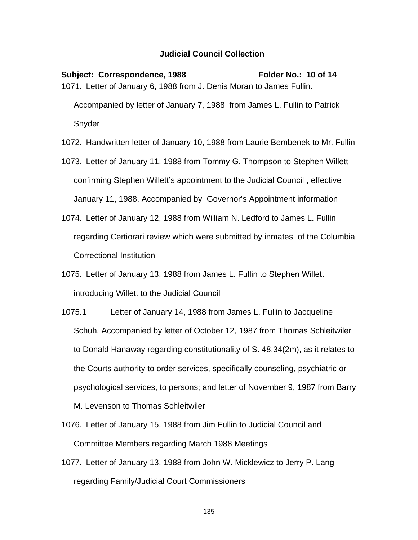Subject: Correspondence, 1988 Folder No.: 10 of 14 1071. Letter of January 6, 1988 from J. Denis Moran to James Fullin. Accompanied by letter of January 7, 1988 from James L. Fullin to Patrick Snyder

1072. Handwritten letter of January 10, 1988 from Laurie Bembenek to Mr. Fullin

- 1073. Letter of January 11, 1988 from Tommy G. Thompson to Stephen Willett confirming Stephen Willett's appointment to the Judicial Council , effective January 11, 1988. Accompanied by Governor's Appointment information
- 1074. Letter of January 12, 1988 from William N. Ledford to James L. Fullin regarding Certiorari review which were submitted by inmates of the Columbia Correctional Institution
- 1075. Letter of January 13, 1988 from James L. Fullin to Stephen Willett introducing Willett to the Judicial Council
- 1075.1 Letter of January 14, 1988 from James L. Fullin to Jacqueline Schuh. Accompanied by letter of October 12, 1987 from Thomas Schleitwiler to Donald Hanaway regarding constitutionality of S. 48.34(2m), as it relates to the Courts authority to order services, specifically counseling, psychiatric or psychological services, to persons; and letter of November 9, 1987 from Barry M. Levenson to Thomas Schleitwiler
- 1076. Letter of January 15, 1988 from Jim Fullin to Judicial Council and Committee Members regarding March 1988 Meetings
- 1077. Letter of January 13, 1988 from John W. Micklewicz to Jerry P. Lang regarding Family/Judicial Court Commissioners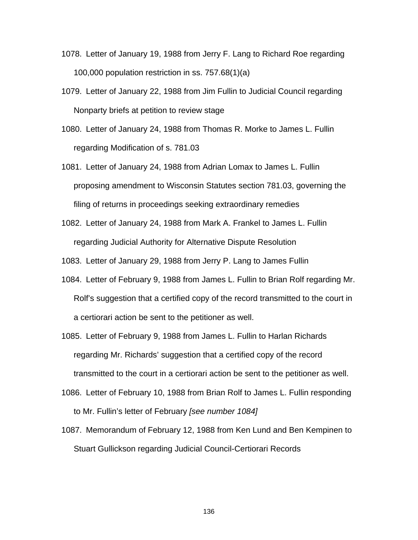- 1078. Letter of January 19, 1988 from Jerry F. Lang to Richard Roe regarding 100,000 population restriction in ss. 757.68(1)(a)
- 1079. Letter of January 22, 1988 from Jim Fullin to Judicial Council regarding Nonparty briefs at petition to review stage
- 1080. Letter of January 24, 1988 from Thomas R. Morke to James L. Fullin regarding Modification of s. 781.03
- 1081. Letter of January 24, 1988 from Adrian Lomax to James L. Fullin proposing amendment to Wisconsin Statutes section 781.03, governing the filing of returns in proceedings seeking extraordinary remedies
- 1082. Letter of January 24, 1988 from Mark A. Frankel to James L. Fullin regarding Judicial Authority for Alternative Dispute Resolution

1083. Letter of January 29, 1988 from Jerry P. Lang to James Fullin

- 1084. Letter of February 9, 1988 from James L. Fullin to Brian Rolf regarding Mr. Rolf's suggestion that a certified copy of the record transmitted to the court in a certiorari action be sent to the petitioner as well.
- 1085. Letter of February 9, 1988 from James L. Fullin to Harlan Richards regarding Mr. Richards' suggestion that a certified copy of the record transmitted to the court in a certiorari action be sent to the petitioner as well.
- 1086. Letter of February 10, 1988 from Brian Rolf to James L. Fullin responding to Mr. Fullin's letter of February *[see number 1084]*
- 1087. Memorandum of February 12, 1988 from Ken Lund and Ben Kempinen to Stuart Gullickson regarding Judicial Council-Certiorari Records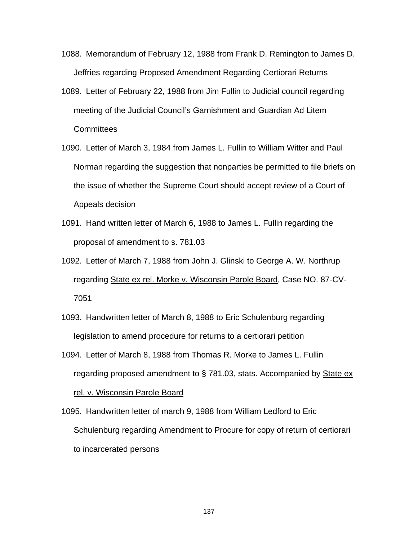- 1088. Memorandum of February 12, 1988 from Frank D. Remington to James D. Jeffries regarding Proposed Amendment Regarding Certiorari Returns
- 1089. Letter of February 22, 1988 from Jim Fullin to Judicial council regarding meeting of the Judicial Council's Garnishment and Guardian Ad Litem **Committees**
- 1090. Letter of March 3, 1984 from James L. Fullin to William Witter and Paul Norman regarding the suggestion that nonparties be permitted to file briefs on the issue of whether the Supreme Court should accept review of a Court of Appeals decision
- 1091. Hand written letter of March 6, 1988 to James L. Fullin regarding the proposal of amendment to s. 781.03
- 1092. Letter of March 7, 1988 from John J. Glinski to George A. W. Northrup regarding State ex rel. Morke v. Wisconsin Parole Board, Case NO. 87-CV-7051
- 1093. Handwritten letter of March 8, 1988 to Eric Schulenburg regarding legislation to amend procedure for returns to a certiorari petition
- 1094. Letter of March 8, 1988 from Thomas R. Morke to James L. Fullin regarding proposed amendment to § 781.03, stats. Accompanied by State ex rel. v. Wisconsin Parole Board
- 1095. Handwritten letter of march 9, 1988 from William Ledford to Eric Schulenburg regarding Amendment to Procure for copy of return of certiorari to incarcerated persons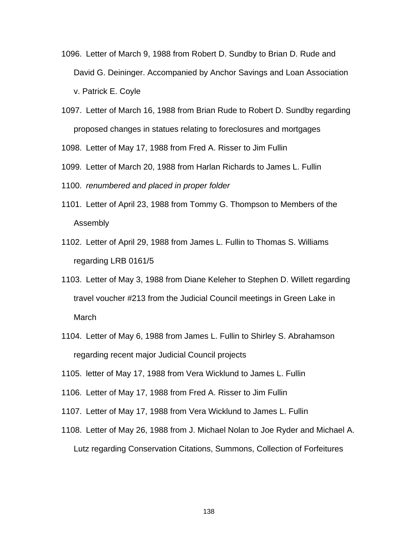- 1096. Letter of March 9, 1988 from Robert D. Sundby to Brian D. Rude and David G. Deininger. Accompanied by Anchor Savings and Loan Association v. Patrick E. Coyle
- 1097. Letter of March 16, 1988 from Brian Rude to Robert D. Sundby regarding proposed changes in statues relating to foreclosures and mortgages

1098. Letter of May 17, 1988 from Fred A. Risser to Jim Fullin

- 1099. Letter of March 20, 1988 from Harlan Richards to James L. Fullin
- 1100. *renumbered and placed in proper folder*
- 1101. Letter of April 23, 1988 from Tommy G. Thompson to Members of the Assembly
- 1102. Letter of April 29, 1988 from James L. Fullin to Thomas S. Williams regarding LRB 0161/5
- 1103. Letter of May 3, 1988 from Diane Keleher to Stephen D. Willett regarding travel voucher #213 from the Judicial Council meetings in Green Lake in March
- 1104. Letter of May 6, 1988 from James L. Fullin to Shirley S. Abrahamson regarding recent major Judicial Council projects
- 1105. letter of May 17, 1988 from Vera Wicklund to James L. Fullin
- 1106. Letter of May 17, 1988 from Fred A. Risser to Jim Fullin
- 1107. Letter of May 17, 1988 from Vera Wicklund to James L. Fullin
- 1108. Letter of May 26, 1988 from J. Michael Nolan to Joe Ryder and Michael A. Lutz regarding Conservation Citations, Summons, Collection of Forfeitures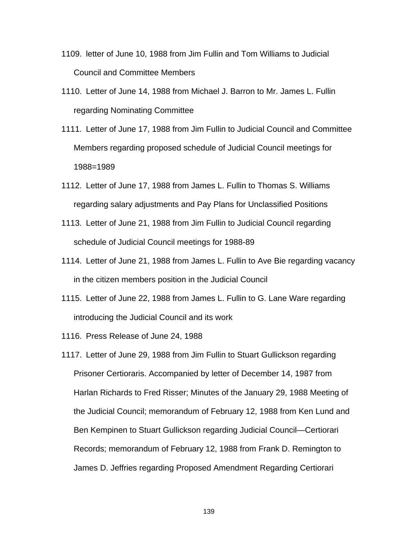- 1109. letter of June 10, 1988 from Jim Fullin and Tom Williams to Judicial Council and Committee Members
- 1110. Letter of June 14, 1988 from Michael J. Barron to Mr. James L. Fullin regarding Nominating Committee
- 1111. Letter of June 17, 1988 from Jim Fullin to Judicial Council and Committee Members regarding proposed schedule of Judicial Council meetings for 1988=1989
- 1112. Letter of June 17, 1988 from James L. Fullin to Thomas S. Williams regarding salary adjustments and Pay Plans for Unclassified Positions
- 1113. Letter of June 21, 1988 from Jim Fullin to Judicial Council regarding schedule of Judicial Council meetings for 1988-89
- 1114. Letter of June 21, 1988 from James L. Fullin to Ave Bie regarding vacancy in the citizen members position in the Judicial Council
- 1115. Letter of June 22, 1988 from James L. Fullin to G. Lane Ware regarding introducing the Judicial Council and its work
- 1116. Press Release of June 24, 1988
- 1117. Letter of June 29, 1988 from Jim Fullin to Stuart Gullickson regarding Prisoner Certioraris. Accompanied by letter of December 14, 1987 from Harlan Richards to Fred Risser; Minutes of the January 29, 1988 Meeting of the Judicial Council; memorandum of February 12, 1988 from Ken Lund and Ben Kempinen to Stuart Gullickson regarding Judicial Council—Certiorari Records; memorandum of February 12, 1988 from Frank D. Remington to James D. Jeffries regarding Proposed Amendment Regarding Certiorari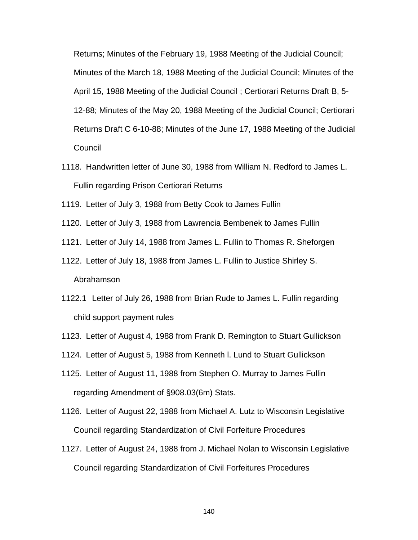Returns; Minutes of the February 19, 1988 Meeting of the Judicial Council; Minutes of the March 18, 1988 Meeting of the Judicial Council; Minutes of the April 15, 1988 Meeting of the Judicial Council ; Certiorari Returns Draft B, 5- 12-88; Minutes of the May 20, 1988 Meeting of the Judicial Council; Certiorari Returns Draft C 6-10-88; Minutes of the June 17, 1988 Meeting of the Judicial Council

- 1118. Handwritten letter of June 30, 1988 from William N. Redford to James L. Fullin regarding Prison Certiorari Returns
- 1119. Letter of July 3, 1988 from Betty Cook to James Fullin
- 1120. Letter of July 3, 1988 from Lawrencia Bembenek to James Fullin
- 1121. Letter of July 14, 1988 from James L. Fullin to Thomas R. Sheforgen
- 1122. Letter of July 18, 1988 from James L. Fullin to Justice Shirley S. Abrahamson
- 1122.1 Letter of July 26, 1988 from Brian Rude to James L. Fullin regarding child support payment rules
- 1123. Letter of August 4, 1988 from Frank D. Remington to Stuart Gullickson
- 1124. Letter of August 5, 1988 from Kenneth l. Lund to Stuart Gullickson
- 1125. Letter of August 11, 1988 from Stephen O. Murray to James Fullin regarding Amendment of §908.03(6m) Stats.
- 1126. Letter of August 22, 1988 from Michael A. Lutz to Wisconsin Legislative Council regarding Standardization of Civil Forfeiture Procedures
- 1127. Letter of August 24, 1988 from J. Michael Nolan to Wisconsin Legislative Council regarding Standardization of Civil Forfeitures Procedures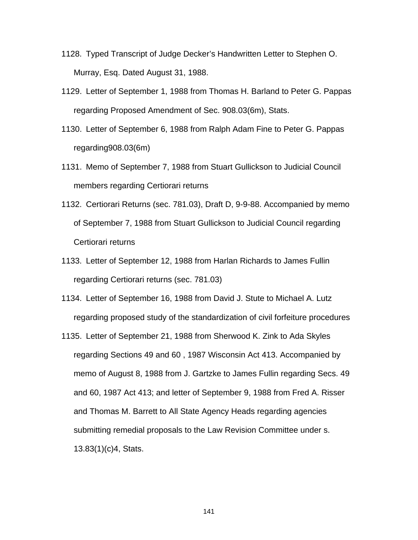- 1128. Typed Transcript of Judge Decker's Handwritten Letter to Stephen O. Murray, Esq. Dated August 31, 1988.
- 1129. Letter of September 1, 1988 from Thomas H. Barland to Peter G. Pappas regarding Proposed Amendment of Sec. 908.03(6m), Stats.
- 1130. Letter of September 6, 1988 from Ralph Adam Fine to Peter G. Pappas regarding908.03(6m)
- 1131. Memo of September 7, 1988 from Stuart Gullickson to Judicial Council members regarding Certiorari returns
- 1132. Certiorari Returns (sec. 781.03), Draft D, 9-9-88. Accompanied by memo of September 7, 1988 from Stuart Gullickson to Judicial Council regarding Certiorari returns
- 1133. Letter of September 12, 1988 from Harlan Richards to James Fullin regarding Certiorari returns (sec. 781.03)
- 1134. Letter of September 16, 1988 from David J. Stute to Michael A. Lutz regarding proposed study of the standardization of civil forfeiture procedures
- 1135. Letter of September 21, 1988 from Sherwood K. Zink to Ada Skyles regarding Sections 49 and 60 , 1987 Wisconsin Act 413. Accompanied by memo of August 8, 1988 from J. Gartzke to James Fullin regarding Secs. 49 and 60, 1987 Act 413; and letter of September 9, 1988 from Fred A. Risser and Thomas M. Barrett to All State Agency Heads regarding agencies submitting remedial proposals to the Law Revision Committee under s. 13.83(1)(c)4, Stats.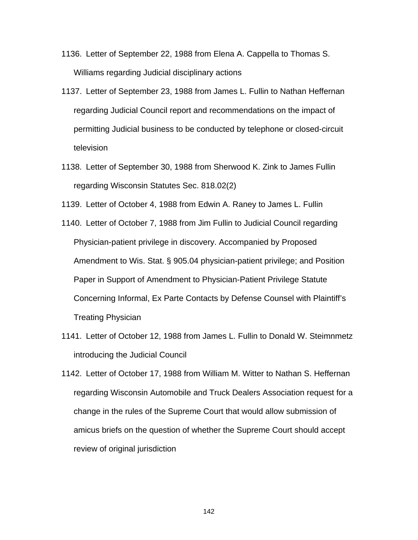- 1136. Letter of September 22, 1988 from Elena A. Cappella to Thomas S. Williams regarding Judicial disciplinary actions
- 1137. Letter of September 23, 1988 from James L. Fullin to Nathan Heffernan regarding Judicial Council report and recommendations on the impact of permitting Judicial business to be conducted by telephone or closed-circuit television
- 1138. Letter of September 30, 1988 from Sherwood K. Zink to James Fullin regarding Wisconsin Statutes Sec. 818.02(2)
- 1139. Letter of October 4, 1988 from Edwin A. Raney to James L. Fullin
- 1140. Letter of October 7, 1988 from Jim Fullin to Judicial Council regarding Physician-patient privilege in discovery. Accompanied by Proposed Amendment to Wis. Stat. § 905.04 physician-patient privilege; and Position Paper in Support of Amendment to Physician-Patient Privilege Statute Concerning Informal, Ex Parte Contacts by Defense Counsel with Plaintiff's Treating Physician
- 1141. Letter of October 12, 1988 from James L. Fullin to Donald W. Steimnmetz introducing the Judicial Council
- 1142. Letter of October 17, 1988 from William M. Witter to Nathan S. Heffernan regarding Wisconsin Automobile and Truck Dealers Association request for a change in the rules of the Supreme Court that would allow submission of amicus briefs on the question of whether the Supreme Court should accept review of original jurisdiction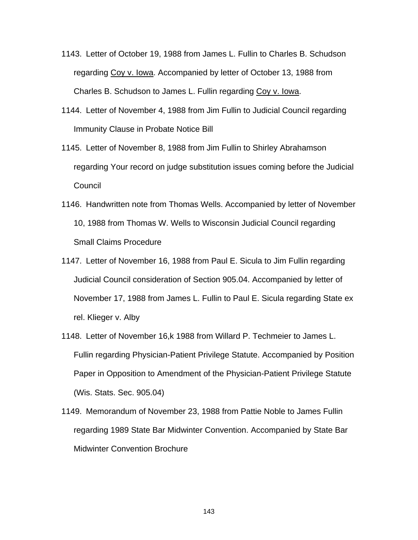- 1143. Letter of October 19, 1988 from James L. Fullin to Charles B. Schudson regarding Coy v. Iowa. Accompanied by letter of October 13, 1988 from Charles B. Schudson to James L. Fullin regarding Coy v. Iowa.
- 1144. Letter of November 4, 1988 from Jim Fullin to Judicial Council regarding Immunity Clause in Probate Notice Bill
- 1145. Letter of November 8, 1988 from Jim Fullin to Shirley Abrahamson regarding Your record on judge substitution issues coming before the Judicial Council
- 1146. Handwritten note from Thomas Wells. Accompanied by letter of November 10, 1988 from Thomas W. Wells to Wisconsin Judicial Council regarding Small Claims Procedure
- 1147. Letter of November 16, 1988 from Paul E. Sicula to Jim Fullin regarding Judicial Council consideration of Section 905.04. Accompanied by letter of November 17, 1988 from James L. Fullin to Paul E. Sicula regarding State ex rel. Klieger v. Alby
- 1148. Letter of November 16,k 1988 from Willard P. Techmeier to James L. Fullin regarding Physician-Patient Privilege Statute. Accompanied by Position Paper in Opposition to Amendment of the Physician-Patient Privilege Statute (Wis. Stats. Sec. 905.04)
- 1149. Memorandum of November 23, 1988 from Pattie Noble to James Fullin regarding 1989 State Bar Midwinter Convention. Accompanied by State Bar Midwinter Convention Brochure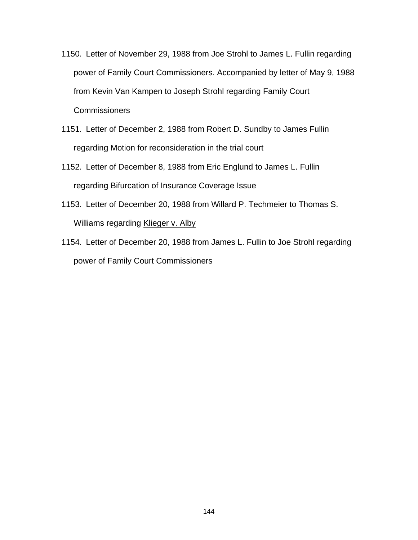- 1150. Letter of November 29, 1988 from Joe Strohl to James L. Fullin regarding power of Family Court Commissioners. Accompanied by letter of May 9, 1988 from Kevin Van Kampen to Joseph Strohl regarding Family Court **Commissioners**
- 1151. Letter of December 2, 1988 from Robert D. Sundby to James Fullin regarding Motion for reconsideration in the trial court
- 1152. Letter of December 8, 1988 from Eric Englund to James L. Fullin regarding Bifurcation of Insurance Coverage Issue
- 1153. Letter of December 20, 1988 from Willard P. Techmeier to Thomas S. Williams regarding Klieger v. Alby
- 1154. Letter of December 20, 1988 from James L. Fullin to Joe Strohl regarding power of Family Court Commissioners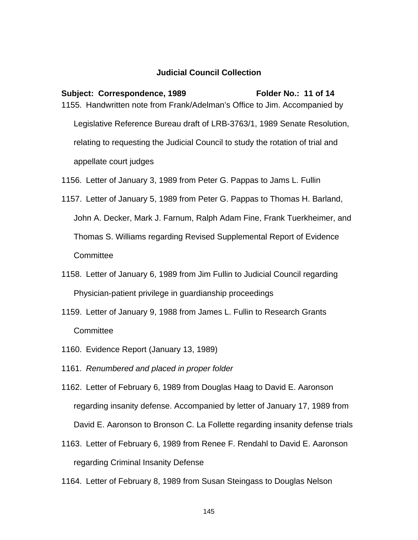## **Judicial Council Collection**

## Subject: Correspondence, 1989 Folder No.: 11 of 14 1155. Handwritten note from Frank/Adelman's Office to Jim. Accompanied by Legislative Reference Bureau draft of LRB-3763/1, 1989 Senate Resolution,

relating to requesting the Judicial Council to study the rotation of trial and

appellate court judges

1156. Letter of January 3, 1989 from Peter G. Pappas to Jams L. Fullin

- 1157. Letter of January 5, 1989 from Peter G. Pappas to Thomas H. Barland, John A. Decker, Mark J. Farnum, Ralph Adam Fine, Frank Tuerkheimer, and Thomas S. Williams regarding Revised Supplemental Report of Evidence **Committee**
- 1158. Letter of January 6, 1989 from Jim Fullin to Judicial Council regarding Physician-patient privilege in guardianship proceedings
- 1159. Letter of January 9, 1988 from James L. Fullin to Research Grants **Committee**
- 1160. Evidence Report (January 13, 1989)
- 1161. *Renumbered and placed in proper folder*
- 1162. Letter of February 6, 1989 from Douglas Haag to David E. Aaronson regarding insanity defense. Accompanied by letter of January 17, 1989 from David E. Aaronson to Bronson C. La Follette regarding insanity defense trials
- 1163. Letter of February 6, 1989 from Renee F. Rendahl to David E. Aaronson regarding Criminal Insanity Defense

1164. Letter of February 8, 1989 from Susan Steingass to Douglas Nelson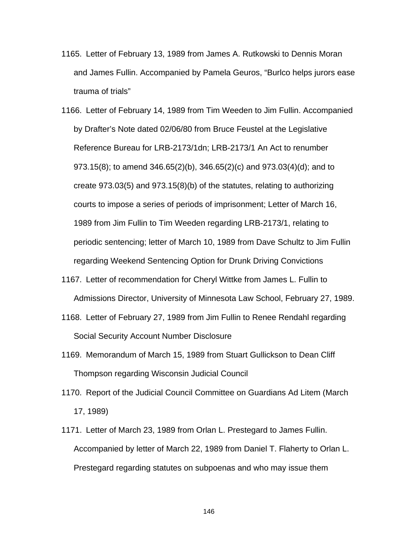- 1165. Letter of February 13, 1989 from James A. Rutkowski to Dennis Moran and James Fullin. Accompanied by Pamela Geuros, "Burlco helps jurors ease trauma of trials"
- 1166. Letter of February 14, 1989 from Tim Weeden to Jim Fullin. Accompanied by Drafter's Note dated 02/06/80 from Bruce Feustel at the Legislative Reference Bureau for LRB-2173/1dn; LRB-2173/1 An Act to renumber 973.15(8); to amend 346.65(2)(b), 346.65(2)(c) and 973.03(4)(d); and to create 973.03(5) and 973.15(8)(b) of the statutes, relating to authorizing courts to impose a series of periods of imprisonment; Letter of March 16, 1989 from Jim Fullin to Tim Weeden regarding LRB-2173/1, relating to periodic sentencing; letter of March 10, 1989 from Dave Schultz to Jim Fullin regarding Weekend Sentencing Option for Drunk Driving Convictions
- 1167. Letter of recommendation for Cheryl Wittke from James L. Fullin to Admissions Director, University of Minnesota Law School, February 27, 1989.
- 1168. Letter of February 27, 1989 from Jim Fullin to Renee Rendahl regarding Social Security Account Number Disclosure
- 1169. Memorandum of March 15, 1989 from Stuart Gullickson to Dean Cliff Thompson regarding Wisconsin Judicial Council
- 1170. Report of the Judicial Council Committee on Guardians Ad Litem (March 17, 1989)
- 1171. Letter of March 23, 1989 from Orlan L. Prestegard to James Fullin. Accompanied by letter of March 22, 1989 from Daniel T. Flaherty to Orlan L. Prestegard regarding statutes on subpoenas and who may issue them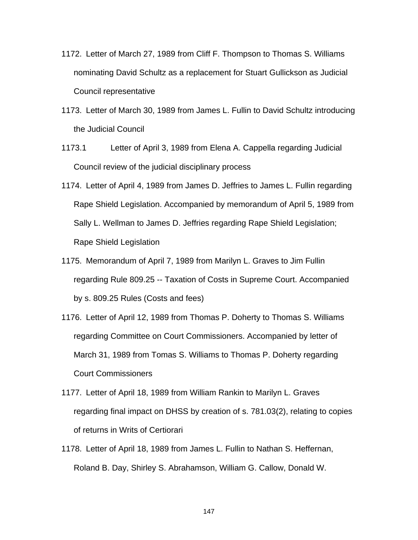- 1172. Letter of March 27, 1989 from Cliff F. Thompson to Thomas S. Williams nominating David Schultz as a replacement for Stuart Gullickson as Judicial Council representative
- 1173. Letter of March 30, 1989 from James L. Fullin to David Schultz introducing the Judicial Council
- 1173.1 Letter of April 3, 1989 from Elena A. Cappella regarding Judicial Council review of the judicial disciplinary process
- 1174. Letter of April 4, 1989 from James D. Jeffries to James L. Fullin regarding Rape Shield Legislation. Accompanied by memorandum of April 5, 1989 from Sally L. Wellman to James D. Jeffries regarding Rape Shield Legislation; Rape Shield Legislation
- 1175. Memorandum of April 7, 1989 from Marilyn L. Graves to Jim Fullin regarding Rule 809.25 -- Taxation of Costs in Supreme Court. Accompanied by s. 809.25 Rules (Costs and fees)
- 1176. Letter of April 12, 1989 from Thomas P. Doherty to Thomas S. Williams regarding Committee on Court Commissioners. Accompanied by letter of March 31, 1989 from Tomas S. Williams to Thomas P. Doherty regarding Court Commissioners
- 1177. Letter of April 18, 1989 from William Rankin to Marilyn L. Graves regarding final impact on DHSS by creation of s. 781.03(2), relating to copies of returns in Writs of Certiorari
- 1178. Letter of April 18, 1989 from James L. Fullin to Nathan S. Heffernan, Roland B. Day, Shirley S. Abrahamson, William G. Callow, Donald W.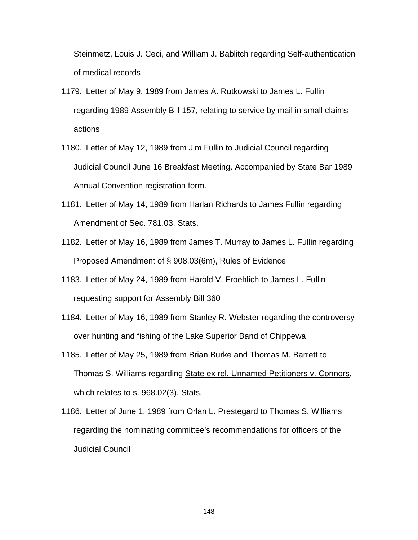Steinmetz, Louis J. Ceci, and William J. Bablitch regarding Self-authentication of medical records

- 1179. Letter of May 9, 1989 from James A. Rutkowski to James L. Fullin regarding 1989 Assembly Bill 157, relating to service by mail in small claims actions
- 1180. Letter of May 12, 1989 from Jim Fullin to Judicial Council regarding Judicial Council June 16 Breakfast Meeting. Accompanied by State Bar 1989 Annual Convention registration form.
- 1181. Letter of May 14, 1989 from Harlan Richards to James Fullin regarding Amendment of Sec. 781.03, Stats.
- 1182. Letter of May 16, 1989 from James T. Murray to James L. Fullin regarding Proposed Amendment of § 908.03(6m), Rules of Evidence
- 1183. Letter of May 24, 1989 from Harold V. Froehlich to James L. Fullin requesting support for Assembly Bill 360
- 1184. Letter of May 16, 1989 from Stanley R. Webster regarding the controversy over hunting and fishing of the Lake Superior Band of Chippewa
- 1185. Letter of May 25, 1989 from Brian Burke and Thomas M. Barrett to Thomas S. Williams regarding State ex rel. Unnamed Petitioners v. Connors, which relates to s. 968.02(3), Stats.
- 1186. Letter of June 1, 1989 from Orlan L. Prestegard to Thomas S. Williams regarding the nominating committee's recommendations for officers of the Judicial Council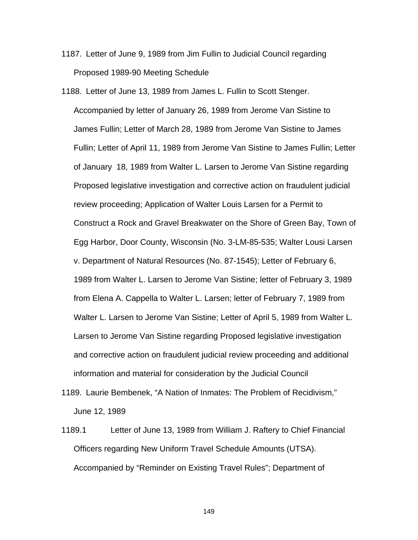- 1187. Letter of June 9, 1989 from Jim Fullin to Judicial Council regarding Proposed 1989-90 Meeting Schedule
- 1188. Letter of June 13, 1989 from James L. Fullin to Scott Stenger. Accompanied by letter of January 26, 1989 from Jerome Van Sistine to James Fullin; Letter of March 28, 1989 from Jerome Van Sistine to James Fullin; Letter of April 11, 1989 from Jerome Van Sistine to James Fullin; Letter of January 18, 1989 from Walter L. Larsen to Jerome Van Sistine regarding Proposed legislative investigation and corrective action on fraudulent judicial review proceeding; Application of Walter Louis Larsen for a Permit to Construct a Rock and Gravel Breakwater on the Shore of Green Bay, Town of Egg Harbor, Door County, Wisconsin (No. 3-LM-85-535; Walter Lousi Larsen v. Department of Natural Resources (No. 87-1545); Letter of February 6, 1989 from Walter L. Larsen to Jerome Van Sistine; letter of February 3, 1989 from Elena A. Cappella to Walter L. Larsen; letter of February 7, 1989 from Walter L. Larsen to Jerome Van Sistine; Letter of April 5, 1989 from Walter L. Larsen to Jerome Van Sistine regarding Proposed legislative investigation and corrective action on fraudulent judicial review proceeding and additional information and material for consideration by the Judicial Council
- 1189. Laurie Bembenek, "A Nation of Inmates: The Problem of Recidivism," June 12, 1989
- 1189.1 Letter of June 13, 1989 from William J. Raftery to Chief Financial Officers regarding New Uniform Travel Schedule Amounts (UTSA). Accompanied by "Reminder on Existing Travel Rules"; Department of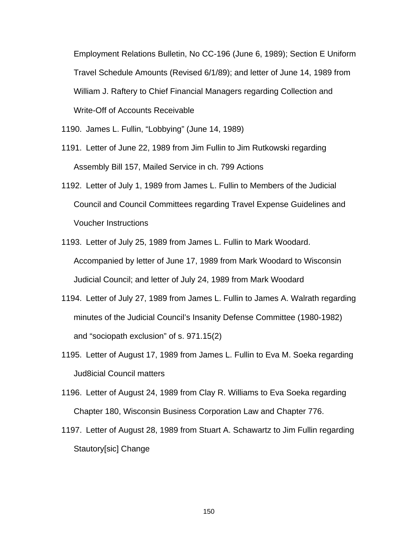Employment Relations Bulletin, No CC-196 (June 6, 1989); Section E Uniform Travel Schedule Amounts (Revised 6/1/89); and letter of June 14, 1989 from William J. Raftery to Chief Financial Managers regarding Collection and Write-Off of Accounts Receivable

- 1190. James L. Fullin, "Lobbying" (June 14, 1989)
- 1191. Letter of June 22, 1989 from Jim Fullin to Jim Rutkowski regarding Assembly Bill 157, Mailed Service in ch. 799 Actions
- 1192. Letter of July 1, 1989 from James L. Fullin to Members of the Judicial Council and Council Committees regarding Travel Expense Guidelines and Voucher Instructions
- 1193. Letter of July 25, 1989 from James L. Fullin to Mark Woodard. Accompanied by letter of June 17, 1989 from Mark Woodard to Wisconsin Judicial Council; and letter of July 24, 1989 from Mark Woodard
- 1194. Letter of July 27, 1989 from James L. Fullin to James A. Walrath regarding minutes of the Judicial Council's Insanity Defense Committee (1980-1982) and "sociopath exclusion" of s. 971.15(2)
- 1195. Letter of August 17, 1989 from James L. Fullin to Eva M. Soeka regarding Jud8icial Council matters
- 1196. Letter of August 24, 1989 from Clay R. Williams to Eva Soeka regarding Chapter 180, Wisconsin Business Corporation Law and Chapter 776.
- 1197. Letter of August 28, 1989 from Stuart A. Schawartz to Jim Fullin regarding Stautory[sic] Change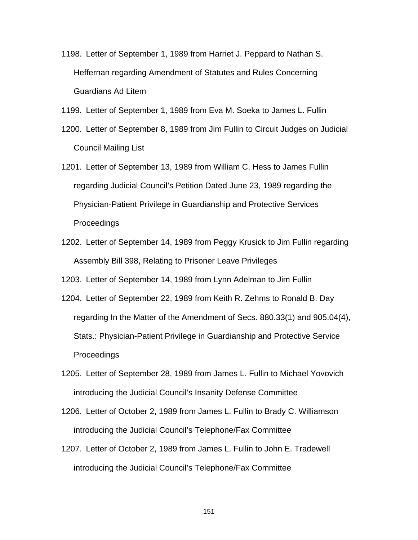- 1198. Letter of September 1, 1989 from Harriet J. Peppard to Nathan S. Heffernan regarding Amendment of Statutes and Rules Concerning Guardians Ad Litem
- 1199. Letter of September 1, 1989 from Eva M. Soeka to James L. Fullin
- 1200. Letter of September 8, 1989 from Jim Fullin to Circuit Judges on Judicial Council Mailing List
- 1201. Letter of September 13, 1989 from William C. Hess to James Fullin regarding Judicial Council's Petition Dated June 23, 1989 regarding the Physician-Patient Privilege in Guardianship and Protective Services **Proceedings**
- 1202. Letter of September 14, 1989 from Peggy Krusick to Jim Fullin regarding Assembly Bill 398, Relating to Prisoner Leave Privileges

1203. Letter of September 14, 1989 from Lynn Adelman to Jim Fullin

- 1204. Letter of September 22, 1989 from Keith R. Zehms to Ronald B. Day regarding In the Matter of the Amendment of Secs. 880.33(1) and 905.04(4), Stats.: Physician-Patient Privilege in Guardianship and Protective Service Proceedings
- 1205. Letter of September 28, 1989 from James L. Fullin to Michael Yovovich introducing the Judicial Council's Insanity Defense Committee
- 1206. Letter of October 2, 1989 from James L. Fullin to Brady C. Williamson introducing the Judicial Council's Telephone/Fax Committee
- 1207. Letter of October 2, 1989 from James L. Fullin to John E. Tradewell introducing the Judicial Council's Telephone/Fax Committee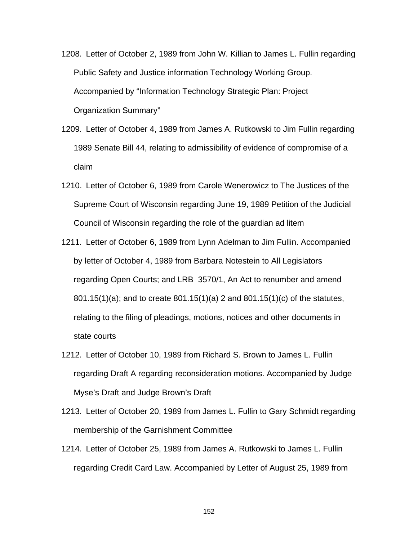- 1208. Letter of October 2, 1989 from John W. Killian to James L. Fullin regarding Public Safety and Justice information Technology Working Group. Accompanied by "Information Technology Strategic Plan: Project Organization Summary"
- 1209. Letter of October 4, 1989 from James A. Rutkowski to Jim Fullin regarding 1989 Senate Bill 44, relating to admissibility of evidence of compromise of a claim
- 1210. Letter of October 6, 1989 from Carole Wenerowicz to The Justices of the Supreme Court of Wisconsin regarding June 19, 1989 Petition of the Judicial Council of Wisconsin regarding the role of the guardian ad litem
- 1211. Letter of October 6, 1989 from Lynn Adelman to Jim Fullin. Accompanied by letter of October 4, 1989 from Barbara Notestein to All Legislators regarding Open Courts; and LRB 3570/1, An Act to renumber and amend 801.15(1)(a); and to create 801.15(1)(a) 2 and 801.15(1)(c) of the statutes, relating to the filing of pleadings, motions, notices and other documents in state courts
- 1212. Letter of October 10, 1989 from Richard S. Brown to James L. Fullin regarding Draft A regarding reconsideration motions. Accompanied by Judge Myse's Draft and Judge Brown's Draft
- 1213. Letter of October 20, 1989 from James L. Fullin to Gary Schmidt regarding membership of the Garnishment Committee
- 1214. Letter of October 25, 1989 from James A. Rutkowski to James L. Fullin regarding Credit Card Law. Accompanied by Letter of August 25, 1989 from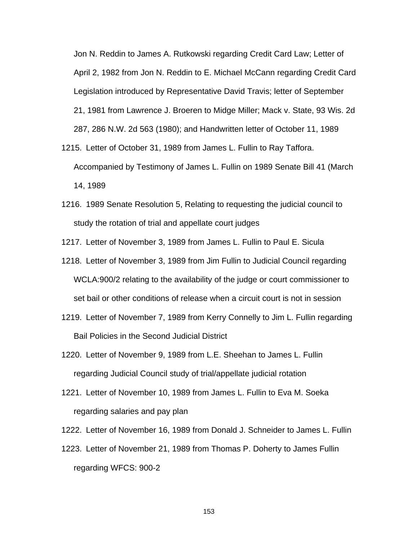Jon N. Reddin to James A. Rutkowski regarding Credit Card Law; Letter of April 2, 1982 from Jon N. Reddin to E. Michael McCann regarding Credit Card Legislation introduced by Representative David Travis; letter of September 21, 1981 from Lawrence J. Broeren to Midge Miller; Mack v. State, 93 Wis. 2d 287, 286 N.W. 2d 563 (1980); and Handwritten letter of October 11, 1989

- 1215. Letter of October 31, 1989 from James L. Fullin to Ray Taffora. Accompanied by Testimony of James L. Fullin on 1989 Senate Bill 41 (March 14, 1989
- 1216. 1989 Senate Resolution 5, Relating to requesting the judicial council to study the rotation of trial and appellate court judges
- 1217. Letter of November 3, 1989 from James L. Fullin to Paul E. Sicula
- 1218. Letter of November 3, 1989 from Jim Fullin to Judicial Council regarding WCLA:900/2 relating to the availability of the judge or court commissioner to set bail or other conditions of release when a circuit court is not in session
- 1219. Letter of November 7, 1989 from Kerry Connelly to Jim L. Fullin regarding Bail Policies in the Second Judicial District
- 1220. Letter of November 9, 1989 from L.E. Sheehan to James L. Fullin regarding Judicial Council study of trial/appellate judicial rotation
- 1221. Letter of November 10, 1989 from James L. Fullin to Eva M. Soeka regarding salaries and pay plan
- 1222. Letter of November 16, 1989 from Donald J. Schneider to James L. Fullin
- 1223. Letter of November 21, 1989 from Thomas P. Doherty to James Fullin regarding WFCS: 900-2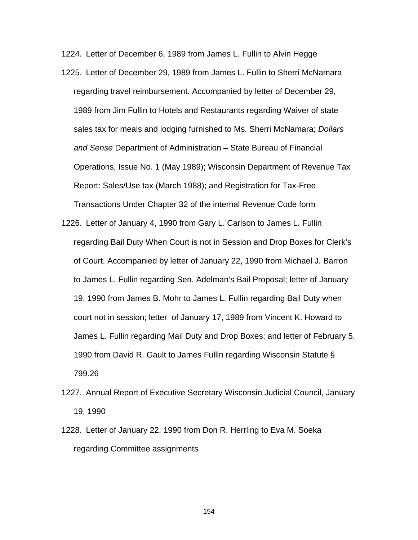1224. Letter of December 6, 1989 from James L. Fullin to Alvin Hegge

- 1225. Letter of December 29, 1989 from James L. Fullin to Sherri McNamara regarding travel reimbursement. Accompanied by letter of December 29, 1989 from Jim Fullin to Hotels and Restaurants regarding Waiver of state sales tax for meals and lodging furnished to Ms. Sherri McNamara; *Dollars and Sense* Department of Administration – State Bureau of Financial Operations, Issue No. 1 (May 1989); Wisconsin Department of Revenue Tax Report: Sales/Use tax (March 1988); and Registration for Tax-Free Transactions Under Chapter 32 of the internal Revenue Code form
- 1226. Letter of January 4, 1990 from Gary L. Carlson to James L. Fullin regarding Bail Duty When Court is not in Session and Drop Boxes for Clerk's of Court. Accompanied by letter of January 22, 1990 from Michael J. Barron to James L. Fullin regarding Sen. Adelman's Bail Proposal; letter of January 19, 1990 from James B. Mohr to James L. Fullin regarding Bail Duty when court not in session; letter of January 17, 1989 from Vincent K. Howard to James L. Fullin regarding Mail Duty and Drop Boxes; and letter of February 5. 1990 from David R. Gault to James Fullin regarding Wisconsin Statute § 799.26
- 1227. Annual Report of Executive Secretary Wisconsin Judicial Council, January 19, 1990
- 1228. Letter of January 22, 1990 from Don R. Herrling to Eva M. Soeka regarding Committee assignments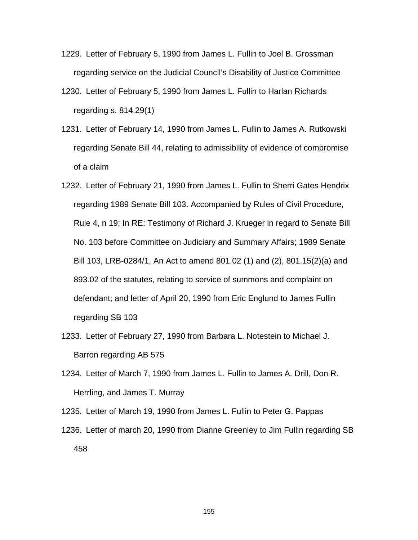- 1229. Letter of February 5, 1990 from James L. Fullin to Joel B. Grossman regarding service on the Judicial Council's Disability of Justice Committee
- 1230. Letter of February 5, 1990 from James L. Fullin to Harlan Richards regarding s. 814.29(1)
- 1231. Letter of February 14, 1990 from James L. Fullin to James A. Rutkowski regarding Senate Bill 44, relating to admissibility of evidence of compromise of a claim
- 1232. Letter of February 21, 1990 from James L. Fullin to Sherri Gates Hendrix regarding 1989 Senate Bill 103. Accompanied by Rules of Civil Procedure, Rule 4, n 19; In RE: Testimony of Richard J. Krueger in regard to Senate Bill No. 103 before Committee on Judiciary and Summary Affairs; 1989 Senate Bill 103, LRB-0284/1, An Act to amend 801.02 (1) and (2), 801.15(2)(a) and 893.02 of the statutes, relating to service of summons and complaint on defendant; and letter of April 20, 1990 from Eric Englund to James Fullin regarding SB 103
- 1233. Letter of February 27, 1990 from Barbara L. Notestein to Michael J. Barron regarding AB 575
- 1234. Letter of March 7, 1990 from James L. Fullin to James A. Drill, Don R. Herrling, and James T. Murray
- 1235. Letter of March 19, 1990 from James L. Fullin to Peter G. Pappas
- 1236. Letter of march 20, 1990 from Dianne Greenley to Jim Fullin regarding SB 458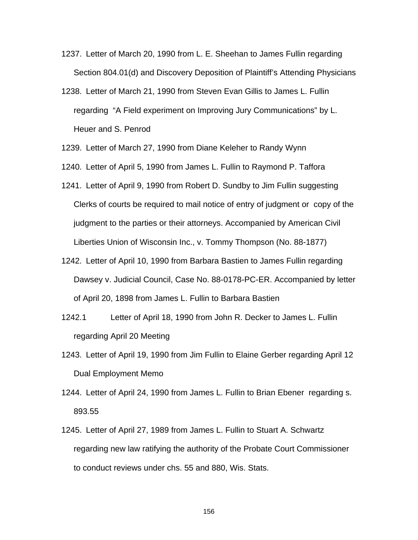- 1237. Letter of March 20, 1990 from L. E. Sheehan to James Fullin regarding Section 804.01(d) and Discovery Deposition of Plaintiff's Attending Physicians
- 1238. Letter of March 21, 1990 from Steven Evan Gillis to James L. Fullin regarding "A Field experiment on Improving Jury Communications" by L. Heuer and S. Penrod
- 1239. Letter of March 27, 1990 from Diane Keleher to Randy Wynn
- 1240. Letter of April 5, 1990 from James L. Fullin to Raymond P. Taffora
- 1241. Letter of April 9, 1990 from Robert D. Sundby to Jim Fullin suggesting Clerks of courts be required to mail notice of entry of judgment or copy of the judgment to the parties or their attorneys. Accompanied by American Civil Liberties Union of Wisconsin Inc., v. Tommy Thompson (No. 88-1877)
- 1242. Letter of April 10, 1990 from Barbara Bastien to James Fullin regarding Dawsey v. Judicial Council, Case No. 88-0178-PC-ER. Accompanied by letter of April 20, 1898 from James L. Fullin to Barbara Bastien
- 1242.1 Letter of April 18, 1990 from John R. Decker to James L. Fullin regarding April 20 Meeting
- 1243. Letter of April 19, 1990 from Jim Fullin to Elaine Gerber regarding April 12 Dual Employment Memo
- 1244. Letter of April 24, 1990 from James L. Fullin to Brian Ebener regarding s. 893.55
- 1245. Letter of April 27, 1989 from James L. Fullin to Stuart A. Schwartz regarding new law ratifying the authority of the Probate Court Commissioner to conduct reviews under chs. 55 and 880, Wis. Stats.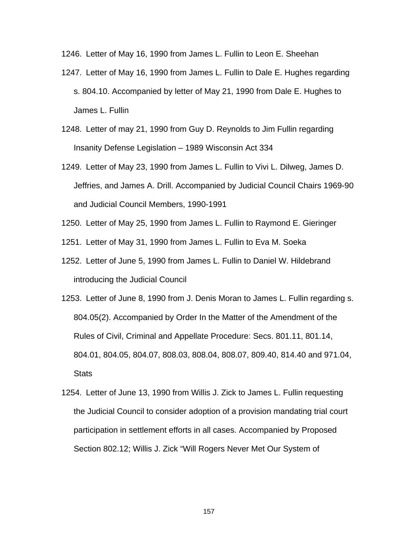1246. Letter of May 16, 1990 from James L. Fullin to Leon E. Sheehan

- 1247. Letter of May 16, 1990 from James L. Fullin to Dale E. Hughes regarding s. 804.10. Accompanied by letter of May 21, 1990 from Dale E. Hughes to James L. Fullin
- 1248. Letter of may 21, 1990 from Guy D. Reynolds to Jim Fullin regarding Insanity Defense Legislation – 1989 Wisconsin Act 334
- 1249. Letter of May 23, 1990 from James L. Fullin to Vivi L. Dilweg, James D. Jeffries, and James A. Drill. Accompanied by Judicial Council Chairs 1969-90 and Judicial Council Members, 1990-1991
- 1250. Letter of May 25, 1990 from James L. Fullin to Raymond E. Gieringer
- 1251. Letter of May 31, 1990 from James L. Fullin to Eva M. Soeka
- 1252. Letter of June 5, 1990 from James L. Fullin to Daniel W. Hildebrand introducing the Judicial Council
- 1253. Letter of June 8, 1990 from J. Denis Moran to James L. Fullin regarding s. 804.05(2). Accompanied by Order In the Matter of the Amendment of the Rules of Civil, Criminal and Appellate Procedure: Secs. 801.11, 801.14, 804.01, 804.05, 804.07, 808.03, 808.04, 808.07, 809.40, 814.40 and 971.04, **Stats**
- 1254. Letter of June 13, 1990 from Willis J. Zick to James L. Fullin requesting the Judicial Council to consider adoption of a provision mandating trial court participation in settlement efforts in all cases. Accompanied by Proposed Section 802.12; Willis J. Zick "Will Rogers Never Met Our System of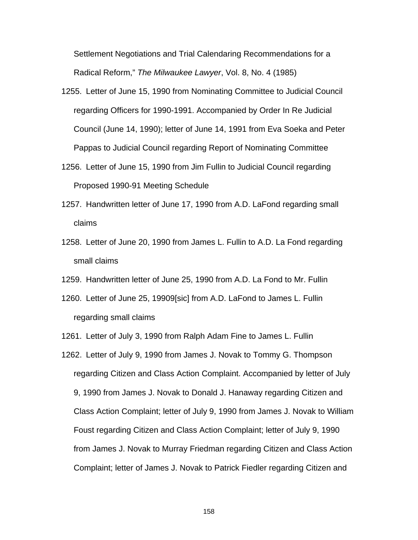Settlement Negotiations and Trial Calendaring Recommendations for a Radical Reform," *The Milwaukee Lawyer*, Vol. 8, No. 4 (1985)

- 1255. Letter of June 15, 1990 from Nominating Committee to Judicial Council regarding Officers for 1990-1991. Accompanied by Order In Re Judicial Council (June 14, 1990); letter of June 14, 1991 from Eva Soeka and Peter Pappas to Judicial Council regarding Report of Nominating Committee
- 1256. Letter of June 15, 1990 from Jim Fullin to Judicial Council regarding Proposed 1990-91 Meeting Schedule
- 1257. Handwritten letter of June 17, 1990 from A.D. LaFond regarding small claims
- 1258. Letter of June 20, 1990 from James L. Fullin to A.D. La Fond regarding small claims
- 1259. Handwritten letter of June 25, 1990 from A.D. La Fond to Mr. Fullin
- 1260. Letter of June 25, 19909[sic] from A.D. LaFond to James L. Fullin regarding small claims
- 1261. Letter of July 3, 1990 from Ralph Adam Fine to James L. Fullin
- 1262. Letter of July 9, 1990 from James J. Novak to Tommy G. Thompson regarding Citizen and Class Action Complaint. Accompanied by letter of July 9, 1990 from James J. Novak to Donald J. Hanaway regarding Citizen and Class Action Complaint; letter of July 9, 1990 from James J. Novak to William Foust regarding Citizen and Class Action Complaint; letter of July 9, 1990 from James J. Novak to Murray Friedman regarding Citizen and Class Action Complaint; letter of James J. Novak to Patrick Fiedler regarding Citizen and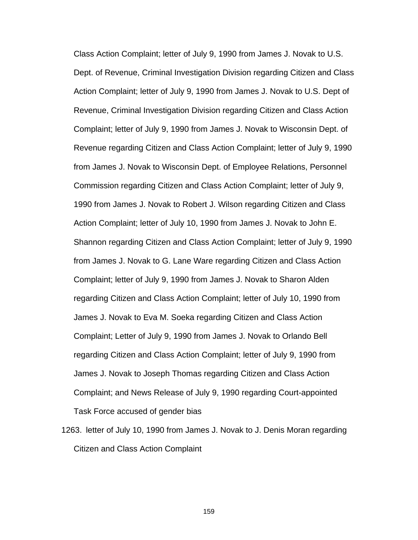Class Action Complaint; letter of July 9, 1990 from James J. Novak to U.S. Dept. of Revenue, Criminal Investigation Division regarding Citizen and Class Action Complaint; letter of July 9, 1990 from James J. Novak to U.S. Dept of Revenue, Criminal Investigation Division regarding Citizen and Class Action Complaint; letter of July 9, 1990 from James J. Novak to Wisconsin Dept. of Revenue regarding Citizen and Class Action Complaint; letter of July 9, 1990 from James J. Novak to Wisconsin Dept. of Employee Relations, Personnel Commission regarding Citizen and Class Action Complaint; letter of July 9, 1990 from James J. Novak to Robert J. Wilson regarding Citizen and Class Action Complaint; letter of July 10, 1990 from James J. Novak to John E. Shannon regarding Citizen and Class Action Complaint; letter of July 9, 1990 from James J. Novak to G. Lane Ware regarding Citizen and Class Action Complaint; letter of July 9, 1990 from James J. Novak to Sharon Alden regarding Citizen and Class Action Complaint; letter of July 10, 1990 from James J. Novak to Eva M. Soeka regarding Citizen and Class Action Complaint; Letter of July 9, 1990 from James J. Novak to Orlando Bell regarding Citizen and Class Action Complaint; letter of July 9, 1990 from James J. Novak to Joseph Thomas regarding Citizen and Class Action Complaint; and News Release of July 9, 1990 regarding Court-appointed Task Force accused of gender bias

1263. letter of July 10, 1990 from James J. Novak to J. Denis Moran regarding Citizen and Class Action Complaint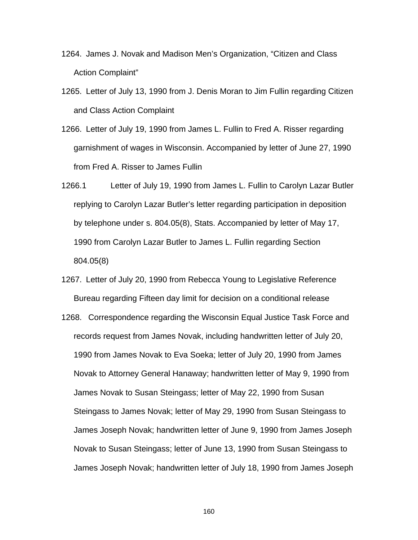- 1264. James J. Novak and Madison Men's Organization, "Citizen and Class Action Complaint"
- 1265. Letter of July 13, 1990 from J. Denis Moran to Jim Fullin regarding Citizen and Class Action Complaint
- 1266. Letter of July 19, 1990 from James L. Fullin to Fred A. Risser regarding garnishment of wages in Wisconsin. Accompanied by letter of June 27, 1990 from Fred A. Risser to James Fullin
- 1266.1 Letter of July 19, 1990 from James L. Fullin to Carolyn Lazar Butler replying to Carolyn Lazar Butler's letter regarding participation in deposition by telephone under s. 804.05(8), Stats. Accompanied by letter of May 17, 1990 from Carolyn Lazar Butler to James L. Fullin regarding Section 804.05(8)
- 1267. Letter of July 20, 1990 from Rebecca Young to Legislative Reference Bureau regarding Fifteen day limit for decision on a conditional release
- 1268. Correspondence regarding the Wisconsin Equal Justice Task Force and records request from James Novak, including handwritten letter of July 20, 1990 from James Novak to Eva Soeka; letter of July 20, 1990 from James Novak to Attorney General Hanaway; handwritten letter of May 9, 1990 from James Novak to Susan Steingass; letter of May 22, 1990 from Susan Steingass to James Novak; letter of May 29, 1990 from Susan Steingass to James Joseph Novak; handwritten letter of June 9, 1990 from James Joseph Novak to Susan Steingass; letter of June 13, 1990 from Susan Steingass to James Joseph Novak; handwritten letter of July 18, 1990 from James Joseph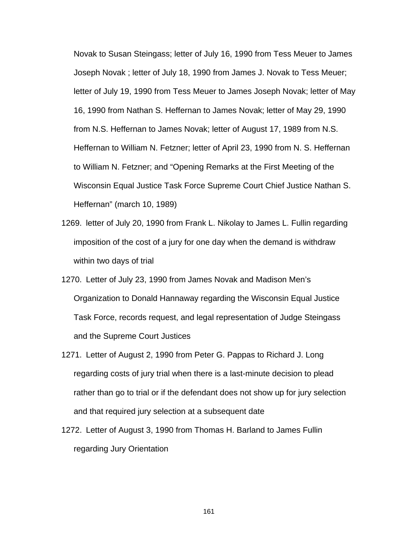Novak to Susan Steingass; letter of July 16, 1990 from Tess Meuer to James Joseph Novak ; letter of July 18, 1990 from James J. Novak to Tess Meuer; letter of July 19, 1990 from Tess Meuer to James Joseph Novak; letter of May 16, 1990 from Nathan S. Heffernan to James Novak; letter of May 29, 1990 from N.S. Heffernan to James Novak; letter of August 17, 1989 from N.S. Heffernan to William N. Fetzner; letter of April 23, 1990 from N. S. Heffernan to William N. Fetzner; and "Opening Remarks at the First Meeting of the Wisconsin Equal Justice Task Force Supreme Court Chief Justice Nathan S. Heffernan" (march 10, 1989)

- 1269. letter of July 20, 1990 from Frank L. Nikolay to James L. Fullin regarding imposition of the cost of a jury for one day when the demand is withdraw within two days of trial
- 1270. Letter of July 23, 1990 from James Novak and Madison Men's Organization to Donald Hannaway regarding the Wisconsin Equal Justice Task Force, records request, and legal representation of Judge Steingass and the Supreme Court Justices
- 1271. Letter of August 2, 1990 from Peter G. Pappas to Richard J. Long regarding costs of jury trial when there is a last-minute decision to plead rather than go to trial or if the defendant does not show up for jury selection and that required jury selection at a subsequent date
- 1272. Letter of August 3, 1990 from Thomas H. Barland to James Fullin regarding Jury Orientation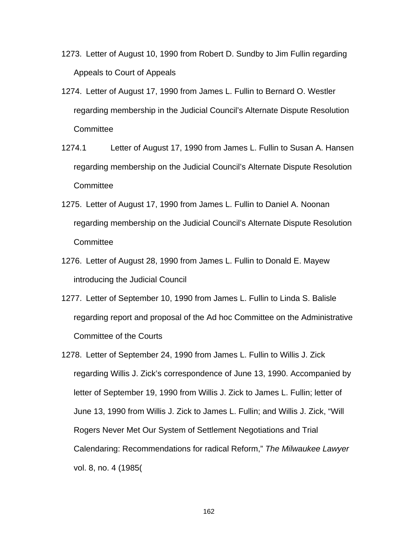- 1273. Letter of August 10, 1990 from Robert D. Sundby to Jim Fullin regarding Appeals to Court of Appeals
- 1274. Letter of August 17, 1990 from James L. Fullin to Bernard O. Westler regarding membership in the Judicial Council's Alternate Dispute Resolution **Committee**
- 1274.1 Letter of August 17, 1990 from James L. Fullin to Susan A. Hansen regarding membership on the Judicial Council's Alternate Dispute Resolution **Committee**
- 1275. Letter of August 17, 1990 from James L. Fullin to Daniel A. Noonan regarding membership on the Judicial Council's Alternate Dispute Resolution **Committee**
- 1276. Letter of August 28, 1990 from James L. Fullin to Donald E. Mayew introducing the Judicial Council
- 1277. Letter of September 10, 1990 from James L. Fullin to Linda S. Balisle regarding report and proposal of the Ad hoc Committee on the Administrative Committee of the Courts
- 1278. Letter of September 24, 1990 from James L. Fullin to Willis J. Zick regarding Willis J. Zick's correspondence of June 13, 1990. Accompanied by letter of September 19, 1990 from Willis J. Zick to James L. Fullin; letter of June 13, 1990 from Willis J. Zick to James L. Fullin; and Willis J. Zick, "Will Rogers Never Met Our System of Settlement Negotiations and Trial Calendaring: Recommendations for radical Reform," *The Milwaukee Lawyer* vol. 8, no. 4 (1985(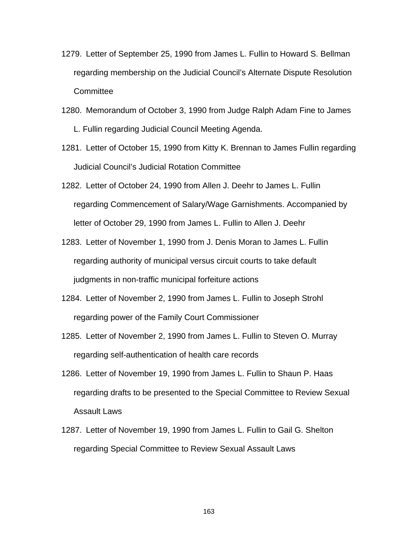- 1279. Letter of September 25, 1990 from James L. Fullin to Howard S. Bellman regarding membership on the Judicial Council's Alternate Dispute Resolution **Committee**
- 1280. Memorandum of October 3, 1990 from Judge Ralph Adam Fine to James L. Fullin regarding Judicial Council Meeting Agenda.
- 1281. Letter of October 15, 1990 from Kitty K. Brennan to James Fullin regarding Judicial Council's Judicial Rotation Committee
- 1282. Letter of October 24, 1990 from Allen J. Deehr to James L. Fullin regarding Commencement of Salary/Wage Garnishments. Accompanied by letter of October 29, 1990 from James L. Fullin to Allen J. Deehr
- 1283. Letter of November 1, 1990 from J. Denis Moran to James L. Fullin regarding authority of municipal versus circuit courts to take default judgments in non-traffic municipal forfeiture actions
- 1284. Letter of November 2, 1990 from James L. Fullin to Joseph Strohl regarding power of the Family Court Commissioner
- 1285. Letter of November 2, 1990 from James L. Fullin to Steven O. Murray regarding self-authentication of health care records
- 1286. Letter of November 19, 1990 from James L. Fullin to Shaun P. Haas regarding drafts to be presented to the Special Committee to Review Sexual Assault Laws
- 1287. Letter of November 19, 1990 from James L. Fullin to Gail G. Shelton regarding Special Committee to Review Sexual Assault Laws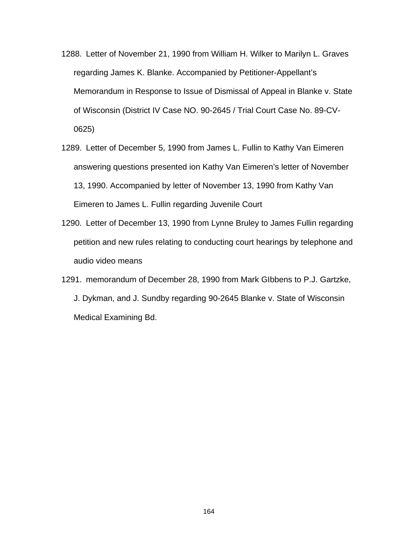- 1288. Letter of November 21, 1990 from William H. Wilker to Marilyn L. Graves regarding James K. Blanke. Accompanied by Petitioner-Appellant's Memorandum in Response to Issue of Dismissal of Appeal in Blanke v. State of Wisconsin (District IV Case NO. 90-2645 / Trial Court Case No. 89-CV-0625)
- 1289. Letter of December 5, 1990 from James L. Fullin to Kathy Van Eimeren answering questions presented ion Kathy Van Eimeren's letter of November 13, 1990. Accompanied by letter of November 13, 1990 from Kathy Van Eimeren to James L. Fullin regarding Juvenile Court
- 1290. Letter of December 13, 1990 from Lynne Bruley to James Fullin regarding petition and new rules relating to conducting court hearings by telephone and audio video means
- 1291. memorandum of December 28, 1990 from Mark GIbbens to P.J. Gartzke, J. Dykman, and J. Sundby regarding 90-2645 Blanke v. State of Wisconsin Medical Examining Bd.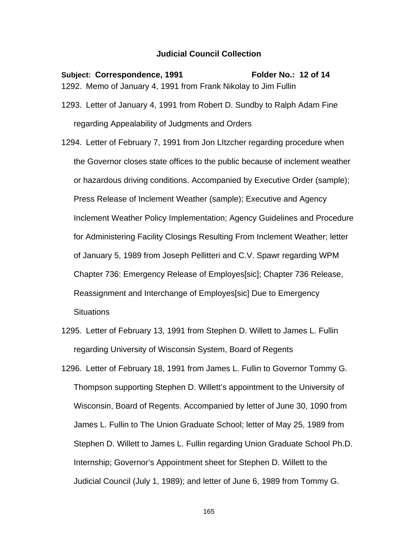## **Judicial Council Collection**

Subject: Correspondence, 1991 Folder No.: 12 of 14 1292. Memo of January 4, 1991 from Frank Nikolay to Jim Fullin 1293. Letter of January 4, 1991 from Robert D. Sundby to Ralph Adam Fine regarding Appealability of Judgments and Orders 1294. Letter of February 7, 1991 from Jon LItzcher regarding procedure when the Governor closes state offices to the public because of inclement weather or hazardous driving conditions. Accompanied by Executive Order (sample); Press Release of Inclement Weather (sample); Executive and Agency Inclement Weather Policy Implementation; Agency Guidelines and Procedure

for Administering Facility Closings Resulting From Inclement Weather; letter

of January 5, 1989 from Joseph Pellitteri and C.V. Spawr regarding WPM

Chapter 736: Emergency Release of Employes[sic]; Chapter 736 Release,

Reassignment and Interchange of Employes[sic] Due to Emergency

**Situations** 

1295. Letter of February 13, 1991 from Stephen D. Willett to James L. Fullin regarding University of Wisconsin System, Board of Regents

1296. Letter of February 18, 1991 from James L. Fullin to Governor Tommy G. Thompson supporting Stephen D. Willett's appointment to the University of Wisconsin, Board of Regents. Accompanied by letter of June 30, 1090 from James L. Fullin to The Union Graduate School; letter of May 25, 1989 from Stephen D. Willett to James L. Fullin regarding Union Graduate School Ph.D. Internship; Governor's Appointment sheet for Stephen D. Willett to the Judicial Council (July 1, 1989); and letter of June 6, 1989 from Tommy G.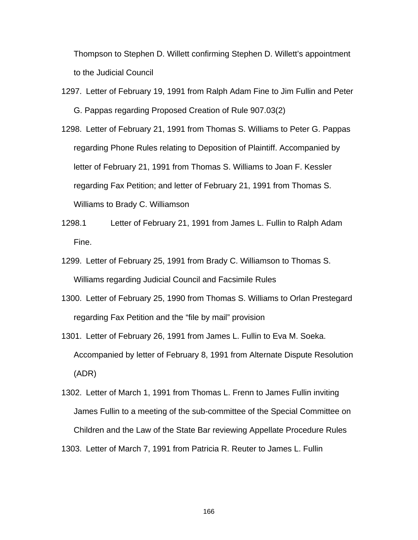Thompson to Stephen D. Willett confirming Stephen D. Willett's appointment to the Judicial Council

- 1297. Letter of February 19, 1991 from Ralph Adam Fine to Jim Fullin and Peter G. Pappas regarding Proposed Creation of Rule 907.03(2)
- 1298. Letter of February 21, 1991 from Thomas S. Williams to Peter G. Pappas regarding Phone Rules relating to Deposition of Plaintiff. Accompanied by letter of February 21, 1991 from Thomas S. Williams to Joan F. Kessler regarding Fax Petition; and letter of February 21, 1991 from Thomas S. Williams to Brady C. Williamson
- 1298.1 Letter of February 21, 1991 from James L. Fullin to Ralph Adam Fine.
- 1299. Letter of February 25, 1991 from Brady C. Williamson to Thomas S. Williams regarding Judicial Council and Facsimile Rules
- 1300. Letter of February 25, 1990 from Thomas S. Williams to Orlan Prestegard regarding Fax Petition and the "file by mail" provision
- 1301. Letter of February 26, 1991 from James L. Fullin to Eva M. Soeka. Accompanied by letter of February 8, 1991 from Alternate Dispute Resolution (ADR)
- 1302. Letter of March 1, 1991 from Thomas L. Frenn to James Fullin inviting James Fullin to a meeting of the sub-committee of the Special Committee on Children and the Law of the State Bar reviewing Appellate Procedure Rules 1303. Letter of March 7, 1991 from Patricia R. Reuter to James L. Fullin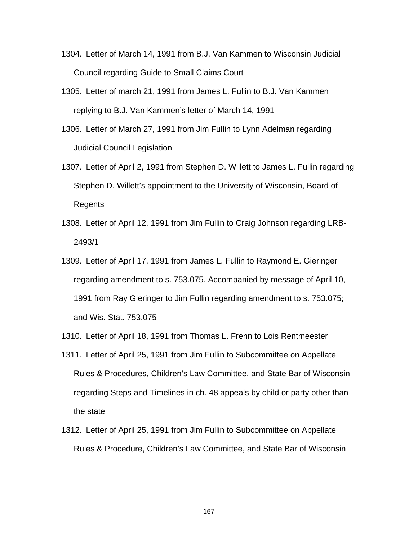- 1304. Letter of March 14, 1991 from B.J. Van Kammen to Wisconsin Judicial Council regarding Guide to Small Claims Court
- 1305. Letter of march 21, 1991 from James L. Fullin to B.J. Van Kammen replying to B.J. Van Kammen's letter of March 14, 1991
- 1306. Letter of March 27, 1991 from Jim Fullin to Lynn Adelman regarding Judicial Council Legislation
- 1307. Letter of April 2, 1991 from Stephen D. Willett to James L. Fullin regarding Stephen D. Willett's appointment to the University of Wisconsin, Board of Regents
- 1308. Letter of April 12, 1991 from Jim Fullin to Craig Johnson regarding LRB-2493/1
- 1309. Letter of April 17, 1991 from James L. Fullin to Raymond E. Gieringer regarding amendment to s. 753.075. Accompanied by message of April 10, 1991 from Ray Gieringer to Jim Fullin regarding amendment to s. 753.075; and Wis. Stat. 753.075
- 1310. Letter of April 18, 1991 from Thomas L. Frenn to Lois Rentmeester
- 1311. Letter of April 25, 1991 from Jim Fullin to Subcommittee on Appellate Rules & Procedures, Children's Law Committee, and State Bar of Wisconsin regarding Steps and Timelines in ch. 48 appeals by child or party other than the state
- 1312. Letter of April 25, 1991 from Jim Fullin to Subcommittee on Appellate Rules & Procedure, Children's Law Committee, and State Bar of Wisconsin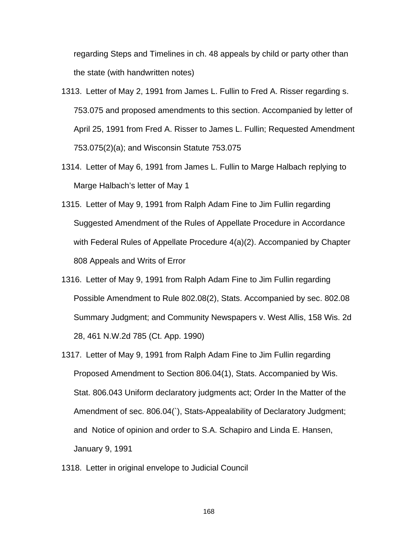regarding Steps and Timelines in ch. 48 appeals by child or party other than the state (with handwritten notes)

- 1313. Letter of May 2, 1991 from James L. Fullin to Fred A. Risser regarding s. 753.075 and proposed amendments to this section. Accompanied by letter of April 25, 1991 from Fred A. Risser to James L. Fullin; Requested Amendment 753.075(2)(a); and Wisconsin Statute 753.075
- 1314. Letter of May 6, 1991 from James L. Fullin to Marge Halbach replying to Marge Halbach's letter of May 1
- 1315. Letter of May 9, 1991 from Ralph Adam Fine to Jim Fullin regarding Suggested Amendment of the Rules of Appellate Procedure in Accordance with Federal Rules of Appellate Procedure 4(a)(2). Accompanied by Chapter 808 Appeals and Writs of Error
- 1316. Letter of May 9, 1991 from Ralph Adam Fine to Jim Fullin regarding Possible Amendment to Rule 802.08(2), Stats. Accompanied by sec. 802.08 Summary Judgment; and Community Newspapers v. West Allis, 158 Wis. 2d 28, 461 N.W.2d 785 (Ct. App. 1990)
- 1317. Letter of May 9, 1991 from Ralph Adam Fine to Jim Fullin regarding Proposed Amendment to Section 806.04(1), Stats. Accompanied by Wis. Stat. 806.043 Uniform declaratory judgments act; Order In the Matter of the Amendment of sec. 806.04(`), Stats-Appealability of Declaratory Judgment; and Notice of opinion and order to S.A. Schapiro and Linda E. Hansen, January 9, 1991
- 1318. Letter in original envelope to Judicial Council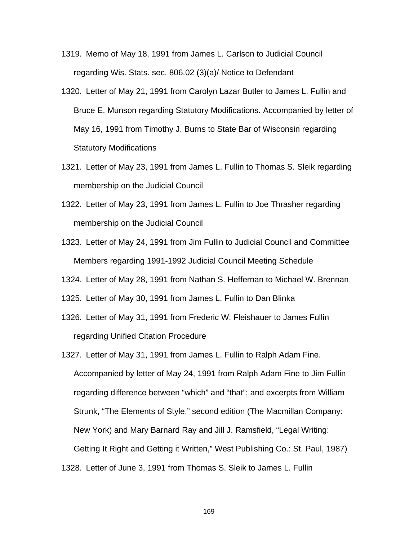- 1319. Memo of May 18, 1991 from James L. Carlson to Judicial Council regarding Wis. Stats. sec. 806.02 (3)(a)/ Notice to Defendant
- 1320. Letter of May 21, 1991 from Carolyn Lazar Butler to James L. Fullin and Bruce E. Munson regarding Statutory Modifications. Accompanied by letter of May 16, 1991 from Timothy J. Burns to State Bar of Wisconsin regarding Statutory Modifications
- 1321. Letter of May 23, 1991 from James L. Fullin to Thomas S. Sleik regarding membership on the Judicial Council
- 1322. Letter of May 23, 1991 from James L. Fullin to Joe Thrasher regarding membership on the Judicial Council
- 1323. Letter of May 24, 1991 from Jim Fullin to Judicial Council and Committee Members regarding 1991-1992 Judicial Council Meeting Schedule
- 1324. Letter of May 28, 1991 from Nathan S. Heffernan to Michael W. Brennan
- 1325. Letter of May 30, 1991 from James L. Fullin to Dan Blinka
- 1326. Letter of May 31, 1991 from Frederic W. Fleishauer to James Fullin regarding Unified Citation Procedure
- 1327. Letter of May 31, 1991 from James L. Fullin to Ralph Adam Fine. Accompanied by letter of May 24, 1991 from Ralph Adam Fine to Jim Fullin regarding difference between "which" and "that"; and excerpts from William Strunk, "The Elements of Style," second edition (The Macmillan Company: New York) and Mary Barnard Ray and Jill J. Ramsfield, "Legal Writing: Getting It Right and Getting it Written," West Publishing Co.: St. Paul, 1987) 1328. Letter of June 3, 1991 from Thomas S. Sleik to James L. Fullin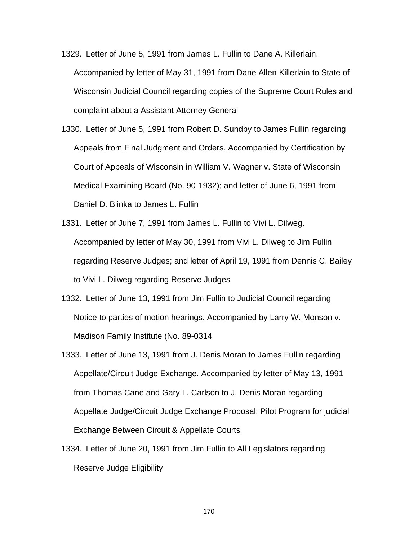- 1329. Letter of June 5, 1991 from James L. Fullin to Dane A. Killerlain. Accompanied by letter of May 31, 1991 from Dane Allen Killerlain to State of Wisconsin Judicial Council regarding copies of the Supreme Court Rules and complaint about a Assistant Attorney General
- 1330. Letter of June 5, 1991 from Robert D. Sundby to James Fullin regarding Appeals from Final Judgment and Orders. Accompanied by Certification by Court of Appeals of Wisconsin in William V. Wagner v. State of Wisconsin Medical Examining Board (No. 90-1932); and letter of June 6, 1991 from Daniel D. Blinka to James L. Fullin
- 1331. Letter of June 7, 1991 from James L. Fullin to Vivi L. Dilweg. Accompanied by letter of May 30, 1991 from Vivi L. Dilweg to Jim Fullin regarding Reserve Judges; and letter of April 19, 1991 from Dennis C. Bailey to Vivi L. Dilweg regarding Reserve Judges
- 1332. Letter of June 13, 1991 from Jim Fullin to Judicial Council regarding Notice to parties of motion hearings. Accompanied by Larry W. Monson v. Madison Family Institute (No. 89-0314
- 1333. Letter of June 13, 1991 from J. Denis Moran to James Fullin regarding Appellate/Circuit Judge Exchange. Accompanied by letter of May 13, 1991 from Thomas Cane and Gary L. Carlson to J. Denis Moran regarding Appellate Judge/Circuit Judge Exchange Proposal; Pilot Program for judicial Exchange Between Circuit & Appellate Courts
- 1334. Letter of June 20, 1991 from Jim Fullin to All Legislators regarding Reserve Judge Eligibility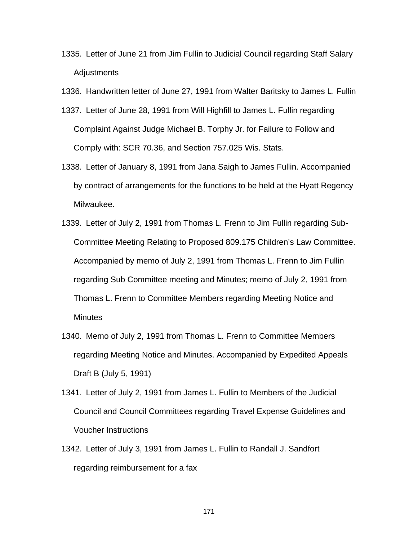- 1335. Letter of June 21 from Jim Fullin to Judicial Council regarding Staff Salary **Adjustments**
- 1336. Handwritten letter of June 27, 1991 from Walter Baritsky to James L. Fullin
- 1337. Letter of June 28, 1991 from Will Highfill to James L. Fullin regarding Complaint Against Judge Michael B. Torphy Jr. for Failure to Follow and Comply with: SCR 70.36, and Section 757.025 Wis. Stats.
- 1338. Letter of January 8, 1991 from Jana Saigh to James Fullin. Accompanied by contract of arrangements for the functions to be held at the Hyatt Regency Milwaukee.
- 1339. Letter of July 2, 1991 from Thomas L. Frenn to Jim Fullin regarding Sub-Committee Meeting Relating to Proposed 809.175 Children's Law Committee. Accompanied by memo of July 2, 1991 from Thomas L. Frenn to Jim Fullin regarding Sub Committee meeting and Minutes; memo of July 2, 1991 from Thomas L. Frenn to Committee Members regarding Meeting Notice and **Minutes**
- 1340. Memo of July 2, 1991 from Thomas L. Frenn to Committee Members regarding Meeting Notice and Minutes. Accompanied by Expedited Appeals Draft B (July 5, 1991)
- 1341. Letter of July 2, 1991 from James L. Fullin to Members of the Judicial Council and Council Committees regarding Travel Expense Guidelines and Voucher Instructions
- 1342. Letter of July 3, 1991 from James L. Fullin to Randall J. Sandfort regarding reimbursement for a fax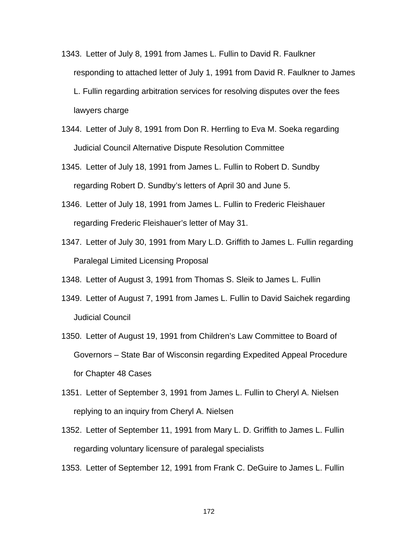- 1343. Letter of July 8, 1991 from James L. Fullin to David R. Faulkner responding to attached letter of July 1, 1991 from David R. Faulkner to James L. Fullin regarding arbitration services for resolving disputes over the fees lawyers charge
- 1344. Letter of July 8, 1991 from Don R. Herrling to Eva M. Soeka regarding Judicial Council Alternative Dispute Resolution Committee
- 1345. Letter of July 18, 1991 from James L. Fullin to Robert D. Sundby regarding Robert D. Sundby's letters of April 30 and June 5.
- 1346. Letter of July 18, 1991 from James L. Fullin to Frederic Fleishauer regarding Frederic Fleishauer's letter of May 31.
- 1347. Letter of July 30, 1991 from Mary L.D. Griffith to James L. Fullin regarding Paralegal Limited Licensing Proposal
- 1348. Letter of August 3, 1991 from Thomas S. Sleik to James L. Fullin
- 1349. Letter of August 7, 1991 from James L. Fullin to David Saichek regarding Judicial Council
- 1350. Letter of August 19, 1991 from Children's Law Committee to Board of Governors – State Bar of Wisconsin regarding Expedited Appeal Procedure for Chapter 48 Cases
- 1351. Letter of September 3, 1991 from James L. Fullin to Cheryl A. Nielsen replying to an inquiry from Cheryl A. Nielsen
- 1352. Letter of September 11, 1991 from Mary L. D. Griffith to James L. Fullin regarding voluntary licensure of paralegal specialists
- 1353. Letter of September 12, 1991 from Frank C. DeGuire to James L. Fullin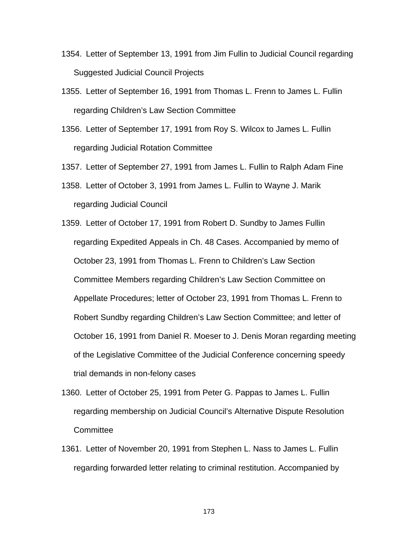- 1354. Letter of September 13, 1991 from Jim Fullin to Judicial Council regarding Suggested Judicial Council Projects
- 1355. Letter of September 16, 1991 from Thomas L. Frenn to James L. Fullin regarding Children's Law Section Committee
- 1356. Letter of September 17, 1991 from Roy S. Wilcox to James L. Fullin regarding Judicial Rotation Committee

1357. Letter of September 27, 1991 from James L. Fullin to Ralph Adam Fine

1358. Letter of October 3, 1991 from James L. Fullin to Wayne J. Marik regarding Judicial Council

- 1359. Letter of October 17, 1991 from Robert D. Sundby to James Fullin regarding Expedited Appeals in Ch. 48 Cases. Accompanied by memo of October 23, 1991 from Thomas L. Frenn to Children's Law Section Committee Members regarding Children's Law Section Committee on Appellate Procedures; letter of October 23, 1991 from Thomas L. Frenn to Robert Sundby regarding Children's Law Section Committee; and letter of October 16, 1991 from Daniel R. Moeser to J. Denis Moran regarding meeting of the Legislative Committee of the Judicial Conference concerning speedy trial demands in non-felony cases
- 1360. Letter of October 25, 1991 from Peter G. Pappas to James L. Fullin regarding membership on Judicial Council's Alternative Dispute Resolution **Committee**
- 1361. Letter of November 20, 1991 from Stephen L. Nass to James L. Fullin regarding forwarded letter relating to criminal restitution. Accompanied by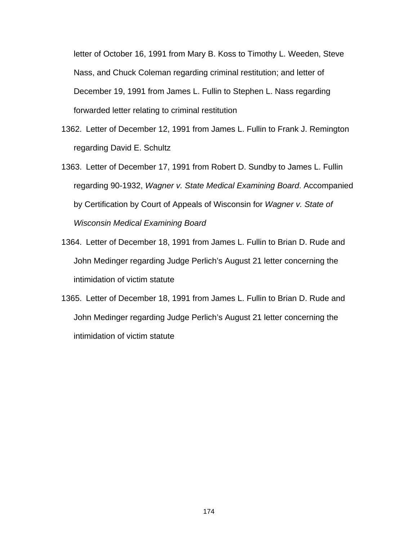letter of October 16, 1991 from Mary B. Koss to Timothy L. Weeden, Steve Nass, and Chuck Coleman regarding criminal restitution; and letter of December 19, 1991 from James L. Fullin to Stephen L. Nass regarding forwarded letter relating to criminal restitution

- 1362. Letter of December 12, 1991 from James L. Fullin to Frank J. Remington regarding David E. Schultz
- 1363. Letter of December 17, 1991 from Robert D. Sundby to James L. Fullin regarding 90-1932, *Wagner v. State Medical Examining Board*. Accompanied by Certification by Court of Appeals of Wisconsin for *Wagner v. State of Wisconsin Medical Examining Board*
- 1364. Letter of December 18, 1991 from James L. Fullin to Brian D. Rude and John Medinger regarding Judge Perlich's August 21 letter concerning the intimidation of victim statute
- 1365. Letter of December 18, 1991 from James L. Fullin to Brian D. Rude and John Medinger regarding Judge Perlich's August 21 letter concerning the intimidation of victim statute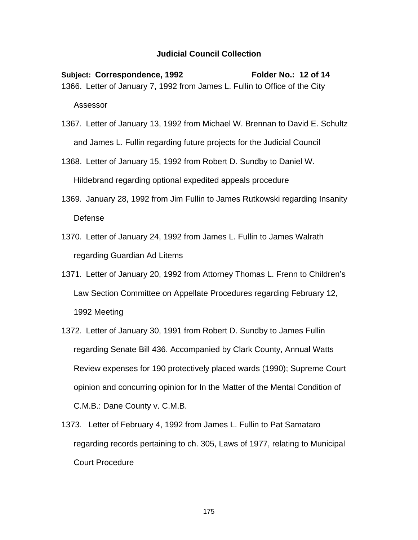## **Judicial Council Collection**

Subject: Correspondence, 1992 Folder No.: 12 of 14 1366. Letter of January 7, 1992 from James L. Fullin to Office of the City Assessor

- 1367. Letter of January 13, 1992 from Michael W. Brennan to David E. Schultz and James L. Fullin regarding future projects for the Judicial Council
- 1368. Letter of January 15, 1992 from Robert D. Sundby to Daniel W. Hildebrand regarding optional expedited appeals procedure
- 1369. January 28, 1992 from Jim Fullin to James Rutkowski regarding Insanity Defense
- 1370. Letter of January 24, 1992 from James L. Fullin to James Walrath regarding Guardian Ad Litems
- 1371. Letter of January 20, 1992 from Attorney Thomas L. Frenn to Children's Law Section Committee on Appellate Procedures regarding February 12, 1992 Meeting
- 1372. Letter of January 30, 1991 from Robert D. Sundby to James Fullin regarding Senate Bill 436. Accompanied by Clark County, Annual Watts Review expenses for 190 protectively placed wards (1990); Supreme Court opinion and concurring opinion for In the Matter of the Mental Condition of C.M.B.: Dane County v. C.M.B.
- 1373. Letter of February 4, 1992 from James L. Fullin to Pat Samataro regarding records pertaining to ch. 305, Laws of 1977, relating to Municipal Court Procedure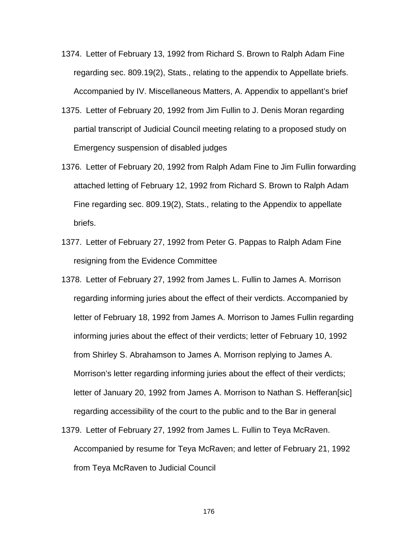- 1374. Letter of February 13, 1992 from Richard S. Brown to Ralph Adam Fine regarding sec. 809.19(2), Stats., relating to the appendix to Appellate briefs. Accompanied by IV. Miscellaneous Matters, A. Appendix to appellant's brief
- 1375. Letter of February 20, 1992 from Jim Fullin to J. Denis Moran regarding partial transcript of Judicial Council meeting relating to a proposed study on Emergency suspension of disabled judges
- 1376. Letter of February 20, 1992 from Ralph Adam Fine to Jim Fullin forwarding attached letting of February 12, 1992 from Richard S. Brown to Ralph Adam Fine regarding sec. 809.19(2), Stats., relating to the Appendix to appellate briefs.
- 1377. Letter of February 27, 1992 from Peter G. Pappas to Ralph Adam Fine resigning from the Evidence Committee
- 1378. Letter of February 27, 1992 from James L. Fullin to James A. Morrison regarding informing juries about the effect of their verdicts. Accompanied by letter of February 18, 1992 from James A. Morrison to James Fullin regarding informing juries about the effect of their verdicts; letter of February 10, 1992 from Shirley S. Abrahamson to James A. Morrison replying to James A. Morrison's letter regarding informing juries about the effect of their verdicts; letter of January 20, 1992 from James A. Morrison to Nathan S. Hefferan[sic] regarding accessibility of the court to the public and to the Bar in general
- 1379. Letter of February 27, 1992 from James L. Fullin to Teya McRaven. Accompanied by resume for Teya McRaven; and letter of February 21, 1992 from Teya McRaven to Judicial Council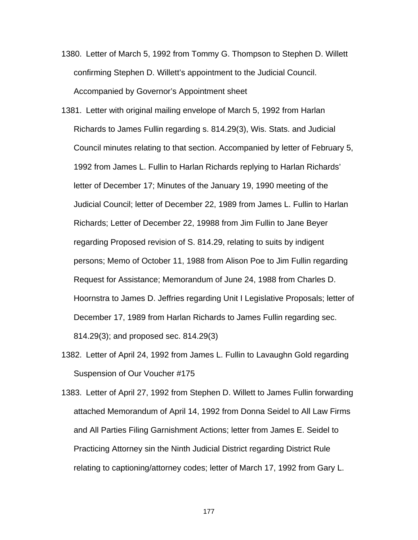- 1380. Letter of March 5, 1992 from Tommy G. Thompson to Stephen D. Willett confirming Stephen D. Willett's appointment to the Judicial Council. Accompanied by Governor's Appointment sheet
- 1381. Letter with original mailing envelope of March 5, 1992 from Harlan Richards to James Fullin regarding s. 814.29(3), Wis. Stats. and Judicial Council minutes relating to that section. Accompanied by letter of February 5, 1992 from James L. Fullin to Harlan Richards replying to Harlan Richards' letter of December 17; Minutes of the January 19, 1990 meeting of the Judicial Council; letter of December 22, 1989 from James L. Fullin to Harlan Richards; Letter of December 22, 19988 from Jim Fullin to Jane Beyer regarding Proposed revision of S. 814.29, relating to suits by indigent persons; Memo of October 11, 1988 from Alison Poe to Jim Fullin regarding Request for Assistance; Memorandum of June 24, 1988 from Charles D. Hoornstra to James D. Jeffries regarding Unit I Legislative Proposals; letter of December 17, 1989 from Harlan Richards to James Fullin regarding sec. 814.29(3); and proposed sec. 814.29(3)
- 1382. Letter of April 24, 1992 from James L. Fullin to Lavaughn Gold regarding Suspension of Our Voucher #175
- 1383. Letter of April 27, 1992 from Stephen D. Willett to James Fullin forwarding attached Memorandum of April 14, 1992 from Donna Seidel to All Law Firms and All Parties Filing Garnishment Actions; letter from James E. Seidel to Practicing Attorney sin the Ninth Judicial District regarding District Rule relating to captioning/attorney codes; letter of March 17, 1992 from Gary L.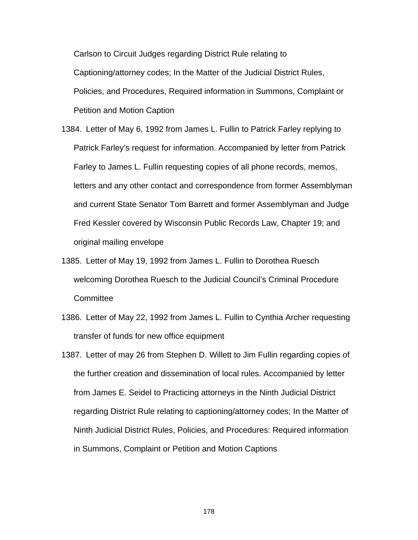Carlson to Circuit Judges regarding District Rule relating to Captioning/attorney codes; In the Matter of the Judicial District Rules, Policies, and Procedures, Required information in Summons, Complaint or Petition and Motion Caption

- 1384. Letter of May 6, 1992 from James L. Fullin to Patrick Farley replying to Patrick Farley's request for information. Accompanied by letter from Patrick Farley to James L. Fullin requesting copies of all phone records, memos, letters and any other contact and correspondence from former Assemblyman and current State Senator Tom Barrett and former Assemblyman and Judge Fred Kessler covered by Wisconsin Public Records Law, Chapter 19; and original mailing envelope
- 1385. Letter of May 19, 1992 from James L. Fullin to Dorothea Ruesch welcoming Dorothea Ruesch to the Judicial Council's Criminal Procedure **Committee**
- 1386. Letter of May 22, 1992 from James L. Fullin to Cynthia Archer requesting transfer of funds for new office equipment
- 1387. Letter of may 26 from Stephen D. Willett to Jim Fullin regarding copies of the further creation and dissemination of local rules. Accompanied by letter from James E. Seidel to Practicing attorneys in the Ninth Judicial District regarding District Rule relating to captioning/attorney codes; In the Matter of Ninth Judicial District Rules, Policies, and Procedures: Required information in Summons, Complaint or Petition and Motion Captions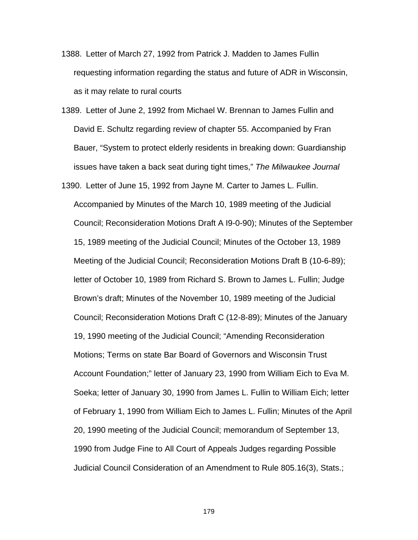- 1388. Letter of March 27, 1992 from Patrick J. Madden to James Fullin requesting information regarding the status and future of ADR in Wisconsin, as it may relate to rural courts
- 1389. Letter of June 2, 1992 from Michael W. Brennan to James Fullin and David E. Schultz regarding review of chapter 55. Accompanied by Fran Bauer, "System to protect elderly residents in breaking down: Guardianship issues have taken a back seat during tight times," *The Milwaukee Journal*
- 1390. Letter of June 15, 1992 from Jayne M. Carter to James L. Fullin. Accompanied by Minutes of the March 10, 1989 meeting of the Judicial Council; Reconsideration Motions Draft A I9-0-90); Minutes of the September 15, 1989 meeting of the Judicial Council; Minutes of the October 13, 1989 Meeting of the Judicial Council; Reconsideration Motions Draft B (10-6-89); letter of October 10, 1989 from Richard S. Brown to James L. Fullin; Judge Brown's draft; Minutes of the November 10, 1989 meeting of the Judicial Council; Reconsideration Motions Draft C (12-8-89); Minutes of the January 19, 1990 meeting of the Judicial Council; "Amending Reconsideration Motions; Terms on state Bar Board of Governors and Wisconsin Trust Account Foundation;" letter of January 23, 1990 from William Eich to Eva M. Soeka; letter of January 30, 1990 from James L. Fullin to William Eich; letter of February 1, 1990 from William Eich to James L. Fullin; Minutes of the April 20, 1990 meeting of the Judicial Council; memorandum of September 13, 1990 from Judge Fine to All Court of Appeals Judges regarding Possible Judicial Council Consideration of an Amendment to Rule 805.16(3), Stats.;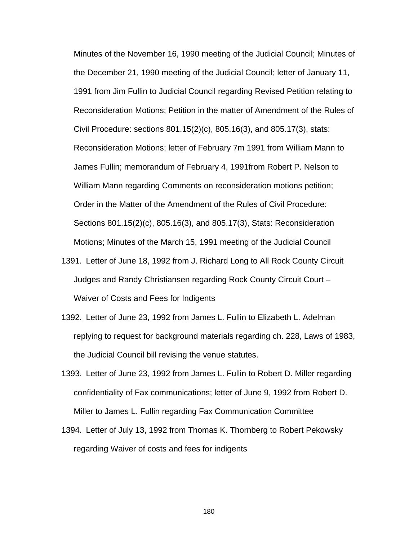Minutes of the November 16, 1990 meeting of the Judicial Council; Minutes of the December 21, 1990 meeting of the Judicial Council; letter of January 11, 1991 from Jim Fullin to Judicial Council regarding Revised Petition relating to Reconsideration Motions; Petition in the matter of Amendment of the Rules of Civil Procedure: sections 801.15(2)(c), 805.16(3), and 805.17(3), stats: Reconsideration Motions; letter of February 7m 1991 from William Mann to James Fullin; memorandum of February 4, 1991from Robert P. Nelson to William Mann regarding Comments on reconsideration motions petition; Order in the Matter of the Amendment of the Rules of Civil Procedure: Sections 801.15(2)(c), 805.16(3), and 805.17(3), Stats: Reconsideration Motions; Minutes of the March 15, 1991 meeting of the Judicial Council

- 1391. Letter of June 18, 1992 from J. Richard Long to All Rock County Circuit Judges and Randy Christiansen regarding Rock County Circuit Court – Waiver of Costs and Fees for Indigents
- 1392. Letter of June 23, 1992 from James L. Fullin to Elizabeth L. Adelman replying to request for background materials regarding ch. 228, Laws of 1983, the Judicial Council bill revising the venue statutes.
- 1393. Letter of June 23, 1992 from James L. Fullin to Robert D. Miller regarding confidentiality of Fax communications; letter of June 9, 1992 from Robert D. Miller to James L. Fullin regarding Fax Communication Committee
- 1394. Letter of July 13, 1992 from Thomas K. Thornberg to Robert Pekowsky regarding Waiver of costs and fees for indigents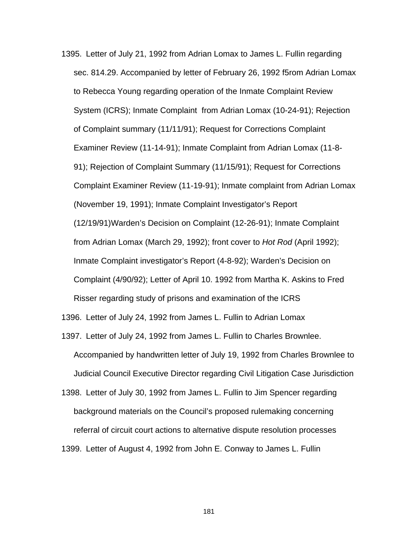1395. Letter of July 21, 1992 from Adrian Lomax to James L. Fullin regarding sec. 814.29. Accompanied by letter of February 26, 1992 f5rom Adrian Lomax to Rebecca Young regarding operation of the Inmate Complaint Review System (ICRS); Inmate Complaint from Adrian Lomax (10-24-91); Rejection of Complaint summary (11/11/91); Request for Corrections Complaint Examiner Review (11-14-91); Inmate Complaint from Adrian Lomax (11-8- 91); Rejection of Complaint Summary (11/15/91); Request for Corrections Complaint Examiner Review (11-19-91); Inmate complaint from Adrian Lomax (November 19, 1991); Inmate Complaint Investigator's Report (12/19/91)Warden's Decision on Complaint (12-26-91); Inmate Complaint from Adrian Lomax (March 29, 1992); front cover to *Hot Rod* (April 1992); Inmate Complaint investigator's Report (4-8-92); Warden's Decision on Complaint (4/90/92); Letter of April 10. 1992 from Martha K. Askins to Fred Risser regarding study of prisons and examination of the ICRS

1396. Letter of July 24, 1992 from James L. Fullin to Adrian Lomax

- 1397. Letter of July 24, 1992 from James L. Fullin to Charles Brownlee. Accompanied by handwritten letter of July 19, 1992 from Charles Brownlee to Judicial Council Executive Director regarding Civil Litigation Case Jurisdiction
- 1398. Letter of July 30, 1992 from James L. Fullin to Jim Spencer regarding background materials on the Council's proposed rulemaking concerning referral of circuit court actions to alternative dispute resolution processes 1399. Letter of August 4, 1992 from John E. Conway to James L. Fullin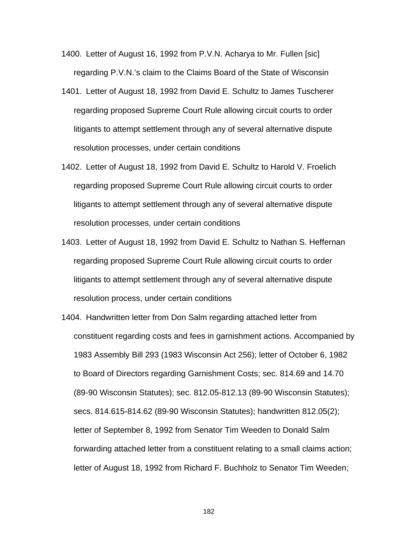- 1400. Letter of August 16, 1992 from P.V.N. Acharya to Mr. Fullen [sic] regarding P.V.N.'s claim to the Claims Board of the State of Wisconsin
- 1401. Letter of August 18, 1992 from David E. Schultz to James Tuscherer regarding proposed Supreme Court Rule allowing circuit courts to order litigants to attempt settlement through any of several alternative dispute resolution processes, under certain conditions
- 1402. Letter of August 18, 1992 from David E. Schultz to Harold V. Froelich regarding proposed Supreme Court Rule allowing circuit courts to order litigants to attempt settlement through any of several alternative dispute resolution processes, under certain conditions
- 1403. Letter of August 18, 1992 from David E. Schultz to Nathan S. Heffernan regarding proposed Supreme Court Rule allowing circuit courts to order litigants to attempt settlement through any of several alternative dispute resolution process, under certain conditions
- 1404. Handwritten letter from Don Salm regarding attached letter from constituent regarding costs and fees in garnishment actions. Accompanied by 1983 Assembly Bill 293 (1983 Wisconsin Act 256); letter of October 6, 1982 to Board of Directors regarding Garnishment Costs; sec. 814.69 and 14.70 (89-90 Wisconsin Statutes); sec. 812.05-812.13 (89-90 Wisconsin Statutes); secs. 814.615-814.62 (89-90 Wisconsin Statutes); handwritten 812.05(2); letter of September 8, 1992 from Senator Tim Weeden to Donald Salm forwarding attached letter from a constituent relating to a small claims action; letter of August 18, 1992 from Richard F. Buchholz to Senator Tim Weeden;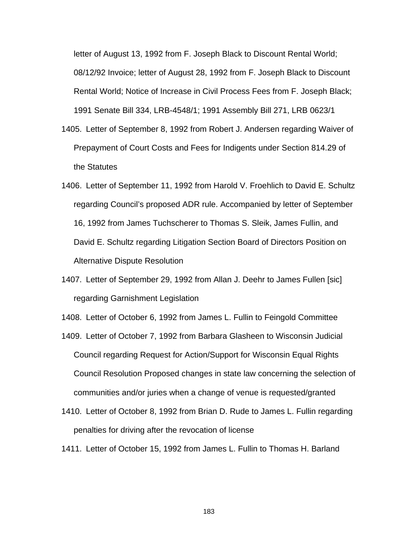letter of August 13, 1992 from F. Joseph Black to Discount Rental World; 08/12/92 Invoice; letter of August 28, 1992 from F. Joseph Black to Discount Rental World; Notice of Increase in Civil Process Fees from F. Joseph Black; 1991 Senate Bill 334, LRB-4548/1; 1991 Assembly Bill 271, LRB 0623/1

- 1405. Letter of September 8, 1992 from Robert J. Andersen regarding Waiver of Prepayment of Court Costs and Fees for Indigents under Section 814.29 of the Statutes
- 1406. Letter of September 11, 1992 from Harold V. Froehlich to David E. Schultz regarding Council's proposed ADR rule. Accompanied by letter of September 16, 1992 from James Tuchscherer to Thomas S. Sleik, James Fullin, and David E. Schultz regarding Litigation Section Board of Directors Position on Alternative Dispute Resolution
- 1407. Letter of September 29, 1992 from Allan J. Deehr to James Fullen [sic] regarding Garnishment Legislation

1408. Letter of October 6, 1992 from James L. Fullin to Feingold Committee

- 1409. Letter of October 7, 1992 from Barbara Glasheen to Wisconsin Judicial Council regarding Request for Action/Support for Wisconsin Equal Rights Council Resolution Proposed changes in state law concerning the selection of communities and/or juries when a change of venue is requested/granted
- 1410. Letter of October 8, 1992 from Brian D. Rude to James L. Fullin regarding penalties for driving after the revocation of license
- 1411. Letter of October 15, 1992 from James L. Fullin to Thomas H. Barland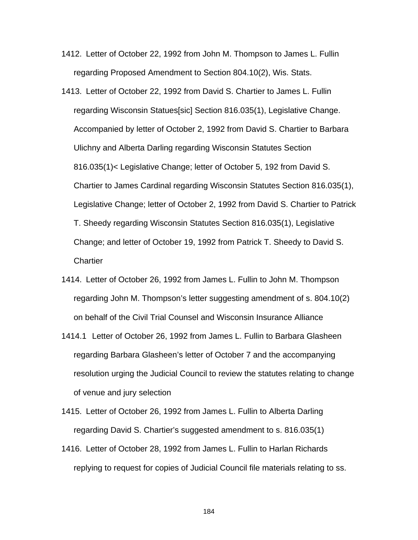- 1412. Letter of October 22, 1992 from John M. Thompson to James L. Fullin regarding Proposed Amendment to Section 804.10(2), Wis. Stats.
- 1413. Letter of October 22, 1992 from David S. Chartier to James L. Fullin regarding Wisconsin Statues[sic] Section 816.035(1), Legislative Change. Accompanied by letter of October 2, 1992 from David S. Chartier to Barbara Ulichny and Alberta Darling regarding Wisconsin Statutes Section 816.035(1)< Legislative Change; letter of October 5, 192 from David S. Chartier to James Cardinal regarding Wisconsin Statutes Section 816.035(1), Legislative Change; letter of October 2, 1992 from David S. Chartier to Patrick T. Sheedy regarding Wisconsin Statutes Section 816.035(1), Legislative Change; and letter of October 19, 1992 from Patrick T. Sheedy to David S. **Chartier**
- 1414. Letter of October 26, 1992 from James L. Fullin to John M. Thompson regarding John M. Thompson's letter suggesting amendment of s. 804.10(2) on behalf of the Civil Trial Counsel and Wisconsin Insurance Alliance
- 1414.1 Letter of October 26, 1992 from James L. Fullin to Barbara Glasheen regarding Barbara Glasheen's letter of October 7 and the accompanying resolution urging the Judicial Council to review the statutes relating to change of venue and jury selection
- 1415. Letter of October 26, 1992 from James L. Fullin to Alberta Darling regarding David S. Chartier's suggested amendment to s. 816.035(1)
- 1416. Letter of October 28, 1992 from James L. Fullin to Harlan Richards replying to request for copies of Judicial Council file materials relating to ss.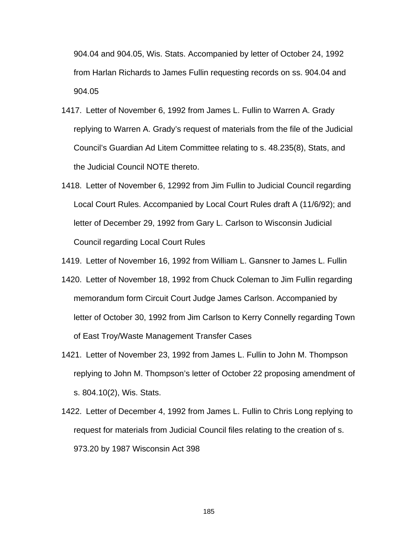904.04 and 904.05, Wis. Stats. Accompanied by letter of October 24, 1992 from Harlan Richards to James Fullin requesting records on ss. 904.04 and 904.05

- 1417. Letter of November 6, 1992 from James L. Fullin to Warren A. Grady replying to Warren A. Grady's request of materials from the file of the Judicial Council's Guardian Ad Litem Committee relating to s. 48.235(8), Stats, and the Judicial Council NOTE thereto.
- 1418. Letter of November 6, 12992 from Jim Fullin to Judicial Council regarding Local Court Rules. Accompanied by Local Court Rules draft A (11/6/92); and letter of December 29, 1992 from Gary L. Carlson to Wisconsin Judicial Council regarding Local Court Rules

1419. Letter of November 16, 1992 from William L. Gansner to James L. Fullin

- 1420. Letter of November 18, 1992 from Chuck Coleman to Jim Fullin regarding memorandum form Circuit Court Judge James Carlson. Accompanied by letter of October 30, 1992 from Jim Carlson to Kerry Connelly regarding Town of East Troy/Waste Management Transfer Cases
- 1421. Letter of November 23, 1992 from James L. Fullin to John M. Thompson replying to John M. Thompson's letter of October 22 proposing amendment of s. 804.10(2), Wis. Stats.
- 1422. Letter of December 4, 1992 from James L. Fullin to Chris Long replying to request for materials from Judicial Council files relating to the creation of s. 973.20 by 1987 Wisconsin Act 398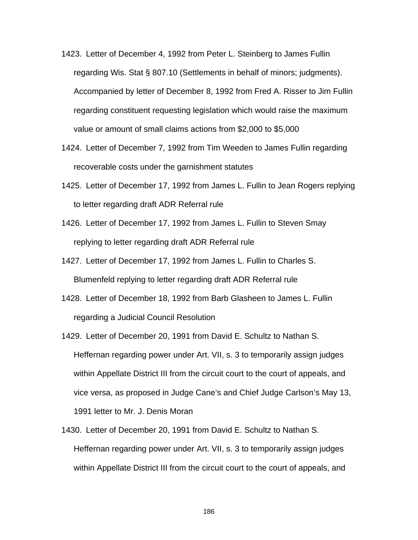- 1423. Letter of December 4, 1992 from Peter L. Steinberg to James Fullin regarding Wis. Stat § 807.10 (Settlements in behalf of minors; judgments). Accompanied by letter of December 8, 1992 from Fred A. Risser to Jim Fullin regarding constituent requesting legislation which would raise the maximum value or amount of small claims actions from \$2,000 to \$5,000
- 1424. Letter of December 7, 1992 from Tim Weeden to James Fullin regarding recoverable costs under the garnishment statutes
- 1425. Letter of December 17, 1992 from James L. Fullin to Jean Rogers replying to letter regarding draft ADR Referral rule
- 1426. Letter of December 17, 1992 from James L. Fullin to Steven Smay replying to letter regarding draft ADR Referral rule
- 1427. Letter of December 17, 1992 from James L. Fullin to Charles S. Blumenfeld replying to letter regarding draft ADR Referral rule
- 1428. Letter of December 18, 1992 from Barb Glasheen to James L. Fullin regarding a Judicial Council Resolution
- 1429. Letter of December 20, 1991 from David E. Schultz to Nathan S. Heffernan regarding power under Art. VII, s. 3 to temporarily assign judges within Appellate District III from the circuit court to the court of appeals, and vice versa, as proposed in Judge Cane's and Chief Judge Carlson's May 13, 1991 letter to Mr. J. Denis Moran
- 1430. Letter of December 20, 1991 from David E. Schultz to Nathan S. Heffernan regarding power under Art. VII, s. 3 to temporarily assign judges within Appellate District III from the circuit court to the court of appeals, and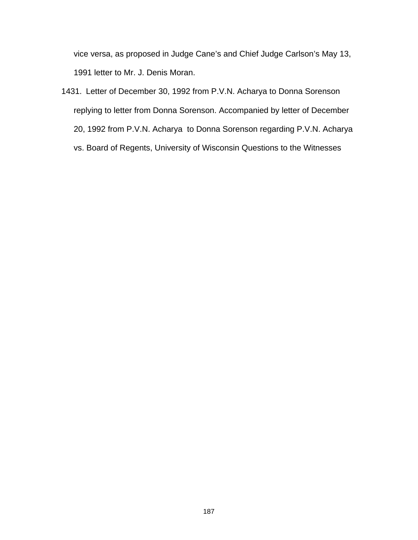vice versa, as proposed in Judge Cane's and Chief Judge Carlson's May 13, 1991 letter to Mr. J. Denis Moran.

1431. Letter of December 30, 1992 from P.V.N. Acharya to Donna Sorenson replying to letter from Donna Sorenson. Accompanied by letter of December 20, 1992 from P.V.N. Acharya to Donna Sorenson regarding P.V.N. Acharya vs. Board of Regents, University of Wisconsin Questions to the Witnesses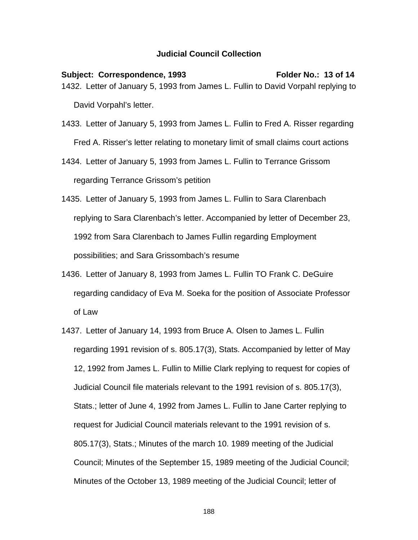## **Judicial Council Collection**

Subject: Correspondence, 1993 Folder No.: 13 of 14 1432. Letter of January 5, 1993 from James L. Fullin to David Vorpahl replying to David Vorpahl's letter.

- 1433. Letter of January 5, 1993 from James L. Fullin to Fred A. Risser regarding Fred A. Risser's letter relating to monetary limit of small claims court actions
- 1434. Letter of January 5, 1993 from James L. Fullin to Terrance Grissom regarding Terrance Grissom's petition
- 1435. Letter of January 5, 1993 from James L. Fullin to Sara Clarenbach replying to Sara Clarenbach's letter. Accompanied by letter of December 23, 1992 from Sara Clarenbach to James Fullin regarding Employment possibilities; and Sara Grissombach's resume
- 1436. Letter of January 8, 1993 from James L. Fullin TO Frank C. DeGuire regarding candidacy of Eva M. Soeka for the position of Associate Professor of Law
- 1437. Letter of January 14, 1993 from Bruce A. Olsen to James L. Fullin regarding 1991 revision of s. 805.17(3), Stats. Accompanied by letter of May 12, 1992 from James L. Fullin to Millie Clark replying to request for copies of Judicial Council file materials relevant to the 1991 revision of s. 805.17(3), Stats.; letter of June 4, 1992 from James L. Fullin to Jane Carter replying to request for Judicial Council materials relevant to the 1991 revision of s. 805.17(3), Stats.; Minutes of the march 10. 1989 meeting of the Judicial Council; Minutes of the September 15, 1989 meeting of the Judicial Council; Minutes of the October 13, 1989 meeting of the Judicial Council; letter of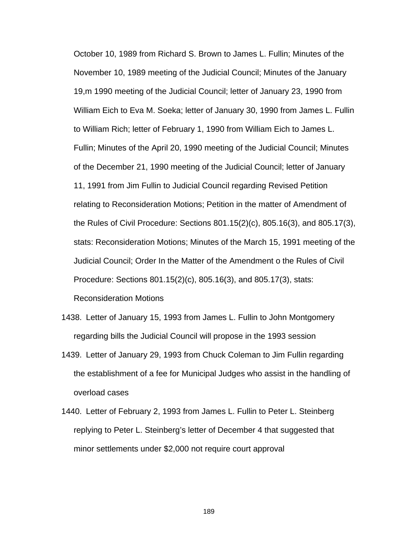October 10, 1989 from Richard S. Brown to James L. Fullin; Minutes of the November 10, 1989 meeting of the Judicial Council; Minutes of the January 19,m 1990 meeting of the Judicial Council; letter of January 23, 1990 from William Eich to Eva M. Soeka; letter of January 30, 1990 from James L. Fullin to William Rich; letter of February 1, 1990 from William Eich to James L. Fullin; Minutes of the April 20, 1990 meeting of the Judicial Council; Minutes of the December 21, 1990 meeting of the Judicial Council; letter of January 11, 1991 from Jim Fullin to Judicial Council regarding Revised Petition relating to Reconsideration Motions; Petition in the matter of Amendment of the Rules of Civil Procedure: Sections 801.15(2)(c), 805.16(3), and 805.17(3), stats: Reconsideration Motions; Minutes of the March 15, 1991 meeting of the Judicial Council; Order In the Matter of the Amendment o the Rules of Civil Procedure: Sections 801.15(2)(c), 805.16(3), and 805.17(3), stats: Reconsideration Motions

- 1438. Letter of January 15, 1993 from James L. Fullin to John Montgomery regarding bills the Judicial Council will propose in the 1993 session
- 1439. Letter of January 29, 1993 from Chuck Coleman to Jim Fullin regarding the establishment of a fee for Municipal Judges who assist in the handling of overload cases
- 1440. Letter of February 2, 1993 from James L. Fullin to Peter L. Steinberg replying to Peter L. Steinberg's letter of December 4 that suggested that minor settlements under \$2,000 not require court approval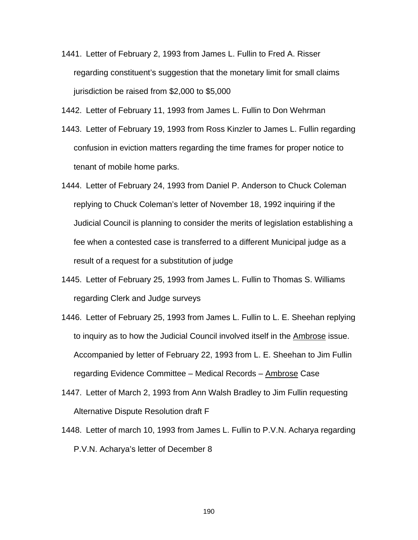- 1441. Letter of February 2, 1993 from James L. Fullin to Fred A. Risser regarding constituent's suggestion that the monetary limit for small claims jurisdiction be raised from \$2,000 to \$5,000
- 1442. Letter of February 11, 1993 from James L. Fullin to Don Wehrman
- 1443. Letter of February 19, 1993 from Ross Kinzler to James L. Fullin regarding confusion in eviction matters regarding the time frames for proper notice to tenant of mobile home parks.
- 1444. Letter of February 24, 1993 from Daniel P. Anderson to Chuck Coleman replying to Chuck Coleman's letter of November 18, 1992 inquiring if the Judicial Council is planning to consider the merits of legislation establishing a fee when a contested case is transferred to a different Municipal judge as a result of a request for a substitution of judge
- 1445. Letter of February 25, 1993 from James L. Fullin to Thomas S. Williams regarding Clerk and Judge surveys
- 1446. Letter of February 25, 1993 from James L. Fullin to L. E. Sheehan replying to inquiry as to how the Judicial Council involved itself in the **Ambrose** issue. Accompanied by letter of February 22, 1993 from L. E. Sheehan to Jim Fullin regarding Evidence Committee – Medical Records – Ambrose Case
- 1447. Letter of March 2, 1993 from Ann Walsh Bradley to Jim Fullin requesting Alternative Dispute Resolution draft F
- 1448. Letter of march 10, 1993 from James L. Fullin to P.V.N. Acharya regarding P.V.N. Acharya's letter of December 8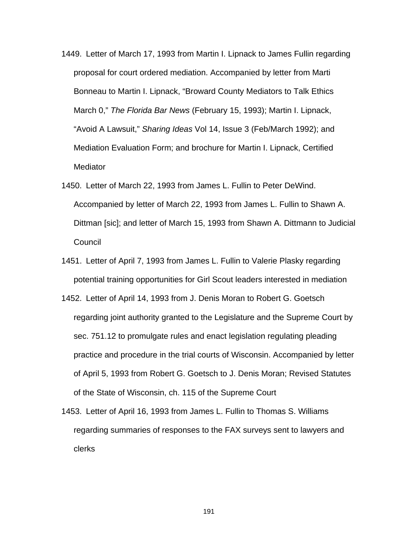- 1449. Letter of March 17, 1993 from Martin I. Lipnack to James Fullin regarding proposal for court ordered mediation. Accompanied by letter from Marti Bonneau to Martin I. Lipnack, "Broward County Mediators to Talk Ethics March 0," *The Florida Bar News* (February 15, 1993); Martin I. Lipnack, "Avoid A Lawsuit," *Sharing Ideas* Vol 14, Issue 3 (Feb/March 1992); and Mediation Evaluation Form; and brochure for Martin I. Lipnack, Certified **Mediator**
- 1450. Letter of March 22, 1993 from James L. Fullin to Peter DeWind. Accompanied by letter of March 22, 1993 from James L. Fullin to Shawn A. Dittman [sic]; and letter of March 15, 1993 from Shawn A. Dittmann to Judicial **Council**
- 1451. Letter of April 7, 1993 from James L. Fullin to Valerie Plasky regarding potential training opportunities for Girl Scout leaders interested in mediation
- 1452. Letter of April 14, 1993 from J. Denis Moran to Robert G. Goetsch regarding joint authority granted to the Legislature and the Supreme Court by sec. 751.12 to promulgate rules and enact legislation regulating pleading practice and procedure in the trial courts of Wisconsin. Accompanied by letter of April 5, 1993 from Robert G. Goetsch to J. Denis Moran; Revised Statutes of the State of Wisconsin, ch. 115 of the Supreme Court
- 1453. Letter of April 16, 1993 from James L. Fullin to Thomas S. Williams regarding summaries of responses to the FAX surveys sent to lawyers and clerks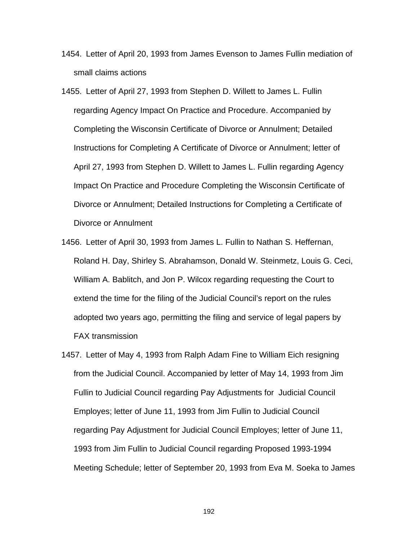- 1454. Letter of April 20, 1993 from James Evenson to James Fullin mediation of small claims actions
- 1455. Letter of April 27, 1993 from Stephen D. Willett to James L. Fullin regarding Agency Impact On Practice and Procedure. Accompanied by Completing the Wisconsin Certificate of Divorce or Annulment; Detailed Instructions for Completing A Certificate of Divorce or Annulment; letter of April 27, 1993 from Stephen D. Willett to James L. Fullin regarding Agency Impact On Practice and Procedure Completing the Wisconsin Certificate of Divorce or Annulment; Detailed Instructions for Completing a Certificate of Divorce or Annulment
- 1456. Letter of April 30, 1993 from James L. Fullin to Nathan S. Heffernan, Roland H. Day, Shirley S. Abrahamson, Donald W. Steinmetz, Louis G. Ceci, William A. Bablitch, and Jon P. Wilcox regarding requesting the Court to extend the time for the filing of the Judicial Council's report on the rules adopted two years ago, permitting the filing and service of legal papers by FAX transmission
- 1457. Letter of May 4, 1993 from Ralph Adam Fine to William Eich resigning from the Judicial Council. Accompanied by letter of May 14, 1993 from Jim Fullin to Judicial Council regarding Pay Adjustments for Judicial Council Employes; letter of June 11, 1993 from Jim Fullin to Judicial Council regarding Pay Adjustment for Judicial Council Employes; letter of June 11, 1993 from Jim Fullin to Judicial Council regarding Proposed 1993-1994 Meeting Schedule; letter of September 20, 1993 from Eva M. Soeka to James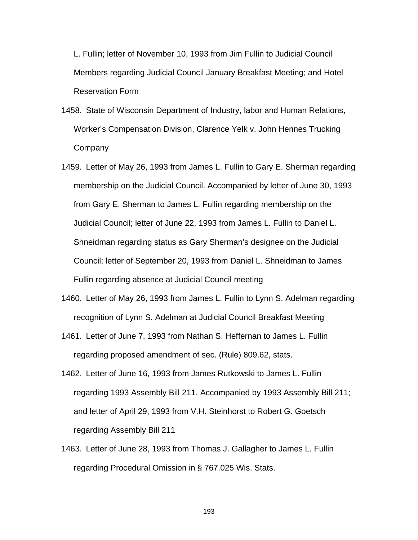L. Fullin; letter of November 10, 1993 from Jim Fullin to Judicial Council Members regarding Judicial Council January Breakfast Meeting; and Hotel Reservation Form

- 1458. State of Wisconsin Department of Industry, labor and Human Relations, Worker's Compensation Division, Clarence Yelk v. John Hennes Trucking **Company**
- 1459. Letter of May 26, 1993 from James L. Fullin to Gary E. Sherman regarding membership on the Judicial Council. Accompanied by letter of June 30, 1993 from Gary E. Sherman to James L. Fullin regarding membership on the Judicial Council; letter of June 22, 1993 from James L. Fullin to Daniel L. Shneidman regarding status as Gary Sherman's designee on the Judicial Council; letter of September 20, 1993 from Daniel L. Shneidman to James Fullin regarding absence at Judicial Council meeting
- 1460. Letter of May 26, 1993 from James L. Fullin to Lynn S. Adelman regarding recognition of Lynn S. Adelman at Judicial Council Breakfast Meeting
- 1461. Letter of June 7, 1993 from Nathan S. Heffernan to James L. Fullin regarding proposed amendment of sec. (Rule) 809.62, stats.
- 1462. Letter of June 16, 1993 from James Rutkowski to James L. Fullin regarding 1993 Assembly Bill 211. Accompanied by 1993 Assembly Bill 211; and letter of April 29, 1993 from V.H. Steinhorst to Robert G. Goetsch regarding Assembly Bill 211
- 1463. Letter of June 28, 1993 from Thomas J. Gallagher to James L. Fullin regarding Procedural Omission in § 767.025 Wis. Stats.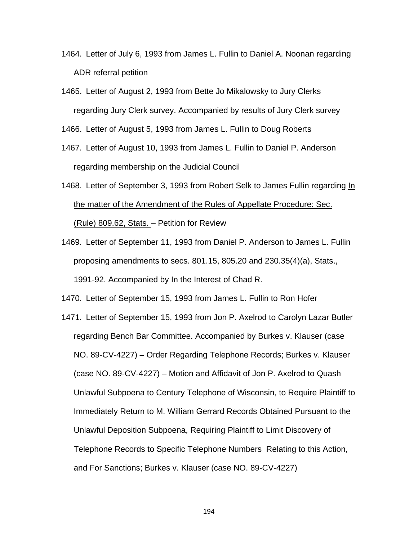- 1464. Letter of July 6, 1993 from James L. Fullin to Daniel A. Noonan regarding ADR referral petition
- 1465. Letter of August 2, 1993 from Bette Jo Mikalowsky to Jury Clerks regarding Jury Clerk survey. Accompanied by results of Jury Clerk survey

1466. Letter of August 5, 1993 from James L. Fullin to Doug Roberts

- 1467. Letter of August 10, 1993 from James L. Fullin to Daniel P. Anderson regarding membership on the Judicial Council
- 1468. Letter of September 3, 1993 from Robert Selk to James Fullin regarding In the matter of the Amendment of the Rules of Appellate Procedure: Sec. (Rule) 809.62, Stats. – Petition for Review
- 1469. Letter of September 11, 1993 from Daniel P. Anderson to James L. Fullin proposing amendments to secs. 801.15, 805.20 and 230.35(4)(a), Stats., 1991-92. Accompanied by In the Interest of Chad R.

1470. Letter of September 15, 1993 from James L. Fullin to Ron Hofer

1471. Letter of September 15, 1993 from Jon P. Axelrod to Carolyn Lazar Butler regarding Bench Bar Committee. Accompanied by Burkes v. Klauser (case NO. 89-CV-4227) – Order Regarding Telephone Records; Burkes v. Klauser (case NO. 89-CV-4227) – Motion and Affidavit of Jon P. Axelrod to Quash Unlawful Subpoena to Century Telephone of Wisconsin, to Require Plaintiff to Immediately Return to M. William Gerrard Records Obtained Pursuant to the Unlawful Deposition Subpoena, Requiring Plaintiff to Limit Discovery of Telephone Records to Specific Telephone Numbers Relating to this Action, and For Sanctions; Burkes v. Klauser (case NO. 89-CV-4227)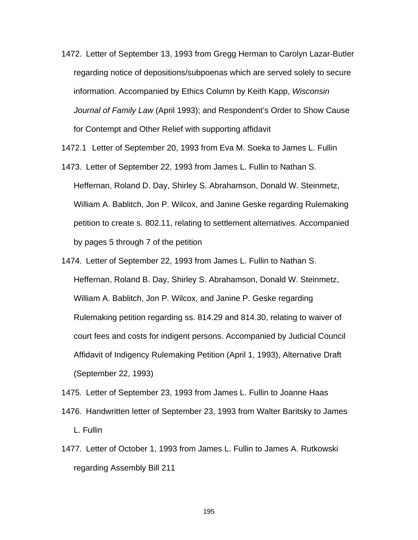- 1472. Letter of September 13, 1993 from Gregg Herman to Carolyn Lazar-Butler regarding notice of depositions/subpoenas which are served solely to secure information. Accompanied by Ethics Column by Keith Kapp, *Wisconsin Journal of Family Law* (April 1993); and Respondent's Order to Show Cause for Contempt and Other Relief with supporting affidavit
- 1472.1 Letter of September 20, 1993 from Eva M. Soeka to James L. Fullin
- 1473. Letter of September 22, 1993 from James L. Fullin to Nathan S. Heffernan, Roland D. Day, Shirley S. Abrahamson, Donald W. Steinmetz, William A. Bablitch, Jon P. Wilcox, and Janine Geske regarding Rulemaking petition to create s. 802.11, relating to settlement alternatives. Accompanied by pages 5 through 7 of the petition
- 1474. Letter of September 22, 1993 from James L. Fullin to Nathan S. Heffernan, Roland B. Day, Shirley S. Abrahamson, Donald W. Steinmetz, William A. Bablitch, Jon P. Wilcox, and Janine P. Geske regarding Rulemaking petition regarding ss. 814.29 and 814.30, relating to waiver of court fees and costs for indigent persons. Accompanied by Judicial Council Affidavit of Indigency Rulemaking Petition (April 1, 1993), Alternative Draft (September 22, 1993)
- 1475. Letter of September 23, 1993 from James L. Fullin to Joanne Haas
- 1476. Handwritten letter of September 23, 1993 from Walter Baritsky to James L. Fullin
- 1477. Letter of October 1, 1993 from James L. Fullin to James A. Rutkowski regarding Assembly Bill 211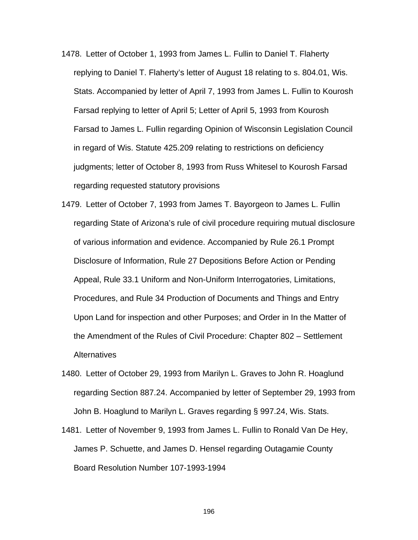- 1478. Letter of October 1, 1993 from James L. Fullin to Daniel T. Flaherty replying to Daniel T. Flaherty's letter of August 18 relating to s. 804.01, Wis. Stats. Accompanied by letter of April 7, 1993 from James L. Fullin to Kourosh Farsad replying to letter of April 5; Letter of April 5, 1993 from Kourosh Farsad to James L. Fullin regarding Opinion of Wisconsin Legislation Council in regard of Wis. Statute 425.209 relating to restrictions on deficiency judgments; letter of October 8, 1993 from Russ Whitesel to Kourosh Farsad regarding requested statutory provisions
- 1479. Letter of October 7, 1993 from James T. Bayorgeon to James L. Fullin regarding State of Arizona's rule of civil procedure requiring mutual disclosure of various information and evidence. Accompanied by Rule 26.1 Prompt Disclosure of Information, Rule 27 Depositions Before Action or Pending Appeal, Rule 33.1 Uniform and Non-Uniform Interrogatories, Limitations, Procedures, and Rule 34 Production of Documents and Things and Entry Upon Land for inspection and other Purposes; and Order in In the Matter of the Amendment of the Rules of Civil Procedure: Chapter 802 – Settlement Alternatives
- 1480. Letter of October 29, 1993 from Marilyn L. Graves to John R. Hoaglund regarding Section 887.24. Accompanied by letter of September 29, 1993 from John B. Hoaglund to Marilyn L. Graves regarding § 997.24, Wis. Stats.
- 1481. Letter of November 9, 1993 from James L. Fullin to Ronald Van De Hey, James P. Schuette, and James D. Hensel regarding Outagamie County Board Resolution Number 107-1993-1994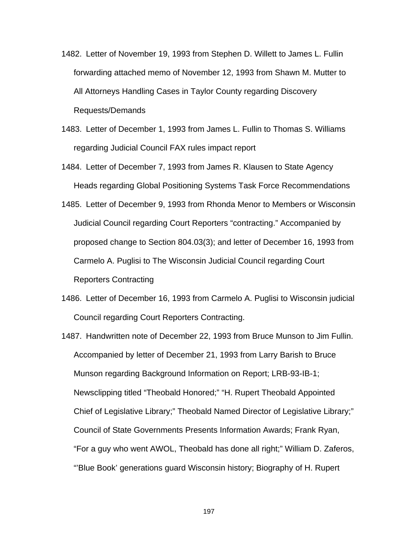- 1482. Letter of November 19, 1993 from Stephen D. Willett to James L. Fullin forwarding attached memo of November 12, 1993 from Shawn M. Mutter to All Attorneys Handling Cases in Taylor County regarding Discovery Requests/Demands
- 1483. Letter of December 1, 1993 from James L. Fullin to Thomas S. Williams regarding Judicial Council FAX rules impact report
- 1484. Letter of December 7, 1993 from James R. Klausen to State Agency Heads regarding Global Positioning Systems Task Force Recommendations
- 1485. Letter of December 9, 1993 from Rhonda Menor to Members or Wisconsin Judicial Council regarding Court Reporters "contracting." Accompanied by proposed change to Section 804.03(3); and letter of December 16, 1993 from Carmelo A. Puglisi to The Wisconsin Judicial Council regarding Court Reporters Contracting
- 1486. Letter of December 16, 1993 from Carmelo A. Puglisi to Wisconsin judicial Council regarding Court Reporters Contracting.
- 1487. Handwritten note of December 22, 1993 from Bruce Munson to Jim Fullin. Accompanied by letter of December 21, 1993 from Larry Barish to Bruce Munson regarding Background Information on Report; LRB-93-IB-1; Newsclipping titled "Theobald Honored;" "H. Rupert Theobald Appointed Chief of Legislative Library;" Theobald Named Director of Legislative Library;" Council of State Governments Presents Information Awards; Frank Ryan, "For a guy who went AWOL, Theobald has done all right;" William D. Zaferos, "'Blue Book' generations guard Wisconsin history; Biography of H. Rupert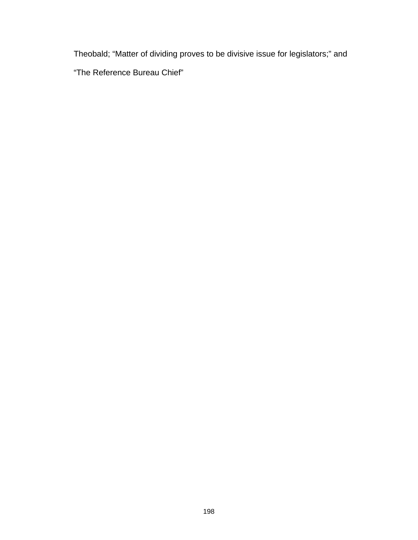Theobald; "Matter of dividing proves to be divisive issue for legislators;" and

"The Reference Bureau Chief"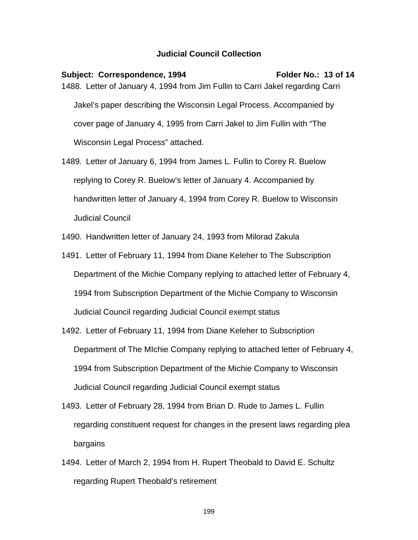## **Judicial Council Collection**

Subject: Correspondence, 1994 Folder No.: 13 of 14 1488. Letter of January 4, 1994 from Jim Fullin to Carri Jakel regarding Carri Jakel's paper describing the Wisconsin Legal Process. Accompanied by cover page of January 4, 1995 from Carri Jakel to Jim Fullin with "The Wisconsin Legal Process" attached.

1489. Letter of January 6, 1994 from James L. Fullin to Corey R. Buelow replying to Corey R. Buelow's letter of January 4. Accompanied by handwritten letter of January 4, 1994 from Corey R. Buelow to Wisconsin Judicial Council

1490. Handwritten letter of January 24, 1993 from Milorad Zakula

- 1491. Letter of February 11, 1994 from Diane Keleher to The Subscription Department of the Michie Company replying to attached letter of February 4, 1994 from Subscription Department of the Michie Company to Wisconsin Judicial Council regarding Judicial Council exempt status
- 1492. Letter of February 11, 1994 from Diane Keleher to Subscription Department of The MIchie Company replying to attached letter of February 4, 1994 from Subscription Department of the Michie Company to Wisconsin Judicial Council regarding Judicial Council exempt status
- 1493. Letter of February 28, 1994 from Brian D. Rude to James L. Fullin regarding constituent request for changes in the present laws regarding plea bargains
- 1494. Letter of March 2, 1994 from H. Rupert Theobald to David E. Schultz regarding Rupert Theobald's retirement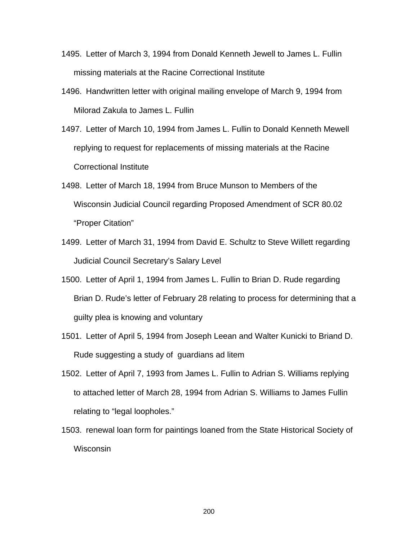- 1495. Letter of March 3, 1994 from Donald Kenneth Jewell to James L. Fullin missing materials at the Racine Correctional Institute
- 1496. Handwritten letter with original mailing envelope of March 9, 1994 from Milorad Zakula to James L. Fullin
- 1497. Letter of March 10, 1994 from James L. Fullin to Donald Kenneth Mewell replying to request for replacements of missing materials at the Racine Correctional Institute
- 1498. Letter of March 18, 1994 from Bruce Munson to Members of the Wisconsin Judicial Council regarding Proposed Amendment of SCR 80.02 "Proper Citation"
- 1499. Letter of March 31, 1994 from David E. Schultz to Steve Willett regarding Judicial Council Secretary's Salary Level
- 1500. Letter of April 1, 1994 from James L. Fullin to Brian D. Rude regarding Brian D. Rude's letter of February 28 relating to process for determining that a guilty plea is knowing and voluntary
- 1501. Letter of April 5, 1994 from Joseph Leean and Walter Kunicki to Briand D. Rude suggesting a study of guardians ad litem
- 1502. Letter of April 7, 1993 from James L. Fullin to Adrian S. Williams replying to attached letter of March 28, 1994 from Adrian S. Williams to James Fullin relating to "legal loopholes."
- 1503. renewal loan form for paintings loaned from the State Historical Society of Wisconsin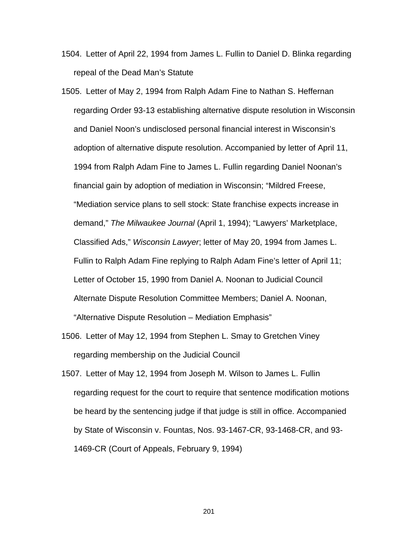- 1504. Letter of April 22, 1994 from James L. Fullin to Daniel D. Blinka regarding repeal of the Dead Man's Statute
- 1505. Letter of May 2, 1994 from Ralph Adam Fine to Nathan S. Heffernan regarding Order 93-13 establishing alternative dispute resolution in Wisconsin and Daniel Noon's undisclosed personal financial interest in Wisconsin's adoption of alternative dispute resolution. Accompanied by letter of April 11, 1994 from Ralph Adam Fine to James L. Fullin regarding Daniel Noonan's financial gain by adoption of mediation in Wisconsin; "Mildred Freese, "Mediation service plans to sell stock: State franchise expects increase in demand," *The Milwaukee Journal* (April 1, 1994); "Lawyers' Marketplace, Classified Ads," *Wisconsin Lawyer*; letter of May 20, 1994 from James L. Fullin to Ralph Adam Fine replying to Ralph Adam Fine's letter of April 11; Letter of October 15, 1990 from Daniel A. Noonan to Judicial Council Alternate Dispute Resolution Committee Members; Daniel A. Noonan, "Alternative Dispute Resolution – Mediation Emphasis"
- 1506. Letter of May 12, 1994 from Stephen L. Smay to Gretchen Viney regarding membership on the Judicial Council
- 1507. Letter of May 12, 1994 from Joseph M. Wilson to James L. Fullin regarding request for the court to require that sentence modification motions be heard by the sentencing judge if that judge is still in office. Accompanied by State of Wisconsin v. Fountas, Nos. 93-1467-CR, 93-1468-CR, and 93- 1469-CR (Court of Appeals, February 9, 1994)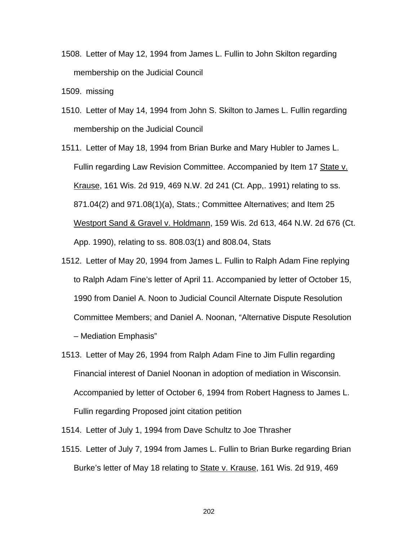1508. Letter of May 12, 1994 from James L. Fullin to John Skilton regarding membership on the Judicial Council

1509. missing

- 1510. Letter of May 14, 1994 from John S. Skilton to James L. Fullin regarding membership on the Judicial Council
- 1511. Letter of May 18, 1994 from Brian Burke and Mary Hubler to James L. Fullin regarding Law Revision Committee. Accompanied by Item 17 State v. Krause, 161 Wis. 2d 919, 469 N.W. 2d 241 (Ct. App,. 1991) relating to ss. 871.04(2) and 971.08(1)(a), Stats.; Committee Alternatives; and Item 25 Westport Sand & Gravel v. Holdmann, 159 Wis. 2d 613, 464 N.W. 2d 676 (Ct. App. 1990), relating to ss. 808.03(1) and 808.04, Stats
- 1512. Letter of May 20, 1994 from James L. Fullin to Ralph Adam Fine replying to Ralph Adam Fine's letter of April 11. Accompanied by letter of October 15, 1990 from Daniel A. Noon to Judicial Council Alternate Dispute Resolution Committee Members; and Daniel A. Noonan, "Alternative Dispute Resolution – Mediation Emphasis"
- 1513. Letter of May 26, 1994 from Ralph Adam Fine to Jim Fullin regarding Financial interest of Daniel Noonan in adoption of mediation in Wisconsin. Accompanied by letter of October 6, 1994 from Robert Hagness to James L. Fullin regarding Proposed joint citation petition
- 1514. Letter of July 1, 1994 from Dave Schultz to Joe Thrasher
- 1515. Letter of July 7, 1994 from James L. Fullin to Brian Burke regarding Brian Burke's letter of May 18 relating to State v. Krause, 161 Wis. 2d 919, 469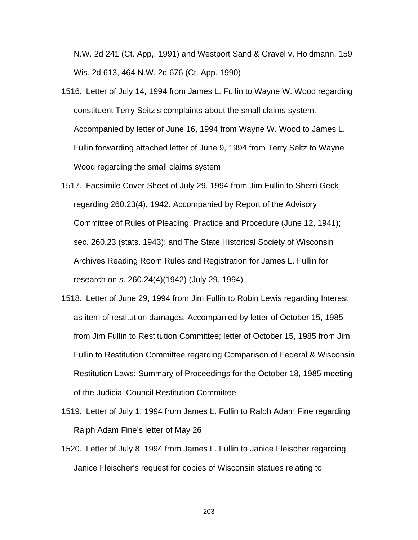N.W. 2d 241 (Ct. App,. 1991) and Westport Sand & Gravel v. Holdmann, 159 Wis. 2d 613, 464 N.W. 2d 676 (Ct. App. 1990)

- 1516. Letter of July 14, 1994 from James L. Fullin to Wayne W. Wood regarding constituent Terry Seitz's complaints about the small claims system. Accompanied by letter of June 16, 1994 from Wayne W. Wood to James L. Fullin forwarding attached letter of June 9, 1994 from Terry Seltz to Wayne Wood regarding the small claims system
- 1517. Facsimile Cover Sheet of July 29, 1994 from Jim Fullin to Sherri Geck regarding 260.23(4), 1942. Accompanied by Report of the Advisory Committee of Rules of Pleading, Practice and Procedure (June 12, 1941); sec. 260.23 (stats. 1943); and The State Historical Society of Wisconsin Archives Reading Room Rules and Registration for James L. Fullin for research on s. 260.24(4)(1942) (July 29, 1994)
- 1518. Letter of June 29, 1994 from Jim Fullin to Robin Lewis regarding Interest as item of restitution damages. Accompanied by letter of October 15, 1985 from Jim Fullin to Restitution Committee; letter of October 15, 1985 from Jim Fullin to Restitution Committee regarding Comparison of Federal & Wisconsin Restitution Laws; Summary of Proceedings for the October 18, 1985 meeting of the Judicial Council Restitution Committee
- 1519. Letter of July 1, 1994 from James L. Fullin to Ralph Adam Fine regarding Ralph Adam Fine's letter of May 26
- 1520. Letter of July 8, 1994 from James L. Fullin to Janice Fleischer regarding Janice Fleischer's request for copies of Wisconsin statues relating to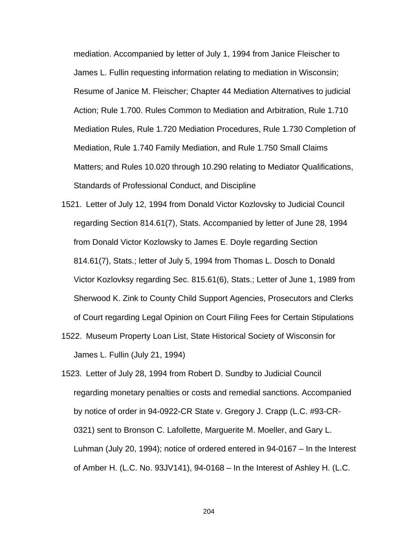mediation. Accompanied by letter of July 1, 1994 from Janice Fleischer to James L. Fullin requesting information relating to mediation in Wisconsin; Resume of Janice M. Fleischer; Chapter 44 Mediation Alternatives to judicial Action; Rule 1.700. Rules Common to Mediation and Arbitration, Rule 1.710 Mediation Rules, Rule 1.720 Mediation Procedures, Rule 1.730 Completion of Mediation, Rule 1.740 Family Mediation, and Rule 1.750 Small Claims Matters; and Rules 10.020 through 10.290 relating to Mediator Qualifications, Standards of Professional Conduct, and Discipline

- 1521. Letter of July 12, 1994 from Donald Victor Kozlovsky to Judicial Council regarding Section 814.61(7), Stats. Accompanied by letter of June 28, 1994 from Donald Victor Kozlowsky to James E. Doyle regarding Section 814.61(7), Stats.; letter of July 5, 1994 from Thomas L. Dosch to Donald Victor Kozlovksy regarding Sec. 815.61(6), Stats.; Letter of June 1, 1989 from Sherwood K. Zink to County Child Support Agencies, Prosecutors and Clerks of Court regarding Legal Opinion on Court Filing Fees for Certain Stipulations
- 1522. Museum Property Loan List, State Historical Society of Wisconsin for James L. Fullin (July 21, 1994)
- 1523. Letter of July 28, 1994 from Robert D. Sundby to Judicial Council regarding monetary penalties or costs and remedial sanctions. Accompanied by notice of order in 94-0922-CR State v. Gregory J. Crapp (L.C. #93-CR-0321) sent to Bronson C. Lafollette, Marguerite M. Moeller, and Gary L. Luhman (July 20, 1994); notice of ordered entered in 94-0167 – In the Interest of Amber H. (L.C. No. 93JV141), 94-0168 – In the Interest of Ashley H. (L.C.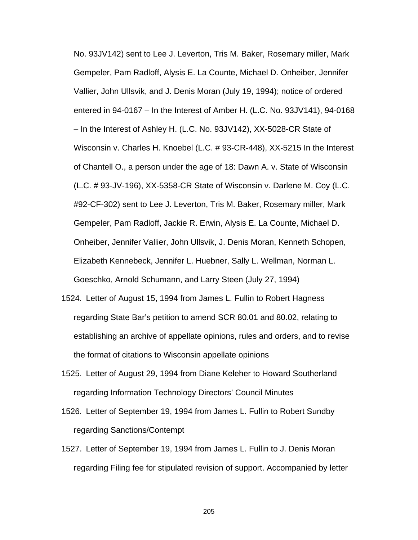No. 93JV142) sent to Lee J. Leverton, Tris M. Baker, Rosemary miller, Mark Gempeler, Pam Radloff, Alysis E. La Counte, Michael D. Onheiber, Jennifer Vallier, John Ullsvik, and J. Denis Moran (July 19, 1994); notice of ordered entered in 94-0167 – In the Interest of Amber H. (L.C. No. 93JV141), 94-0168 – In the Interest of Ashley H. (L.C. No. 93JV142), XX-5028-CR State of Wisconsin v. Charles H. Knoebel (L.C. # 93-CR-448), XX-5215 In the Interest of Chantell O., a person under the age of 18: Dawn A. v. State of Wisconsin (L.C. # 93-JV-196), XX-5358-CR State of Wisconsin v. Darlene M. Coy (L.C. #92-CF-302) sent to Lee J. Leverton, Tris M. Baker, Rosemary miller, Mark Gempeler, Pam Radloff, Jackie R. Erwin, Alysis E. La Counte, Michael D. Onheiber, Jennifer Vallier, John Ullsvik, J. Denis Moran, Kenneth Schopen, Elizabeth Kennebeck, Jennifer L. Huebner, Sally L. Wellman, Norman L. Goeschko, Arnold Schumann, and Larry Steen (July 27, 1994)

- 1524. Letter of August 15, 1994 from James L. Fullin to Robert Hagness regarding State Bar's petition to amend SCR 80.01 and 80.02, relating to establishing an archive of appellate opinions, rules and orders, and to revise the format of citations to Wisconsin appellate opinions
- 1525. Letter of August 29, 1994 from Diane Keleher to Howard Southerland regarding Information Technology Directors' Council Minutes
- 1526. Letter of September 19, 1994 from James L. Fullin to Robert Sundby regarding Sanctions/Contempt
- 1527. Letter of September 19, 1994 from James L. Fullin to J. Denis Moran regarding Filing fee for stipulated revision of support. Accompanied by letter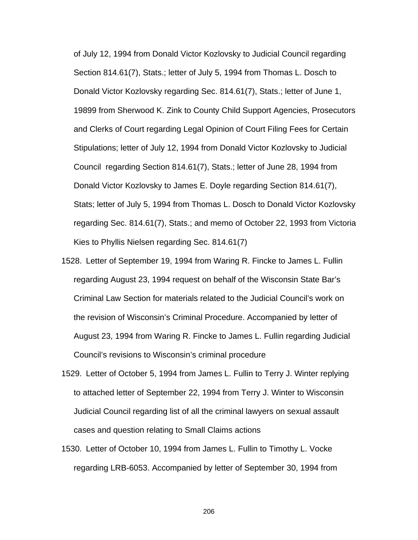of July 12, 1994 from Donald Victor Kozlovsky to Judicial Council regarding Section 814.61(7), Stats.; letter of July 5, 1994 from Thomas L. Dosch to Donald Victor Kozlovsky regarding Sec. 814.61(7), Stats.; letter of June 1, 19899 from Sherwood K. Zink to County Child Support Agencies, Prosecutors and Clerks of Court regarding Legal Opinion of Court Filing Fees for Certain Stipulations; letter of July 12, 1994 from Donald Victor Kozlovsky to Judicial Council regarding Section 814.61(7), Stats.; letter of June 28, 1994 from Donald Victor Kozlovsky to James E. Doyle regarding Section 814.61(7), Stats; letter of July 5, 1994 from Thomas L. Dosch to Donald Victor Kozlovsky regarding Sec. 814.61(7), Stats.; and memo of October 22, 1993 from Victoria Kies to Phyllis Nielsen regarding Sec. 814.61(7)

- 1528. Letter of September 19, 1994 from Waring R. Fincke to James L. Fullin regarding August 23, 1994 request on behalf of the Wisconsin State Bar's Criminal Law Section for materials related to the Judicial Council's work on the revision of Wisconsin's Criminal Procedure. Accompanied by letter of August 23, 1994 from Waring R. Fincke to James L. Fullin regarding Judicial Council's revisions to Wisconsin's criminal procedure
- 1529. Letter of October 5, 1994 from James L. Fullin to Terry J. Winter replying to attached letter of September 22, 1994 from Terry J. Winter to Wisconsin Judicial Council regarding list of all the criminal lawyers on sexual assault cases and question relating to Small Claims actions
- 1530. Letter of October 10, 1994 from James L. Fullin to Timothy L. Vocke regarding LRB-6053. Accompanied by letter of September 30, 1994 from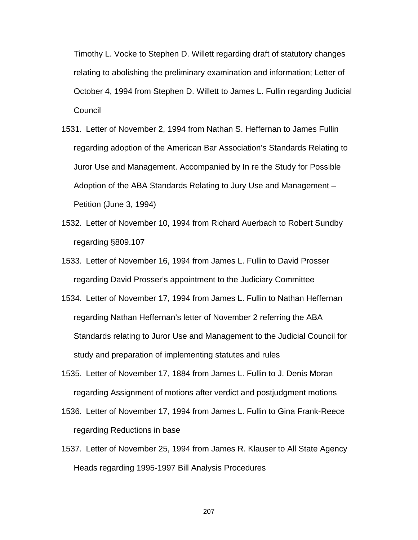Timothy L. Vocke to Stephen D. Willett regarding draft of statutory changes relating to abolishing the preliminary examination and information; Letter of October 4, 1994 from Stephen D. Willett to James L. Fullin regarding Judicial **Council** 

- 1531. Letter of November 2, 1994 from Nathan S. Heffernan to James Fullin regarding adoption of the American Bar Association's Standards Relating to Juror Use and Management. Accompanied by In re the Study for Possible Adoption of the ABA Standards Relating to Jury Use and Management – Petition (June 3, 1994)
- 1532. Letter of November 10, 1994 from Richard Auerbach to Robert Sundby regarding §809.107
- 1533. Letter of November 16, 1994 from James L. Fullin to David Prosser regarding David Prosser's appointment to the Judiciary Committee
- 1534. Letter of November 17, 1994 from James L. Fullin to Nathan Heffernan regarding Nathan Heffernan's letter of November 2 referring the ABA Standards relating to Juror Use and Management to the Judicial Council for study and preparation of implementing statutes and rules
- 1535. Letter of November 17, 1884 from James L. Fullin to J. Denis Moran regarding Assignment of motions after verdict and postjudgment motions
- 1536. Letter of November 17, 1994 from James L. Fullin to Gina Frank-Reece regarding Reductions in base
- 1537. Letter of November 25, 1994 from James R. Klauser to All State Agency Heads regarding 1995-1997 Bill Analysis Procedures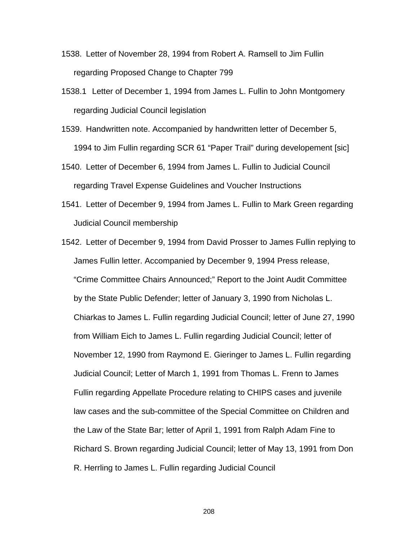- 1538. Letter of November 28, 1994 from Robert A. Ramsell to Jim Fullin regarding Proposed Change to Chapter 799
- 1538.1 Letter of December 1, 1994 from James L. Fullin to John Montgomery regarding Judicial Council legislation
- 1539. Handwritten note. Accompanied by handwritten letter of December 5, 1994 to Jim Fullin regarding SCR 61 "Paper Trail" during developement [sic]
- 1540. Letter of December 6, 1994 from James L. Fullin to Judicial Council regarding Travel Expense Guidelines and Voucher Instructions
- 1541. Letter of December 9, 1994 from James L. Fullin to Mark Green regarding Judicial Council membership
- 1542. Letter of December 9, 1994 from David Prosser to James Fullin replying to James Fullin letter. Accompanied by December 9, 1994 Press release, "Crime Committee Chairs Announced;" Report to the Joint Audit Committee by the State Public Defender; letter of January 3, 1990 from Nicholas L. Chiarkas to James L. Fullin regarding Judicial Council; letter of June 27, 1990 from William Eich to James L. Fullin regarding Judicial Council; letter of November 12, 1990 from Raymond E. Gieringer to James L. Fullin regarding Judicial Council; Letter of March 1, 1991 from Thomas L. Frenn to James Fullin regarding Appellate Procedure relating to CHIPS cases and juvenile law cases and the sub-committee of the Special Committee on Children and the Law of the State Bar; letter of April 1, 1991 from Ralph Adam Fine to Richard S. Brown regarding Judicial Council; letter of May 13, 1991 from Don R. Herrling to James L. Fullin regarding Judicial Council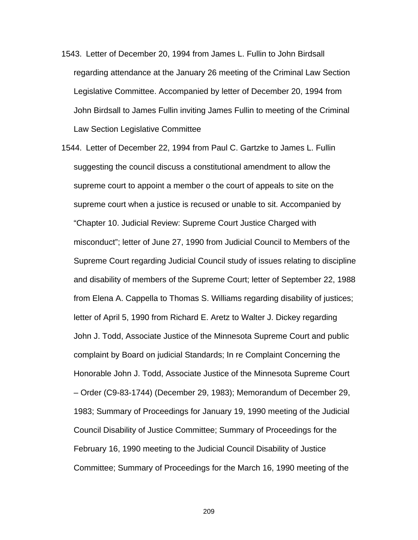- 1543. Letter of December 20, 1994 from James L. Fullin to John Birdsall regarding attendance at the January 26 meeting of the Criminal Law Section Legislative Committee. Accompanied by letter of December 20, 1994 from John Birdsall to James Fullin inviting James Fullin to meeting of the Criminal Law Section Legislative Committee
- 1544. Letter of December 22, 1994 from Paul C. Gartzke to James L. Fullin suggesting the council discuss a constitutional amendment to allow the supreme court to appoint a member o the court of appeals to site on the supreme court when a justice is recused or unable to sit. Accompanied by "Chapter 10. Judicial Review: Supreme Court Justice Charged with misconduct"; letter of June 27, 1990 from Judicial Council to Members of the Supreme Court regarding Judicial Council study of issues relating to discipline and disability of members of the Supreme Court; letter of September 22, 1988 from Elena A. Cappella to Thomas S. Williams regarding disability of justices; letter of April 5, 1990 from Richard E. Aretz to Walter J. Dickey regarding John J. Todd, Associate Justice of the Minnesota Supreme Court and public complaint by Board on judicial Standards; In re Complaint Concerning the Honorable John J. Todd, Associate Justice of the Minnesota Supreme Court – Order (C9-83-1744) (December 29, 1983); Memorandum of December 29, 1983; Summary of Proceedings for January 19, 1990 meeting of the Judicial Council Disability of Justice Committee; Summary of Proceedings for the February 16, 1990 meeting to the Judicial Council Disability of Justice Committee; Summary of Proceedings for the March 16, 1990 meeting of the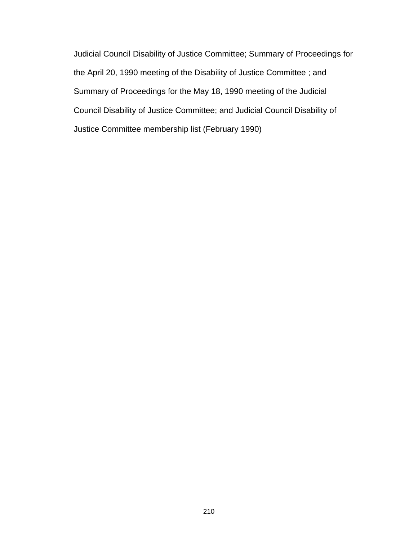Judicial Council Disability of Justice Committee; Summary of Proceedings for the April 20, 1990 meeting of the Disability of Justice Committee ; and Summary of Proceedings for the May 18, 1990 meeting of the Judicial Council Disability of Justice Committee; and Judicial Council Disability of Justice Committee membership list (February 1990)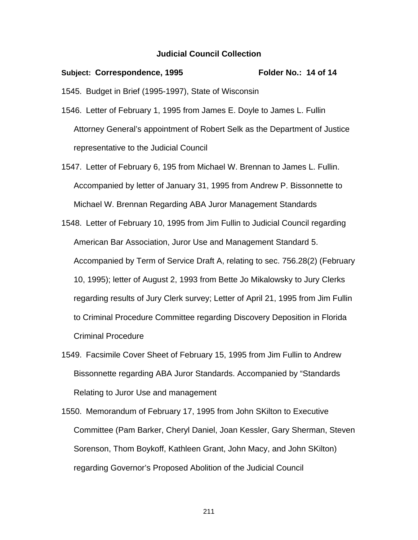## **Judicial Council Collection**

## Subject: Correspondence, 1995 Folder No.: 14 of 14 1545. Budget in Brief (1995-1997), State of Wisconsin

1546. Letter of February 1, 1995 from James E. Doyle to James L. Fullin Attorney General's appointment of Robert Selk as the Department of Justice representative to the Judicial Council

1547. Letter of February 6, 195 from Michael W. Brennan to James L. Fullin. Accompanied by letter of January 31, 1995 from Andrew P. Bissonnette to Michael W. Brennan Regarding ABA Juror Management Standards

- 1548. Letter of February 10, 1995 from Jim Fullin to Judicial Council regarding American Bar Association, Juror Use and Management Standard 5. Accompanied by Term of Service Draft A, relating to sec. 756.28(2) (February 10, 1995); letter of August 2, 1993 from Bette Jo Mikalowsky to Jury Clerks regarding results of Jury Clerk survey; Letter of April 21, 1995 from Jim Fullin to Criminal Procedure Committee regarding Discovery Deposition in Florida Criminal Procedure
- 1549. Facsimile Cover Sheet of February 15, 1995 from Jim Fullin to Andrew Bissonnette regarding ABA Juror Standards. Accompanied by "Standards Relating to Juror Use and management
- 1550. Memorandum of February 17, 1995 from John SKilton to Executive Committee (Pam Barker, Cheryl Daniel, Joan Kessler, Gary Sherman, Steven Sorenson, Thom Boykoff, Kathleen Grant, John Macy, and John SKilton) regarding Governor's Proposed Abolition of the Judicial Council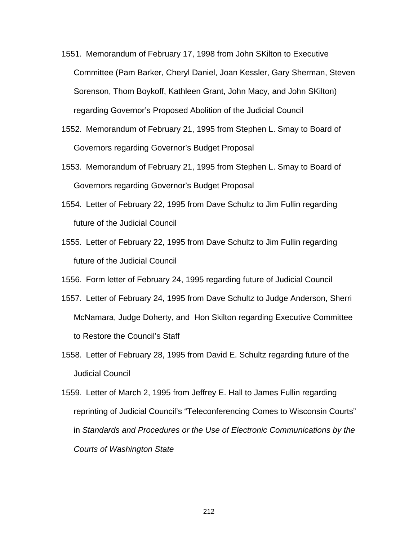- 1551. Memorandum of February 17, 1998 from John SKilton to Executive Committee (Pam Barker, Cheryl Daniel, Joan Kessler, Gary Sherman, Steven Sorenson, Thom Boykoff, Kathleen Grant, John Macy, and John SKilton) regarding Governor's Proposed Abolition of the Judicial Council
- 1552. Memorandum of February 21, 1995 from Stephen L. Smay to Board of Governors regarding Governor's Budget Proposal
- 1553. Memorandum of February 21, 1995 from Stephen L. Smay to Board of Governors regarding Governor's Budget Proposal
- 1554. Letter of February 22, 1995 from Dave Schultz to Jim Fullin regarding future of the Judicial Council
- 1555. Letter of February 22, 1995 from Dave Schultz to Jim Fullin regarding future of the Judicial Council

1556. Form letter of February 24, 1995 regarding future of Judicial Council

- 1557. Letter of February 24, 1995 from Dave Schultz to Judge Anderson, Sherri McNamara, Judge Doherty, and Hon Skilton regarding Executive Committee to Restore the Council's Staff
- 1558. Letter of February 28, 1995 from David E. Schultz regarding future of the Judicial Council

1559. Letter of March 2, 1995 from Jeffrey E. Hall to James Fullin regarding reprinting of Judicial Council's "Teleconferencing Comes to Wisconsin Courts" in *Standards and Procedures or the Use of Electronic Communications by the Courts of Washington State*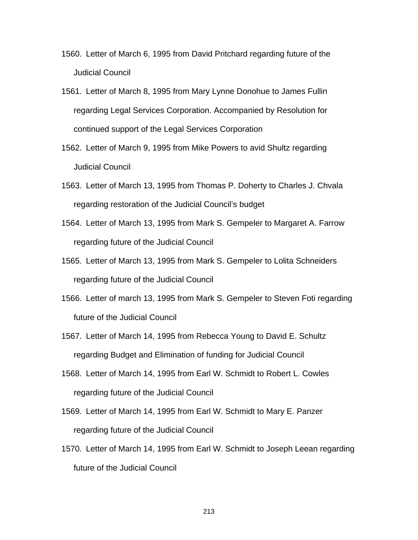- 1560. Letter of March 6, 1995 from David Pritchard regarding future of the Judicial Council
- 1561. Letter of March 8, 1995 from Mary Lynne Donohue to James Fullin regarding Legal Services Corporation. Accompanied by Resolution for continued support of the Legal Services Corporation
- 1562. Letter of March 9, 1995 from Mike Powers to avid Shultz regarding Judicial Council
- 1563. Letter of March 13, 1995 from Thomas P. Doherty to Charles J. Chvala regarding restoration of the Judicial Council's budget
- 1564. Letter of March 13, 1995 from Mark S. Gempeler to Margaret A. Farrow regarding future of the Judicial Council
- 1565. Letter of March 13, 1995 from Mark S. Gempeler to Lolita Schneiders regarding future of the Judicial Council
- 1566. Letter of march 13, 1995 from Mark S. Gempeler to Steven Foti regarding future of the Judicial Council
- 1567. Letter of March 14, 1995 from Rebecca Young to David E. Schultz regarding Budget and Elimination of funding for Judicial Council
- 1568. Letter of March 14, 1995 from Earl W. Schmidt to Robert L. Cowles regarding future of the Judicial Council
- 1569. Letter of March 14, 1995 from Earl W. Schmidt to Mary E. Panzer regarding future of the Judicial Council
- 1570. Letter of March 14, 1995 from Earl W. Schmidt to Joseph Leean regarding future of the Judicial Council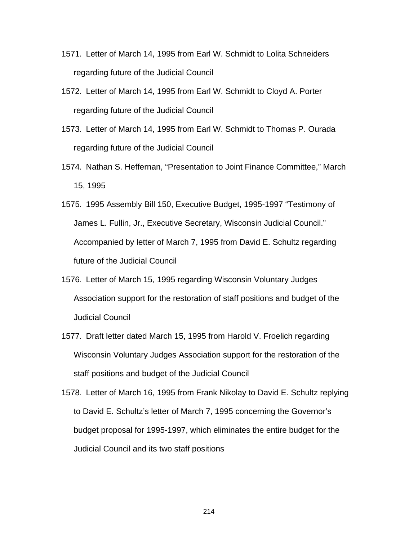- 1571. Letter of March 14, 1995 from Earl W. Schmidt to Lolita Schneiders regarding future of the Judicial Council
- 1572. Letter of March 14, 1995 from Earl W. Schmidt to Cloyd A. Porter regarding future of the Judicial Council
- 1573. Letter of March 14, 1995 from Earl W. Schmidt to Thomas P. Ourada regarding future of the Judicial Council
- 1574. Nathan S. Heffernan, "Presentation to Joint Finance Committee," March 15, 1995
- 1575. 1995 Assembly Bill 150, Executive Budget, 1995-1997 "Testimony of James L. Fullin, Jr., Executive Secretary, Wisconsin Judicial Council." Accompanied by letter of March 7, 1995 from David E. Schultz regarding future of the Judicial Council
- 1576. Letter of March 15, 1995 regarding Wisconsin Voluntary Judges Association support for the restoration of staff positions and budget of the Judicial Council
- 1577. Draft letter dated March 15, 1995 from Harold V. Froelich regarding Wisconsin Voluntary Judges Association support for the restoration of the staff positions and budget of the Judicial Council
- 1578. Letter of March 16, 1995 from Frank Nikolay to David E. Schultz replying to David E. Schultz's letter of March 7, 1995 concerning the Governor's budget proposal for 1995-1997, which eliminates the entire budget for the Judicial Council and its two staff positions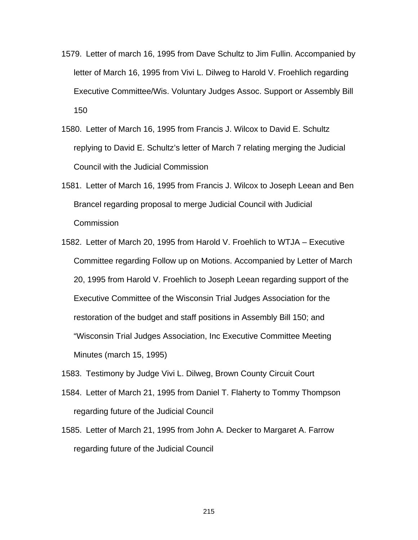- 1579. Letter of march 16, 1995 from Dave Schultz to Jim Fullin. Accompanied by letter of March 16, 1995 from Vivi L. Dilweg to Harold V. Froehlich regarding Executive Committee/Wis. Voluntary Judges Assoc. Support or Assembly Bill 150
- 1580. Letter of March 16, 1995 from Francis J. Wilcox to David E. Schultz replying to David E. Schultz's letter of March 7 relating merging the Judicial Council with the Judicial Commission
- 1581. Letter of March 16, 1995 from Francis J. Wilcox to Joseph Leean and Ben Brancel regarding proposal to merge Judicial Council with Judicial **Commission**
- 1582. Letter of March 20, 1995 from Harold V. Froehlich to WTJA Executive Committee regarding Follow up on Motions. Accompanied by Letter of March 20, 1995 from Harold V. Froehlich to Joseph Leean regarding support of the Executive Committee of the Wisconsin Trial Judges Association for the restoration of the budget and staff positions in Assembly Bill 150; and "Wisconsin Trial Judges Association, Inc Executive Committee Meeting Minutes (march 15, 1995)
- 1583. Testimony by Judge Vivi L. Dilweg, Brown County Circuit Court
- 1584. Letter of March 21, 1995 from Daniel T. Flaherty to Tommy Thompson regarding future of the Judicial Council
- 1585. Letter of March 21, 1995 from John A. Decker to Margaret A. Farrow regarding future of the Judicial Council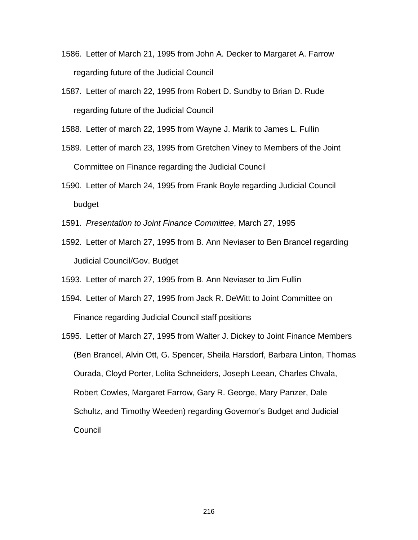- 1586. Letter of March 21, 1995 from John A. Decker to Margaret A. Farrow regarding future of the Judicial Council
- 1587. Letter of march 22, 1995 from Robert D. Sundby to Brian D. Rude regarding future of the Judicial Council

1588. Letter of march 22, 1995 from Wayne J. Marik to James L. Fullin

- 1589. Letter of march 23, 1995 from Gretchen Viney to Members of the Joint Committee on Finance regarding the Judicial Council
- 1590. Letter of March 24, 1995 from Frank Boyle regarding Judicial Council budget
- 1591. *Presentation to Joint Finance Committee*, March 27, 1995
- 1592. Letter of March 27, 1995 from B. Ann Neviaser to Ben Brancel regarding Judicial Council/Gov. Budget

1593. Letter of march 27, 1995 from B. Ann Neviaser to Jim Fullin

- 1594. Letter of March 27, 1995 from Jack R. DeWitt to Joint Committee on Finance regarding Judicial Council staff positions
- 1595. Letter of March 27, 1995 from Walter J. Dickey to Joint Finance Members (Ben Brancel, Alvin Ott, G. Spencer, Sheila Harsdorf, Barbara Linton, Thomas Ourada, Cloyd Porter, Lolita Schneiders, Joseph Leean, Charles Chvala, Robert Cowles, Margaret Farrow, Gary R. George, Mary Panzer, Dale Schultz, and Timothy Weeden) regarding Governor's Budget and Judicial **Council**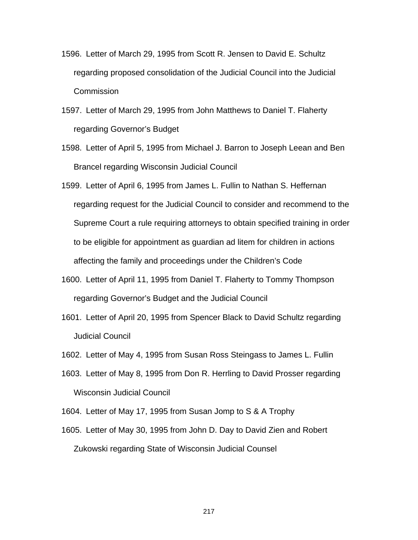- 1596. Letter of March 29, 1995 from Scott R. Jensen to David E. Schultz regarding proposed consolidation of the Judicial Council into the Judicial **Commission**
- 1597. Letter of March 29, 1995 from John Matthews to Daniel T. Flaherty regarding Governor's Budget
- 1598. Letter of April 5, 1995 from Michael J. Barron to Joseph Leean and Ben Brancel regarding Wisconsin Judicial Council
- 1599. Letter of April 6, 1995 from James L. Fullin to Nathan S. Heffernan regarding request for the Judicial Council to consider and recommend to the Supreme Court a rule requiring attorneys to obtain specified training in order to be eligible for appointment as guardian ad litem for children in actions affecting the family and proceedings under the Children's Code
- 1600. Letter of April 11, 1995 from Daniel T. Flaherty to Tommy Thompson regarding Governor's Budget and the Judicial Council
- 1601. Letter of April 20, 1995 from Spencer Black to David Schultz regarding Judicial Council
- 1602. Letter of May 4, 1995 from Susan Ross Steingass to James L. Fullin
- 1603. Letter of May 8, 1995 from Don R. Herrling to David Prosser regarding Wisconsin Judicial Council
- 1604. Letter of May 17, 1995 from Susan Jomp to S & A Trophy
- 1605. Letter of May 30, 1995 from John D. Day to David Zien and Robert Zukowski regarding State of Wisconsin Judicial Counsel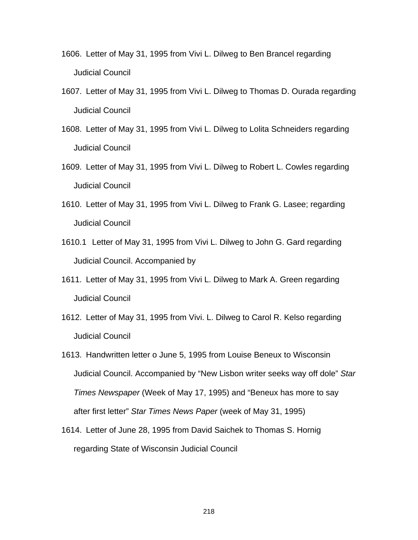- 1606. Letter of May 31, 1995 from Vivi L. Dilweg to Ben Brancel regarding Judicial Council
- 1607. Letter of May 31, 1995 from Vivi L. Dilweg to Thomas D. Ourada regarding Judicial Council
- 1608. Letter of May 31, 1995 from Vivi L. Dilweg to Lolita Schneiders regarding Judicial Council
- 1609. Letter of May 31, 1995 from Vivi L. Dilweg to Robert L. Cowles regarding Judicial Council
- 1610. Letter of May 31, 1995 from Vivi L. Dilweg to Frank G. Lasee; regarding Judicial Council
- 1610.1 Letter of May 31, 1995 from Vivi L. Dilweg to John G. Gard regarding Judicial Council. Accompanied by
- 1611. Letter of May 31, 1995 from Vivi L. Dilweg to Mark A. Green regarding Judicial Council
- 1612. Letter of May 31, 1995 from Vivi. L. Dilweg to Carol R. Kelso regarding Judicial Council
- 1613. Handwritten letter o June 5, 1995 from Louise Beneux to Wisconsin Judicial Council. Accompanied by "New Lisbon writer seeks way off dole" *Star Times Newspaper* (Week of May 17, 1995) and "Beneux has more to say after first letter" *Star Times News Paper* (week of May 31, 1995)
- 1614. Letter of June 28, 1995 from David Saichek to Thomas S. Hornig regarding State of Wisconsin Judicial Council